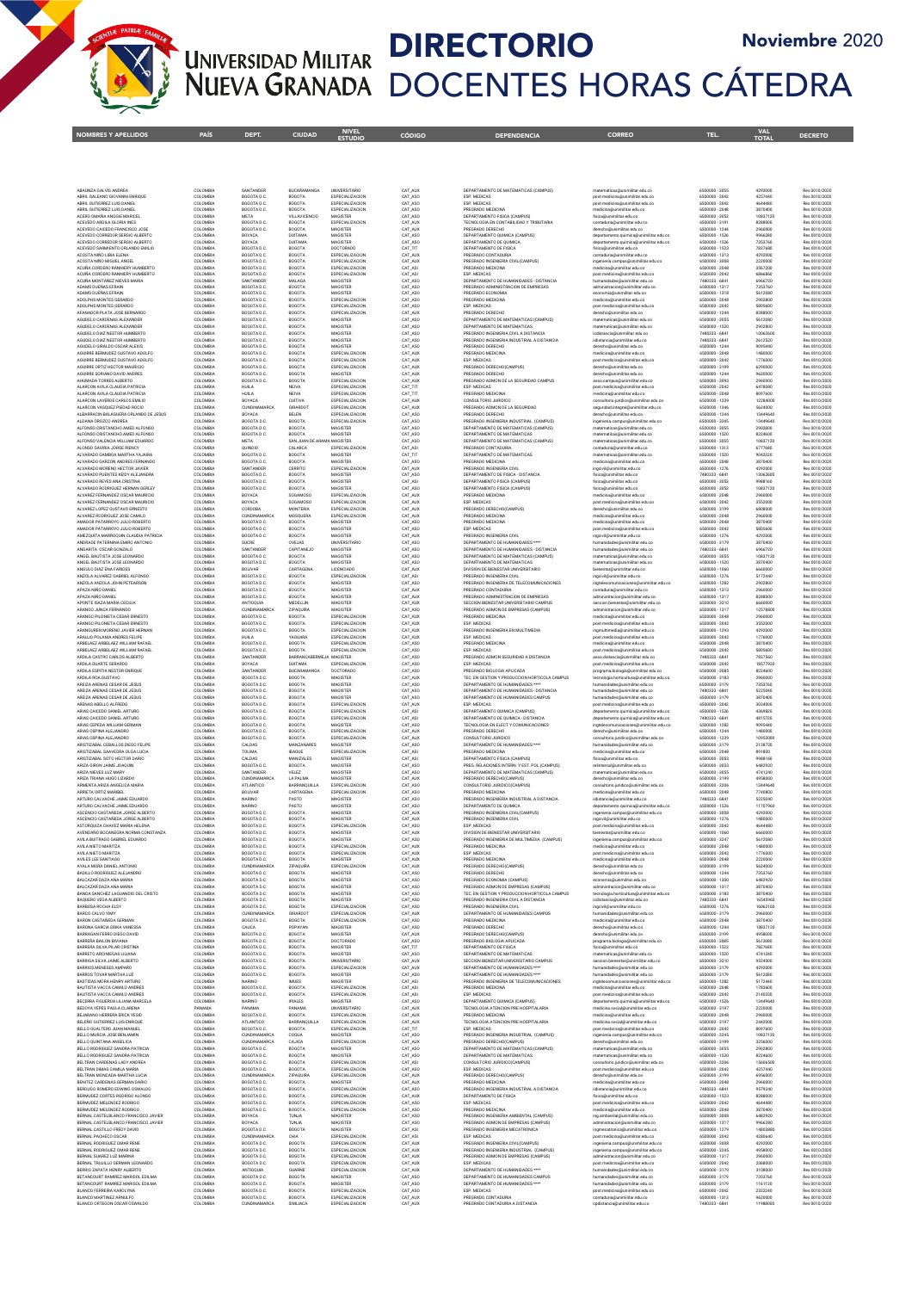

#### DIRECTORIO Noviembre 2020UNIVERSIDAD MILITAR NUEVA GRANADA DOCENTES HORAS CÁTEDRA

NOMBRES Y APELLIDOS PAÍS DEPT. CIUDAD ENTELO CÓDIGO DEPENDENCIA CORREO CORREO TEL. VAL DECRETO<br>Internacio de país deporte ciudad estudio

| ABAUNZA GALVIS ANDREA<br>ABRIL GALEANO GIOVANNI ENRIQUE                 | COLOMBIA<br>COLOMBIA | SANTANDER<br>BOGOTA D.C            | BUCARAMANGA<br>BOGOTA                      | UNIVERSITARIO<br>ESPECIALIZACION          | CAT_AUX<br>CAT_ASC | DEPARTAMENTO DE MATEMATICAS (CAMPUS)<br>ESP. MEDICAS                                | matematicas@unimilitar.edu.co<br>post.medicina@unimilitar.edu.co                  | 6500000 - 3055<br>6500000 - 2042 | 4292000<br>4257440   | Res 0010/2020<br>Res 0010/2020 |
|-------------------------------------------------------------------------|----------------------|------------------------------------|--------------------------------------------|-------------------------------------------|--------------------|-------------------------------------------------------------------------------------|-----------------------------------------------------------------------------------|----------------------------------|----------------------|--------------------------------|
| ABRIL GUTIERREZ LUIS DANIEL                                             | COLOMBIA             | BOGOTA D.C                         | BOGOTA                                     | ESPECIALIZACION                           | CAT_ASC            | ESP. MEDICAS                                                                        | post.medicina@unimilitar.edu.co                                                   | 6500000 - 2042                   | 4644480              | Res 0010/2020                  |
| ABRIL GUTIERREZ LUIS DANIEL<br>ACERO OMAÑA ANGGIE MARICEL               | COLOMBIA<br>COLOMBIA | BOGOTA D.C.<br><b>META</b>         | BOGOTA<br>VILLAVICENCIO                    | ESPECIALIZACION<br>MAGISTER               | CAT_ASO<br>CAT ASO | PREGRADO MEDICINA<br>DEPARTAMENTO FISICA (CAMPUS)                                   | medicina@unimilitar.edu.co<br>fisica@unimilitar.edu.co                            | 6500000 - 2048<br>6500000 - 3053 | 3870400<br>10837120  | Res 0010/2020<br>Res 0010/2020 |
| ACEVEDO ARDILA GLORIA INES<br>ACEVEDO CAICEDO FRANCISCO JOSE            | COLOMBIA<br>COLOMBIA | BOGOTA D.C.<br>BOGOTA D.C          | BOGOTA<br>BOGOTA                           | ESPECIALIZACION<br>MAGISTER               | CAT AUX<br>CAT_AUX | TECNOLOGIA EN CONTABILIDAD Y TRIBUTARIA<br>PREGRADO DERECHO                         | contaduria@unimilitar.edu.co<br>derecho@unimilitar.edu.co                         | 6500000 - 3191<br>6500000 - 1244 | 8288000<br>2960000   | Res 0010/2020<br>Res 0010/2020 |
| ACEVEDO CORREDOR SERGIO ALBERTO                                         | COLOMBIA             | BOYACA                             | DUITAMA                                    | MAGISTER                                  | CAT_ASC            | DEPARTAMENTO QUIMICA (CAMPUS)                                                       | departamento.quimica@unimilitar.edu.co                                            | 6500000 - 1526                   | 9966280              | Res 0010/2020                  |
| ACEVEDO CORREDOR SERGIO ALBERTO<br>ACEVEDO SARMIENTO ORLANDO EMILIO     | COLOMBIA<br>COLOMBIA | BOYACA<br>BOGOTA D.C.              | DUITAMA<br>BOGOTA                          | MAGISTER<br>DOCTORADO                     | CAT_ASO<br>CAT_TIT | DEPARTAMENTO DE QUIMICA<br>DEPARTAMENTO DE FISICA                                   | departamento.quimica@unimilitar.edu.co<br>fisica@unimilitar.edu.co                | 6500000 - 1526<br>6500000 - 1523 | 7353760<br>7827680   | Res 0010/2020<br>Res 0010/2020 |
| ACOSTA NIÑO LIBIA ELENA                                                 | COLOMBIA             | BOGOTA D.C.                        | <b>BOGOTA</b>                              | ESPECIALIZACION                           | CAT AUX            | PREGRADO CONTADURIA                                                                 | contaduria@unimilitar.edu.co                                                      | 6500000-1313                     | 4292000              | Res 0010/2020                  |
| ACOSTA NIÑO MIGUEL ANGEL<br>ACUÑA CORDERO RANNIERY HUMBERTO             | COLOMBIA<br>COLOMBIA | BOGOTA D.C.<br>BOGOTA D.C          | <b>BOGOTA</b><br>BOGOTA                    | ESPECIALIZACION<br><b>ESPECIALIZACION</b> | CAT AUX<br>CAT_ASI | PREGRADO INGENIERIA CIVIL(CAMPUS)<br>PREGRADO MEDICINA                              | ingenieria.campus@unimilitar.edu.co<br>medicina@unimilitar.edu.co                 | 6500000 - 3008<br>6500000 - 2048 | 2220000<br>3567200   | Res 0010/2020<br>Res 0010/2020 |
| ACUÑA CORDERO RANNIERY HUMBERTO<br>ACUÑA MONTAÑEZ NIEVES MARIA          | COLOMBIA<br>COLOMBIA | BOGOTA D.C<br>SANTANDER            | BOGOTA<br>MALAGA                           | ESPECIALIZACION<br>MAGISTER               | CAT_ASI<br>CAT_ASC | ESP. MEDICAS<br>DEPARTAMENTO DE HUMANIDADES - DISTANCIA                             | post.medicina@unimilitar.edu.co                                                   | 6500000 - 2042<br>7480333 - 6841 | 6866860<br>6966720   | Res 0010/2020<br>Res 0010/2020 |
| ADAMS DUEÑAS EFRAIN                                                     | COLOMBIA             | BOGOTA D.C                         | BOGOTA                                     | MAGISTER                                  | CAT_ASO            | PREGRADO ADMINISTRACION DE EMPRESAS                                                 | humanidades@unimilitar.edu.co<br>administracion@unimilitar.edu.co                 | 6500000 - 1317                   | 7353760              | Res 0010/2020                  |
| ADAMS DUEÑAS EFRAIN<br>ADOLPHS MONTES GERARDO                           | COLOMBIA<br>COLOMBIA | BOGOTA D.C.<br>BOGOTA D.C.         | <b>BOGOTA</b><br><b>BOGOTA</b>             | MAGISTER<br>ESPECIALIZACION               | CAT_ASO<br>CAT ASO | PREGRADO ECONOMIA<br>PREGRADO MEDICINA                                              | economia@unimilitar.edu.co<br>medicina@unimilitar.edu.co                          | 6500000 - 1318<br>6500000 - 2048 | 5612080<br>2902800   | Res 0010/2020<br>Res 0010/2020 |
| ADOLPHS MONTES GERARDO                                                  | COLOMBIA             | BOGOTA D.C.                        | BOGOTA                                     | ESPECIALIZACION                           | CAT_ASO            | ESP. MEDICAS                                                                        | post.medicina@unimilitar.edu.co                                                   | 6500000 - 2042                   | 5805600              | Res 0010/2020                  |
| AFANADOR PLATA JOSE BERNARDO<br>AGUDELO CARDENAS ALEXANDER              | COLOMBIA<br>COLOMBIA | BOGOTA D.C.<br>BOGOTA D.C.         | BOGOTA<br>BOGOTA                           | ESPECIALIZACION<br>MAGISTER               | CAT_AUX<br>CAT_ASO | PREGRADO DERECHO<br>DEPARTAMENTO DE MATEMATICAS (CAMPUS)                            | derecho@unimilitar.edu.co<br>matematicas@unimilitar.edu.co                        | 6500000 - 1244<br>6500000 - 3055 | 8288000<br>5612080   | Res 0010/2020<br>Res 0010/2020 |
| AGUDELO CARDENAS ALEXANDER                                              | COLOMBIA             | BOGOTA D.C.                        | BOGOTA                                     | MAGISTER                                  | CAT_ASO            | DEPARTAMENTO DE MATEMATICAS                                                         | matematicas@unimilitar.edu.co                                                     | 6500000 - 1520                   | 2902800              | Res 0010/2020                  |
| AGUDELO DIAZ NESTOR HUMBERTO<br>AGUDELO DIAZ NESTOR HUMBERTO            | COLOMBIA<br>COLOMBIA | BOGOTA D.C.<br>BOGOTA D.C.         | <b>BOGOTA</b><br>BOGOTA                    | MAGISTER<br>MAGISTER                      | CAT_ASO<br>CAT_ASO | PREGRADO INGENIERIA CIVIL A DISTANCIA<br>PREGRADO INGENIERIA INDUSTRIAL A DISTANCIA | icdistancia@unimilitar.edu.co<br>ildistancia@unimilitar.edu.co                    | 7480333 - 6841<br>7480333 - 6841 | 13062600<br>2612520  | Res 0010/2020<br>Res 0010/2020 |
| AGUDELO GIRALDO OSCAR ALEXIS                                            | COLOMBIA             | BOGOTA D.C.                        | BOGOTA                                     | MAGISTER                                  | CAT_ASO            | PREGRADO DERECHO                                                                    | derecho@unimilitar.edu.co                                                         | 6500000 - 1244                   | 9095440              | Res 0010/2020                  |
| AGUIRRE BERMUDEZ GUSTAVO ADOLFO<br>AGUIRRE BERMUDEZ GUSTAVO ADOLFO      | COLOMBIA<br>COLOMBIA | BOGOTA D.C.<br>BOGOTA D.C.         | BOGOTA<br><b>BOGOTA</b>                    | ESPECIALIZACION<br>ESPECIALIZACION        | CAT_AUX<br>CAT_AUX | PREGRADO MEDICINA<br>ESP. MEDICAS                                                   | medicina@unimilitar.edu.co<br>post.medicina@unimilitar.edu.co                     | 6500000 - 2048<br>6500000 - 2042 | 1480000<br>1776000   | Res 0010/2020<br>Res 0010/2020 |
| AGUIRRE ORTIZ HECTOR MAURICIO                                           | COLOMBIA             | BOGOTA D.C                         | BOGOTA                                     | ESPECIALIZACION                           | CAT_AUX            | PREGRADO DERECHO(CAMPUS)                                                            | derecho@unimilitar.edu.co                                                         | 6500000-3199                     | 6290000              | Res 0010/2020                  |
| AGUIRRE SORIANO DAVID ANDRES<br>AHUMADA TORRES ALBERTO                  | COLOMBIA<br>COLOMBIA | BOGOTA D.C<br>BOGOTA D.C.          | BOGOTA<br>BOGOTA                           | MAGISTER<br>ESPECIALIZACION               | CAT_AU<br>CAT_AUX  | PREGRADO DERECHO<br>PREGRADO ADMON DE LA SEGURIDAD CAMPUS                           | derecho@unimilitar.edu.co<br>asso.campus@unimilitar.edu.co                        | 6500000 - 1244<br>6500000 - 3093 | 9620000<br>2960000   | Res 0010/2020<br>Res 0010/2020 |
| ALARCON AVILA CLAUDIA PATRICIA                                          | COLOMBIA             | HUILA                              | NEIVA                                      | ESPECIALIZACION                           | CAT_TIT            | ESP. MEDICAS                                                                        | post.medicina@unimilitar.edu.co                                                   | 6500000 - 2042                   | 6478080              | Res 0010/2020                  |
| ALARCON AVILA CLAUDIA PATRICIA<br>ALARCON LAVERDE CARLOS EMILIO         | COLOMBIA<br>COLOMBIA | HUILA<br>BOYACA                    | NEIVA<br><b>CUITIVA</b>                    | ESPECIALIZACION<br>ESPECIALIZACION        | CAT_TIT<br>CAT_AU  | PREGRADO MEDICINA<br>CONSULTORIO JURIDICO                                           | medicina@unimilitar.edu.co<br>consultorio.juridico@unimilitar.edu.co              | 6500000 - 2048<br>6500000 - 1239 | 8097600<br>12284000  | Res 0010/2020<br>Res 0010/2020 |
| ALARCON VASQUEZ PIEDAD ROCIO                                            | COLOMBIA             | <b>CUNDINAMARCA</b>                | GIRARDOT                                   | ESPECIALIZACION                           | CAT_AU             | PREGRADO ADMON DE LA SEGURIDAD                                                      | seguridad.integral@unimilitar.edu.co                                              | 6500000 - 1346                   | 5624000              | Res 0010/2020                  |
| ALBARRACIN BALAGUERA ORLANDO DE JESUS<br>ALDANA OROZCO ANDREA           | COLOMBIA<br>COLOMBIA | BOYACA<br>BOGOTA D.C.              | BELEN<br>BOGOTA                            | ESPECIALIZACION<br>ESPECIALIZACION        | CAT_ASO<br>CAT_ASC | PREGRADO DERECHO<br>PREGRADO INGENIERIA INDUSTRIAL (CAMPUS)                         | derecho@unimilitar.edu.co<br>ingenieria.campus@unimilitar.edu.co                  | 6500000 - 1244<br>6500000 - 3245 | 13449640<br>13449640 | Res 0010/2020<br>Res 0010/2020 |
| ALFONSO CRISTANCHO AMED ALFONSO                                         | COLOMBIA             | BOGOTA D.C                         | BOGOTA                                     | MAGISTER                                  | CAT_ASO            | DEPARTAMENTO DE MATEMATICAS (CAMPUS)                                                | matematicas@unimilitar.edu.co                                                     | 6500000 - 3055                   | 2902800              | Res 0010/2020                  |
| ALFONSO CRISTANCHO AMED ALFONSO<br>ALFONSO VALENCIA WILLIAM EDUARDO     | COLOMBIA<br>COLOMBIA | BOGOTA D.C.<br>META                | BOGOTA<br>SAN JUAN DE ARAMA MAGISTER       | MAGISTER                                  | CAT_ASC<br>CAT_ASC | DEPARTAMENTO DE MATEMATICAS<br>DEPARTAMENTO DE MATEMATICAS (CAMPUS)                 | matematicas@unimilitar.edu.co<br>matematicas@unimilitar.edu.co                    | 6500000 - 1520<br>6500000 - 3055 | 8224600<br>10837120  | Res 0010/2020<br>Res 0010/2020 |
| ALONSO GAVIRIA JORGE RIENCY                                             | COLOMBIA             | QUINDIO                            | CALARCA                                    | ESPECIALIZACION                           | CAT_ASI            | PREGRADO CONTADURIA                                                                 | contaduria@unimilitar.edu.co                                                      | 6500000 - 1313                   | 6777680              | Res 0010/2020                  |
| ALVARADO GAMBOA MARTHA YAJAIRA<br>ALVARADO GARZON ANDRES FERNANDO       | COLOMBIA<br>COLOMBIA | BOGOTA D.C<br>BOGOTA D.C           | BOGOTA<br>BOGOTA                           | MAGISTER<br>MAGISTER                      | CAT_TIT<br>CAT_ASC | DEPARTAMENTO DE MATEMATICAS<br>PREGRADO MEDICINA                                    | matematicas@unimilitar.edu.co<br>medicina@unimilitar.edu.co                       | 6500000 - 1520<br>6500000 - 2048 | 9042320<br>3870400   | Res 0010/2020<br>Res 0010/2020 |
| ALVARADO MORENO HECTOR JAVIER                                           | COLOMBIA             | SANTANDER                          | CERRITO                                    | ESPECIALIZACION                           | CAT_AUX            | PREGRADO INGENIERIA CIVIL                                                           | ingcivil@unimilitar.edu.co                                                        | 6500000 - 1276                   | 4292000              | Res 0010/2020                  |
| ALVARADO PUENTES KEIDY ALEJANDRA<br>ALVARADO REYES ANA CRISTINA         | COLOMBIA<br>COLOMBIA | BOGOTA D.C<br>BOGOTA D.C           | BOGOTA<br>BOGOTA                           | MAGISTER<br>MAGISTER                      | CAT_ASO<br>CAT_ASI | DEPARTAMENTO DE FISICA - DISTANCIA<br>DEPARTAMENTO FISICA (CAMPUS)                  | fisica@unimilitar.edu.co<br>fisica@unimilitar.edu.co                              | 7480333 - 6841<br>6500000 - 3053 | 13062600<br>9988160  | Res 0010/2020<br>Res 0010/2020 |
| ALVARADO RODRIGUEZ HERNAN GERLEY                                        | COLOMBIA             | BOGOTA D.C.                        | BOGOTA                                     | MAGISTER                                  | CAT_ASO            | DEPARTAMENTO FISICA (CAMPUS)                                                        | fisica@unimilitar.edu.co                                                          | 6500000 - 3053                   | 10837120             | Res 0010/2020                  |
| ALVAREZ FERNANDEZ OSCAR MAURICIO<br>ALVAREZ FERNANDEZ OSCAR MAURICIO    | COLOMBIA<br>COLOMBIA | BOYACA<br>BOYACA                   | SOGAMOSO<br>SOGAMOSO                       | <b>ESPECIALIZACION</b><br>ESPECIALIZACION | CAT_AUX<br>CAT_AUX | PREGRADO MEDICINA<br>ESP. MEDICAS                                                   | medicina@unimilitar.edu.co<br>post.medicina@unimilitar.edu.co                     | 6500000 - 2048<br>6500000 - 2042 | 2960000<br>3552000   | Res 0010/2020<br>Res 0010/2020 |
| ALVAREZ LOPEZ GUSTAVO ERNESTO                                           | COLOMBIA             | CORDOBA                            | MONTERIA                                   | <b>ESPECIALIZACION</b>                    | CAT_AUX            | PREGRADO DERECHO(CAMPUS)                                                            | derecho@unimilitar.edu.co                                                         | 6500000 - 3199                   | 6808000              | Res 0010/2020                  |
| ALVAREZ RODRIGUEZ JOSE CAMILO<br>AMADOR PATARROYO JULIO ROBERTO         | COLOMBIA<br>COLOMBIA | <b>CUNDINAMARCA</b><br>BOGOTA D.C. | MOSQUERA<br>BOGOTA                         | <b>ESPECIALIZACION</b><br>MAGISTER        | CAT_AUX<br>CAT_ASO | PREGRADO MEDICINA<br>PREGRADO MEDICINA                                              | medicina@unimilitar.edu.co<br>medicina@unimilitar.edu.co                          | 6500000 - 2048<br>6500000 - 2048 | 2960000<br>3870400   | Res 0010/2020<br>Res 0010/2020 |
| AMADOR PATARROYO JULIO ROBERTO                                          | COLOMBIA             | BOGOTA D.C.                        | BOGOTA                                     | MAGISTER                                  | CAT_ASO            | ESP. MEDICAS                                                                        | post.medicina@unimilitar.edu.co                                                   | 6500000 - 2042                   | 5805600              | Res 0010/2020                  |
| AMEZQUITA MARROQUIN CLAUDIA PATRICIA<br>ANDRADE PATERNINA EMIRO ANTONIO | COLOMBIA<br>COLOMBIA | BOGOTA D.C.<br>SUCRE               | BOGOTA<br>OVEJAS                           | MAGISTER<br>UNIVERSITARIO                 | CAT_AUX<br>CAT_ASO | PREGRADO INGENIERIA CIVIL<br>DEPARTAMENTO DE HUMANIDADES ****                       | ingcivil@unimilitar.edu.co<br>humanidades@unimilitar.edu.co                       | 6500000 - 1276<br>6500000 - 3179 | 4292000<br>3870400   | Res 0010/2020<br>Res 0010/2020 |
| ANGARITA OSCAR GONZALO                                                  | COLOMBIA             | SANTANDER                          | CAPITANEJO                                 | MAGISTER                                  | CAT_ASO            | DEPARTAMENTO DE HUMANIDADES - DISTANCIA                                             | humanidades@unimilitar.edu.co                                                     | 7480333 - 6841                   | 6966720              | Res 0010/2020                  |
| ANGEL BAUTISTA JOSE LEONARDO<br>ANGEL BAUTISTA JOSE LEONARDO            | COLOMBIA<br>COLOMBIA | BOGOTA D.C.<br>BOGOTA D.C.         | <b>BOGOTA</b><br><b>BOGOTA</b>             | MAGISTER<br>MAGISTER                      | CAT ASO<br>CAT ASO | DEPARTAMENTO DE MATEMATICAS (CAMPUS)<br>DEPARTAMENTO DE MATEMATICAS                 | matematicas@unimilitar.edu.co<br>matematicas@unimilitar.edu.co                    | 6500000 - 3055<br>6500000 - 1520 | 10837120<br>3870400  | Res 0010/2020<br>Res 0010/2020 |
| ANGULO DIAZ ENA FARIDES                                                 | COLOMBIA             | <b>BOLIVAR</b>                     | CARTAGENA                                  | <b>LICENCIADO</b>                         | CAT AUX            | DIVISION DE BIENESTAR UNIVERSITARIO                                                 | bienestar@unimilitar.edu.co                                                       | 6500000 - 1060                   | 6660000              | Res 0010/2020                  |
| ANZOLA ALVAREZ GABRIEL ALFONSO<br>ANZOLA ANZOLA JOHN PETEARSON          | COLOMBIA<br>COLOMBIA | BOGOTA D.C.<br>BOGOTA D.C.         | <b>BOGOTA</b><br><b>BOGOTA</b>             | ESPECIALIZACION<br>MAGISTER               | CAT ASI<br>CAT ASO | PREGRADO INGENIERIA CIVIL<br>PREGRADO INGENIERIA DE TELECOMUNICACIONES              | ingcivil@unimilitar.edu.co<br>ingtelecomunicaciones@unimilitar.edu.co             | 6500000 - 1276<br>6500000 - 1282 | 5172440<br>2902800   | Res 0010/2020<br>Res 0010/2020 |
| APAZA NIÑO DANIEL                                                       | COLOMBIA             | BOGOTA D.C.                        | <b>BOGOTA</b>                              | MAGISTER                                  | CAT AUX            | PREGRADO CONTADURIA                                                                 | contaduria@unimilitar.edu.co                                                      | 6500000 - 1313                   | 2960000              | Res 0010/2020                  |
| APAZA NIÑO DANIEL<br>APONTE ISAZA MARIA CECILIA                         | COLOMBIA<br>COLOMBIA | BOGOTA D.C.<br>ANTIOOUIA           | <b>BOGOTA</b><br>MEDELLIN                  | MAGISTER<br>MAGISTER                      | CAT AUX<br>CAT AUX | PREGRADO ADMINISTRACION DE EMPRESAS<br>SECCION BIENESTAR UNIVERSITARIO CAMPUS       | administracion@unimilitar.edu.co<br>seccion.bienestar@unimilitar.edu.co           | 6500000 - 1317<br>6500000-3310   | 8288000<br>6660000   | Res 0010/2020<br>Res 0010/2020 |
| ARANGO JUNCA FERNANDO                                                   | COLOMBIA             | CLINDINAMARCA                      | ZIPAOUIRA                                  | MAGISTER                                  | CAT_ASO            | PREGRADO ADMON DE EMPRESAS (CAMPUS)                                                 | administracion@unimilitar.edu.co                                                  | 6500000 - 1317                   | 12578800             | Res 0010/2020                  |
| ARANGO PILONIFTA CESAR FRNESTO<br>ARANGO PILONIETA CESAR ERNESTO        | COLOMBIA<br>COLOMBIA | BOGOTA D.C.<br>BOGOTA D.C.         | <b>BOGOTA</b><br><b>BOGOTA</b>             | ESPECIALIZACION<br>ESPECIALIZACION        | CAT_AUX<br>CAT AUX | PREGRADO MEDICINA<br><b>ESP. MEDICAS</b>                                            | medicina@unimilitar.edu.co<br>post.medicina@unimilitar.edu.co                     | 6500000 - 2048<br>6500000 - 2042 | 2960000<br>3552000   | Res 0010/2020<br>Res 0010/2020 |
| ARANGUREN MORENO JAVIER HERNAN                                          | COLOMBIA             | BOGOTA D.C.                        | <b>BOGOTA</b>                              | ESPECIALIZACION                           | CAT AUX            | PREGRADO INGENIERIA EN MULTIMEDIA                                                   | ingmultimedia@unimilitar.edu.co                                                   | 6500000 - 1293                   | 4292000              | Res 0010/2020                  |
| ARALUO POLANIA ANDRES FELIPE<br>ARBELAEZ ARBELAEZ WILLIAM RAFAEL        | COLOMBIA<br>COLOMBIA | <b>HUILA</b><br>BOGOTA D.C.        | YAGUARA<br>BOGOTA                          | ESPECIALIZACION<br>ESPECIALIZACION        | CAT AUX<br>CAT_ASO | ESP. MEDICAS<br>PREGRADO MEDICINA                                                   | post.medicina@unimilitar.edu.co<br>medicina@unimilitar.edu.co                     | 6500000 - 2042<br>6500000 - 2048 | 1776000<br>3870400   | Res 0010/2020<br>Res 0010/2020 |
| ARBELAEZ ARBELAEZ WILLIAM RAFAEL                                        | COLOMBIA             | BOGOTA D.C.                        | BOGOTA                                     | ESPECIALIZACION                           | CAT_ASO            | ESP. MEDICAS                                                                        | post.medicina@unimilitar.edu.co                                                   | 6500000 - 2042                   | 5805600              | Res 0010/2020                  |
| ARDILA CASTRO CARLOS ALBERTO<br>ARDILA DUARTE GERARDO                   | COLOMBIA<br>COLOMBIA | SANTANDER<br>BOYACA                | BARRANCABERMEJA MAGISTER<br><b>DUITAMA</b> | ESPECIALIZACION                           | CAT_ASO<br>CAT_ASO | PREGRADO ADMON SEGURIDAD A DISTANCIA<br>ESP. MEDICAS                                | asso.distancia@unimilitar.edu.co<br>post.medicina@unimilitar.edu.co               | 7480333 - 6841<br>6500000 - 2042 | 7837560<br>18577920  | Res 0010/2020<br>Res 0010/2020 |
| ARDILA ESPITIA NESTOR ENRIQUE                                           | COLOMBIA             | SANTANDER                          | BUCARAMANGA                                | DOCTORADO                                 | CAT_ASO            | PREGRADO BIOLOGIA APLICADA                                                          | programa.biologia@unimilitar.edu.co                                               | 6500000 - 3085                   | 8224600              | Res 0010/2020                  |
| ARDILA ROA GUSTAVO<br>AREIZA ARENAS CESAR DE JESUS                      | COLOMBIA<br>COLOMBIA | BOGOTA D.C.<br>BOGOTA D.C          | BOGOTA<br>BOGOTA                           | MAGISTER<br>MAGISTER                      | CAT_AUX<br>CAT_ASO | TEC. EN GESTION Y PRODUCCION HORTICOLA CAMPUS<br>DEPARTAMENTO DE HUMANIDADES ****   | tecnologia.horticultura@unimilitar.edu.co<br>humanidades@unimilitar.edu.co        | 6500000 - 3183<br>6500000 - 3179 | 2960000<br>7353760   | Res 0010/2020<br>Res 0010/2020 |
| AREIZA ARENAS CESAR DE JESUS                                            | COLOMBIA             | BOGOTA D.C.                        | BOGOTA                                     | MAGISTER                                  | CAT_ASO            | DEPARTAMENTO DE HUMANIDADES - DISTANCIA                                             | humanidades@unimilitar.edu.co                                                     | 7480333 - 6841                   | 5225040              | Res 0010/2020                  |
| AREIZA ARENAS CESAR DE JESUS<br>ARENAS ABELLO ALFREDO                   | COLOMBIA<br>COLOMBIA | BOGOTA D.C.<br>BOGOTA D.C.         | BOGOTA<br>BOGOTA                           | MAGISTER<br>ESPECIALIZACION               | CAT_ASO<br>CAT_AUX | DEPARTAMENTO DE HUMANIDADES CAMPUS<br>ESP. MEDICAS                                  | humanidades@unimilitar.edu.co<br>post.medicina@unimilitar.edu.co                  | 6500000 - 3179<br>6500000 - 2042 | 3870400<br>3034000   | Res 0010/2020<br>Res 0010/2020 |
| ARIAS CAICEDO DANIEL ARTURO                                             | COLOMBIA             | BOGOTA D.C.                        | BOGOTA                                     | ESPECIALIZACION                           | CAT_ASI            | DEPARTAMENTO QUIMICA (CAMPUS)                                                       | departamento.quimica@unimilitar.edu.co                                            | 6500000 - 1526                   | 4369820              | Res 0010/2020                  |
| ARIAS CAICEDO DANIEL ARTURO<br>ARIAS CEPEDA WILLIAM GERMAN              | COLOMBIA<br>COLOMBIA | BOGOTA D.C.<br>BOGOTA D.C.         | BOGOTA<br>BOGOTA                           | ESPECIALIZACION<br>MAGISTER               | CAT_ASI<br>CAT_ASO | DEPARTAMENTO DE QUIMICA - DISTANCIA<br>TECNOLOGIA EN ELECT Y COMUNICACIONES         | departamento.quimica@unimilitar.edu.co<br>ingtelecomunicaciones@unimilitar.edu.co | 7480333 - 6841<br>6500000 - 1282 | 4815720<br>9095440   | Res 0010/2020<br>Res 0010/2020 |
| ARIAS OSPINA ALEJANDRO                                                  | COLOMBIA             | BOGOTA D.C.                        | BOGOTA                                     | <b>ESPECIALIZACION</b>                    | CAT_AUX            | PREGRADO DERECHO                                                                    | derecho@unimilitar.edu.co                                                         | 6500000 - 1244                   | 1480000              | Res 0010/2020                  |
| ARIAS OSPINA ALEJANDRO<br>ARISTIZABAL CEBALLOS DIEGO FELIPE             | COLOMBIA<br>COLOMBIA | BOGOTA D.C.<br>CALDAS              | BOGOTA<br>MANZANARES                       | <b>ESPECIALIZACION</b><br>MAGISTER        | CAT_AUX<br>CAT_ASC | CONSULTORIO JURIDICO<br>DEPARTAMENTO DE HUMANIDADES ****                            | consultorio.juridico@unimilitar.edu.co<br>humanidades@unimilitar.edu.co           | 6500000 - 1239<br>6500000 - 3179 | 10952000<br>2128720  | Res 0010/2020<br>Res 0010/2020 |
| ARISTIZABAL SAAVEDRA OLGA LUCIA                                         | COLOMBIA             | TOLIMA                             | <b>IBAGUE</b>                              | ESPECIALIZACION                           | CAT_ASI            | PREGRADO MEDICINA                                                                   | medicina@unimilitar.edu.co                                                        | 6500000 - 2048                   | 891800               | Res 0010/2020                  |
| ARISTIZABAL SOTO HECTOR DARIO<br>ARIZA GIRON JAIME JOAQUIN              | COLOMBIA<br>COLOMBIA | CALDAS<br>BOGOTA D.C.              | MANIZALES<br>BOGOTA                        | MAGISTER<br>MAGISTER                      | CAT_ASI<br>CAT_ASC | DEPARTAMENTO FISICA (CAMPUS)<br>PREG. RELACIONES INTERN. Y EST. POL.(CAMPUS)        | fisica@unimilitar.edu.co<br>relinternal@unimilitar.edu.co                         | 6500000 - 3053<br>6500000 - 3033 | 9988160<br>6482920   | Res 0010/2020<br>Res 0010/2020 |
| ARIZA NIEVES LUZ MARY                                                   | COLOMBIA             | SANTANDER                          | VELEZ                                      | MAGISTER                                  | CAT_ASO            | DEPARTAMENTO DE MATEMATICAS (CAMPUS)                                                | matematicas@unimilitar.edu.co                                                     | 6500000 - 3055                   | 4741240              | Res 0010/2020                  |
| ARIZA TRIANA HUGO LIZARDO<br>ARMENTA ARIZA ANGELICA MARIA               | COLOMBIA<br>COLOMBIA | CUNDINAMARCA<br>ATLANTICO          | LA PALMA<br>BARRANQUILLA                   | MAGISTER<br>ESPECIALIZACION               | CAT_AU<br>CAT_ASO  | PREGRADO DERECHO(CAMPUS)<br>CONSULTORIO JURIDICO(CAMPUS)                            | derecho@unimilitar.edu.co<br>consultorio.juridico@unimilitar.edu.co               | 6500000 - 3199<br>6500000 - 3206 | 4958000<br>13449640  | Res 0010/2020<br>Res 0010/2020 |
| ARRIETA ORTIZ MARIBEL                                                   | COLOMBIA             | BOLIVAR                            | CARTAGENA                                  | ESPECIALIZACION                           | CAT_ASC            | PREGRADO MEDICINA                                                                   | medicina@unimilitar.edu.co                                                        | 6500000 - 2048                   | 7740800              | Res 0010/2020                  |
| ARTURO CALVACHE JAIME EDUARDO<br>ARTURO CALVACHE JAIME EDUARDO          | COLOMBIA<br>COLOMBIA | NARINO<br>NARINO                   | PASTO<br>PASTO                             | MAGISTER<br>MAGISTER                      | CAT_ASO<br>CAT_ASO | PREGRADO INGENIERIA INDUSTRIAL A DISTANCIA<br>DEPARTAMENTO DE QUIMICA               | iidistancia@unimilitar.edu.co<br>departamento.quimica@unimilitar.edu.co           | 7480333 - 6841<br>6500000 - 1526 | 5225040<br>11707960  | Res 0010/2020<br>Res 0010/2020 |
| ASCENCIO CASTAÑEDA JORGE ALBERTO                                        | COLOMBIA             | BOGOTA D.C.                        | BOGOTA                                     | MAGISTER                                  | CAT_AUX            | PREGRADO INGENIERIA CIVIL(CAMPUS)                                                   | ingenieria.campus@unimilitar.edu.co                                               | 6500000 - 3008                   | 4292000              | Res 0010/2020                  |
| ASCENCIO CASTAÑEDA JORGE ALBERTO<br>ASTOROUIZA CHAVEZ MARIA HELENA      | COLOMBIA<br>COLOMBIA | BOGOTA D.C<br>BOGOTA D.C           | BOGOTA<br>BOGOTA                           | MAGISTER<br>ESPECIALIZACION               | CAT_AU<br>CAT_ASO  | PREGRADO INGENIERIA CIVIL<br>ESP. MEDICAS                                           | ingcivil@unimilitar.edu.co<br>post.medicina@unimilitar.edu.co                     | 6500000 - 1276<br>6500000 - 2042 | 1480000<br>4644480   | Res 0010/2020<br>Res 0010/2020 |
| AVENDAÑO BOCANEGRA NORMA CONSTANZA                                      | COLOMBIA             | BOGOTA D.C.                        | <b>BOGOTA</b>                              | MAGISTER                                  | CAT_AUX            | DIVISION DE BIENESTAR UNIVERSITARIO                                                 | bienestar@unimilitar.edu.co                                                       | 6500000 - 1060                   | 6660000              | Res 0010/2020                  |
| AVILA BUITRAGO GABRIEL EDUARDO<br>AVILA NIETO MARITZA                   | COLOMBIA<br>COLOMBIA | BOGOTA D.C.<br>BOGOTA D.C.         | BOGOTA<br>BOGOTA                           | MAGISTER<br>ESPECIALIZACION               | CAT_ASO<br>CAT_AUX | PREGRADO INGENIERIA DE MULTIMEDIA (CAMPUS)<br>PREGRADO MEDICINA                     | ingenieria.campus@unimilitar.edu.co<br>medicina@unimilitar.edu.co                 | 6500000 - 3247<br>6500000 - 2048 | 5612080<br>1480000   | Res 0010/2020<br>Res 0010/2020 |
| AVILA NIETO MARITZA                                                     | COLOMBIA             | BOGOTA D.C.                        | BOGOTA                                     | ESPECIALIZACION                           | CAT_AUX            | ESP. MEDICAS                                                                        | post.medicina@unimilitar.edu.co                                                   | 6500000 - 2042                   | 1776000              | Res 0010/2020                  |
| AVILES LEE SANTIAGO<br>AYALA MORA DANIEL ANTONIO                        | COLOMBIA<br>COLOMBIA | BOGOTA D.C<br>CUNDINAMARCA         | BOGOTA<br>ZIPAOUIR/                        | MAGISTER<br>ESPECIALIZACION               | CAT_AUX<br>CAT_AUX | PREGRADO MEDICINA<br>PREGRADO DERECHO(CAMPUS)                                       | medicina@unimilitar.edu.co<br>derecho@unimilitar.edu.co                           | 6500000 - 2048<br>6500000-3199   | 2220000<br>5624000   | Res 0010/2020<br>Res 0010/2020 |
| BADILLO RODRIGUEZ ALEJANDRO                                             | COLOMBIA             | BOGOTA D.C.                        | <b>BOGOTA</b>                              | MAGISTER                                  | CAT_ASO            | PREGRADO DERECHO                                                                    | derecho@unimilitar.edu.co                                                         | 6500000 - 1244                   | 7353760              | Res 0010/2020                  |
| BALCAZAR DAZA ANA MARIA<br>BALCAZAR DAZA ANA MARIA                      | COLOMBIA<br>COLOMBIA | BOGOTA D.C.<br>BOGOTA D.C.         | <b>BOGOTA</b><br><b>BOGOTA</b>             | MAGISTER<br>MAGISTER                      | CAT_ASO<br>CAT_ASO | PREGRADO ECONOMIA (CAMPUS)<br>PREGRADO ADMON DE EMPRESAS (CAMPUS)                   | economia@unimilitar.edu.co<br>administracion@unimilitar.edu.co                    | 6500000 - 1300<br>6500000 - 1317 | 6482920<br>3870400   | Res 0010/2020<br>Res 0010/2020 |
| BANDA SANCHEZ LAGUANDIO DEL CRISTO                                      | COLOMBIA             | BOGOTA D.C.                        | <b>BOGOTA</b>                              | MAGISTER                                  | CAT_ASO            | TEC. EN GESTION Y PRODUCCION HORTICOLA CAMPUS                                       | tecnologia.horticultura@unimilitar.edu.co                                         | 6500000 - 3183                   | 3870400              | Res 0010/2020                  |
| <b>BAQUERO VEGA ALBERTO</b><br>BARBOSA ROCHA ELSY                       | COLOMBIA<br>COLOMBIA | BOGOTA D.C.<br>BOGOTA D.C.         | <b>BOGOTA</b><br>BOGOTA                    | MAGISTER<br>ESPECIALIZACION               | CAT_ASO<br>CAT_ASO | PREGRADO INGENIERIA CIVIL A DISTANCIA<br>PREGRADO INGENIERIA CIVIL                  | icdistancia@unimilitar.edu.co<br>ingcivil@unimilitar.edu.co                       | 7480333 - 6841<br>6500000 - 1276 | 16545960<br>16062160 | Res 0010/2020<br>Res 0010/2020 |
| BARCO CALVO YIMY                                                        | COLOMBIA             | CLINDINAMARCA                      | GIRARDOT                                   | ESPECIALIZACION                           | CAT_AUX            | DEPARTAMENTO DE HUMANIDADES CAMPUS                                                  | humanidades@unimilitar.edu.co                                                     | 6500000 - 3179                   | 2960000              | Res 0010/2020                  |
| BARON CASTAÑEDA GERMAN<br>BARONA GARCIA ERIKA VANESSA                   | COLOMBIA<br>COLOMBIA | BOGOTA D.C.<br>CAUCA               | <b>BOGOTA</b><br>POPAYAN                   | ESPECIALIZACION<br>MAGISTER               | CAT ASO<br>CAT ASO | PREGRADO MEDICINA<br>PREGRADO DERECHO                                               | medicina@unimilitar.edu.co<br>derecho@unimilitar.edu.co                           | 6500000 - 2048<br>6500000 - 1244 | 3870400<br>10837120  | Res 0010/2020<br>Res 0010/2020 |
| <b>BARRAGAN FERRO DIFGO DAVID</b>                                       | COLOMBIA             | BOGOTA D.C.                        | BOGOTA                                     | MAGISTER                                  | CAT AUX            | PREGRADO DERECHO(CAMPUS)                                                            | derecho@unimilitar.edu.co                                                         | 6500000 - 3199                   | 4958000              | Res 0010/2020                  |
| BARRERA BAILON BIVIANA<br>RARRERA SILVA PILAR CRISTINA                  | COLOMBIA<br>COLOMBIA | BOGOTA D.C.<br>BOGOTA D.C.         | BOGOTA<br>BOGOTA                           | DOCTORADO<br>MAGISTER                     | CAT ASO<br>CAT TIT | PREGRADO BIOLOGIA APLICADA<br>DEPARTAMENTO DE FISICA                                | programa.biologia@unimilitar.edu.co<br>fisica@unimilitar.edu.co                   | 6500000 - 3085<br>6500000 - 1523 | 5612080<br>7827680   | Res 0010/2020<br>Res 0010/2020 |
| BARRETO ARCINIEGAS LILIANA                                              | COLOMBIA             | BOGOTA D.C.                        | BOGOTA                                     | MAGISTER                                  | CAT ASO            | DEPARTAMENTO DE MATEMATICAS                                                         | matematicas@unimilitar.edu.co                                                     | 6500000 - 1520                   | 4741240              | Res 0010/2020                  |
| BARRIGA SILVA JAIME ALBERTO<br>BARRIOS MENESES AMPARO                   | COLOMBIA<br>COLOMBIA | BOGOTA D.C.<br>BOGOTA D.C.         | BOGOTA<br>BOGOTA                           | UNIVERSITARIO<br>ESPECIALIZACION          | CAT AUX<br>CAT AUX | SECCION BIENESTAR UNIVERSITARIO CAMPUS<br>DEPARTAMENTO DE HUMANIDADES ****          | seccion.bienestar@unimilitar.edu.co<br>humanidades@unimilitar.edu.co              | 6500000 - 3310<br>6500000 - 3179 | 9324000<br>4292000   | Res 0010/2020<br>Res 0010/2020 |
| BARROS TOVAR MARTHA LUZ                                                 | COLOMBIA             | BOGOTA D.C.                        | BOGOTA                                     | MAGISTER                                  | CAT ASO            | DEPARTAMENTO DE HUMANIDADES ****                                                    | humanidades@unimilitar.edu.co                                                     | 6500000 - 3179                   | 5612080              | Res 0010/2020                  |
| BASTIDAS MORA HENRY ARTURO<br>BAUTISTA VACCA CAMILO ANDRES              | COLOMBIA<br>COLOMBIA | <b>NARINO</b><br>BOGOTA D.C.       | <b>IMUES</b><br>BOGOTA                     | MAGISTER<br>ESPECIALIZACION               | CAT ASI<br>CAT ASI | PREGRADO INGENIERIA DE TELECOMUNICACIONES<br>PREGRADO MEDICINA                      | ingtelecomunicaciones@unimilitar.edu.co<br>medicina@unimilitar.edu.co             | 6500000 - 1282<br>6500000 - 2048 | 5172440<br>1783600   | Res 0010/2020<br>Res 0010/2020 |
| BAUTISTA VACCA CAMILO ANDRES                                            | COLOMBIA             | BOGOTA D.C.                        | BOGOTA                                     | ESPECIALIZACION                           | CAT ASI            | ESP. MEDICAS                                                                        | post.medicina@unimilitar.edu.co                                                   | 6500000 - 2042                   | 2140320              | Res 0010/2020                  |
| RECERRA FIGUEROA ULIANA MARCELA<br>BEDOYA YEPES PAOLA CLARENA           | COLOMBIA<br>PANAMA   | <b>NARINO</b><br>PANAMA            | <b>IPIALES</b><br>PANAMA                   | MAGISTER<br>UNIVERSITARIO                 | CAT ASO<br>CAT AUX | DEPARTAMENTO QUIMICA (CAMPUS)<br>TECNOLOGIA ATENCION PRE HOSPITALARIA               | departamento.quimica@unimilitar.edu.co<br>medicina.social@unimilitar.edu.co       | 6500000 - 1526<br>6500000-3197   | 13449640<br>2220000  | Res 0010/2020<br>Res 0010/2020 |
| BEJARANO HERRERA ERICK YESID                                            | COLOMBIA             | BOGOTA D.C.                        | <b>BOGOTA</b>                              | ESPECIALIZACION                           | CAT_AUX            | PREGRADO MEDICINA                                                                   | medicina@unimilitar.edu.co                                                        | 6500000 - 2048                   | 2960000              | Res 0010/2020                  |
| BELEÑO GUTIERREZ LUIS ENRIQUE<br>BELLO GUALTERO JUAN MANUEL             | COLOMBIA<br>COLOMBIA | ATLANTICO<br>BOGOTA D.C.           | BARRANQUILLA<br><b>BOGOTA</b>              | ESPECIALIZACION<br><b>ESPECIALIZACION</b> | CAT_AUX<br>CAT_TIT | TECNOLOGIA ATENCION PRE HOSPITALARIA<br>ESP. MEDICAS                                | medicina.social@unimilitar.edu.co<br>post.medicina@unimilitar.edu.co              | 6500000-3197<br>6500000 - 2042   | 2442000<br>8097600   | Res 0010/2020<br>Res 0010/2020 |
| BELLO MURCIA JOSE BENJAMIN                                              | COLOMBIA             | <b>CUNDINAMARCA</b>                | COGUA                                      | MAGISTER                                  | CAT_ASO            | PREGRADO INGENIERIA INDUSTRIAL (CAMPUS)                                             | ingenieria.campus@unimilitar.edu.co                                               | 6500000 - 3245                   | 10837120             | Res 0010/2020                  |
| BELLO QUINTANA ANGELICA<br>BELLO RODRIGUEZ SANDRA PATRICIA              | COLOMBIA<br>COLOMBIA | CUNDINAMARCA<br>BOGOTA D.C.        | CAJICA<br><b>BOGOTA</b>                    | ESPECIALIZACION<br>MAGISTER               | CAT_AUX<br>CAT_ASO | PREGRADO DERECHO(CAMPUS)<br>DEPARTAMENTO DE MATEMATICAS (CAMPUS)                    | derecho@unimilitar.edu.co<br>matematicas@unimilitar.edu.co                        | 6500000-3199<br>6500000 - 3055   | 3256000<br>2902800   | Res 0010/2020<br>Res 0010/2020 |
| BELLO RODRIGUEZ SANDRA PATRICIA                                         | COLOMBIA             | BOGOTA D.C.                        | <b>BOGOTA</b>                              | MAGISTER                                  | CAT_ASO            | DEPARTAMENTO DE MATEMATICAS                                                         | matematicas@unimilitar.edu.co                                                     | 6500000 - 1520                   | 8224600              | Res 0010/2020                  |
| BELTRAN CARDENAS LADY ANDREA<br>BELTRAN DIMAS CAMILA MARIA              | COLOMBIA<br>COLOMBIA | BOGOTA D.C.<br>BOGOTA D.C.         | <b>BOGOTA</b><br><b>BOGOTA</b>             | ESPECIALIZACION<br>ESPECIALIZACION        | CAT_ASI<br>CAT_ASO | CONSULTORIO JURIDICO(CAMPUS)<br>ESP. MEDICAS                                        | consultorio.juridico@unimilitar.edu.co<br>post.medicina@unimilitar.edu.co         | 6500000 - 3206<br>6500000 - 2042 | 15606500<br>4257440  | Res 0010/2020<br>Res 0010/2020 |
| BELTRAN MONCADA MARTHA LUCIA                                            | COLOMBIA             | CUNDINAMARCA                       | ZIPAQUIRA                                  | ESPECIALIZACION                           | CAT_AUX            | PREGRADO DERECHO(CAMPUS)                                                            | derecho@unimilitar.edu.co                                                         | 6500000-3199                     | 6956000              | Res 0010/2020                  |
| BENITEZ CARDENAS GERMAN DARIO<br>BERDUGO ROMERO EDWING OSWALDO          | COLOMBIA<br>COLOMBIA | BOGOTA D.C.<br>BOGOTA D.C.         | BOGOTA<br><b>BOGOTA</b>                    | MAGISTER<br>ESPECIALIZACION               | CAT_AUX<br>CAT_ASO | PREGRADO MEDICINA<br>PREGRADO INGENIERIA INDUSTRIAL A DISTANCIA                     | medicina@unimilitar.edu.co<br>iidistancia@unimilitar.edu.co                       | 6500000 - 2048<br>7480333 - 6841 | 2960000<br>9579240   | Res 0010/2020<br>Res 0010/2020 |
| BERMUDEZ CORTES RODRIGO ALONSO                                          | COLOMBIA             | BOGOTA D.C.                        | <b>BOGOTA</b>                              | ESPECIALIZACION                           | CAT_AUX            | DEPARTAMENTO DE FISICA                                                              | fisica@unimilitar.edu.co                                                          | 6500000 - 1523                   | 8288000              | Res 0010/2020                  |
| BERMUDEZ MELENDEZ RODRIGO<br>BERMUDEZ MELENDEZ RODRIGO                  | COLOMBIA<br>COLOMBIA | BOGOTA D.C.<br>BOGOTA D.C.         | BOGOTA<br>BOGOTA                           | ESPECIALIZACION<br>ESPECIALIZACION        | CAT_ASO<br>CAT_ASO | ESP. MEDICAS<br>PREGRADO MEDICINA                                                   | post.medicina@unimilitar.edu.co<br>medicina@unimilitar.edu.co                     | 6500000 - 2042<br>6500000 - 2048 | 4644480<br>3870400   | Res 0010/2020<br>Res 0010/2020 |
| BERNAL CASTELBLANCO FRANCISCO JAVIER                                    | COLOMBIA             | BOYACA                             | TUNJA                                      | MAGISTER                                  | CAT_ASO            | PREGRADO INGENIERIA AMBIENTAL (CAMPUS)                                              | ing.ambiental@unimilitar.edu.co                                                   | 6500000 - 3008                   | 6482920              | Res 0010/2020                  |
| BERNAL CASTELBLANCO FRANCISCO JAVIER<br>BERNAL CASTILLO FREDY DAVID     | COLOMBIA<br>COLOMBIA | <b>BOYACA</b><br>BOGOTA D.C.       | TUNJA<br>BOGOTA                            | MAGISTER<br>MAGISTER                      | CAT_ASO<br>CAT_ASI | PREGRADO ADMON DE EMPRESAS (CAMPUS)<br>PREGRADO INGENIERIA MECATRONICA              | administracion@unimilitar.edu.co<br>ingmecatronica@unimilitar.edu.co              | 6500000 - 1317<br>6500000 - 1279 | 9966280<br>14803880  | Res 0010/2020<br>Res 0010/2020 |
| BERNAL PACHECO OSCAR                                                    | COLOMBIA             | <b>CUNDINAMARCA</b>                | CHIA                                       | ESPECIALIZACION                           | CAT_ASI            | <b>ESP. MEDICAS</b>                                                                 | post.medicina@unimilitar.edu.co                                                   | 6500000 - 2042                   | 4280640              | Res 0010/2020                  |
| BERNAL RODRIGUEZ OMAR RENE<br>BERNAL RODRIGUEZ OMAR RENE                | COLOMBIA<br>COLOMBIA | BOGOTA D.C.<br>BOGOTA D.C.         | BOGOTA<br>BOGOTA                           | ESPECIALIZACION<br>ESPECIALIZACION        | CAT_AUX<br>CAT_AUX | PREGRADO INGENIERIA CIVIL(CAMPUS)<br>PREGRADO INGENIERIA INDUSTRIAL (CAMPUS)        | ingenieria.campus@unimilitar.edu.co                                               | 6500000 - 3008<br>6500000 - 3245 | 4292000<br>4958000   | Res 0010/2020<br>Res 0010/2020 |
| BERNAL SUAREZ LUZ MARINA                                                | COLOMBIA             | BOGOTA D.C.                        | BOGOTA                                     | ESPECIALIZACION                           | CAT_AUX            | PREGRADO ADMON DE EMPRESAS (CAMPUS)                                                 | ingenieria.campus@unimilitar.edu.co<br>administracion@unimilitar.edu.co           | 6500000 - 1317                   | 2960000              | Res 0010/2020                  |
| BERNAL TRUJILLO GERMAN LEONARDO                                         | COLOMBIA             | BOGOTA D.C.                        | BOGOTA                                     | ESPECIALIZACION                           | CAT_AU             | ESP. MEDICAS                                                                        | post.medicina@unimilitar.edu.co                                                   | 6500000 - 2042                   | 2368000              | Res 0010/2020                  |
| BERRIO ZAPATA HENRY ALBERTO<br>BETANCOURT RAMIREZ MARISOL EDILMA        | COLOMBIA<br>COLOMBIA | ANTIOQUIA<br>BOGOTA D.C.           | GUARNE<br>BOGOTA                           | ESPECIALIZACION<br>MAGISTER               | CAT_AUX<br>CAT_ASO | DEPARTAMENTO DE HUMANIDADES ****<br>DEPARTAMENTO DE HUMANIDADES CAMPUS              | humanidades@unimilitar.edu.co<br>humanidades@unimilitar.edu.co                    | 6500000 - 3179<br>6500000 - 3179 | 3108000<br>7353760   | Res 0010/2020<br>Res 0010/2020 |
| BETANCOURT RAMIREZ MARISOL EDILMA<br>BLANCO FERREIRA KAROLYNA           | COLOMBIA<br>COLOMBIA | BOGOTA D.C.<br>BOGOTA D.C.         | BOGOTA<br>BOGOTA                           | MAGISTER<br>ESPECIALIZACION               | CAT_ASO<br>CAT_ASC | DEPARTAMENTO DE HUMANIDADES ****<br>ESP. MEDICAS                                    | humanidades@unimilitar.edu.co                                                     | 6500000 - 3179                   | 1161120<br>2322240   | Res 0010/2020<br>Res 0010/2020 |
| BLANCO MARTINEZ ARNULFO                                                 | COLOMBIA             | BOGOTA D.C.                        | BOGOTA                                     | ESPECIALIZACION                           | CAT_AUX            | PREGRADO CONTADURIA                                                                 | post.medicina@unimilitar.edu.co<br>contaduria@unimilitar.edu.co                   | 6500000 - 2042<br>6500000 - 1313 | 9620000              | Res 0010/2020                  |
|                                                                         |                      |                                    |                                            |                                           |                    |                                                                                     |                                                                                   |                                  |                      |                                |
| BLANCO ORTEGON OSCAR OSWALDO                                            | COLOMBIA             | CUNDINAMARCA                       | SIMIJACA                                   | ESPECIALIZACION                           | CAT_AUX            | PREGRADO CONTADURIA A DISTANCIA                                                     | cpdistancia@unimilitar.edu.co                                                     | 7480333 - 6841                   | 11988000             | Res 0010/2020                  |

| 500000 - 3055<br>500000 - 2042   | 4292000<br>4257440     | Res 00<br>Res 00               |
|----------------------------------|------------------------|--------------------------------|
| 500000 - 2042                    | 4644480                | Res 00                         |
| 500000 - 2048<br>500000 - 3053   | 3870400<br>10837120    | es 00<br>Res 00                |
| snn000 - 3191                    | 8288000<br>2960000     | Res 00<br>Res 00               |
| 500000 - 1244<br>500000 - 1526   | 9966280                | Res 00                         |
| 500000 - 1526<br>500000 - 1523   | 7353760<br>7827680     | Res 00<br>Res 00               |
| 500000 - 1313                    | 4292000<br>2220000     | Res 00<br>Res 00               |
| 500000 - 3008<br>500000 - 2048   | 3567200                | Res 00                         |
| 500000 - 2042<br>480333 - 6841   | 6866860<br>6966720     | Res 00<br>Res 00               |
| 500000 - 1317                    | 7353760                | Res 00                         |
| 500000 - 1318<br>500000 - 2048   | 5612080<br>2902800     | Res 00<br>Res 00               |
| 500000 - 2042<br>500000 - 1244   | 5805600<br>8288000     | Res 00<br>Res 00               |
| 500000 - 3055                    | 5612080                | Res 00                         |
| 500000 - 1520<br>480333 - 6841   | 2902800<br>13062600    | Res 00<br>Res 00               |
| 480333-6841                      | 2612520                | Res 00                         |
| 500000 - 1244<br>Snoonn - 2048   | 9095440<br>1480000     | Res 00<br>Res 00               |
| 500000 - 2042                    | 1776000                | Res 00                         |
| 500000 - 3199<br>500000 - 1244   | 6290000<br>9620000     | Res 00<br>Res 00               |
| 500000 - 3093                    | 2960000                | Res 00                         |
| 500000 - 2042<br>500000 - 2048   | 6478080<br>8097600     | Res 00<br>Res 00               |
| 500000 - 1239                    | 12284000<br>5624000    | Res 00<br>Res 00               |
| 500000 - 1346<br>500000 - 1244   | 13449640               | Res 00                         |
| 500000 - 3245<br>500000 - 3055   | 13449640<br>2902800    | Res 00<br>Res 00               |
| 500000 - 1520                    | 8224600                | Res 00                         |
| 500000 - 3055<br>500000 - 1313   | 10837120<br>6777680    | Res 00<br>Res 00               |
| 500000 - 1520                    | 9042320                | Res 00                         |
| 500000 - 2048<br>500000 - 1276   | 3870400<br>4292000     | Res 00                         |
| 480333 - 6841                    | 13062600               | Res 00<br>Res 00               |
| 500000 - 3053<br>500000 - 3053   | 9988160<br>10837120    | Res 00<br>Res 00               |
| 500000 - 2048<br>500000 - 2042   | 2960000<br>3552000     | Res 00<br>Res 00               |
| 500000 - 3199                    | 6808000                | Res 00                         |
| 500000 - 2048<br>500000 - 2048   | 2960000<br>3870400     | Res 00<br>Res 00               |
| 500000 - 2042                    | 5805600                | Res 00                         |
| 500000 - 1276<br>500000 - 3179   | 4292000<br>3870400     | Res 00<br>Res 00               |
| 480333 - 6841                    | 6966720                | R)<br>es 00                    |
| 500000 - 3055<br>500000 - 1520   | 10837120<br>1070400    | Res 00<br>Res 00               |
| 500000 - 1060                    | 6660000                | Res 00                         |
| 500000 - 1276<br>500000 - 1282   | 5172440<br>2902800     | Res 00<br>Res 00               |
| 500000 - 1313<br>500000 - 1317   | 2960000<br>8288000     | Res 00                         |
| 500000 - 3310                    | 6660000                | Res 00<br>Res 00               |
| 500000 - 1317<br>500000 - 2048   | 12578800<br>2960000    | Res 00<br>Res 00               |
| 500000 - 2042                    | 3552000                | Res 00                         |
| 500000 - 1293<br>$500000 - 2042$ | 4292000<br>1776000     | Res 00<br>Res 00               |
| 500000 - 2048                    | 3870400                | Res 00                         |
| 500000 - 2042<br>480333 - 6841   | 5805600<br>7837560     | <b>Res 00</b><br><b>Res 00</b> |
| 500000 - 2042                    | 18577920               | <b>Res 00</b>                  |
| 500000 - 3085<br>500000 - 3183   | 8224600<br>2960000     | <b>Res 00</b><br>Res 00        |
| 500000 - 3179                    | 7353760                | Res 00                         |
| 480333 - 6841<br>500000 - 3179   | 5225040<br>3870400     | Res 00<br>Res 00               |
| 500000 - 2042<br>500000 - 1526   | 3034000<br>4369820     | Res 00<br>Res 00               |
| 480333 - 6841                    | 4815720                | Res 00                         |
| 500000 - 1282<br>500000 - 1244   | 9095440<br>1480000     | Res 00<br>Res 00               |
| 500000 - 1239                    | 10952000               | Res 00                         |
| 500000 - 3179<br>500000 - 2048   | 2128720<br>891800      | Res 00<br>Res 00               |
| 500000 - 3053                    | 9988160                | Res 00                         |
| 500000 - 3033<br>500000 - 3055   | 482920<br>6<br>4741240 | Res 00<br>Res 00               |
| 500000 - 3199                    | desennn                | Res 00                         |
| 500000 - 3206<br>500000 - 2048   | 13449640<br>7740800    | Res 00<br>Res 00               |
| 480333 - 6841                    | 5225040                | Res 00                         |
| 500000 - 1526<br>500000 - 3008   | 11707960<br>4292000    | Res 00<br>Res 00               |
| 500000 - 1276                    | 1480000                | Res 00                         |
| 500000 - 2042<br>ś               | 4644480                | Res 00                         |
| 500000 - 3247<br>500000 - 2048   | 5612080<br>1480000     | Res 00<br>Res 00               |
| 500000 - 2042                    | 1776000                | Ŕ<br>es 00                     |
| 500000 - 2048<br>500000 - 3199   | 2220000<br>5624000     | Res 00<br>R)<br>es 00          |
| 500000 - 1244                    | 7353760                | Res 00                         |
| 500000 - 1300<br>500000 - 1317   | 482920<br>3870400      | Ŕ<br>es 00<br>Res 00           |
| 500000 - 3183                    | 3870400                | Ŕ<br>$\approx 00$              |
| 480333 - 6841<br>500000 - 1276   | 16545960<br>16062160   | Res 00<br>R<br>es 00           |
| 500000 - 3179                    | 2960000                | Res 00                         |
| 500000 - 2048<br>500000 - 1244   | 2070400<br>10837120    | Res 00<br>Res 00               |
| 500000 - 3199                    | 40 Senno               | Res 00                         |
| 500000 - 3085<br>500000 - 1523   | 5412080<br>7027690     | Res 00<br>Res 00               |
| 500000 - 1520<br>$non-3310$      | 4741240                | Res 00<br>Res 00               |
| 500000 - 3179                    | 9324000<br>4292000     | Res 00                         |
| 500000 - 3179<br>500000 - 1282   | nencraz<br>5172440     | Res 00<br>Res 00               |
| 500000 - 2048                    | 1783600                | Res 00                         |
| 500000 - 2042<br>500000 - 1526   | 2140320<br>13449640    | Res 00<br>Res 00               |
| 500000 - 3197                    | 2220000                | Res 00                         |
| 500000 - 2048<br>500000 - 3197   | 2960000<br>2442000     | Res 00<br>Res 00               |
| 500000 - 2042                    | 8097600                | Res 00                         |
| 500000 - 3245<br>500000 - 3199   | 10837120<br>3256000    | Res 00<br>Res 00               |
| 500000 - 3055                    | 2902800                | Res 00                         |
| 500000 - 1520<br>500000 - 3206   | 8224600<br>15606500    | Res 00<br>Res 00               |
| 500000 - 2042                    | 4257440                | Res 00                         |
| 500000 - 3199<br>500000 - 2048   | 6956000<br>2960000     | Res 00<br>Res 00               |
| 480333 - 6841                    | 9579240                | Res 00                         |
| 500000 - 1523<br>500000 - 2042   | 8288000<br>4644480     | Res 00<br>Res 00               |
| 500000 - 2048                    | 3870400                | Res 00                         |
| 500000 - 3008<br>500000 - 1317   | 6482920<br>9966280     | Res 00<br>Res 00               |
| 500000 - 1279                    | 14803880               | Res 00                         |
| 500000 - 2042<br>500000 - 3008   | 4280640<br>4292000     | Res 00<br>Res 00               |
| 500000 - 3245                    | 4958000                | Res 00                         |
| 500000 - 1317<br>500000 - 2042   | 2960000<br>2368000     | Res 00<br>Res 00               |
| 500000 - 3179                    | 3108000                | Res 00                         |
| 500000 - 3179<br>500000 - 3179   | 7353760<br>1161120     | Res 00<br>Res 00               |
| 500000 - 2042                    | 2322240                | Res 00                         |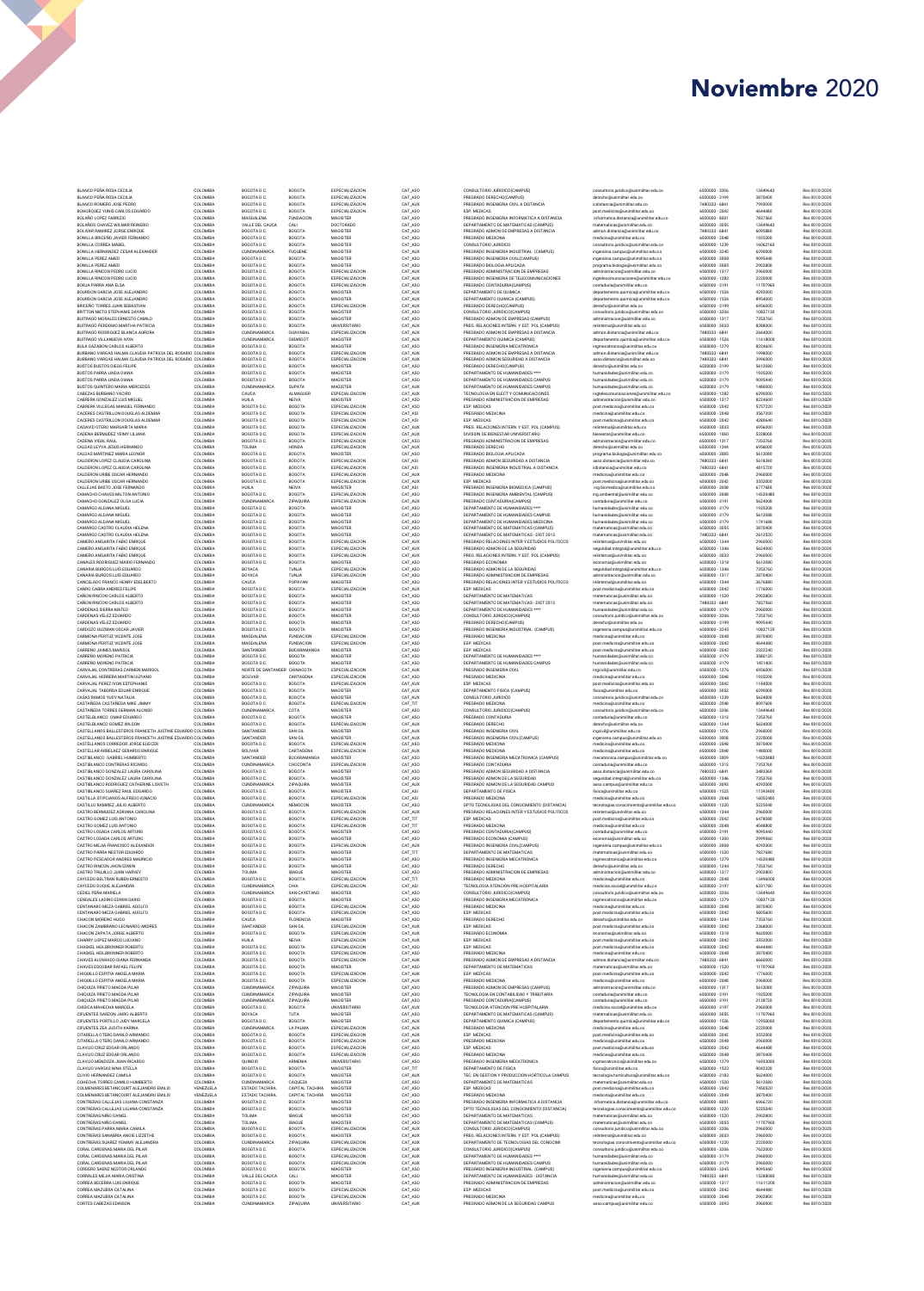| BLANCO PEÑA ROSA CECILIA<br>BLANCO PEÑA ROSA CECILIA<br>BLANCO ROMERO JOSE PEDRO       | COLOMBIA             | BOGOTA D.C.                  |                                      |                                    |                    |                                                                               |                                                                               |                                  |                     |                                |
|----------------------------------------------------------------------------------------|----------------------|------------------------------|--------------------------------------|------------------------------------|--------------------|-------------------------------------------------------------------------------|-------------------------------------------------------------------------------|----------------------------------|---------------------|--------------------------------|
|                                                                                        |                      |                              | BOGOTA                               | ESPECIALIZACION                    | CAT ASO            | CONSULTORIO JURIDICO(CAMPUS)<br>PREGRADO DERECHO(CAMPUS)                      | consultorio.juridico@unimilitar.edu.co<br>derecho@unimilitar.edu.co           | 6500000 - 3206                   | 13449640            | Res 0010/2020                  |
|                                                                                        | COLOMBIA<br>COLOMBIA | BOGOTA D.C.<br>BOGOTA D.C.   | <b>BOGOTA</b><br><b>BOGOTA</b>       | ESPECIALIZACION<br>ESPECIALIZACION | CAT ASO<br>CAT AUX | PREGRADO INGENIERIA CIVIL A DISTANCIA                                         | icdistancia@unimilitar.edu.co                                                 | 6500000 - 3199<br>7480333 - 6841 | 3870400<br>7992000  | Res 0010/2020<br>Res 0010/2020 |
| BOHOROUEZ YUNIS CARLOS EDUARDO                                                         | COLOMBIA             | BOGOTA D.C.                  | <b>BOGOTA</b>                        | ESPECIALIZACION                    | CAT ASO            | ESP. MEDICAS                                                                  | post.medicina@unimilitar.edu.co                                               | 6500000 - 2042                   | 4644480             | Res 0010/2020                  |
| BOLAÑO LOPEZ FABRIZIO                                                                  | COLOMBIA             | MAGDALENA                    | <b>FUNDACION</b>                     | MAGISTER                           | CAT ASO            | PREGRADO INGENIERIA INFORMATICA A DISTANCIA                                   | informatica.distancia@unimilitar.edu.co                                       | 6500000 - 8001                   | 7837560             | Res 0010/2020                  |
| BOLAÑOS CHAVEZ WILMAR REINERIO                                                         | COLOMBIA             | VALLE DEL CAUCA              | CALI                                 | DOCTORADO                          | CAT ASO            | DEPARTAMENTO DE MATEMATICAS (CAMPUS)                                          | matematicas@unimilitar.edu.co                                                 | 6500000 - 3055                   | 13449640            | Res 0010/2020                  |
| BOLIVAR RAMIREZ JORGE ENRIQUE                                                          | COLOMBIA             | BOGOTA D.C.                  | BOGOTA                               | MAGISTER                           | CAT ASO            | PREGRADO ADMON DE EMPRESAS A DISTANCIA                                        | admon.distancia@unimilitar.edu.co                                             | 7480333 - 6841                   | 6095880             | Res 0010/2020                  |
| BONILLA BRICEÑO JAVIER FERNANDO<br>BONILLA CORREA MABEL                                | COLOMBIA<br>COLOMBIA | BOGOTA D.C.<br>BOGOTA D.C.   | <b>BOGOTA</b><br><b>BOGOTA</b>       | MAGISTER<br>MAGISTER               | CAT ASO<br>CAT ASO | PREGRADO MEDICINA<br>CONSULTORIO JURIDICO                                     | medicina@unimilitar.edu.co                                                    | 6500000 - 2048<br>6500000 - 1239 | 1935200<br>16062160 | Res 0010/2020<br>Res 0010/2020 |
| BONILLA HERNANDEZ CESAR ALEXANDER                                                      | COLOMBIA             | CUNDINAMARCA                 | <b>FUOUENE</b>                       | MAGISTER                           | CAT AUX            | PREGRADO INGENIERIA INDUSTRIAL (CAMPUS)                                       | consultorio.juridico@unimilitar.edu.co<br>ingenieria.campus@unimilitar.edu.co | 6500000 - 3245                   | 6290000             | Res 0010/2020                  |
| BONILLA PEREZ AMED                                                                     | COLOMBIA             | BOGOTA D.C.                  | BOGOTA                               | MAGISTER                           | CAT ASO            | PREGRADO INGENIERIA CIVIL/CAMPUS)                                             | ingenieria.campus@unimilitar.edu.co                                           | 6500000 - 3008                   | 9095440             | Res 0010/2020                  |
| BONILLA PEREZ AMED                                                                     | COLOMBIA             | BOGOTA D.C.                  | BOGOTA                               | MAGISTER                           | CAT ASO            | PREGRADO BIOLOGIA APLICADA                                                    | programa.biologia@unimilitar.edu.co                                           | 6500000 - 3085                   | 2902800             | Res 0010/2020                  |
| RONILLA RINCON PEDRO LUCIO                                                             | COLOMBIA             | BOGOTA D.C.                  | BOGOTA                               | ESPECIALIZACION                    | CAT AUX            | PREGRADO ADMINISTRACION DE EMPRESAS                                           | administracion@unimilitar.edu.co                                              | 6500000 - 1317                   | 2960000             | Res 0010/2020                  |
| BONILLA RINCON PEDRO LUCIO                                                             | COLOMBIA             | BOGOTA D.C                   | BOGOTA                               | <b>ESPECIALIZACION</b>             | CAT_AUX            | PREGRADO INGENIERIA DE TELECOMUNICACIONES                                     | ingtelecomunicaciones@unimilitar.edu.co                                       | 6500000 - 1282                   | 2220000             | Res 0010/2020                  |
| BORJA PARRA ANA ELSA<br>BOURDON GARCIA JOSE ALEJANDRO                                  | COLOMBIA<br>COLOMBIA | BOGOTA D.C<br>BOGOTA D.C     | BOGOTA<br>BOGOTA                     | ESPECIALIZACION<br>MAGISTER        | CAT_ASO<br>CAT_AUX | PREGRADO CONTADURIA(CAMPUS)<br>DEPARTAMENTO DE OUIMICA                        | contaduria@unimilitar.edu.co<br>departamento.quimica@unimilitar.edu.co        | 6500000 - 3191<br>6500000 - 1526 | 11707960<br>4292000 | Res 0010/2020<br>Res 0010/2020 |
| BOURDON GARCIA JOSE ALEJANDRO                                                          | COLOMBIA             | BOGOTA D.C.                  | BOGOTA                               | MAGISTER                           | CAT_AUX            | DEPARTAMENTO QUIMICA (CAMPUS)                                                 | departamento.quimica@unimilitar.edu.co                                        | 6500000 - 1526                   | 8954000             | Res 0010/2020                  |
| BRICEÑO TORRES JUAN SEBASTIAN                                                          | COLOMBIA             | BOGOTA D.C                   | BOGOTA                               | ESPECIALIZACION                    | CAT_AUX            | PREGRADO DERECHO(CAMPUS)                                                      | derecho@unimilitar.edu.co                                                     | 6500000 - 3199                   | 6956000             | Res 0010/2020                  |
| BRITTON NIETO STEPHANIE DAYAN                                                          | COLOMBIA             | BOGOTA D.C.                  | BOGOTA                               | MAGISTER                           | CAT_ASO            | CONSULTORIO JURIDICO(CAMPUS)                                                  | consultorio.juridico@unimilitar.edu.co                                        | 6500000 - 3206                   | 10837120            | Res 0010/2020                  |
| BUITRAGO MORALES ERNESTO CAMILO                                                        | COLOMBIA             | BOGOTA D.C.                  | BOGOTA                               | MAGISTER                           | CAT_ASO            | PREGRADO ADMON DE EMPRESAS (CAMPUS)                                           | administracion@unimilitar.edu.co                                              | 6500000 - 1317                   | 7353760             | Res 0010/2020                  |
| BUITRAGO PERDOMO MARTHA PATRICIA                                                       | COLOMBIA<br>COLOMBIA | BOGOTAD.C.                   | BOGOTA                               | UNIVERSITARIO                      | CAT_AUX            | PREG. RELACIONES INTERN. Y EST. POL.(CAMPUS)                                  | relinternal@unimilitar.edu.co                                                 | 6500000 - 3033<br>7480333 - 6841 | 8288000             | Res 0010/2020                  |
| BUITRAGO RODRIGUEZ BLANCA AURORA<br>BUITRAGO VILLANUEVA IVON                           | COLOMBIA             | CUNDINAMARCA<br>CUNDINAMARCA | GUAYABAL<br>GIRARDOT                 | ESPECIALIZACION<br>MAGISTER        | CAT_AUX<br>CAT_AUX | PREGRADO ADMON DE EMPRESAS A DISTANCIA<br>DEPARTAMENTO QUIMICA (CAMPUS)       | admon.distancia@unimilitar.edu.co<br>departamento.quimica@unimilitar.edu.co   | 6500000 - 1526                   | 2664000<br>11618000 | Res 0010/2020<br>Res 0010/2020 |
| BULA GAZABON CARLOS ALBERTO                                                            | COLOMBIA             | BOGOTA D.C.                  | <b>BOGOTA</b>                        | MAGISTER                           | CAT_ASO            | PREGRADO INGENIERIA MECATRONICA                                               | ingmecatronica@unimilitar.edu.co                                              | 6500000 - 1279                   | 8224600             | Res 0010/2020                  |
| BURBANO VARGAS HALMA CLAUDIA PATRICIA DEL ROSARIO COLOMBIA                             |                      | BOGOTA D.C.                  | BOGOTA                               | ESPECIALIZACION                    | CAT_AUX            | PREGRADO ADMON DE EMPRESAS A DISTANCIA                                        | admon.distancia@unimilitar.edu.co                                             | 7480333 - 6841                   | 1998000             | Res 0010/2020                  |
| BURBANO VARGAS HALMA CLAUDIA PATRICIA DEL ROSARIO COLOMBIA                             |                      | BOGOTA D.C                   | BOGOTA                               | ESPECIALIZACION                    | CAT_AUX            | PREGRADO ADMON SEGURIDAD A DISTANCIA                                          | asso.distancia@unimilitar.edu.co                                              | 7480333 - 6841                   | 3996000             | Res 0010/2020                  |
| BUSTOS BUSTOS DIEGO FELIPE                                                             | COLOMBIA             | BOGOTA D.C                   | BOGOTA                               | MAGISTER                           | CAT_ASO            | PREGRADO DERECHO(CAMPUS)                                                      | derecho@unimilitar.edu.co                                                     | 6500000 - 3199                   | 5612080             | Res 0010/2020                  |
| BUSTOS PARRA LINDA DIANA<br>BUSTOS PARRA LINDA DIANA                                   | COLOMBIA<br>COLOMBIA | BOGOTA D.C<br>BOGOTA D.C     | BOGOTA<br>BOGOTA                     | MAGISTER<br>MAGISTER               | CAT_ASO<br>CAT_ASO | DEPARTAMENTO DE HUMANIDADES ****<br>DEPARTAMENTO DE HUMANIDADES CAMPUS        | humanidades@unimilitar.edu.co<br>humanidades@unimilitar.edu.co                | 6500000 - 3179<br>6500000 - 3179 | 1935200<br>9095440  | Res 0010/2020<br>Res 0010/2020 |
| BUSTOS QUINTERO MARIA MERCEDES                                                         | COLOMBIA             | <b>CUNDINAMARCA</b>          | SUPATA                               | MAGISTER                           | CAT_AU             | DEPARTAMENTO DE HUMANIDADES CAMPUS                                            | humanidades@unimilitar.edu.co                                                 | 6500000 - 3179                   | 1480000             | Res 0010/2020                  |
| CABEZAS BURBANO YACIRO                                                                 | COLOMBIA             | CAUCA                        | ALMAGUEF                             | ESPECIALIZACION                    | CAT_AUX            | TECNOLOGIA EN ELECT Y COMUNICACIONES                                          | ingtelecomunicaciones@unimilitar.edu.co                                       | 6500000 - 1282                   | 6290000             | Res 0010/2020                  |
| CABRERA GONZALEZ LUIS MIGUEI                                                           | COLOMBIA             | HUILA                        | NEIVA                                | MAGISTER                           | CAT_ASO            | PREGRADO ADMINISTRACION DE EMPRESAS                                           | administracion@unimilitar.edu.co                                              | 6500000 - 1317                   | 8224600             | Res 0010/2020                  |
| CABRERA VILLEGAS MANUEL FERNANDO                                                       | COLOMBIA             | BOGOTA D.C                   | BOGOTA                               | ESPECIALIZACION                    | CAT_ASO            | ESP. MEDICAS                                                                  | post.medicina@unimilitar.edu.co                                               | 6500000 - 2042                   | 5757220             | Res 0010/2020                  |
| CACERES CASTRILLON DOUGLAS ALDEMA<br>CACERES CASTRILLON DOUGLAS ALDEMAR                | COLOMBIA<br>COLOMBIA | BOGOTA D.C<br>BOGOTA D.C     | BOGOTA<br>BOGOTA                     | ESPECIALIZACION<br>ESPECIALIZACION | CAT_ASI<br>CAT_ASI | PREGRADO MEDICINA<br>ESP. MEDICAS                                             | medicina@unimilitar.edu.co                                                    | 6500000 - 2048<br>6500000 - 2042 | 3567200<br>4280640  | Res 0010/2020<br>Res 0010/2020 |
| CADAVID OTERO MARGARITA MARIA                                                          | COLOMBIA             | BOGOTA D.C                   | BOGOTA                               | ESPECIALIZACION                    | CAT_AU             | PREG. RELACIONES INTERN. Y EST. POL.(CAMPUS)                                  | post.medicina@unimilitar.edu.co<br>relinternal@unimilitar.edu.co              | 6500000 - 3033                   | 6956000             | Res 0010/2020                  |
| CADENA BERMUDEZ YEIMY LILIANA                                                          | COLOMBIA             | BOGOTA D.C                   | BOGOTA                               | ESPECIALIZACION                    | CAT_AUX            | DIVISION DE BIENESTAR UNIVERSITARIO                                           | bienestar@unimilitar.edu.co                                                   | 6500000 - 1060                   | 5328000             | Res 0010/2020                  |
| CADENA VIDAL RAUL                                                                      | COLOMBIA             | BOGOTA D.C                   | BOGOTA                               | ESPECIALIZACION                    | CAT_ASO            | PREGRADO ADMINISTRACION DE EMPRESAS                                           | administracion@unimilitar.edu.co                                              | 6500000 - 1317                   | 7353760             | Res 0010/2020                  |
| CALDAS LEYVA JESUS HERNANDO                                                            | COLOMBIA             | TOLIMA                       | HONDA                                | ESPECIALIZACION                    | CAT_AUX            | PREGRADO DERECHO                                                              | derecho@unimilitar.edu.co                                                     | 6500000 - 1244                   | 6956000             | Res 0010/2020                  |
| CALDAS MARTINEZ MARIA LEONOR                                                           | COLOMBIA<br>COLOMBIA | BOGOTA D.C                   | BOGOTA                               | MAGISTER<br>ESPECIALIZACION        | CAT_ASO<br>CAT_ASI | PREGRADO BIOLOGIA APLICADA<br>PREGRADO ADMON SEGURIDAD A DISTANCIA            | programa.biologia@unimilitar.edu.co                                           | 6500000 - 3085                   | 5612080<br>5618340  | Res 0010/2020                  |
| CALDERON LOPEZ CLAUDIA CAROLINA<br>CALDERON LOPEZ CLAUDIA CAROLINA                     | COLOMBIA             | BOGOTA D.C<br>BOGOTA D.C     | BOGOTA<br>BOGOTA                     | ESPECIALIZACION                    | CAT_ASI            | PREGRADO INGENIERIA INDUSTRIAL A DISTANCIA                                    | asso.distancia@unimilitar.edu.co<br>iidistancia@unimilitar.edu.cc             | 7480333 - 6841<br>7480333 - 6841 | 4815720             | Res 0010/2020<br>Res 0010/2020 |
| CALDERON URIBE OSCAR HERNANDO                                                          | COLOMBIA             | BOGOTA D.C                   | BOGOTA                               | ESPECIALIZACION                    | CAT_AUX            | PREGRADO MEDICINA                                                             | medicina@unimilitar.edu.co                                                    | 6500000 - 2048                   | 2960000             | Res 0010/2020                  |
| CALDERON URIBE OSCAR HERNANDO                                                          | COLOMBIA             | BOGOTA D.C                   | BOGOTA                               | ESPECIALIZACION                    | CAT_AUX            | ESP. MEDICAS                                                                  | post.medicina@unimilitar.edu.co                                               | 6500000 - 2042                   | 3552000             | Res 0010/2020                  |
| CALLEJAS BASTO JOSE FERNANDO                                                           | COLOMBIA             | HUILA                        | NEIVA                                | MAGISTER                           | CAT_ASI            | PREGRADO INGENIERIA BIOMEDICA (CAMPUS)                                        | ing.biomedica@unimilitar.edu.co                                               | 6500000 - 3008                   | 6777680             | Res 0010/2020                  |
| CAMACHO CHAVES MILTON ANTONIC                                                          | COLOMBIA             | BOGOTA D.C.                  | BOGOTA                               | ESPECIALIZACION                    | CAT_ASO            | PREGRADO INGENIERIA AMBIENTAL (CAMPUS)                                        | ing.ambiental@unimilitar.edu.co                                               | 6500000 - 3008                   | 14320480            | Res 0010/2020                  |
| CAMACHO GONZALEZ OLGA LUCIA<br>CAMARGO ALDANA MIGUEL                                   | COLOMBIA             | CUNDINAMARCA                 | ZIPAQUIRA                            | <b>ESPECIALIZACION</b>             | CAT_AUX            | PREGRADO CONTADURIA(CAMPUS)                                                   | contaduria@unimilitar.edu.co                                                  | 6500000 - 3191<br>6500000 - 3179 | 5624000             | Res 0010/2020                  |
| CAMARGO ALDANA MIGUEL                                                                  | COLOMBIA<br>COLOMBIA | BOGOTA D.C.<br>BOGOTA D.C    | BOGOTA<br>BOGOTA                     | MAGISTER<br>MAGISTER               | CAT_ASO<br>CAT_ASO | DEPARTAMENTO DE HUMANIDADES ****<br>DEPARTAMENTO DE HUMANIDADES CAMPUS        | humanidades@unimilitar.edu.co<br>humanidades@unimilitar.edu.co                | 6500000-3179                     | 1935200<br>5612080  | Res 0010/2020<br>Res 0010/2020 |
| CAMARGO ALDANA MIGUEL                                                                  | COLOMBIA             | BOGOTA D.C.                  | BOGOTA                               | MAGISTER                           | CAT_ASO            | DEPARTAMENTO DE HUMANIDADES MEDICINA                                          | humanidades@unimilitar.edu.co                                                 | 6500000 - 3179                   | 1741680             | Res 0010/2020                  |
| CAMARGO CASTRO CLAUDIA HELENA                                                          | COLOMBIA             | BOGOTA D.C.                  | BOGOTA                               | MAGISTER                           | CAT_ASO            | DEPARTAMENTO DE MATEMATICAS (CAMPUS)                                          | matematicas@unimilitar.edu.co                                                 | 6500000 - 3055                   | 3870400             | Res 0010/2020                  |
| CAMARGO CASTRO CLAUDIA HELENA                                                          | COLOMBIA             | BOGOTA D.C.                  | BOGOTA                               | MAGISTER                           | CAT_ASO            | DEPARTAMENTO DE MATEMATICAS - DIST 2013                                       | matematicas@unimilitar.edu.cc                                                 | 7480333 - 6841                   | 2612520             | Res 0010/2020                  |
| CAMERO ANGARITA FARIO ENRIQUE                                                          | COLOMBIA             | BOGOTA D.C                   | BOGOTA                               | ESPECIALIZACION                    | CAT_AUX            | PREGRADO RELACIONES INTER Y ESTUDIOS POLITICOS                                | relinternal@unimilitar.edu.co                                                 | 6500000 - 1344                   | 2960000             | Res 0010/2020                  |
| CAMERO ANGARITA FABIO ENRIQUE<br>CAMERO ANGARITA FABIO ENRIQUE                         | COLOMBIA<br>COLOMBIA | BOGOTA D.C<br>BOGOTA D.C.    | BOGOTA<br>BOGOTA                     | ESPECIALIZACION<br>ESPECIALIZACION | CAT AUX<br>CAT AUX | PREGRADO ADMON DE LA SEGURIDAD                                                | seguridad.integral@unimilitar.edu.co<br>relinternal@unimilitar.edu.co         | 6500000 - 1346<br>6500000 - 3033 | 5624000<br>2960000  | Res 0010/2020<br>Res 0010/2020 |
| CANALES RODRIGUEZ MARIO FERNANDO                                                       | COLOMBIA             | BOGOTA D.C.                  | <b>BOGOTA</b>                        | MAGISTER                           | CAT ASO            | PREG. RELACIONES INTERN. Y EST. POL.(CAMPUS)<br>PREGRADO ECONOMIA             | economia@unimilitar.edu.co                                                    | 6500000 - 1318                   | 5612080             | Res 0010/2020                  |
| CANARIA BURGOS LUIS EDUARDO                                                            | COLOMBIA             | BOYACA                       | TUNJA                                | ESPECIALIZACION                    | CAT ASO            | PREGRADO ADMON DE LA SEGURIDAD                                                | seguridad.integral@unimilitar.edu.co                                          | 6500000 - 1346                   | 7353760             | Res 0010/2020                  |
| CANARIA BURGOS LUIS EDUARDO                                                            | COLOMBIA             | BOYACA                       | TUNJA                                | ESPECIALIZACION                    | CAT ASO            | PREGRADO ADMINISTRACIÓN DE EMPRESAS                                           | administracion@unimilitar.edu.co                                              | 6500000 - 1317                   | 3870400             | Res 0010/2020                  |
| CANCELADO FRANCO HENRY EDELBERTO                                                       | COLOMBIA             | CAUCA                        | POPAYAN                              | MAGISTER                           | CAT ASO            | PREGRADO RELACIONES INTER Y ESTUDIOS POLITICOS                                | relinternal@unimilitar.edu.co                                                 | 6500000 - 1344                   | 3676880             | Res 0010/2020                  |
| CANRO CABRA ANDRES FELIPE                                                              | COLOMBIA             | BOGOTA D.C                   | <b>BOGOTA</b>                        | ESPECIALIZACION                    | CAT AUX            | ESP. MEDICAS                                                                  | post.medicina@unimilitar.edu.co                                               | 6500000 - 2042                   | 1776000             | Res 0010/2020                  |
| CARON RINCON CARLOS ALBERTO<br>CAÑON RINCON CARLOS ALBERTO                             | COLOMBIA<br>COLOMBIA | BOGOTA D.C.<br>BOGOTA D.C.   | <b>BOGOTA</b><br>BOGOTA              | MAGISTER<br>MAGISTER               | CAT ASO<br>CAT ASO | DEPARTAMENTO DE MATEMATICAS<br>DEPARTAMENTO DE MATEMATICAS - DIST 2013        | matematicas@unimilitar.edu.co<br>matematicas@unimilitar.edu.co                | 6500000 - 1520<br>7480333 - 6841 | 2902800<br>7837560  | Res 0010/2020<br>Res 0010/2020 |
| CARDENAS SIERRA MATEO                                                                  | COLOMBIA             | BOGOTA D.C.                  | BOGOTA                               | MAGISTER                           | CAT AUX            | DEPARTAMENTO DE HUMANIDADES ****                                              | humanidades@unimilitar.edu.co                                                 | 6500000-3179                     | 2960000             | Res 0010/2020                  |
| CARDENAS VELEZ EDUARDO                                                                 | COLOMBIA             | BOGOTA D.C.                  | <b>BOGOTA</b>                        | MAGISTER                           | CAT ASO            | CONSULTORIO JURIDICO(CAMPUS)                                                  | consultorio.juridico@unimilitar.edu.co                                        | 6500000-3206                     | 7353760             | Res 0010/2020                  |
| CARDENAS VELEZ EDUARDO                                                                 | COLOMBIA             | BOGOTA D.C.                  | <b>BOGOTA</b>                        | MAGISTER                           | CAT ASO            | PREGRADO DERECHO(CAMPUS)                                                      | derecho@unimilitar.edu.co                                                     | 6500000-3199                     | 9095440             | Res 0010/2020                  |
| CARDOZO GUZMAN OSCAR JAVIER                                                            | COLOMBIA             | BOGOTA D.C.                  | <b>BOGOTA</b>                        | MAGISTER                           | CAT ASO            | PREGRADO INGENIERIA INDUSTRIAL (CAMPUS)                                       | ingenieria.campus@unimilitar.edu.co                                           | 6500000-3245                     | 10837120            | Res 0010/2020                  |
| CARMONA PERTUZ VICENTE JOSE<br>CARMONA PERTUZ VICENTE JOSE                             | COLOMBIA<br>COLOMBIA | MAGDALENA<br>MAGDALENA       | <b>FUNDACION</b><br><b>FUNDACION</b> | ESPECIALIZACION<br>ESPECIALIZACION | CAT_ASO<br>CAT_ASO | PREGRADO MEDICINA<br>ESP. MEDICAS                                             | medicina@unimilitar.edu.co                                                    | 6500000 - 2048<br>6500000 - 2042 | 3870400<br>4644480  | Res 0010/2020<br>Res 0010/2020 |
| CARRENO JAIMES MARISOL                                                                 | COLOMBIA             | SANTANDER                    | BUCARAMANGA                          | MAGISTER                           | CAT_ASO            | <b>ESP. MEDICAS</b>                                                           | post.medicina@unimilitar.edu.co<br>post.medicina@unimilitar.edu.co            | 6500000 - 2042                   | 2322240             | Res 0010/2020                  |
| CARREÑO MORENO PATRICIA                                                                | COLOMBIA             | BOGOTA D.C                   | BOGOTA                               | MAGISTER                           | CAT_ASO            | DEPARTAMENTO DE HUMANIDADES ****                                              | humanidades@unimilitar.edu.co                                                 | 6500000-3179                     | 3580120             | Res 0010/2020                  |
| CARREÑO MORENO PATRICIA                                                                | COLOMBIA             | BOGOTA D.C                   | BOGOTA                               | MAGISTER                           | CAT_ASO            | DEPARTAMENTO DE HUMANIDADES CAMPUS                                            | humanidades@unimilitar.edu.co                                                 | 6500000-3179                     | 1451400             | Res 0010/2020                  |
| CARVAJAL CONTRERAS CARMEN MARISOL                                                      | COLOMBIA             | NORTE DE SANTANDER CHINACOTA |                                      | ESPECIALIZACION                    | CAT_AUX            | PREGRADO INGENIERIA CIVIL                                                     | ingcivil@unimilitar.edu.co                                                    | 6500000 - 1276                   | 6956000             | Res 0010/2020                  |
| CARVAJAL HERRERA MARTIN ULPIANO                                                        | COLOMBIA<br>COLOMBIA | <b>BOLIVAR</b><br>BOGOTA D.C | CARTAGENA                            | ESPECIALIZACION<br>ESPECIALIZACION | CAT_ASO<br>CAT_AUX | PREGRADO MEDICINA                                                             | medicina@unimilitar.edu.co                                                    | 6500000 - 2048                   | 1935200             | Res 0010/2020                  |
| CARVAJAL PEREZ IVON ESTEPHANIE<br>CARVAJAL TABORDA EDUAR ENRIQUE                       | COLOMBIA             | BOGOTA D.C                   | BOGOTA<br>BOGOTA                     | MAGISTER                           | CAT_AUX            | ESP. MEDICAS<br>DEPARTAMENTO FISICA (CAMPUS)                                  | post.medicina@unimilitar.edu.co<br>fisica@unimilitar.edu.co                   | 6500000 - 2042<br>6500000 - 3053 | 1184000<br>6290000  | Res 0010/2020<br>Res 0010/2020 |
| CASAS RAMOS YUDY NATALIA                                                               | COLOMBIA             | BOGOTA D.C.                  | BOGOTA                               | MAGISTER                           | CAT_AUX            | CONSULTORIO JURIDICO                                                          | consultorio.juridico@unimilitar.edu.co                                        | 6500000 - 1239                   | 5624000             | Res 0010/2020                  |
| CASTAÑEDA CASTAÑEDA MIKE JIMMY                                                         | COLOMBIA             | BOGOTA D.C.                  | BOGOTA                               | <b>ESPECIALIZACION</b>             | CAT_TIT            | PREGRADO MEDICINA                                                             | medicina@unimilitar.edu.co                                                    | 6500000 - 2048                   | 8097600             | Res 0010/2020                  |
| CASTAÑEDA TORRES GERMAN ALONSO                                                         | COLOMBIA             | CUNDINAMARCA                 | COTA                                 | MAGISTER                           | CAT_ASO            | CONSULTORIO JURIDICO(CAMPUS)                                                  | consultorio.juridico@unimilitar.edu.co                                        | 6500000 - 3206                   | 13449640            | Res 0010/2020                  |
| CASTELBLANCO OMAR EDUARDO                                                              | COLOMBIA<br>COLOMBIA | BOGOTA D.C.                  | BOGOTA<br>BOGOTA                     | MAGISTER<br>ESPECIALIZACION        | CAT_ASO<br>CAT_AUX | PREGRADO CONTADURIA                                                           | contaduria@unimilitar.edu.co                                                  | 6500000 - 1313                   | 7353760             | Res 0010/2020                  |
| CASTELBLANCO GOMEZ WILSON<br>CASTELLANOS BALLESTEROS FRANCETH JUSTINE EDUARDO COLOMBIA |                      | BOGOTA D.C<br>SANTANDER      | SAN GIL                              | MAGISTER                           | CAT_AUX            | PREGRADO DERECHO<br>PREGRADO INGENIERIA CIVIL                                 | derecho@unimilitar.edu.co<br>ingcivil@unimilitar.edu.co                       | 6500000 - 1244<br>6500000 - 1276 | 5624000<br>2960000  | Res 0010/2020<br>Res 0010/2020 |
| CASTELLANOS BALLESTEROS FRANCETH JUSTINE EDUARDO COLOMBIA                              |                      | SANTANDER                    | SAN GIL                              | MAGISTER                           | CAT_AUX            | PREGRADO INGENIERIA CIVIL(CAMPUS)                                             | ingenieria.campus@unimilitar.edu.co                                           | 6500000 - 3008                   | 2220000             | Res 0010/2020                  |
| CASTELLANOS CORREDOR JORGE ELIECER                                                     | COLOMBIA             | BOGOTA D.C                   | BOGOTA                               | ESPECIALIZACION                    | CAT_ASO            | PREGRADO MEDICINA                                                             | medicina@unimilitar.edu.co                                                    |                                  |                     | Res 0010/2020                  |
|                                                                                        |                      | BOLIVAR                      | CARTAGENA                            |                                    |                    |                                                                               |                                                                               | 6500000 - 2048                   | 3870400             |                                |
| CASTELLAR ARBELAEZ GERARDO ENRIQUE                                                     | COLOMBIA             |                              |                                      | ESPECIALIZACION                    | CAT_AUX            | PREGRADO MEDICINA                                                             | medicina@unimilitar.edu.co                                                    | 6500000 - 2048                   | 1480000             | Res 0010/2020                  |
| CASTIBLANCO GABRIEL HUMBERTO                                                           | COLOMBIA             | SANTANDER                    | BUCARAMANGA                          | MAGISTER                           | CAT_ASO            | PREGRADO INGENIERIA MECATRONICA (CAMPUS)                                      | mecatronica.campus@unimilitar.edu.co                                          | 6500000 - 3009                   | 1432048             | Res 0010/2020                  |
| CASTIBLANCO CONTRERAS RICARDO                                                          | COLOMBIA             | CUNDINAMARCA                 | CHOCONTA                             | ESPECIALIZACION                    | CAT_ASO            | PREGRADO CONTADURIA                                                           | contaduria@unimilitar.edu.co                                                  | 6500000 - 1313                   | 7353760             | Res 0010/2020                  |
| CASTIBLANCO GONZALEZ LAURA CAROLINA                                                    | COLOMBIA             | BOGOTA D.C.                  | BOGOTA                               | MAGISTER                           | CAT_ASO            | PREGRADO ADMON SEGURIDAD A DISTANCIA                                          | asso.distancia@unimilitar.edu.co                                              | 7480333 - 6841                   | 3483360             | Res 0010/2020                  |
| CASTIBLANCO GONZALEZ LAURA CAROLINA<br>CASTIBLANCO RODRIGUEZ CATHERINE LISVETH         | COLOMBIA<br>COLOMBIA | BOGOTA D.C.<br>CUNDINAMARCA  | BOGOTA<br><b>ZIPAQUIRA</b>           | MAGISTER<br>MAGISTER               | CAT_ASO<br>CAT_AUX | PREGRADO ADMON DE LA SEGURIDAD<br>PREGRADO ADMON DE LA SEGURIDAD CAMPUS       | seguridad.integral@unimilitar.edu.co                                          | 6500000 - 1346<br>6500000 - 3093 | 7353760<br>4292000  | Res 0010/2020<br>Res 0010/2020 |
| CASTIBLANCO SUAREZ RAUL EDGARDO                                                        | COLOMBIA             | BOGOTA D.C.                  | BOGOTA                               | MAGISTER                           | CAT_ASI            | DEPARTAMENTO DE FISICA                                                        | asso.campus@unimilitar.edu.co<br>fisica@unimilitar.edu.co                     | 6500000 - 1523                   | 11593400            | Res 0010/2020                  |
| CASTILLA STIPCIANOS ALFREDO IGNACIO                                                    | COLOMBIA             | BOGOTA D.C.                  | BOGOTA                               | <b>ESPECIALIZACION</b>             | CAT_ASI            | PREGRADO MEDICINA                                                             | medicina@unimilitar.edu.co                                                    | 6500000 - 2048                   | 16052400            | Res 0010/2020                  |
| CASTILLO RAMIREZ JULIO ALBERTO                                                         | COLOMBIA             | CUNDINAMARCA                 | NEMOCON                              | MAGISTER                           | CAT_ASO            | DPTO TECNOLIGIAS DEL CONOCIMIENTO (DISTANCIA)                                 | tecnologias.conocimiento@unimilitar.edu.co                                    | 6500000 - 1220                   | 5225040             | Res 0010/2020                  |
| CASTRO BERMUDEZ ADRIANA CAROLINA                                                       | COLOMBIA             | BOGOTA D.C.                  | BOGOTA                               | ESPECIALIZACION                    | CAT_AU             | PREGRADO RELACIONES INTER Y ESTUDIOS POLITICOS                                | relintemal@unimilitar.edu.co                                                  | 6500000 - 1344                   | 2960000             | Res 0010/2020                  |
| CASTRO GOMEZ LUIS ANTONIO                                                              | COLOMBIA<br>COLOMBIA | BOGOTA D.C.<br>BOGOTA D.C.   | <b>BOGOTA</b><br>BOGOTA              | ESPECIALIZACION<br>ESPECIALIZACION | CAT_TIT<br>CAT_TIT | ESP. MEDICAS                                                                  | post.medicina@unimilitar.edu.co                                               | 6500000 - 2042<br>6500000 - 2048 | 6478080<br>4048800  | Res 0010/2020                  |
| CASTRO GOMEZ LUIS ANTONIO<br>CASTRO LOSADA CARLOS ARTURO                               | COLOMBIA             | BOGOTA D.C.                  | BOGOTA                               | MAGISTER                           | CAT_ASO            | PREGRADO MEDICINA<br>PREGRADO CONTADURIA(CAMPUS)                              | medicina@unimilitar.edu.co<br>contaduria@unimilitar.edu.co                    | 6500000 - 3191                   | 9095440             | Res 0010/2020<br>Res 0010/2020 |
| CASTRO LOSADA CARLOS ARTURO                                                            | COLOMBIA             | BOGOTA D.C                   | BOGOTA                               | MAGISTER                           | CAT_ASO            | PREGRADO ECONOMIA (CAMPUS)                                                    | economia@unimilitar.edu.co                                                    | 6500000 - 1300                   | 2999560             | Res 0010/2020                  |
| CASTRO MEJIA FRANCISCO ALEXANDER                                                       | COLOMBIA             | BOGOTA D.C                   | BOGOTA                               | ESPECIALIZACION                    | CAT_AUX            | PREGRADO INGENIERIA CIVILICAMPUS)                                             | ingenieria.campus@unimilitar.edu.co                                           | 6500000 - 3008                   | 4292000             | Res 0010/2020                  |
| CASTRO PARRA NESTOR EDUARDO                                                            | COLOMBIA             | BOGOTA D.C                   | BOGOTA                               | MAGISTER                           | CAT_TIT            | DEPARTAMENTO DE MATEMATICAS                                                   | matematicas@unimilitar.edu.cc                                                 | 6500000 - 1520                   | 7827680             | Res 0010/2020                  |
| CASTRO PESCADOR ANDRES MAURICIO<br>CASTRO RINCON JHON FDWIN                            | COLOMBIA<br>COLOMBIA | BOGOTA D.C                   | BOGOTA<br><b>BOGOTA</b>              | MAGISTER<br>MAGISTER               | CAT_ASO            | PREGRADO INGENIERIA MECATRONICA                                               | ingmecatronica@unimilitar.edu.or<br>derecho@unimilitar.edu.co                 | 6500000 - 1279                   | 14320480<br>7353760 | Res 0010/2020                  |
| CASTRO TRUJILLO JUAN HARVEY                                                            | COLOMBIA             | BOGOTA D.C.<br>TOLIMA        | <b>IBAGUE</b>                        | MAGISTER                           | CAT_ASO<br>CAT_ASO | PREGRADO DERECHO<br>PREGRADO ADMINISTRACION DE EMPRESAS                       | administracion@unimilitar.edu.cc                                              | 6500000 - 1244<br>6500000 - 1317 | 2902800             | Res 0010/2020<br>Res 0010/2020 |
| CAYCEDO BELTRAN RUBEN ERNESTO                                                          | COLOMBIA             | BOGOTA D.C.                  | BOGOTA                               | ESPECIALIZACION                    | CAT_TIT            | PREGRADO MEDICINA                                                             | medicina@unimilitar.edu.co                                                    | 6500000 - 2048                   | 13496000            | Res 0010/2020                  |
| CAYCEDO DUQUE ALEJANDRA                                                                | COLOMBIA             | CUNDINAMARCA                 | CHIA                                 | ESPECIALIZACION                    | CAT_ASI            | TECNOLOGIA ATENCION PRE HOSPITALARIA                                          | medicina.social@unimilitar.edu.co                                             | 6500000-3197                     | 6331780             | Res 0010/2020                  |
| CEDIEL PEÑA MARIELA                                                                    | COLOMBIA             | CUNDINAMARCA                 | SAN CAYETANO                         | MAGISTER                           | CAT_ASO            | CONSULTORIO JURIDICO(CAMPUS)                                                  | consultorio.juridico@unimilitar.edu.co                                        | 6500000 - 3206                   | 13449640            | Res 0010/2020                  |
| CENDALES LADINO EDWIN DARIO<br>CENTANARO MEZA GABRIEL ADOLFO                           | COLOMBIA<br>COLOMBIA | BOGOTA D.C.<br>BOGOTA D.C.   | <b>BOGOTA</b><br><b>BOGOTA</b>       | MAGISTER<br>ESPECIALIZACION        | CAT_ASO<br>CAT ASO | PREGRADO INGENIERIA MECATRONICA<br>PREGRADO MEDICINA                          | ingmecatronica@unimilitar.edu.co<br>medicina@unimilitar.edu.co                | 6500000 - 1279<br>6500000 - 2048 | 10837120<br>3870400 | Res 0010/2020<br>Res 0010/2020 |
| CENTANARO MEZA GABRIEL ADOLFO                                                          | COLOMBIA             | BOGOTA D.C.                  | <b>BOGOTA</b>                        | ESPECIALIZACION                    | CAT ASO            | ESP. MEDICAS                                                                  | nost medicina@unimilitar edu co.                                              | 6500000 - 2042                   | 5805600             | Res 0010/2020                  |
| CHACON MORENO HUGO                                                                     | COLOMBIA             | CAUCA                        | FLORENCIA                            | MAGISTER                           | CAT ASO            | PREGRADO DERECHO                                                              | derecho@unimilitar.edu.co                                                     | 6500000 - 1244                   | 7353760             | Res 0010/2020                  |
| CHACON ZAMBRANO LEONARDO ANDRES                                                        | COLOMBIA             | SANTANDER                    | SAN GIL                              | ESPECIALIZACION                    | CAT AUX            | <b>ESP MEDICAS</b>                                                            | nost medicina@unimilitar edu co.                                              | 6500000 - 2042                   | 2368000             | Res 0010/2020                  |
| CHACON ZAPATA JORGE ALBERTO                                                            | COLOMBIA             | BOGOTA D.C.                  | <b>BOGOTA</b>                        | ESPECIALIZACION                    | CAT AUX            | PREGRADO ECONOMIA<br><b>ESP MEDICAS</b>                                       | economia@unimilitar.edu.co<br>nost medicina@unimilitar edu co-                | 6500000-1318                     | 9620000             | Res 0010/2020<br>Res 0010/2020 |
| CHARRY LOPEZ MARCO LUCIANO<br>CHASKEL HEILBRONNER ROBERTO                              | COLOMBIA<br>COLOMBIA | <b>HUILA</b><br>BOGOTA D.C.  | NEIVA<br>BOGOTA                      | ESPECIALIZACION<br>ESPECIALIZACION | CAT AUX<br>CAT ASO | ESP. MEDICAS                                                                  | post.medicina@unimilitar.edu.co                                               | 6500000 - 2042<br>6500000 - 2042 | 3552000<br>4644480  | Res 0010/2020                  |
| CHASKEL HELLBRONNER ROBERTO                                                            | COLOMBIA             | BOGOTA D.C.                  | <b>BOGOTA</b>                        | ESPECIALIZACION                    | CAT ASO            | PREGRADO MEDICINA                                                             | medicina@unimilitar.edu.co                                                    | 6500000 - 2048                   | 3870400             | Res 0010/2020                  |
| CHAVES ALVARADO DIANA FERNANDA                                                         | COLOMBIA             | BOGOTA D.C.                  | <b>BOGOTA</b>                        | ESPECIALIZACION                    | CAT AUX            | PREGRADO ADMON DE EMPRESAS A DISTANCIA                                        | admon.distancia@unimilitar.edu.co                                             | 7480333 - 6841                   | 6660000             | Res 0010/2020                  |
| CHAVES ESCOBAR RAFAEL FELIPE                                                           | COLOMBIA             | BOGOTA D.C.                  | <b>BOGOTA</b>                        | MAGISTER                           | CAT ASO            | DEPARTAMENTO DE MATEMATICAS                                                   | matematicas@unimilitar.edu.co                                                 | 6500000 - 1520                   | 11707960            | Res 0010/2020                  |
| CHIQUILLO ESPITIA ANGELA MARIA                                                         | COLOMBIA             | BOGOTA D.C.                  | <b>BOGOTA</b>                        | ESPECIALIZACION                    | CAT AUX            | ESP. MEDICAS                                                                  | post.medicina@unimilitar.edu.co                                               | 6500000 - 2042                   | 1776000             | Res 0010/2020                  |
| CHIOUILLO ESPITIA ANGELA MARIA<br>CHIOUIZA PRIETO MAGDA PILAR                          | COLOMBIA<br>COLOMBIA | BOGOTA D.C.<br>CUNDINAMARCA  | <b>BOGOTA</b><br>ZIPAQUIRA           | ESPECIALIZACION<br>MAGISTER        | CAT AUX<br>CAT ASO | PREGRADO MEDICINA<br>PREGRADO ADMON DE EMPRESAS (CAMPUS)                      | medicina@unimilitar.edu.co                                                    | 6500000 - 2048<br>6500000 - 1317 | 2960000<br>5612080  | Res 0010/2020<br>Res 0010/2020 |
| CHIOUIZA PRIETO MAGDA PILAR                                                            | COLOMBIA             | CUNDINAMARCA                 | ZIPAQUIRA                            | MAGISTER                           | CAT ASO            | TECNOLOGIA EN CONTABILIDAD Y TRIBUTARIA                                       | administracion@unimilitar.edu.co<br>contaduria@unimilitar.edu.co              | 6500000 - 3191                   | 1935200             | Res 0010/2020                  |
| CHIQUIZA PRIETO MAGDA PILAR                                                            | COLOMBIA             | CUNDINAMARCA                 | ZIPAQUIRA                            | MAGISTER                           | CAT_ASO            | PREGRADO CONTADURIA(CAMPUS)                                                   | contaduria@unimilitar.edu.co                                                  | 6500000 - 3191                   | 2128720             | Res 0010/2020                  |
| CHISICA MAHECHA MARCELA                                                                | COLOMBIA             | BOGOTA D.C.                  | BOGOTA                               | UNIVERSITARIO                      | CAT_AUX            | TECNOLOGIA ATENCION PRE HOSPITALARIA                                          | medicina.social@unimilitar.edu.co                                             | 6500000 - 3197                   | 2960000             | Res 0010/2020                  |
| CIFUENTES GARZON JAIRO ALBERTO                                                         | COLOMBIA             | BOYACA                       | TUTA                                 | MAGISTER                           | CAT_ASO            | DEPARTAMENTO DE MATEMATICAS (CAMPUS)                                          | matematicas@unimilitar.edu.co                                                 | 6500000 - 3055                   | 11707960            | Res 0010/2020                  |
| CIFUENTES PORTILLO JUDY MARCELA                                                        | COLOMBIA             | BOGOTA D.C.                  | BOGOTA                               | MAGISTER                           | CAT_AUX            | DEPARTAMENTO QUIMICA (CAMPUS)                                                 | departamento.quimica@unimilitar.edu.co                                        | 6500000 - 1526                   | 12950000            | Res 0010/2020                  |
| CIFUENTES ZEA JUDITH KARINA<br>CITARELLA OTERO DANILO ARMANDO                          | COLOMBIA<br>COLOMBIA | CUNDINAMARCA<br>BOGOTA D.C.  | LA PALMA<br>BOGOTA                   | ESPECIALIZACION<br>ESPECIALIZACION | CAT_AUX<br>CAT_AUX | PREGRADO MEDICINA<br>ESP. MEDICAS                                             | medicina@unimilitar.edu.co<br>post.medicina@unimilitar.edu.co                 | 6500000 - 2048<br>6500000 - 2042 | 2220000<br>3552000  | Res 0010/2020<br>Res 0010/2020 |
| CITARELLA OTERO DANILO ARMANDO                                                         | COLOMBIA             | BOGOTA D.C.                  | BOGOTA                               | ESPECIALIZACION                    | CAT_AUX            | PREGRADO MEDICINA                                                             | medicina@unimilitar.edu.co                                                    | 6500000 - 2048                   | 2960000             | Res 0010/2020                  |
| CLAVIJO CRUZ EDGAR ORLANDO                                                             | COLOMBIA             | BOGOTA D.C.                  | BOGOTA                               | ESPECIALIZACION                    | CAT_ASO            | ESP. MEDICAS                                                                  | post.medicina@unimilitar.edu.co                                               | 6500000 - 2042                   | 4644480             | Res 0010/2020                  |
| CLAVIJO CRUZ EDGAR ORLANDO                                                             | COLOMBIA             | BOGOTA D.C.                  | <b>BOGOTA</b>                        | ESPECIALIZACION                    | CAT_ASO            | PREGRADO MEDICINA                                                             | medicina@unimilitar.edu.co                                                    | 6500000 - 2048                   | 3870400             | Res 0010/2020                  |
| CLAVIJO MENDOZA JUAN RICARDO                                                           | COLOMBIA             | QUINDIO                      | ARMENIA                              | UNIVERSITARIO                      | CAT_ASO            | PREGRADO INGENIERIA MECATRONICA                                               | ingmecatronica@unimilitar.edu.co                                              | 6500000 - 1279                   | 16933000            | Res 0010/2020                  |
| CLAVIJO VARGAS NINA STELLA<br>CLIVIO HERNANDEZ CAMILA                                  | COLOMBIA             | BOGOTA D.C.                  | BOGOTA<br><b>BOGOTA</b>              | MAGISTER<br>MAGISTER               | CAT_TIT            | DEPARTAMENTO DE FISICA                                                        | fisica@unimilitar.edu.co                                                      | 6500000 - 1523<br>6500000 - 3183 | 9042320<br>5624000  | Res 0010/2020<br>Res 0010/2020 |
|                                                                                        | COLOMBIA<br>COLOMBIA | BOGOTA D.C.<br>CUNDINAMARCA  | CAQUEZA                              | MAGISTER                           | CAT_AUX<br>CAT_ASO | TEC. EN GESTION Y PRODUCCION HORTICOLA CAMPUS<br>DEPARTAMENTO DE MATEMATICAS  | tecnologia.horticultura@unimilitar.edu.co<br>matematicas@unimilitar.edu.co    | 6500000 - 1520                   | 5612080             | Res 0010/2020                  |
| COHECHA TORRES CAMILO HUMBERTO<br>COLMENARES BETANCOURT ALEJANDRO EMILIO               | VENEZUELA            | ESTADO TACHIRA               | CAPITAL TACHIRA                      | MAGISTER                           | CAT_ASO            | ESP. MEDICAS                                                                  | post.medicina@unimilitar.edu.co                                               | 6500000 - 2042                   | 7450520             | Res 0010/2020                  |
| COLMENARES BETANCOURT ALEJANDRO EMILIO                                                 | VENEZUELA            | ESTADO TACHIRA.              | CAPITAL TACHIRA                      | MAGISTER                           | CAT_ASO            | PREGRADO MEDICINA                                                             | medicina@unimilitar.edu.co                                                    | 6500000 - 2048                   | 3870400             | Res 0010/2020                  |
| CONTRERAS CALLEJAS LILIANA CONSTANZA                                                   | COLOMBIA             | BOGOTA D.C.                  | BOGOTA                               | MAGISTER                           | CAT_ASO            | PREGRADO INGENIERIA INFORMATICA A DISTANCIA                                   | informatica.distancia@unimilitar.edu.co                                       | 6500000 - 8001                   | 6966720             | Res 0010/2020                  |
| CONTRERAS CALLEJAS LILIANA CONSTANZA                                                   | COLOMBIA             | BOGOTA D.C.                  | BOGOTA                               | MAGISTER                           | CAT_ASO            | DPTO TECNOLIGIAS DEL CONOCIMIENTO (DISTANCIA)                                 | tecnologias.conocimiento@unimilitar.edu.co                                    | 6500000 - 1220                   | 5225040             | Res 0010/2020                  |
| CONTRERAS NIÑO DANIEL<br>CONTRERAS NIÑO DANIEL                                         | COLOMBIA<br>COLOMBIA | TOLIMA<br>TOLIMA             | <b>IBAGUE</b><br><b>IBAGUE</b>       | MAGISTER<br>MAGISTER               | CAT_ASO<br>CAT_ASO | DEPARTAMENTO DE MATEMATICAS<br>DEPARTAMENTO DE MATEMATICAS (CAMPUS)           | matematicas@unimilitar.edu.co<br>matematicas@unimilitar.edu.co                | 6500000 - 1520<br>6500000 - 3055 | 2902800<br>11707960 | Res 0010/2020<br>Res 0010/2020 |
| CONTRERAS PARRA MARIA CAMILA                                                           | COLOMBIA             | BOGOTA D.C.                  | BOGOTA                               | ESPECIALIZACION                    | CAT_AUX            | CONSULTORIO JURIDICO(CAMPUS)                                                  | consultorio.juridico@unimilitar.edu.co                                        | 6500000 - 3206                   | 2960000             | Res 0010/2020                  |
| CONTRERAS SANABRIA ANGIE LIZZETHE                                                      | COLOMBIA             | BOGOTA D.C.                  | BOGOTA                               | MAGISTER                           | CAT_AUX            | PREG. RELACIONES INTERN. Y EST. POL.(CAMPUS)                                  | relinternal@unimilitar.edu.co                                                 | 6500000 - 3033                   | 2960000             | Res 0010/2020                  |
| CONTRERAS SUAREZ YEIMMY ALEJANDRA                                                      | COLOMBIA             | <b>CUNDINAMARCA</b>          | <b>ZIPAQUIRA</b>                     | ESPECIALIZACION                    | CAT_AUX            | DEPARTAMENTO DE TECNOLOGIAS DEL CONOCIMI                                      | tecnologias.conocimiento@unimilitar.edu.co                                    | 6500000 - 1220                   | 2220000             | Res 0010/2020                  |
| CORAL CARDENAS MARIA DEL PILAR                                                         | COLOMBIA             | BOGOTA D.C.                  | BOGOTA                               | ESPECIALIZACION                    | CAT_AUX            | CONSULTORIO JURIDICO(CAMPUS)                                                  | consultorio.juridico@unimilitar.edu.co                                        | 6500000 - 3206                   | 7622000             | Res 0010/2020                  |
| CORAL CARDENAS MARIA DEL PILAR                                                         | COLOMBIA             | BOGOTA D.C.                  | BOGOTA                               | ESPECIALIZACION                    | CAT_AUX            | DEPARTAMENTO DE HUMANIDADES ****                                              | humanidades@unimilitar.edu.co                                                 | 6500000 - 3179                   | 2960000             | Res 0010/2020                  |
| CORAL CARDENAS MARIA DEL PILAR<br>CORDERO SAENZ NESTOR ORLANDO                         | COLOMBIA<br>COLOMBIA | BOGOTA D.C.<br>BOGOTA D.C.   | BOGOTA<br>BOGOTA                     | ESPECIALIZACION<br>MAGISTER        | CAT_AUX<br>CAT_ASO | DEPARTAMENTO DE HUMANIDADES CAMPUS<br>PREGRADO INGENIERIA INDUSTRIAL (CAMPUS) | humanidades@unimilitar.edu.co                                                 | 6500000 - 3179<br>6500000 - 3245 | 2960000<br>9095440  | Res 0010/2020<br>Res 0010/2020 |
| CORRALES MEJIA MARIA CRISTINA                                                          | COLOMBIA             | VALLE DEL CAUCA              | CALI                                 | MAGISTER                           | CAT_ASO            | DEPARTAMENTO DE HUMANIDADES - DISTANCIA                                       | ingenieria.campus@unimilitar.edu.co<br>humanidades@unimilitar.edu.co          | 7480333 - 6841                   | 15288080            | Res 0010/2020                  |
| CORREA BECERRA LUIS ENRIQUE                                                            | COLOMBIA             | BOGOTA D.C.                  | BOGOTA                               | MAGISTER                           | CAT_ASO            | PREGRADO ADMINISTRACION DE EMPRESAS                                           | administracion@unimilitar.edu.co                                              | 6500000 - 1317                   | 11611200            | Res 0010/2020                  |
| CORREA MAZUERA CATALINA<br>CORREA MAZUERA CATALINA                                     | COLOMBIA<br>COLOMBIA | BOGOTA D.C.<br>BOGOTA D.C.   | <b>BOGOTA</b><br><b>BOGOTA</b>       | ESPECIALIZACION<br>ESPECIALIZACION | CAT_ASO<br>CAT_ASO | ESP. MEDICAS<br>PREGRADO MEDICINA                                             | post.medicina@unimilitar.edu.co<br>medicina@unimilitar.edu.co                 | 6500000 - 2042<br>6500000 - 2048 | 4644480<br>2902800  | Res 0010/2020<br>Res 0010/2020 |

| rn<br>IULTORIO JURIDICO(CAMPUS)<br>PREGRADO DERECHO(CAMPUS)                                                               |
|---------------------------------------------------------------------------------------------------------------------------|
| PREGRADO INGENIERIA CIVIL A DISTANCIA<br>ESP. MEDICAS                                                                     |
| PREGRADO INGENIERIA INFORMATICA A DISTANO                                                                                 |
| DEPARTAMENTO DE MATEMATICAS (CAMPUS)<br>PREGRADO ADMON DE EMPRESAS A DISTANCIA                                            |
| PREGRADO MEDICINA                                                                                                         |
| CONSULTORIO JURIDICO<br>PREGRADO INGENIERIA INDUSTRIAL (CAMPUS)                                                           |
| PREGRADO INGENIERIA CIVIL(CAMPUS)<br>PREGRADO BIOLOGIA APLICADA                                                           |
| PREGRADO ADMINISTRACION DE EMPRESAS                                                                                       |
| PREGRADO INGENIERIA DE TELECOMUNICACIONI<br>PREGRADO CONTADURIA/CAMPUS)                                                   |
| DEPARTAMENTO DE QUIMICA<br>DEPARTAMENTO QUIMICA (CAMPUS)                                                                  |
| PREGRADO DERECHO(CAMPUS)                                                                                                  |
| CONSULTORIO JURIDICO(CAMPUS)<br>PREGRADO ADMON DE EMPRESAS (CAMPUS)                                                       |
| PREG. RELACIONES INTERN. Y EST. POL.(CAMPU)                                                                               |
| PREGRADO ADMON DE EMPRESAS A DISTANCIA<br>DEPARTAMENTO QUIMICA (CAMPUS)                                                   |
| PREGRADO INGENIERIA MECATRONICA<br>PREGRADO ADMON DE EMPRESAS A DISTANCIA                                                 |
| PREGRADO ADMON SEGURIDAD A DISTANCIA                                                                                      |
| PREGRADO DERECHO(CAMPUS)<br>DEPARTAMENTO DE HUMANIDADES *                                                                 |
| DEPARTAMENTO DE HUMANIDADES CAMPUS<br>DEPARTAMENTO DE HUMANIDADES CAMPUS                                                  |
| TECNOLOGIA EN ELECT Y COMUNICACIONES                                                                                      |
| PREGRADO ADMINISTRACION DE EMPRESAS<br>ESP. MEDICAS                                                                       |
| PREGRADO MEDICINA<br>ESP. MEDICAS                                                                                         |
| PREG. RELACIONES INTERN. Y EST. POL.(CAMPU)                                                                               |
| DIVISION DE BIENESTAR UNIVERSITARIO<br>PREGRADO ADMINISTRACION DE EMPRESAS                                                |
| PREGRADO DERECHO                                                                                                          |
| PREGRADO BIOLOGIA APLICADA<br>PREGRADO ADMON SEGURIDAD A DISTANCIA                                                        |
| PREGRADO INGENIERIA INDUSTRIAL A DISTANCIA<br>PREGRADO MEDICINA                                                           |
| ESP. MEDICAS                                                                                                              |
| PREGRADO INGENIERIA BIOMEDICA (CAMPUS)<br>PREGRADO INGENIERIA AMBIENTAL (CAMPUS)                                          |
| PREGRADO CONTADURIA(CAMPUS)                                                                                               |
| DEPARTAMENTO DE HUMANIDADES*<br>DEPARTAMENTO DE HUMANIDADES CAMPUS                                                        |
| DEPARTAMENTO DE HUMANIDADES MEDICINA                                                                                      |
| DEPARTAMENTO DE MATEMATICAS (CAMPUS)<br>DEPARTAMENTO DE MATEMATICAS - DIST 2013                                           |
| PREGRADO RELACIONES INTER Y ESTUDIOS POLI<br>PREGRADO ADMON DE LA SEGURIDAD                                               |
| PREG. RELACIONES INTERN. Y EST. POL.(CAMPU)                                                                               |
| PREGRADO ECONOMIA<br>PREGRADO ADMON DE LA SEGURIDAD                                                                       |
| PREGRADO ADMINISTRACION DE EMPRESAS                                                                                       |
| PREGRADO RELACIONES INTER Y ESTUDIOS POLI<br>ESP. MEDICAS                                                                 |
| DEPARTAMENTO DE MATEMATICAS                                                                                               |
| DEPARTAMENTO DE MATEMATICAS - DIST 2013<br>DEPARTAMENTO DE HUMANIDADES *                                                  |
| CONSULTORIO JURIDICO(CAMPUS)                                                                                              |
| PREGRADO DERECHO(CAMPUS)<br>PREGRADO INGENIERIA INDUSTRIAL (CAMPUS)                                                       |
| PREGRADO MEDICINA<br>ESP. MEDICAS                                                                                         |
| <b>ESP. MEDICAS</b>                                                                                                       |
| DEPARTAMENTO DE HUMANIDADES *<br>DEPARTAMENTO DE HUMANIDADES CAMPUS                                                       |
| PREGRADO INGENIERIA CIVIL                                                                                                 |
| PREGRADO MEDICINA<br>ESP. MEDICAS                                                                                         |
|                                                                                                                           |
| DEPARTAMENTO FISICA (CAMPUS)                                                                                              |
| CONSULTORIO JURIDICO<br>PREGRADO MEDICINA                                                                                 |
| CONSULTORIO JURIDICO(CAMPUS)                                                                                              |
| PREGRADO CONTADURIA<br>PREGRADO DERECHO                                                                                   |
| PREGRADO INGENIERIA CIVIL                                                                                                 |
| PREGRADO INGENIERIA CIVIL(CAMPUS)<br>PREGRADO MEDICINA                                                                    |
| PREGRADO MEDICINA                                                                                                         |
| PREGRADO INGENIERIA MECATRONICA (CAMPUS<br>PREGRADO CONTADURIA                                                            |
| PREGRADO ADMON SEGURIDAD A DISTANCIA<br>PREGRADO ADMON DE LA SEGURIDAD                                                    |
| PREGRADO ADMON DE LA SEGURIDAD CAMPUS                                                                                     |
| DEPARTAMENTO DE FISICA<br>PREGRADO MEDICINA                                                                               |
|                                                                                                                           |
| DPTO TECNOLIGIAS DEL CONOCIMIENTO (DISTA)<br>PREGRADO RELACIONES INTER Y ESTUDIOS POLI<br>ESP. MEDICAS                    |
| PREGRADO MEDICINA<br>PREGRADO CONTADURIA(CAMPUS)                                                                          |
| PREGRADO ECONOMIA (CAMPUS)                                                                                                |
| PREGRADO INGENIERIA CIVIL(CAMPUS)<br>DEPARTAMENTO DE MATEMATICAS                                                          |
| PREGRADO INGENIERIA MECATRONICA                                                                                           |
| REGRADO DERECHO<br>PREGRADO ADMINISTRACION DE EMPRESAS                                                                    |
| PREGRADO MEDICINA                                                                                                         |
| TECNOLOGIA ATENCION PRE HOSPITALARIA<br>CONSULTORIO JURIDICO(CAMPUS)                                                      |
| PREGRADO INGENIERIA MECATRONIC<br>PREGRADO MEDICINA                                                                       |
| ESP. MEDICAS                                                                                                              |
| PREGRADO DERECHO<br>ESP. MEDICAS                                                                                          |
| PREGRADO ECONOMIA                                                                                                         |
| ESP. MEDICAS<br>ESP. MEDICAS                                                                                              |
| PREGRADO MEDICINA<br>PREGRADO ADMON DE EMPRESAS A DISTANCIA                                                               |
| DEPARTAMENTO DE MATEMATICAS                                                                                               |
| <b>ESP. MEDICAS</b><br>PREGRADO MEDICINA                                                                                  |
| PREGRADO ADMON DE EMPRESAS (CAMPUS)<br>TECNOLOGIA EN CONTABILIDAD Y TRIBUTARIA                                            |
| PREGRADO CONTADURIA/CAMPUS)                                                                                               |
| TECNOLOGIA ATENCION PRE HOSPITALARIA<br>DEPARTAMENTO DE MATEMATICAS (CAMPUS)                                              |
| DEPARTAMENTO QUIMICA (CAMPUS)<br>PREGRADO MEDICINA                                                                        |
| ESP. MEDICAS                                                                                                              |
| PREGRADO MEDICINA<br>ESP. MEDICAS                                                                                         |
| PREGRADO MEDICINA                                                                                                         |
| PREGRADO INGENIERIA MECATRONICA<br>DEPARTAMENTO DE FISICA                                                                 |
| TEC. EN GESTION Y PRODUCCION HORTICOLA CA                                                                                 |
| DEPARTAMENTO DE MATEMATICAS<br>ESP. MEDICAS                                                                               |
| PREGRADO MEDICINA                                                                                                         |
| REGRADO INGENIERIA INFORMATICA A DISTANO<br>F<br>DPTO TECNOLIGIAS DEL CONOCIMIENTO (DISTAR                                |
| DEPARTAMENTO DE MATEMATICAS<br>DEPARTAMENTO DE MATEMATICAS (CAMPUS)                                                       |
| CONSULTORIO JURIDICO(CAMPUS)                                                                                              |
| PREG. RELACIONES INTERN. Y EST. POL.(CAMPU)<br>DEPARTAMENTO DE TECNOLOGIAS DEL CONOCI                                     |
| CONSULTORIO JURIDICO(CAMPUS)                                                                                              |
| DEPARTAMENTO DE HUMANIDADES *<br>DEPARTAMENTO DE HUMANIDADES CAMPUS                                                       |
|                                                                                                                           |
| PREGRADO INGENIERIA INDUSTRIAL (CAMPUS)<br>DEPARTAMENTO DE HUMANIDADES - DISTANCIA<br>PREGRADO ADMINISTRACION DE EMPRESAS |
| <b>ESP. MEDICAS</b><br>PREGRADO MEDICINA<br>PREGRADO ADMON DE LA SEGURIDAD CAMPUS                                         |

| 13<br>496<br>3870400                     |
|------------------------------------------|
|                                          |
| 92000                                    |
| 44480<br>46                              |
| 7837560<br>13449640                      |
| 095880                                   |
| 1935200                                  |
| 16062160                                 |
| 6290000<br>90<br>95<br>440               |
| 2902800                                  |
| 2960000                                  |
| 20000<br>ż<br>$\overline{a}$<br>11707960 |
| 4292000                                  |
| 8954000                                  |
| 6956000                                  |
| 10837120<br>ź                            |
| 353760<br>8288000                        |
| 2664000                                  |
| 11618000                                 |
| 8224600<br>1998000                       |
| 3996000                                  |
| 5612080                                  |
| 1935200                                  |
| 9095440<br>1480000                       |
| 6290000                                  |
| 8224600                                  |
| 5757220<br>3567200                       |
| 280640                                   |
| 6956000                                  |
| 5328000                                  |
| 7353760<br>6956000                       |
| 5612080                                  |
| 5618340                                  |
| 1815720<br>2960000                       |
| 3552000                                  |
| 6777680                                  |
| 14320480                                 |
| 5624000<br>1935200                       |
| ś<br>612080                              |
| 17<br>41680                              |
| 3870<br>400                              |
| 2612520<br>2960000                       |
| 5<br>624000                              |
| 2960000                                  |
| 612080<br>7353760                        |
| 3870400                                  |
| 3676880                                  |
| 1776000                                  |
| 2902800<br>7837560                       |
| 2960000                                  |
| 7<br>353760                              |
| 9095440<br>10837120                      |
| 3870400                                  |
| 44480<br>u                               |
| 2322240<br>3580120                       |
| 1451400                                  |
| 6956000                                  |
| 1935200                                  |
| 1184000<br>6290000                       |
| 5624000                                  |
| 8097600                                  |
| 124<br>496<br>ΔĤ<br>7353760              |
|                                          |
|                                          |
| 5624000<br>2960000                       |
| 20000<br>ż                               |
| 3870400                                  |
| 1480000<br>14320480                      |
| 7353760                                  |
| 3483360                                  |
| 7353760<br>4292000                       |
| 11593400                                 |
| 16052400                                 |
| 5225040                                  |
| 2960000<br>6                             |
| 478080<br>40<br>48800                    |
| 9095<br>440<br>29                        |
| 99560<br>1292000                         |
| 7827680                                  |
| 4320480<br>ĩ                             |
| 353760<br>7<br>2902800                   |
| 13496000                                 |
| 6331780                                  |
| 134496<br>40<br>10837120                 |
| 3870400                                  |
| 5805600                                  |
| 7353760                                  |
| 2368000<br>620000                        |
| 3552000                                  |
| 4480                                     |
| 3870400<br>660000                        |
| 1170796                                  |
| 1776000                                  |
| 2960000<br>5612080                       |
| 1935200                                  |
| 2128720                                  |
| 2960000<br>11707960                      |
| 12950000                                 |
| 2220000                                  |
| 3552000<br>2960000                       |
| 4644480                                  |
| 3870400                                  |
| 1693300<br>1042320                       |
| 5624000                                  |
| 5612080                                  |
| 7450520                                  |
| 3870400<br>6966720                       |
| 5225040                                  |
| 2902800                                  |
| 1170796<br>2960000                       |
| 2960000                                  |
| 2220000                                  |
| 7622000<br>2960000                       |
| 2960000                                  |
| 9095440                                  |
| 15288080<br>11611200                     |
| 480<br>é                                 |
| 2902800<br>2960000                       |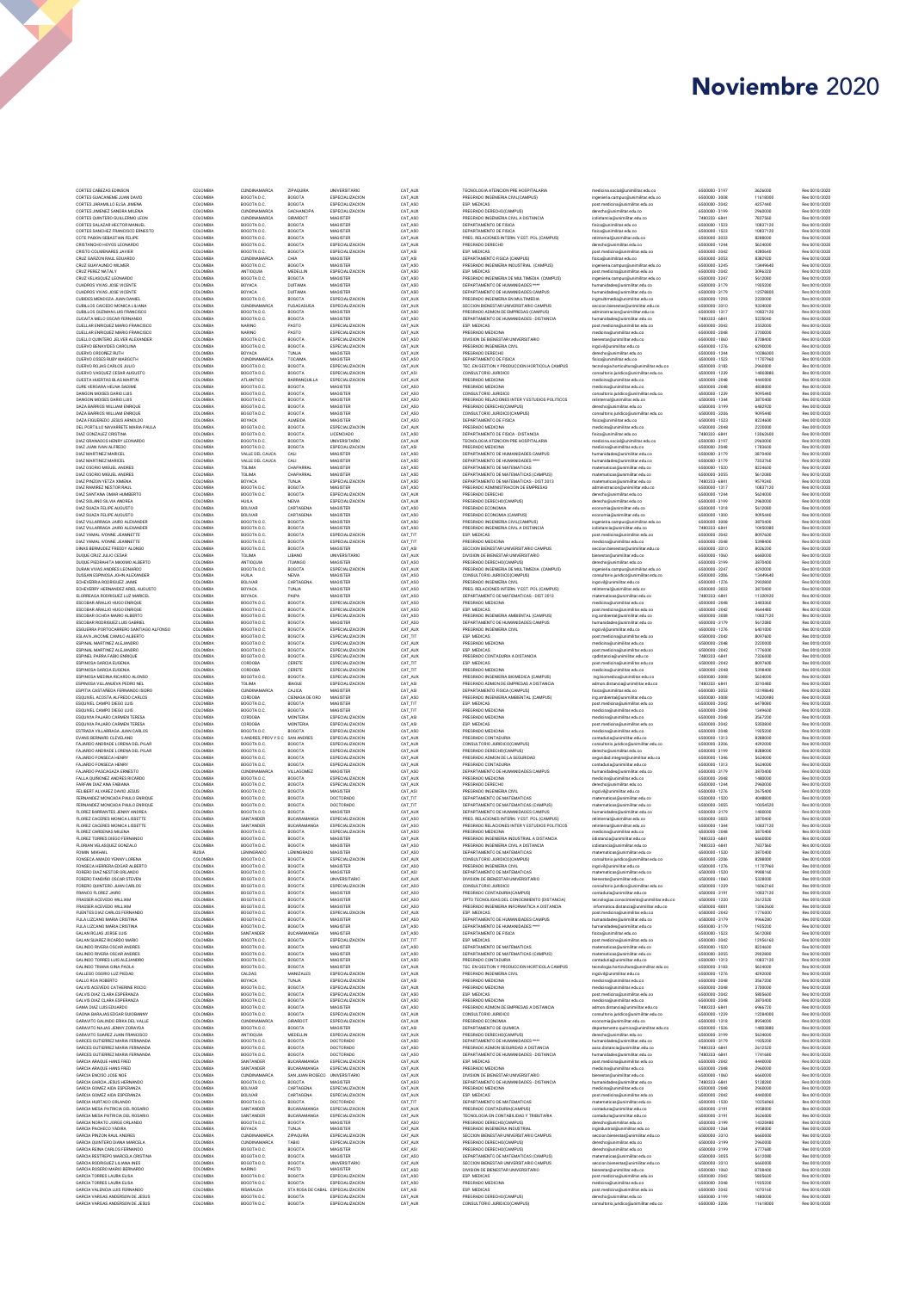| CORTES CABEZAS EDINSON<br>CORTES GUACANEME JUAN DAVID<br>CORTES JARAMILLO ELSA JIMENA<br>CORTES JIMENEZ SANDRA MILENA<br>CORTES QUINTERO GUILLERMO LEON<br>CORTES SALAZAR HECTOR MANUEL<br>CORTES SANCHEZ FRANCISCO ERNESTO<br>COTE PABON SEBASTIAN FELIPE<br>CRISTANCHO HOYOS LEONARDO<br>CRISTO COLMENARES JAVIER<br>CRUZ GARZON RAUL EDUARDO<br>CRUZ GUAYAUNDO WILMER<br>CRUZ PEREZ NATALY<br>CRUZ VELASQUEZ LEONARDO<br>CUADROS VIVAS JOSE VICENTE | COLOMBIA<br>COLOMBIA<br>COLOMBIA<br>COLOMBIA<br>COLOMBIA<br>COLOMBIA | CUNDINAMARCA<br>BOGOTA D.C.<br>BOGOTA D.C. | ZIPAQUIRA<br><b>BOGOTA</b>                         | <b>UNIVERSITARIO</b><br>ESPECIALIZACION | CAT_AUX            | TECNOLOGIA ATENCION PRE HOSPITALARIA                                                         | medicina social@unimilitar.edu.co                                                     | 6500000 - 3197                   | 3626000              | Res 0010/2020                  |
|--------------------------------------------------------------------------------------------------------------------------------------------------------------------------------------------------------------------------------------------------------------------------------------------------------------------------------------------------------------------------------------------------------------------------------------------------------|----------------------------------------------------------------------|--------------------------------------------|----------------------------------------------------|-----------------------------------------|--------------------|----------------------------------------------------------------------------------------------|---------------------------------------------------------------------------------------|----------------------------------|----------------------|--------------------------------|
|                                                                                                                                                                                                                                                                                                                                                                                                                                                        |                                                                      |                                            |                                                    |                                         | CAT_AUX            | PREGRADO INGENIERIA CIVIL(CAMPUS)                                                            | ingenieria.campus@unimilitar.edu.co                                                   | 6500000 - 3008                   | 11618000             | Res 0010/2020                  |
|                                                                                                                                                                                                                                                                                                                                                                                                                                                        |                                                                      |                                            | <b>BOGOTA</b>                                      | ESPECIALIZACION                         | CAT_ASO            | ESP. MEDICAS                                                                                 | post.medicina@unimilitar.edu.co                                                       | 6500000 - 2042                   | 4257440              | Res 0010/2020                  |
|                                                                                                                                                                                                                                                                                                                                                                                                                                                        |                                                                      | CUNDINAMARCA<br>CUNDINAMARCA               | <b>GACHANCIPA</b><br>GIRARDOT                      | ESPECIALIZACION<br>MAGISTER             | CAT_AUX<br>CAT_ASO | PREGRADO DERECHO(CAMPUS)<br>PREGRADO INGENIERIA CIVIL A DISTANCIA                            | derecho@unimilitar.edu.co<br>icdistancia@unimilitar.edu.co                            | 6500000 - 3199<br>7480333 - 6841 | 2960000<br>7837560   | Res 0010/2020<br>Res 0010/2020 |
|                                                                                                                                                                                                                                                                                                                                                                                                                                                        |                                                                      | BOGOTA D.C.                                | <b>BOGOTA</b>                                      | MAGISTER                                | CAT_ASO            | DEPARTAMENTO DE FISICA                                                                       | fisica@unimilitar.edu.co                                                              | 6500000 - 1523                   | 10837120             | Res 0010/2020                  |
|                                                                                                                                                                                                                                                                                                                                                                                                                                                        | COLOMBIA<br>COLOMBIA                                                 | BOGOTA D.C.<br>BOGOTA D.C.                 | <b>BOGOTA</b><br><b>BOGOTA</b>                     | MAGISTER<br>MAGISTER                    | CAT_ASO<br>CAT_AUX | DEPARTAMENTO DE FISICA<br>PREG. RELACIONES INTERN. Y EST. POL.(CAMPUS)                       | fisica@unimilitar.edu.co<br>relinternal@unimilitar.edu.co                             | 6500000 - 1523<br>6500000 - 3033 | 10837120<br>8288000  | Res 0010/2020<br>Res 0010/2020 |
|                                                                                                                                                                                                                                                                                                                                                                                                                                                        | COLOMBIA                                                             | BOGOTA D.C.                                | <b>BOGOTA</b>                                      | ESPECIALIZACION                         | CAT_AUX            | PREGRADO DERECHO                                                                             | derecho@unimilitar.edu.co                                                             | 6500000 - 1244                   | 5624000              | Res 0010/2020                  |
|                                                                                                                                                                                                                                                                                                                                                                                                                                                        | COLOMBIA<br>COLOMBIA                                                 | BOGOTA D.C.<br>CUNDINAMARCA                | <b>BOGOTA</b><br>CHIA                              | ESPECIALIZACION<br>MAGISTER             | CAT_ASI<br>CAT_ASI | ESP. MEDICAS<br>DEPARTAMENTO FISICA (CAMPUS)                                                 | post.medicina@unimilitar.edu.co<br>fisica@unimilitar.edu.co                           | 6500000 - 2042<br>6500000 - 3053 | 4280640<br>8382920   | Res 0010/2020<br>Res 0010/2020 |
|                                                                                                                                                                                                                                                                                                                                                                                                                                                        | COLOMBIA                                                             | BOGOTA D.C.                                | <b>BOGOTA</b>                                      | MAGISTER                                | CAT_ASO            | PREGRADO INGENIERIA INDUSTRIAL (CAMPUS)                                                      | ingenieria.campus@unimilitar.edu.co                                                   | 6500000 - 3245                   | 13449640             | Res 0010/2020                  |
|                                                                                                                                                                                                                                                                                                                                                                                                                                                        | COLOMBIA<br>COLOMBIA                                                 | ANTIOQUIA<br>BOGOTA D.C.                   | MEDELLIN<br><b>BOGOTA</b>                          | ESPECIALIZACION<br>MAGISTER             | CAT_ASO<br>CAT_ASO | ESP. MEDICAS<br>PREGRADO INGENIERIA DE MULTIMEDIA (CAMPUS)                                   | post.medicina@unimilitar.edu.co<br>ingenieria.campus@unimilitar.edu.co                | 6500000 - 2042<br>6500000 - 3247 | 3096320<br>5612080   | Res 0010/2020<br>Res 0010/2020 |
|                                                                                                                                                                                                                                                                                                                                                                                                                                                        | COLOMBIA                                                             | BOYACA                                     | DUITAMA                                            | MAGISTER                                | CAT_ASO            | DEPARTAMENTO DE HUMANIDADES ****                                                             | humanidades@unimilitar.edu.co                                                         | 6500000 - 3179                   | 1935200              | Res 0010/2020                  |
| CUADROS VIVAS JOSE VICENTE<br>CUBIDES MENDOZA JUAN DANIEL                                                                                                                                                                                                                                                                                                                                                                                              | COLOMBIA<br>COLOMBIA                                                 | BOYACA<br>BOGOTA D.C.                      | DUITAMA<br><b>BOGOTA</b>                           | MAGISTER<br>ESPECIALIZACION             | CAT_ASO<br>CAT_AUX | DEPARTAMENTO DE HUMANIDADES CAMPUS<br>PREGRADO INGENIERIA EN MULTIMEDIA                      | humanidades@unimilitar.edu.co<br>ingmultimedia@unimilitar.edu.co                      | 6500000 - 3179<br>6500000 - 1293 | 12578800<br>2220000  | Res 0010/2020<br>Res 0010/2020 |
| CUBILLOS CAICEDO MONICA LILIANA                                                                                                                                                                                                                                                                                                                                                                                                                        | COLOMBIA                                                             | <b>CUNDINAMARCA</b>                        | FUSAGASUGA                                         | ESPECIALIZACION                         | CAT_AUX            | SECCION BIENESTAR UNIVERSITARIO CAMPUS                                                       | seccion.bienestar@unimilitar.edu.co                                                   | 6500000 - 3310                   | 9324000              | Res 0010/2020                  |
| CUBILLOS GUZMAN LUIS FRANCISCO<br>CUCAITA MELO OSCAR FERNANDO                                                                                                                                                                                                                                                                                                                                                                                          | COLOMBIA<br>COLOMBIA                                                 | BOGOTA D.C.<br>BOGOTA D.C.                 | <b>BOGOTA</b><br><b>BOGOTA</b>                     | MAGISTER<br>MAGISTER                    | CAT_ASO<br>CAT_ASO | PREGRADO ADMON DE EMPRESAS (CAMPUS)<br>DEPARTAMENTO DE HUMANIDADES - DISTANCIA               | administracion@unimilitar.edu.co<br>humanidades@unimilitar.edu.co                     | 6500000 - 1317<br>7480333 - 6841 | 10837120<br>5225040  | Res 0010/2020<br>Res 0010/2020 |
| CUELLAR ENRIQUEZ MARIO FRANCISCO                                                                                                                                                                                                                                                                                                                                                                                                                       | COLOMBIA                                                             | NARINO                                     | PASTO                                              | ESPECIALIZACION                         | CAT_AUX            | ESP. MEDICAS                                                                                 | post.medicina@unimilitar.edu.co                                                       | 6500000 - 2042                   | 3552000              | Res 0010/2020                  |
| CUELLAR ENRIQUEZ MARIO FRANCISCO<br>CUELLO QUINTERO JELVER ALEXANDER                                                                                                                                                                                                                                                                                                                                                                                   | COLOMBIA<br>COLOMBIA                                                 | NARINO<br>BOGOTA D.C.                      | PASTO<br>BOGOTA                                    | ESPECIALIZACION<br>ESPECIALIZACION      | CAT_AUX<br>CAT_ASO | PREGRADO MEDICINA<br>DIVISION DE BIENESTAR UNIVERSITARIO                                     | medicina@unimilitar.edu.co<br>bienestar@unimilitar.edu.co                             | 6500000 - 2048<br>6500000 - 1060 | 3700000<br>8708400   | Res 0010/2020<br>Res 0010/2020 |
| CUERVO BENAVIDES CAROLINA                                                                                                                                                                                                                                                                                                                                                                                                                              | COLOMBIA                                                             | BOGOTA D.C.                                | BOGOTA                                             | ESPECIALIZACION                         | CAT_AUX            | PREGRADO INGENIERIA CIVIL                                                                    | ingcivil@unimilitar.edu.co                                                            | 6500000 - 1276                   | 6290000              | Res 0010/2020                  |
| CUERVO ORDOÑEZ RUTH<br>CUERVO OSSES RUBY MARGOTH                                                                                                                                                                                                                                                                                                                                                                                                       | COLOMBIA<br>COLOMBIA                                                 | BOYACA<br><b>CUNDINAMARCA</b>              | TUNJA<br>TOCAIMA                                   | MAGISTER<br>MAGISTER                    | CAT_AUX<br>CAT_ASO | PREGRADO DERECHO<br>DEPARTAMENTO DE FISICA                                                   | derecho@unimilitar.edu.co<br>fisica@unimilitar.edu.co                                 | 6500000 - 1244<br>6500000 - 1523 | 10286000<br>11707960 | Res 0010/2020<br>Res 0010/2020 |
| CUERVO ROJAS CARLOS JULIO                                                                                                                                                                                                                                                                                                                                                                                                                              | COLOMBIA                                                             | BOGOTA D.C.                                | <b>BOGOTA</b>                                      | ESPECIALIZACION                         | CAT_AUX            | TEC. EN GESTION Y PRODUCCION HORTICOLA CAMPUS                                                | tecnologia.horticultura@unimilitar.edu.co                                             | 6500000 - 3183                   | 2960000              | Res 0010/2020                  |
| CUERVO VASOUEZ CESAR AUGUSTO<br>CUESTA HUERTAS BLAS MARTIN                                                                                                                                                                                                                                                                                                                                                                                             | COLOMBIA<br>COLOMBIA                                                 | BOGOTA D.C.<br>ATLANTICO                   | BOGOTA<br>BARRANQUILLA                             | ESPECIALIZACION<br>ESPECIALIZACION      | CAT_ASI<br>CAT_AUX | CONSULTORIO JURIDICO<br>PREGRADO MEDICINA                                                    | consultorio.juridico@unimilitar.edu.co<br>medicina@unimilitar.edu.co                  | 6500000 - 1239<br>6500000 - 2048 | 14803880<br>4440000  | Res 0010/2020<br>Res 0010/2020 |
| CURE VERGARA HELNA SADIME                                                                                                                                                                                                                                                                                                                                                                                                                              | COLOMBIA                                                             | BOGOTA D.C.                                | <b>BOGOTA</b>                                      | MAGISTER                                | CAT_ASO            | PREGRADO MEDICINA                                                                            | medicina@unimilitar.edu.co                                                            | 6500000 - 2048                   | 4838000              | Res 0010/2020                  |
| DANGON MOISES DARIO LUIS<br>DANGON MOISES DARIO LUIS                                                                                                                                                                                                                                                                                                                                                                                                   | COLOMBIA<br>COLOMBIA                                                 | BOGOTA D.C.<br>BOGOTA D.C.                 | <b>BOGOTA</b><br><b>BOGOTA</b>                     | MAGISTER<br>MAGISTER                    | CAT_ASO<br>CAT_ASO | CONSULTORIO JURIDICO<br>PREGRADO RELACIONES INTER Y ESTUDIOS POLITICOS                       | consultorio juridico@unimilitar.edu.co<br>relinternal@unimilitar.edu.co               | 6500000 - 1239<br>6500000 - 1344 | 9095440<br>3870400   | Res 0010/2020<br>Res 0010/2020 |
| DAZA BARRIOS WILLIAM ENRIQUE                                                                                                                                                                                                                                                                                                                                                                                                                           | COLOMBIA                                                             | BOGOTA D.C.                                | <b>BOGOTA</b>                                      | <b>MAGISTER</b>                         | CAT_ASO            | PREGRADO DERECHO(CAMPUS)                                                                     | derecho@unimilitar.edu.co                                                             | 6500000 - 3199                   | 6482920              | Res 0010/2020                  |
| DAZA BARRIOS WILLIAM ENRIQUE<br>DAZA FIGUEREDO JESUS ARNOLDO                                                                                                                                                                                                                                                                                                                                                                                           | COLOMBIA<br>COLOMBIA                                                 | BOGOTA D.C.<br>BOYACA                      | <b>BOGOTA</b><br>ALMEIDA                           | <b>MAGISTER</b><br><b>MAGISTER</b>      | CAT_ASO<br>CAT_ASO | CONSULTORIO JURIDICO(CAMPUS)<br>DEPARTAMENTO DE FISICA                                       | consultorio juridico@unimilitar.edu.co<br>fisica@unimilitar.edu.co                    | 6500000 - 3206<br>6500000 - 1523 | 9095440<br>8224600   | Res 0010/2020<br>Res 0010/2020 |
| DEL PORTILLO NAVARRETE MARIA PAULA                                                                                                                                                                                                                                                                                                                                                                                                                     | COLOMBIA                                                             | BOGOTA D.C.                                | BOGOTA                                             | ESPECIALIZACION                         | CAT_AUX            | PREGRADO MEDICINA                                                                            | medicina@unimilitar.edu.co                                                            | 6500000 - 2048<br>7480333 - 6841 | 2220000<br>13062600  | Res 0010/2020                  |
| DIAZ GONZALEZ CRISTINA<br>DIAZ GRANADOS HENRY LEONARDO                                                                                                                                                                                                                                                                                                                                                                                                 | COLOMBIA<br>COLOMBIA                                                 | BOGOTA D.C.<br>BOGOTA D.C.                 | <b>BOGOTA</b><br><b>BOGOTA</b>                     | LICENCIADO<br><b>UNIVERSITARIO</b>      | CAT_ASO<br>CAT_AUX | DEPARTAMENTO DE FISICA - DISTANCIA<br>TECNOLOGIA ATENCION PRE HOSPITALARIA                   | fisica@unimilitar.edu.co<br>medicina.social@unimilitar.edu.co                         | 6500000 - 3197                   | 2960000              | Res 0010/2020<br>Res 0010/2020 |
| DIAZ JUAN IVAN ALFREDO                                                                                                                                                                                                                                                                                                                                                                                                                                 | COLOMBIA                                                             | BOGOTA D.C.                                | <b>BOGOTA</b>                                      | ESPECIALIZACION                         | CAT_ASI            | PREGRADO MEDICINA                                                                            | medicina@unimilitar.edu.co                                                            | 6500000 - 2048                   | 1783600              | Res 0010/2020                  |
| DIAZ MARTINEZ MARICEL<br>DIAZ MARTINEZ MARICEL                                                                                                                                                                                                                                                                                                                                                                                                         | COLOMBIA<br>COLOMBIA                                                 | VALLE DEL CAUCA<br>VALLE DEL CAUCA         | CALI<br>CALI                                       | MAGISTER<br>MAGISTER                    | CAT_ASO<br>CAT ASO | DEPARTAMENTO DE HUMANIDADES CAMPUS<br>DEPARTAMENTO DE HUMANIDADES ****                       | humanidades@unimilitar.edu.co<br>humanidades@unimilitar.edu.co                        | 6500000 - 3179<br>6500000 - 3179 | 3870400<br>7353760   | Res 0010/2020<br>Res 0010/2020 |
| DIAZ OSORIO MIGUEL ANDRES<br>DIAZ OSORIO MIGUEL ANDRES                                                                                                                                                                                                                                                                                                                                                                                                 | COLOMBIA<br>COLOMBIA                                                 | TOLIMA<br>TOLIMA                           | CHAPARRAL<br>CHAPARRAL                             | MAGISTER<br>MAGISTER                    | CAT ASO<br>CAT ASO | DEPARTAMENTO DE MATEMATICAS<br>DEPARTAMENTO DE MATEMATICAS (CAMPUS)                          | matematicas@unimilitar.edu.co<br>matematicas@unimilitar.edu.co                        | 6500000 - 1520<br>6500000 - 3055 | 8224600<br>5612080   | Res 0010/2020<br>Res 0010/2020 |
| DIAZ PINZON YETZA XIMENA                                                                                                                                                                                                                                                                                                                                                                                                                               | COLOMBIA                                                             | BOYACA                                     | TUNJA                                              | ESPECIALIZACION                         | CAT ASO            | DEPARTAMENTO DE MATEMATICAS - DIST 2013                                                      | matematicas@unimilitar.edu.co                                                         | 7480333 - 6841                   | 9579240              | Res 0010/2020                  |
| DIAZ RAMIREZ NESTOR RAUL<br>DIAZ SANTANA OMAR HUMBERTO                                                                                                                                                                                                                                                                                                                                                                                                 | COLOMBIA<br>COLOMBIA                                                 | BOGOTA D.C.<br>BOGOTA D.C.                 | <b>BOGOTA</b><br><b>BOGOTA</b>                     | MAGISTER<br>ESPECIALIZACION             | CAT ASO<br>CAT AUX | PREGRADO ADMINISTRACION DE EMPRESAS<br>PREGRADO DERECHO                                      | administracion@unimilitar.edu.co                                                      | 6500000 - 1317<br>6500000 - 1244 | 10837120<br>5624000  | Res 0010/2020                  |
| DIAZ SOLANO SILVIA ANDREA                                                                                                                                                                                                                                                                                                                                                                                                                              | COLOMBIA                                                             | <b>HUILA</b>                               | <b>NEIVA</b>                                       | ESPECIALIZACION                         | CAT AUX            | PREGRADO DERECHO(CAMPUS)                                                                     | derecho@unimilitar.edu.co<br>derecho@unimilitar.edu.co                                | 6500000 - 3199                   | 2960000              | Res 0010/2020<br>Res 0010/2020 |
| DIAZ SUAZA FELIPE AUGUSTO                                                                                                                                                                                                                                                                                                                                                                                                                              | COLOMBIA                                                             | <b>BOLIVAR</b>                             | CARTAGENA                                          | MAGISTER                                | CAT ASO            | PREGRADO ECONOMIA<br>PREGRADO ECONOMIA (CAMPUS)                                              | economia@unimilitar.edu.co                                                            | 6500000 - 1318                   | 5612080              | Res 0010/2020                  |
| DIAZ SUAZA FELIPE AUGUSTO<br>DIAZ VII LARRAGA JAIRO ALEXANDER                                                                                                                                                                                                                                                                                                                                                                                          | COLOMBIA<br>COLOMBIA                                                 | <b>BOLIVAR</b><br>BOGOTA D.C.              | CARTAGENA<br><b>BOGOTA</b>                         | MAGISTER<br>MAGISTER                    | CAT ASO<br>CAT ASO | PREGRADO INGENIERIA CIVIL(CAMPUS)                                                            | economia@unimilitar.edu.co<br>ingenieria.campus@unimilitar.edu.co                     | 6500000 - 1300<br>6500000 - 3008 | 9095440<br>3870400   | Res 0010/2020<br>Res 0010/2020 |
| DIAZ VILLARRAGA JAIRO ALEXANDER                                                                                                                                                                                                                                                                                                                                                                                                                        | COLOMBIA                                                             | BOGOTA D.C.                                | <b>BOGOTA</b>                                      | MAGISTER                                | CAT ASO            | PREGRADO INGENIERIA CIVIL A DISTANCIA                                                        | icdistancia@unimilitar.edu.co                                                         | 7480333-6841                     | 10450080             | Res 0010/2020                  |
| DIAZ YAMAL IVONNE JEANNETTE<br>DIAZ YAMAL IVONNE JEANNETTE                                                                                                                                                                                                                                                                                                                                                                                             | COLOMBIA<br>COLOMBIA                                                 | BOGOTA D.C.<br>BOGOTA D.C.                 | <b>BOGOTA</b><br><b>BOGOTA</b>                     | ESPECIALIZACION<br>ESPECIALIZACION      | CAT TIT<br>CAT TIT | ESP. MEDICAS<br>PREGRADO MEDICINA                                                            | post.medicina@unimilitar.edu.co<br>medicina@unimilitar.edu.co                         | 6500000 - 2042<br>6500000 - 2048 | 8097600<br>5398400   | Res 0010/2020<br>Res 0010/2020 |
| DINAS BERMUDEZ FREDDY ALONSO                                                                                                                                                                                                                                                                                                                                                                                                                           | COLOMBIA                                                             | BOGOTA D.C.                                | <b>BOGOTA</b>                                      | MAGISTER                                | CAT_ASI            | SECCION BIENESTAR UNIVERSITARIO CAMPUS                                                       | seccion.bienestar@unimilitar.edu.co                                                   | 6500000 - 3310                   | 8026200              | Res 0010/2020                  |
| DUQUE CRUZ JULIO CESAR<br>DUQUE PIEDRAHITA MAXIMO ALBERTO                                                                                                                                                                                                                                                                                                                                                                                              | COLOMBIA<br>COLOMBIA                                                 | TOLIMA<br>ANTIOQUIA                        | LIBANO<br><b>ITUANGO</b>                           | UNIVERSITARIO<br>MAGISTER               | CAT_AUX<br>CAT_ASO | DIVISION DE BIENESTAR UNIVERSITARIO<br>PREGRADO DERECHO(CAMPUS)                              | bienestan@unimilitar.edu.co<br>derecho@unimilitar.edu.co                              | 6500000 - 1060<br>6500000-3199   | 6660000<br>3870400   | Res 0010/2020<br>Res 0010/2020 |
| DURAN VIVAS ANDRES LEONARDO<br>DUSSAN ESPINOSA JOHN ALEXANDER                                                                                                                                                                                                                                                                                                                                                                                          | COLOMBIA                                                             | BOGOTA D.C.                                | <b>BOGOTA</b>                                      | ESPECIALIZACION                         | CAT_AUX            | PREGRADO INGENIERIA DE MULTIMEDIA (CAMPUS)                                                   | ingenieria.campus@unimilitar.edu.co                                                   | 6500000-3247                     | 4292000              | Res 0010/2020                  |
| ECHEVERRIA RODRIGUEZ JAIME                                                                                                                                                                                                                                                                                                                                                                                                                             | COLOMBIA<br>COLOMBIA                                                 | <b>HUILA</b><br>BOLIVAR                    | <b>NEIVA</b><br>CARTAGENA                          | MAGISTER<br>MAGISTER                    | CAT_ASO<br>CAT_ASO | CONSULTORIO JURIDICO(CAMPUS)<br>PREGRADO INGENIERIA CIVIL                                    | consultorio.juridico@unimilitar.edu.co<br>ingcivil@unimilitar.edu.co                  | 6500000 - 3206<br>6500000 - 1276 | 13449640<br>2902800  | Res 0010/2020<br>Res 0010/2020 |
| ECHEVERRY HERNANDEZ ARIEL AUGUSTO<br>ELORREAGA RODRIGUEZ LUZ MARICEL                                                                                                                                                                                                                                                                                                                                                                                   | COLOMBIA                                                             | BOYACA                                     | TUNJA                                              | MAGISTER                                | CAT_ASO            | PREG. RELACIONES INTERN. Y EST. POL.(CAMPUS)                                                 | relinternal@unimilitar.edu.co                                                         | 6500000 - 3033                   | 3870400              | Res 0010/2020                  |
| ESCOBAR ARAUJO HUGO ENRIQUE                                                                                                                                                                                                                                                                                                                                                                                                                            | COLOMBIA<br>COLOMBIA                                                 | BOYACA<br>BOGOTA D.C.                      | PAIPA<br><b>BOGOTA</b>                             | MAGISTER<br>ESPECIALIZACION             | CAT_ASO<br>CAT_ASO | DEPARTAMENTO DE MATEMATICAS - DIST 2013<br>PREGRADO MEDICINA                                 | matematicas@unimilitar.edu.co<br>medicina@unimilitar.edu.co                           | 7480333 - 6841<br>6500000 - 2048 | 11320920<br>3483360  | Res 0010/2020<br>Res 0010/2020 |
| ESCOBAR ARAUJO HUGO ENRIQUE                                                                                                                                                                                                                                                                                                                                                                                                                            | COLOMBIA                                                             | BOGOTA D.C.                                | <b>BOGOTA</b>                                      | ESPECIALIZACION                         | CAT_ASO            | ESP. MEDICAS                                                                                 | post.medicina@unimilitar.edu.co                                                       | 6500000 - 2042                   | 4644480              | Res 0010/2020                  |
| ESCOBAR OCHOA MARIO ALBERTO<br>ESCOBAR RODRIGUEZ LUIS GABRIEL                                                                                                                                                                                                                                                                                                                                                                                          | COLOMBIA<br>COLOMBIA                                                 | BOGOTA D.C.<br>BOGOTA D.C.                 | <b>BOGOTA</b><br><b>BOGOTA</b>                     | ESPECIALIZACION<br>MAGISTER             | CAT_ASO<br>CAT_ASO | PREGRADO INGENIERIA AMBIENTAL (CAMPUS)<br>DEPARTAMENTO DE HUMANIDADES CAMPUS                 | ing.ambiental@unimilitar.edu.co<br>humanidades@unimilitar.edu.co                      | 6500000 - 3008<br>6500000-3179   | 10837120<br>5612080  | Res 0010/2020<br>Res 0010/2020 |
| ESGUERRA PORTOCARRERO SANTIAGO ALFONSO<br>ESLAVA JACOME CAMILO ALBERTO                                                                                                                                                                                                                                                                                                                                                                                 | COLOMBIA<br>COLOMBIA                                                 | BOGOTA D.C.<br>BOGOTA D.C.                 | <b>BOGOTA</b><br>BOGOTA                            | ESPECIALIZACION<br>ESPECIALIZACION      | CAT_AUX<br>CAT_TIT | PREGRADO INGENIERIA CIVIL<br>ESP. MEDICAS                                                    | ingcivil@unimilitar.edu.co                                                            | 6500000-1276<br>6500000 - 2042   | 6401000<br>8097600   | Res 0010/2020<br>Res 0010/2020 |
| ESPINAL MARTINEZ ALEJANDRO                                                                                                                                                                                                                                                                                                                                                                                                                             | COLOMBIA                                                             | BOGOTA D.C.                                | BOGOTA                                             | ESPECIALIZACION                         | CAT_AUX            | PREGRADO MEDICINA                                                                            | post.medicina@unimilitar.edu.co<br>medicina@unimilitar.edu.co                         | 6500000 - 2048                   | 2220000              | Res 0010/2020                  |
| ESPINAL MARTINEZ ALEJANDRO                                                                                                                                                                                                                                                                                                                                                                                                                             | COLOMBIA                                                             | BOGOTA D.C.                                | BOGOTA                                             | ESPECIALIZACION                         | CAT_AUX            | ESP. MEDICAS                                                                                 | post.medicina@unimilitar.edu.co                                                       | 6500000 - 2042                   | 1776000              | Res 0010/2020                  |
| ESPINEL PARRA FABIO ENRIQUE<br>ESPINOSA GARCIA EUGENIA                                                                                                                                                                                                                                                                                                                                                                                                 | COLOMBIA<br>COLOMBIA                                                 | BOGOTA D.C.<br>CORDOBA                     | BOGOTA<br>CERETE                                   | ESPECIALIZACION<br>ESPECIALIZACION      | CAT_AUX<br>CAT_TIT | PREGRADO CONTADURIA A DISTANCIA<br>ESP. MEDICAS                                              | cpdistancia@unimilitar.edu.co<br>post.medicina@unimilitar.edu.co                      | 7480333 - 6841<br>6500000 - 2042 | 7326000<br>8097600   | Res 0010/2020<br>Res 0010/2020 |
| ESPINOSA GARCIA EUGENIA                                                                                                                                                                                                                                                                                                                                                                                                                                | COLOMBIA                                                             | CORDOBA                                    | CERETE                                             | ESPECIALIZACION                         | CAT_TIT            | PREGRADO MEDICINA                                                                            | medicina@unimilitar.edu.co                                                            | 6500000 - 2048                   | 5398400              | Res 0010/2020                  |
| ESPINOSA MEDINA RICARDO ALONSO<br>ESPINOSA VILLANUEVA PEDRO NEL                                                                                                                                                                                                                                                                                                                                                                                        | COLOMBIA<br>COLOMBIA                                                 | BOGOTA D.C.<br>TOLIMA                      | BOGOTA<br><b>IBAGUE</b>                            | ESPECIALIZACION<br>ESPECIALIZACION      | CAT_AUX<br>CAT_ASI | PREGRADO INGENIERIA BIOMEDICA (CAMPUS)<br>PREGRADO ADMON DE EMPRESAS A DISTANCIA             | ing biomedica@unimilitar.edu.co<br>admon.distancia@unimilitar.edu.co                  | 6500000 - 3008<br>7480333 - 6841 | 5624000<br>3210480   | Res 0010/2020<br>Res 0010/2020 |
| ESPITIA CASTAÑEDA FERNANDO ISIDRO                                                                                                                                                                                                                                                                                                                                                                                                                      | COLOMBIA                                                             | <b>CUNDINAMARCA</b>                        | CAJICA                                             | MAGISTER                                | CAT_ASI            | DEPARTAMENTO FISICA (CAMPUS)                                                                 | fisica@unimilitar.edu.co                                                              | 6500000 - 3053                   | 13198640             | Res 0010/2020                  |
| ESQUIVEL ACOSTA ALFREDO CARLOS<br>ESQUIVEL CAMPO DIEGO LUIS                                                                                                                                                                                                                                                                                                                                                                                            | COLOMBIA<br>COLOMBIA                                                 | CORDOBA<br>BOGOTA D.C.                     | CIENAGA DE ORO<br>BOGOTA                           | MAGISTER<br>MAGISTER                    | CAT_ASC<br>CAT_TIT | PREGRADO INGENIERIA AMBIENTAL (CAMPUS)<br>ESP. MEDICAS                                       | ing ambiental@unimilitar.edu.co<br>post.medicina@unimilitar.edu.co                    | 6500000 - 3008<br>6500000 - 2042 | 14320480<br>6478080  | Res 0010/2020<br>Res 0010/2020 |
| ESQUIVEL CAMPO DIEGO LUIS                                                                                                                                                                                                                                                                                                                                                                                                                              | COLOMBIA                                                             | BOGOTA D.C.                                | BOGOTA                                             | MAGISTER                                | CAT_TIT            | PREGRADO MEDICINA                                                                            | medicina@unimilitar.edu.co                                                            | 6500000 - 2048                   | 1349600              | Res 0010/2020                  |
|                                                                                                                                                                                                                                                                                                                                                                                                                                                        | COLOMBIA                                                             | CORDOBA<br>CORDOBA                         | <b>MONTERIA</b>                                    | ESPECIALIZACION                         | CAT_ASI            | PREGRADO MEDICINA                                                                            | medicina@unimilitar.edu.co                                                            | 6500000 - 2048                   | 3567200              | Res 0010/2020<br>Res 0010/2020 |
| ESQUIVIA PAJARO CARMEN TERESA                                                                                                                                                                                                                                                                                                                                                                                                                          |                                                                      |                                            |                                                    |                                         |                    |                                                                                              |                                                                                       |                                  |                      |                                |
| ESQUIVIA PAJARO CARMEN TERESA<br>ESTRADA VILLARRAGA JUAN CARLOS                                                                                                                                                                                                                                                                                                                                                                                        | COLOMBIA<br>COLOMBIA                                                 | BOGOTA D.C.                                | MONTERIA<br>BOGOTA                                 | ESPECIALIZACION<br>ESPECIALIZACION      | CAT_ASI<br>CAT_ASO | ESP. MEDICAS<br>PREGRADO MEDICINA                                                            | post.medicina@unimilitar.edu.co<br>medicina@unimilitar.edu.co                         | 6500000 - 2042<br>6500000 - 2048 | 5350800<br>1935200   | Res 0010/2020                  |
| EVANS BERNARD CLEVELAND                                                                                                                                                                                                                                                                                                                                                                                                                                | COLOMBIA                                                             | S ANDRES, PROV Y S C SAN ANDRES            |                                                    | ESPECIALIZACION                         | CAT_AUX            | PREGRADO CONTADURIA                                                                          | contaduria@unimilitar.edu.co                                                          | 6500000 - 1313                   | 8288000              | Res 0010/2020                  |
| FAJARDO ANDRADE LORENA DEL PILAR<br>FAJARDO ANDRADE LORENA DEL PILAR                                                                                                                                                                                                                                                                                                                                                                                   | COLOMBIA<br>COLOMBIA                                                 | BOGOTA D.C.<br>BOGOTA D.C.                 | <b>BOGOTA</b><br><b>BOGOTA</b>                     | ESPECIALIZACION<br>ESPECIALIZACION      | CAT_AUX<br>CAT_AUX | CONSULTORIO JURIDICO(CAMPUS)<br>PREGRADO DERECHO(CAMPUS)                                     | consultorio.juridico@unimilitar.edu.co<br>derecho@unimilitar.edu.co                   | 6500000 - 3206<br>6500000 - 3199 | 4292000<br>8288000   | Res 0010/2020<br>Res 0010/2020 |
| FAJARDO FONSECA HENRY                                                                                                                                                                                                                                                                                                                                                                                                                                  | COLOMBIA                                                             | BOGOTA D.C.                                | <b>BOGOTA</b><br><b>BOGOTA</b>                     | ESPECIALIZACION                         | CAT_AUX            | PREGRADO ADMON DE LA SEGURIDAD                                                               | seguridad.integral@unimilitar.edu.co                                                  | 6500000 - 1346                   | 5624000<br>5624000   | Res 0010/2020                  |
| <b>FAJARDO FONSECA HENRY</b><br>FAJARDO PASCAGAZA ERNESTO                                                                                                                                                                                                                                                                                                                                                                                              | COLOMBIA<br>COLOMBIA                                                 | BOGOTA D.C.<br>CUNDINAMARCA                | VILLAGOMEZ                                         | ESPECIALIZACION<br>MAGISTER             | CAT_AUX<br>CAT_ASO | PREGRADO CONTADURIA<br>DEPARTAMENTO DE HUMANIDADES CAMPUS                                    | contaduria@unimilitar.edu.co<br>humanidades@unimilitar.edu.co                         | 6500000 - 1313<br>6500000 - 3179 | 3870400              | Res 0010/2020<br>Res 0010/2020 |
| FALLA QUIÑONEZ ANDRES RICARDO<br>FARFAN DIAZ ANA FABIANA                                                                                                                                                                                                                                                                                                                                                                                               | COLOMBIA                                                             | BOGOTA D.C.                                | <b>BOGOTA</b>                                      | ESPECIALIZACION                         | CAT_AUX            | PREGRADO MEDICINA                                                                            | medicina@unimilitar.edu.co                                                            | 6500000 - 2048                   | 1480000              | Res 0010/2020                  |
| FELIBERT ALVAREZ DAVID JESUS                                                                                                                                                                                                                                                                                                                                                                                                                           | COLOMBIA<br>COLOMBIA                                                 | BOGOTA D.C.<br>BOGOTA D.C.                 | <b>BOGOTA</b><br><b>BOGOTA</b>                     | ESPECIALIZACION<br>MAGISTER             | CAT_AUX<br>CAT_ASI | PREGRADO DERECHO<br>PREGRADO INGENIERIA CIVIL                                                | derecho@unimilitar.edu.co<br>ingcivil@unimilitar.edu.co                               | 6500000 - 1244<br>6500000 - 1276 | 2960000<br>2675400   | Res 0010/2020<br>Res 0010/2020 |
| FERNANDEZ MONCADA PAULO ENRIQUE<br>FERNANDEZ MONCADA PAULO ENRIQUE                                                                                                                                                                                                                                                                                                                                                                                     | COLOMBIA                                                             | BOGOTA D.C.                                | <b>BOGOTA</b>                                      | DOCTORADO                               | CAT_TIT            | DEPARTAMENTO DE MATEMATICAS                                                                  | matematicas@unimilitar.edu.co                                                         | 6500000 - 1520                   | 4048800              | Res 0010/2020                  |
| FLOREZ BARRANTES JENNY ANDREA                                                                                                                                                                                                                                                                                                                                                                                                                          | COLOMBIA<br>COLOMBIA                                                 | BOGOTA D.C.<br>BOGOTA D.C.                 | <b>BOGOTA</b><br><b>BOGOTA</b>                     | DOCTORADO<br>MAGISTER                   | CAT_TIT<br>CAT_AUX | DEPARTAMENTO DE MATEMATICAS (CAMPUS)<br>DEPARTAMENTO DE HUMANIDADES CAMPUS                   | matematicas@unimilitar.edu.co<br>humanidades@unimilitar.edu.co                        | 6500000 - 3055<br>6500000-3179   | 10054520<br>1480000  | Res 0010/2020<br>Res 0010/2020 |
| FLOREZ CACERES MONICA LISSETTE<br>FLOREZ CACERES MONICA LISSETTE                                                                                                                                                                                                                                                                                                                                                                                       | COLOMBIA<br>COLOMBIA                                                 | SANTANDER<br>SANTANDER                     | BUCARAMANGA<br><b>RUCARAMANGA</b>                  | ESPECIALIZACION<br>ESPECIALIZACION      | CAT ASO<br>CAT ASO | PREG. RELACIONES INTERN. Y EST. POL.(CAMPUS)                                                 | relinternal@unimilitar.edu.co                                                         | 6500000 - 3033<br>6500000-1344   | 3870400<br>10837120  | Res 0010/2020                  |
| FLOREZ CARDENAS MILENA                                                                                                                                                                                                                                                                                                                                                                                                                                 | COLOMBIA                                                             | BOGOTA D.C.                                | <b>BOGOTA</b>                                      | ESPECIALIZACION                         | CAT ASO            | PREGRADO RELACIONES INTER Y ESTUDIOS POLITICOS<br>PREGRADO MEDICINA                          | relinternal@unimilitar.edu.co<br>medicina@unimilitar.edu.co                           | 6500000 - 2048                   | 3870400              | Res 0010/2020<br>Res 0010/2020 |
| <b>FLOREZ TORRES DIEGO FERNANDO</b>                                                                                                                                                                                                                                                                                                                                                                                                                    | COLOMBIA<br>COLOMBIA                                                 | BOGOTA D.C.<br>BOGOTA D.C.                 | <b>BOGOTA</b><br><b>BOGOTA</b>                     | MAGISTER<br>MAGISTER                    | CAT AUX<br>CAT ASO | PREGRADO INGENIERIA INDUSTRIAL A DISTANCIA<br>PREGRADO INGENIERIA CIVIL A DISTANCIA          | iidistancia@unimilitar.edu.co<br>icdistancia@unimilitar.edu.co                        | 7480333 - 6841<br>7480333 - 6841 | 6660000<br>7837560   | Res 0010/2020<br>Res 0010/2020 |
| FLORIAN VELASQUEZ GONZALO<br>FOMIN MIKHAIL                                                                                                                                                                                                                                                                                                                                                                                                             | RUSIA                                                                | LENINGRADO                                 | LENINGRADO                                         | MAGISTER                                | CAT_ASO            | DEPARTAMENTO DE MATEMATICAS                                                                  | matematicas@unimilitar.edu.co                                                         | 6500000 - 1520                   | 3870400              | Res 0010/2020                  |
| FONSECA AMADO YENNY LORENA<br>FONSECA HERRERA EDGAR ALBERTO                                                                                                                                                                                                                                                                                                                                                                                            | COLOMBIA<br>COLOMBIA                                                 | BOGOTA D.C.<br>BOGOTA D.C.                 | <b>BOGOTA</b><br><b>BOGOTA</b>                     | ESPECIALIZACION<br><b>MAGISTER</b>      | CAT_AUX<br>CAT ASO | CONSULTORIO JURIDICO(CAMPUS)<br>PREGRADO INGENIERIA CIVIL                                    | consultorio.juridico@unimilitar.edu.co                                                | 6500000 - 3206<br>6500000-1276   | 8288000<br>11707960  | Res 0010/2020<br>Res 0010/2020 |
| FORERO DIAZ NESTOR ORLANDO                                                                                                                                                                                                                                                                                                                                                                                                                             | COLOMBIA                                                             | BOGOTA D.C.                                | <b>BOGOTA</b>                                      | <b>MAGISTER</b>                         | CAT ASI            | DEPARTAMENTO DE MATEMATICAS                                                                  | ingcivil@unimilitar.edu.co<br>matematicas@unimilitar.edu.co                           | 6500000 - 1520                   | 9988160              | Res 0010/2020                  |
| FORERO FANDIÑO OSCAR STEVEN<br>FORERO QUINTERO JUAN CARLOS                                                                                                                                                                                                                                                                                                                                                                                             | COLOMBIA<br>COLOMBIA                                                 | BOGOTA D.C.<br>BOGOTA D.C.                 | <b>BOGOTA</b><br><b>BOGOTA</b>                     | <b>UNIVERSITARIO</b><br>ESPECIALIZACION | CAT AUX<br>CAT ASO | DIVISION DE BIENESTAR UNIVERSITARIO<br>CONSULTORIO JURIDICO                                  | bienestar@unimilitar.edu.co                                                           | 6500000 - 1060<br>6500000-1239   | 5328000<br>16062160  | Res 0010/2020<br>Res 0010/2020 |
| FRANCO FLOREZ JAIRO                                                                                                                                                                                                                                                                                                                                                                                                                                    | COLOMBIA                                                             | BOGOTA D.C.                                | <b>BOGOTA</b>                                      | <b>MAGISTER</b>                         | CAT ASO            | PREGRADO CONTADURIA(CAMPUS)                                                                  | consultorio.juridico@unimilitar.edu.co<br>contaduria@unimilitar.edu.co                | 6500000-3191                     | 10837120             | Res 0010/2020                  |
| <b>FRASSER ACEVEDO WILLIAM</b><br><b>FRASSER ACEVEDO WILLIAM</b>                                                                                                                                                                                                                                                                                                                                                                                       | COLOMBIA<br>COLOMBIA                                                 | BOGOTA D.C.<br>BOGOTA D.C.                 | <b>BOGOTA</b><br><b>BOGOTA</b>                     | <b>MAGISTER</b><br>MAGISTER             | CAT ASO<br>CAT_ASO | DPTO TECNOLIGIAS DEL CONOCIMIENTO (DISTANCIA)<br>PREGRADO INGENIERIA INFORMATICA A DISTANCIA | tecnologias.conocimiento@unimilitar.edu.co<br>informatica.distancia@unimilitar.edu.co | 6500000 - 1220<br>6500000 - 8001 | 2612520<br>13062600  | Res 0010/2020<br>Res 0010/2020 |
| FUENTES DIAZ CARLOS FERNANDO                                                                                                                                                                                                                                                                                                                                                                                                                           | COLOMBIA                                                             | BOGOTA D.C.                                | BOGOTA                                             | ESPECIALIZACION                         | CAT_AUX            | ESP. MEDICAS                                                                                 | post.medicina@unimilitar.edu.co                                                       | 6500000 - 2042                   | 1776000              | Res 0010/2020                  |
| FULA LIZCANO MARIA CRISTINA<br>FULA LIZCANO MARIA CRISTINA                                                                                                                                                                                                                                                                                                                                                                                             | COLOMBIA<br>COLOMBIA                                                 | BOGOTA D.C.<br>BOGOTA D.C.                 | <b>BOGOTA</b><br><b>BOGOTA</b>                     | <b>MAGISTER</b><br>MAGISTER             | CAT_ASO<br>CAT_ASO | DEPARTAMENTO DE HUMANIDADES CAMPUS<br>DEPARTAMENTO DE HUMANIDADES ****                       | humanidades@unimilitar.edu.co<br>humanidades@unimilitar.edu.co                        | 6500000 - 3179<br>6500000 - 3179 | 9966280<br>1935200   | Res 0010/2020<br>Res 0010/2020 |
| GALAN ROJAS JORGE LUIS                                                                                                                                                                                                                                                                                                                                                                                                                                 | COLOMBIA                                                             | SANTANDER                                  | BUCARAMANGA                                        | MAGISTER                                | CAT_ASO            | DEPARTAMENTO DE FISICA                                                                       | fisica@unimilitar.edu.co                                                              | 6500000 - 1523                   | 5612080              | Res 0010/2020                  |
| GALAN SUAREZ RICARDO MARIO<br>GALINDO RIVERA OSCAR ANDRES                                                                                                                                                                                                                                                                                                                                                                                              | COLOMBIA<br>COLOMBIA                                                 | BOGOTA D.C.<br>BOGOTA D.C.                 | <b>BOGOTA</b><br><b>BOGOTA</b>                     | ESPECIALIZACION<br>MAGISTER             | CAT_TIT<br>CAT_ASO | ESP. MEDICAS<br>DEPARTAMENTO DE MATEMATICAS                                                  | post.medicina@unimilitar.edu.co<br>matematicas@unimilitar.edu.co                      | 6500000 - 2042<br>6500000 - 1520 | 12956160<br>8224600  | Res 0010/2020<br>Res 0010/2020 |
| GALINDO RIVERA OSCAR ANDRES                                                                                                                                                                                                                                                                                                                                                                                                                            | COLOMBIA                                                             | BOGOTA D.C.                                | <b>BOGOTA</b>                                      | MAGISTER                                | CAT_ASO            | DEPARTAMENTO DE MATEMATICAS (CAMPUS)                                                         | matematicas@unimilitar.edu.co                                                         | 6500000 - 3055                   | 2902800              | Res 0010/2020                  |
| GALINDO TORRES LUIS ALEJANDRO<br>GALINDO TRIANA GINA PAOLA                                                                                                                                                                                                                                                                                                                                                                                             | COLOMBIA<br>COLOMBIA                                                 | BOGOTA D.C.<br>BOGOTA D.C.                 | <b>BOGOTA</b><br><b>BOGOTA</b>                     | MAGISTER<br>MAGISTER                    | CAT_ASO<br>CAT_AUX | PREGRADO CONTADURIA<br>TEC. EN GESTION Y PRODUCCION HORTICOLA CAMPUS                         | contaduria@unimilitar.edu.co<br>tecnologia.horticultura@unimilitar.edu.co             | 6500000 - 1313<br>6500000 - 3183 | 10837120<br>5624000  | Res 0010/2020<br>Res 0010/2020 |
| GALLEGO OSORIO LUZ PIEDAD                                                                                                                                                                                                                                                                                                                                                                                                                              | COLOMBIA                                                             | CALDAS                                     | MANIZALES                                          | ESPECIALIZACION                         | CAT_AUX            | PREGRADO INGENIERIA CIVIL                                                                    | ingcivil@unimilitar.edu.co                                                            | 6500000 - 1276                   | 4292000              | Res 0010/2020                  |
| GALLO ROA ROBERTO<br>GALVIS ACEVEDO CATHERINE ROCIO                                                                                                                                                                                                                                                                                                                                                                                                    | COLOMBIA<br>COLOMBIA                                                 | BOYACA<br>BOGOTA D.C.                      | TUNJA<br><b>BOGOTA</b>                             | ESPECIALIZACION<br>ESPECIALIZACION      | CAT_ASI<br>CAT_AUX | PREGRADO MEDICINA<br>PREGRADO MEDICINA                                                       | medicina@unimilitar.edu.co<br>medicina@unimilitar.edu.co                              | 6500000 - 2048<br>6500000 - 2048 | 3567200<br>3700000   | Res 0010/2020<br>Res 0010/2020 |
| GALVIS DIAZ CLARA ESPERANZA                                                                                                                                                                                                                                                                                                                                                                                                                            | COLOMBIA                                                             | BOGOTA D.C.                                | <b>BOGOTA</b>                                      | ESPECIALIZACION                         | CAT_ASO            | ESP. MEDICAS                                                                                 | post.medicina@unimilitar.edu.co                                                       | 6500000 - 2042                   | 5805600              | Res 0010/2020                  |
| GALVIS DIAZ CLARA ESPERANZA<br>GAMA DIAZ LUIS EDUARDO                                                                                                                                                                                                                                                                                                                                                                                                  | COLOMBIA<br>COLOMBIA                                                 | BOGOTA D.C.<br>BOGOTA D.C.                 | BOGOTA<br><b>BOGOTA</b>                            | ESPECIALIZACION<br>MAGISTER             | CAT_ASO<br>CAT_ASO | PREGRADO MEDICINA<br>PREGRADO ADMON DE EMPRESAS A DISTANCIA                                  | medicina@unimilitar.edu.co<br>admon.distancia@unimilitar.edu.co                       | 6500000 - 2048<br>7480333 - 6841 | 3870400<br>6966720   | Res 0010/2020<br>Res 0010/2020 |
| GAONA BARAJAS EDGAR GUIOBANNY                                                                                                                                                                                                                                                                                                                                                                                                                          | COLOMBIA                                                             | BOGOTA D.C.                                | <b>BOGOTA</b>                                      | ESPECIALIZACION                         | CAT_AUX            | CONSULTORIO JURIDICO                                                                         | consultorio.juridico@unimilitar.edu.co                                                | 6500000 - 1239                   | 12284000             | Res 0010/2020                  |
| GARAVITO GALINDO ERIKA DEL VALLE<br>GARAVITO NAJAS JENNY ZORAYDA                                                                                                                                                                                                                                                                                                                                                                                       | COLOMBIA<br>COLOMBIA                                                 | <b>CUNDINAMARCA</b><br>BOGOTA D.C.         | GIRARDOT<br><b>BOGOTA</b>                          | ESPECIALIZACION<br>MAGISTER             | CAT_AUX<br>CAT_ASI | PREGRADO ECONOMIA<br>DEPARTAMENTO DE QUIMICA                                                 | economia@unimilitar.edu.co<br>departamento.quimica@unimilitar.edu.co                  | 6500000 - 1318<br>6500000 - 1526 | 8954000<br>14803880  | Res 0010/2020<br>Res 0010/2020 |
| GARAVITO SUAREZ JUAN FRANCISCO                                                                                                                                                                                                                                                                                                                                                                                                                         | COLOMBIA                                                             | ANTIOQUIA                                  | MEDELLIN                                           | ESPECIALIZACION                         | CAT_AUX            | PREGRADO DERECHO(CAMPUS)                                                                     | derecho@unimilitar.edu.co                                                             | 6500000 - 3199                   | 5624000              | Res 0010/2020                  |
| GARCES GUTIERREZ MARIA FERNANDA<br>GARCES GUTIERREZ MARIA FERNANDA                                                                                                                                                                                                                                                                                                                                                                                     | COLOMBIA<br>COLOMBIA                                                 | BOGOTA D.C.<br>BOGOTA D.C.                 | BOGOTA<br><b>BOGOTA</b>                            | DOCTORADO<br>DOCTORADO                  | CAT_ASO<br>CAT_ASO | DEPARTAMENTO DE HUMANIDADES ****<br>PREGRADO ADMON SEGURIDAD A DISTANCIA                     | humanidades@unimilitar.edu.co<br>asso.distancia@unimilitar.edu.co                     | 6500000 - 3179<br>7480333 - 6841 | 1935200<br>2612520   | Res 0010/2020<br>Res 0010/2020 |
| GARCES GUTIERREZ MARIA FERNANDA                                                                                                                                                                                                                                                                                                                                                                                                                        | COLOMBIA                                                             | BOGOTA D.C.                                | <b>BOGOTA</b>                                      | DOCTORADO                               | CAT_ASO            | DEPARTAMENTO DE HUMANIDADES - DISTANCIA                                                      | humanidades@unimilitar.edu.co                                                         | 7480333 - 6841                   | 1741680              | Res 0010/2020                  |
| GARCIA ARAQUE HANS FRED<br>GARCIA ARAQUE HANS FRED                                                                                                                                                                                                                                                                                                                                                                                                     | COLOMBIA<br>COLOMBIA                                                 | SANTANDER<br>SANTANDER                     | BUCARAMANGA<br>BUCARAMANGA                         | ESPECIALIZACION<br>ESPECIALIZACION      | CAT_AUX<br>CAT_AUX | ESP. MEDICAS<br>PREGRADO MEDICINA                                                            | post.medicina@unimilitar.edu.co<br>medicina@unimilitar.edu.co                         | 6500000 - 2042<br>6500000 - 2048 | 4440000<br>2960000   | Res 0010/2020<br>Res 0010/2020 |
| GARCIA ENCISO JOSE NOE                                                                                                                                                                                                                                                                                                                                                                                                                                 | COLOMBIA                                                             | CUNDINAMARCA                               | SAN JUAN RIOSECO UNIVERSITARIO                     |                                         | CAT_AUX            | DIVISION DE BIENESTAR UNIVERSITARIO                                                          | bienestar@unimilitar.edu.co                                                           | 6500000 - 1060                   | 6660000              | Res 0010/2020                  |
| GARCIA GARCIA JESUS HERNANDO<br>GARCIA GOMEZ AIDA ESPERANZA                                                                                                                                                                                                                                                                                                                                                                                            | COLOMBIA<br>COLOMBIA                                                 | BOGOTA D.C.<br><b>BOLIVAR</b>              | BOGOTA<br>CARTAGENA                                | MAGISTER<br>ESPECIALIZACION             | CAT_ASO<br>CAT_AUX | DEPARTAMENTO DE HUMANIDADES - DISTANCIA<br>PREGRADO MEDICINA                                 | humanidades@unimilitar.edu.co<br>medicina@unimilitar.edu.co                           | 7480333 - 6841<br>6500000 - 2048 | 5128280<br>2960000   | Res 0010/2020<br>Res 0010/2020 |
| GARCIA GOMEZ AIDA ESPERANZA                                                                                                                                                                                                                                                                                                                                                                                                                            | COLOMBIA                                                             | <b>BOLIVAR</b>                             | CARTAGENA                                          | ESPECIALIZACION                         | CAT_AUX            | ESP. MEDICAS                                                                                 | post.medicina@unimilitar.edu.co                                                       | 6500000 - 2042                   | 4440000              | Res 0010/2020                  |
| GARCIA HURTADO ORLANDO<br>GARCIA MESA PATRICIA DEL ROSARIO                                                                                                                                                                                                                                                                                                                                                                                             | COLOMBIA<br>COLOMBIA                                                 | BOGOTA D.C.<br>SANTANDER                   | <b>BOGOTA</b><br>BUCARAMANGA                       | DOCTORADO<br>ESPECIALIZACION            | CAT_TIT<br>CAT_AUX | DEPARTAMENTO DE MATEMATICAS<br>PREGRADO CONTADURIA(CAMPUS)                                   | matematicas@unimilitar.edu.co<br>contaduria@unimilitar.edu.co                         | 6500000 - 1520<br>6500000 - 3191 | 10256960<br>4958000  | Res 0010/2020<br>Res 0010/2020 |
| GARCIA MESA PATRICIA DEL ROSARIO                                                                                                                                                                                                                                                                                                                                                                                                                       | COLOMBIA                                                             | SANTANDER                                  | BUCARAMANGA                                        | ESPECIALIZACION                         | CAT_AUX            | TECNOLOGIA EN CONTABILIDAD Y TRIBUTARIA                                                      | contaduria@unimilitar.edu.co                                                          | 6500000-3191                     | 3626000              | Res 0010/2020                  |
| GARCIA NORATO JORGE ORLANDO<br>GARCIA PACHECO YADIRA                                                                                                                                                                                                                                                                                                                                                                                                   | COLOMBIA<br>COLOMBIA                                                 | BOGOTA D.C.<br>BOYACA                      | <b>BOGOTA</b><br>TUNJA                             | MAGISTER<br><b>MAGISTER</b>             | CAT_ASO<br>CAT_AUX | PREGRADO DERECHO(CAMPUS)<br>PREGRADO INGENIERIA INDUSTRIAL                                   | derecho@unimilitar.edu.co<br>ingindustrial@unimilitar.edu.co                          | 6500000-3199<br>6500000 - 1264   | 14320480<br>4958000  | Res 0010/2020<br>Res 0010/2020 |
| GARCIA PINZON RAUL ANDRES                                                                                                                                                                                                                                                                                                                                                                                                                              | COLOMBIA                                                             | CUNDINAMARCA                               | ZIPAQUIRA                                          | ESPECIALIZACION                         | CAT_AUX            | SECCION BIENESTAR UNIVERSITARIO CAMPUS                                                       | seccion.bienestar@unimilitar.edu.co                                                   | 6500000 - 3310                   | 6660000              | Res 0010/2020                  |
| GARCIA QUINTERO DIANA MARCELA<br>GARCIA REINA CARLOS FERNANDO                                                                                                                                                                                                                                                                                                                                                                                          | COLOMBIA<br>COLOMBIA                                                 | CUNDINAMARCA<br>BOGOTA D.C.                | TABIO<br><b>BOGOTA</b>                             | ESPECIALIZACION<br><b>MAGISTER</b>      | CAT_AUX<br>CAT_ASI | PREGRADO DERECHO(CAMPUS)<br>PREGRADO DERECHO(CAMPUS)                                         | derecho@unimilitar.edu.co<br>derecho@unimilitar.edu.co                                | 6500000 - 3199<br>6500000 - 3199 | 2960000<br>6777680   | Res 0010/2020<br>Res 0010/2020 |
| GARCIA RESTREPO MARCELA CRISTINA                                                                                                                                                                                                                                                                                                                                                                                                                       | COLOMBIA                                                             | BOGOTA D.C.                                | <b>BOGOTA</b>                                      | MAGISTER                                | CAT_ASO            | DEPARTAMENTO DE MATEMATICAS (CAMPUS)                                                         | matematicas@unimilitar.edu.co                                                         | 6500000 - 3055                   | 5612080              | Res 0010/2020                  |
| GARCIA RODRIGUEZ LILIANA INES<br>GARCIA ROSERO MARIO BERNARDO                                                                                                                                                                                                                                                                                                                                                                                          | COLOMBIA<br>COLOMBIA                                                 | BOGOTA D.C.<br><b>NARINO</b>               | <b>BOGOTA</b><br>PASTO                             | UNIVERSITARIO<br>MAGISTER               | CAT_AUX<br>CAT_ASO | SECCION BIENESTAR UNIVERSITARIO CAMPUS<br>DIVISION DE BIENESTAR UNIVERSITARIO                | seccion.bienestar@unimilitar.edu.co<br>bienestar@unimilitar.edu.co                    | 6500000 - 3310<br>6500000 - 1060 | 6660000<br>8708400   | Res 0010/2020<br>Res 0010/2020 |
| GARCIA TORRES LAURA ELISA                                                                                                                                                                                                                                                                                                                                                                                                                              | COLOMBIA                                                             | BOGOTA D.C.                                | <b>BOGOTA</b>                                      | ESPECIALIZACION                         | CAT_ASO            | ESP. MEDICAS                                                                                 | post.medicina@unimilitar.edu.co                                                       | 6500000 - 2042                   | 5805600              | Res 0010/2020                  |
| GARCIA TORRES LAURA ELISA<br>GARCIA VALENCIA LUIS FERNANDO                                                                                                                                                                                                                                                                                                                                                                                             | COLOMBIA<br>COLOMBIA                                                 | BOGOTA D.C.<br>RISARALDA                   | <b>BOGOTA</b><br>STA ROSA DE CABAL ESPECIALIZACION | ESPECIALIZACION                         | CAT ASO<br>CAT ASI | PREGRADO MEDICINA<br>ESP. MEDICAS                                                            | medicina@unimilitar.edu.co<br>post.medicina@unimilitar.edu.co                         | 6500000 - 2048<br>6500000 - 2042 | 1935200<br>1070160   | Res 0010/2020<br>Res 0010/2020 |
| GARCIA VARGAS ANDERSON DE JESUS<br>GARCIA VARGAS ANDERSON DE JESUS                                                                                                                                                                                                                                                                                                                                                                                     | COLOMBIA<br>COLOMBIA                                                 | BOGOTA D.C.<br>BOGOTA D.C.                 | <b>BOGOTA</b><br><b>BOGOTA</b>                     | ESPECIALIZACION<br>ESPECIALIZACION      | CAT AUX<br>CAT_AUX | PREGRADO DERECHO(CAMPUS)<br>CONSULTORIO JURIDICO(CAMPUS)                                     | derecho@unimilitar.edu.co<br>consultorio.juridico@unimilitar.edu.co                   | 6500000 - 3199<br>6500000 - 3206 | 1480000<br>11618000  | Res 0010/2020<br>Res 0010/2020 |

| 3197<br>- 3008     | 626000<br>11618000      | R<br>R              |
|--------------------|-------------------------|---------------------|
| $-2042$            | 257440                  | R                   |
| - 3199<br>$-6841$  | 2960000<br>7837560      | R<br>R              |
| $-1523$            | 10837120                | R                   |
| $-1523$<br>- 3033  | 10837120<br>8288000     | R<br>R              |
| $-1244$            | 5624000                 | R                   |
| $-2042$<br>$-3053$ | 4280640<br>8382920      | R<br>R              |
| $-3245$            | 13449640                | R                   |
| - 2042<br>- 3247   | 3096320<br>5612080      | R<br>$\overline{B}$ |
| .<br>3179          | 1935200                 | R                   |
| $-3179$<br>- 1293  | 12578800<br>2220000     | R<br>Ŕ              |
| $-3310$            | 9324000                 | Ŗ                   |
| $-1317$<br>$-6841$ | 10837120<br>5225040     | Ŕ<br>Ŗ              |
| $-2042$            | 3552000                 | Ŕ                   |
| $-2048$<br>$-1060$ | 3700000<br>8708400      | Ŗ<br>Ŕ              |
| $-1276$            | 6290000                 | Ŗ                   |
| $-1244$<br>$-1523$ | 10286000<br>11707960    | Ŗ<br>R              |
| $-3183$            | 2960000                 | Ŕ                   |
| $-1239$<br>$-2048$ | 14803880<br>4440000     | R<br>R              |
| $-2048$            | 4838000                 | R                   |
| $-1239$<br>$-1344$ | 9095440<br>3870400      | R<br>R              |
| $-3199$            | 6482920                 | R                   |
| $-3206$<br>$-1523$ | 9095440<br>8224600      | R<br>R              |
| $-2048$            | 2220000                 | Ŕ                   |
| $-6841$<br>$-3197$ | 13062600<br>2960000     | Ŕ<br>B              |
| $-2048$            | 1783600                 | B                   |
| $-3179$<br>$-3179$ | 3870400<br>7353760      | B<br>R              |
| $-1520$            | 8224600                 | R                   |
| $-3055$<br>$-6841$ | 5612080<br>9579240      | R<br>R              |
| $-1317$            | 10837120                | R                   |
| $-1244$<br>$-3199$ | 5624000<br>2960000      | R<br>R              |
| - 1318             | 5612080                 | R                   |
| - 1300<br>- 3008   | 9095440<br>3870400      | R<br>R              |
| $-6841$            | 10450080                | R                   |
| $-2042$<br>$-2048$ | 8097600<br>5398400      | R<br>R              |
| - 3310             | 8026200                 | Ŗ                   |
| $-1060$<br>$-3199$ | 6660000<br>3870400      | Ŗ<br>Ŗ              |
| $-3247$            | 4292000                 | Ŗ                   |
| $-3206$<br>$-1276$ | 134496<br>ł.<br>2902800 | Ŗ<br>Ŗ              |
| $-3033$            | 3870400                 | Ŗ                   |
| $-6841$<br>$-2048$ | 11320920<br>3483360     | Ŗ<br>Ŗ              |
| $-2042$            | 4644480                 | Ŗ                   |
| $-3008$<br>$-3179$ | 10837120<br>5612080     | Ŗ<br>Ŗ              |
| $-1276$<br>$-2042$ | 401000                  | Ŗ                   |
| $-2048$            | 8097600<br>2220000      | Ŗ<br>Ŕ              |
| $-2042$            | 1776000                 | Ŗ                   |
| $-6841$<br>$-2042$ | 7326000<br>8097600      | Ŕ<br>Ŗ              |
| $-2048$            | 5398400                 | Ŕ                   |
| - 3008<br>$-6841$  | 5624000<br>3210480      | R<br>R              |
| $-3053$            | 13198640                | R                   |
| $-3008$<br>$-2042$ | 14320480<br>6478080     | R<br>$\overline{B}$ |
| $-2048$            | 1349600                 | R                   |
| $-2048$<br>$-2042$ | 3567200<br>5350800      | R<br>R              |
| $-2048$            | 1935200                 | B                   |
| $-1313$<br>$-3206$ | 8288000<br>4292000      | Ŕ<br>B              |
| $-3199$            | 8288000                 | Ŕ                   |
| $-1346$<br>- 1313  | 5624000<br>5624000      | B<br>Ŕ              |
| $-3179$            | 3870400                 | R                   |
| $-2048$<br>$-1244$ | 1480000<br>2960000      | Ŕ<br>R              |
| $-1276$            | 2675400                 | Ŕ                   |
| $-1520$<br>$-3055$ | 4048800<br>10054520     | R<br>R              |
| $-3179$            | 1480000                 | Ŕ                   |
| $-3033$<br>$-1344$ | 3870<br>ann<br>10837120 | R<br>R              |
| $-2048$            | 3870400                 | R                   |
| $-6841$<br>$-6841$ | 6660000<br>7837560      | Ŗ<br>R              |
| $-1520$            | 3870400                 | Ŗ                   |
| $-3206$<br>$-1276$ | 8288000<br>11707<br>960 | R<br>R              |
| $-1520$            | 9988160                 | R                   |
| $-1060$<br>$-1239$ | 5328000<br>16062160     | R<br>R              |
| $-3191$            | 10837<br>120            | R                   |
| $-1220$<br>$-8001$ | 2612520<br>13062600     | R<br>Ŗ              |
| $-2042$            | 1776000                 | Ŗ                   |
| $-3179$<br>$-3179$ | 966280<br>1935200       | Ŗ<br>R              |
| $-1523$            | 5612080                 | R                   |
| $-2042$<br>$-1520$ | 12956160<br>8224600     | R<br>R              |
| $-3055$            | 2902800                 | R                   |
| - 1313<br>- 3183   | 10837120<br>5624000     | R<br>R              |
| $-1276$            | 4292000                 | R                   |
| $-2048$<br>$-2048$ | 3567200<br>3700000      | R<br>R              |
| $-2042$            | 5805600                 | R                   |
| $-2048$<br>$-6841$ | 3870400<br>6966720      | R<br>R              |
| - 1239             | 12294000                | R                   |
| $-1318$<br>$-1526$ | RAS4000<br>14803880     | R<br>R              |
| - 3199             | 5624000                 | Ŗ                   |
| $-3179$<br>$-6841$ | 1935200<br>2612520      | Ŕ<br>Ŗ              |
| $-6841$            | 1741680                 | Ŗ                   |
| $-2042$<br>$-2048$ | 4440000<br>2960000      | Ŗ<br>Ŕ              |
| $-1060$            | 6660000                 | Ŗ                   |
| $-6841$<br>$-2048$ | 5128280<br>2960000      | Ŗ<br>R              |
| $-2042$            | 4440000                 | Ŕ                   |
| $-1520$<br>$-3191$ | 10256960<br>4958000     | R<br>Ŕ              |
| $-3191$            | 3626000                 | R                   |
| $-3199$<br>$-1264$ | 14320480<br>4958000     | Ŕ<br>R              |
| $-3310$            | 6660000                 | Ŕ                   |
| $-3199$<br>$-3199$ | 2960000<br>6777680      | R<br>Ŕ              |
| $-3055$            | 5612080                 | R                   |
| $-3310$<br>$-1060$ | 6660000                 | Ŕ                   |
| $-2042$            | 8708400<br>5805600      | B<br>B              |
| $-2048$<br>$-2042$ | 1935200<br>1070160      | Ŕ<br>R              |
| $-3199$            | 1480000                 | R                   |
| $-3206$            | 11618000                | R                   |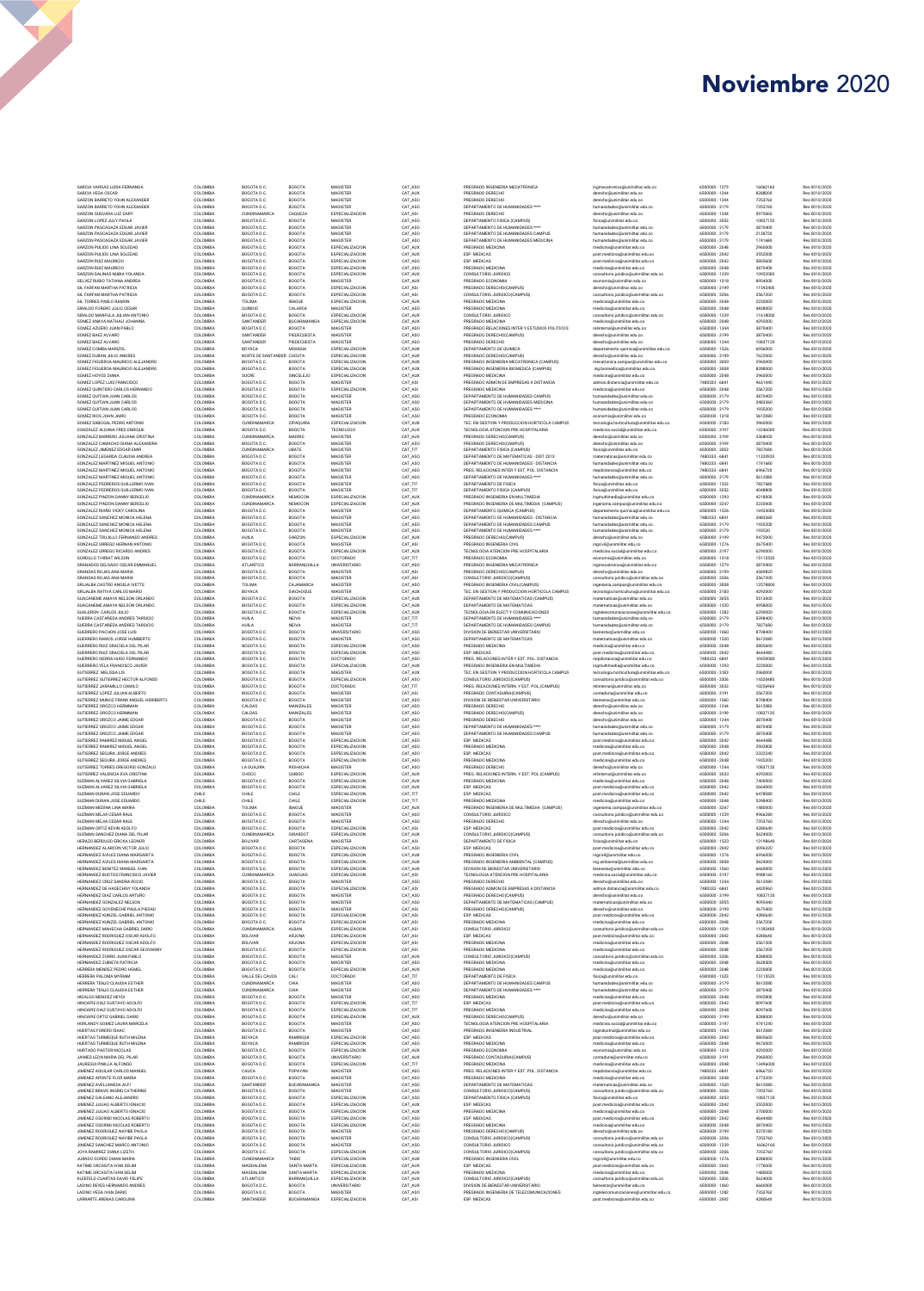# Febrero 2020 Noviembre 2020

| GARCIA VARGAS LUISA FERNANDA<br>GARCIA VEGA OSCAR                                  | COLOMBIA<br>COLOMBIA             | BOGOTA D.C.<br>BOGOTA D.C.               | BOGOTA<br>BOGOTA                    | MAGISTER<br>MAGISTER                         | CAT_ASO<br>CAT_AUX            | PREGRADO INGENIERIA MECATRONICA<br>PREGRADO DERECHO                                              | ingmecatronica@unimilitar.edu.co<br>derecho@unimilitar.edu.co                                             | 6500000 - 1279<br>6500000 - 1244                   | 16062160<br>8288000           | Res 0010/2020<br>Res 0010/2020                  |
|------------------------------------------------------------------------------------|----------------------------------|------------------------------------------|-------------------------------------|----------------------------------------------|-------------------------------|--------------------------------------------------------------------------------------------------|-----------------------------------------------------------------------------------------------------------|----------------------------------------------------|-------------------------------|-------------------------------------------------|
| GARZON BARRETO YOHN ALEXANDER                                                      | COLOMBIA                         | BOGOTA D.C.                              | BOGOTA                              | MAGISTER                                     | CAT_ASO                       | PREGRADO DERECHO                                                                                 | derecho@unimilitar.edu.co                                                                                 | 6500000 - 1244                                     | 7353760                       | Res 0010/2020                                   |
| GARZON BARRETO YOHN ALEXANDER<br>GARZON GUEVARA LUZ DARY                           | COLOMBIA<br>COLOMBIA             | BOGOTA D.C.<br><b>CUNDINAMARCA</b>       | BOGOTA<br>CAQUEZA                   | MAGISTER<br>ESPECIALIZACION                  | CAT_ASO<br>CAT_ASI            | DEPARTAMENTO DE HUMANIDADES ****<br>PREGRADO DERECHO                                             | humanidades@unimilitar.edu.co<br>derecho@unimilitar.edu.co                                                | 6500000 - 3179<br>6500000 - 1244                   | 7353760<br>5975060            | Res 0010/2020<br>Res 0010/2020                  |
| GARZON LOPEZ JULY PAOLA                                                            | COLOMBIA                         | BOGOTA D.C.                              | BOGOTA                              | MAGISTER                                     | CAT_ASO                       | DEPARTAMENTO FISICA (CAMPUS)                                                                     | fisica@unimilitar.edu.co                                                                                  | 6500000 - 3053                                     | 10837120                      | Res 0010/2020                                   |
| GARZON PASCAGAZA EDGAR JAVIER<br>GARZON PASCAGAZA EDGAR JAVIER                     | COLOMBIA<br>COLOMBIA             | BOGOTA D.C<br>BOGOTA D.C                 | BOGOTA<br>BOGOTA                    | MAGISTER<br>MAGISTER                         | CAT_ASO<br>CAT_ASO            | DEPARTAMENTO DE HUMANIDADES ****<br>DEPARTAMENTO DE HUMANIDADES CAMPUS                           | humanidades@unimilitar.edu.co<br>humanidades@unimilitar.edu.co                                            | 6500000 - 3179<br>6500000 - 3179                   | 3870400<br>2128720            | Res 0010/2020<br>Res 0010/2020                  |
| GARZON PASCAGAZA EDGAR JAVIER                                                      | COLOMBIA                         | BOGOTA D.C                               | BOGOTA                              | MAGISTER                                     | CAT_ASC                       | DEPARTAMENTO DE HUMANIDADES MEDICINA                                                             | humanidades@unimilitar.edu.co                                                                             | 6500000 - 3179                                     | 1741680                       | Res 0010/2020                                   |
| GARZON PULIDO LINA SOLEDAD<br>GARZON PULIDO LINA SOLEDAD                           | COLOMBIA<br>COLOMBIA             | BOGOTA D.C<br>BOGOTA D.C.                | BOGOTA<br>BOGOTA                    | ESPECIALIZACION<br>ESPECIALIZACION           | CAT_AUX<br>CAT_AUX            | PREGRADO MEDICINA<br>ESP. MEDICAS                                                                | medicina@unimilitar.edu.co<br>post.medicina@unimilitar.edu.co                                             | 6500000 - 2048<br>6500000 - 2042                   | 2960000<br>3552000            | Res 0010/2020<br>Res 0010/2020                  |
| GARZON RUIZ MAURICIO                                                               | COLOMBIA                         | BOGOTA D.C.                              | BOGOTA                              | ESPECIALIZACION                              | CAT_ASO                       | ESP. MEDICAS                                                                                     | post.medicina@unimilitar.edu.co                                                                           | 6500000 - 2042                                     | 5805600                       | Res 0010/2020                                   |
| GARZON RUIZ MAURICIO<br>GARZON SALINAS NUBIA YOLANDA                               | COLOMBIA<br>COLOMBIA             | BOGOTA D.C.<br>BOGOTA D.C.               | BOGOTA<br>BOGOTA                    | ESPECIALIZACION<br>ESPECIALIZACION           | CAT_ASO<br>CAT_AUX            | PREGRADO MEDICINA<br>CONSULTORIO JURIDICO                                                        | medicina@unimilitar.edu.co<br>consultorio.juridico@unimilitar.edu.co                                      | 6500000 - 2048<br>6500000 - 1239                   | 3870400<br>10952000           | Res 0010/2020<br>Res 0010/2020                  |
| GELVEZ RUBIO TATIANA ANDREA                                                        | COLOMBIA                         | BOGOTA D.C.                              | BOGOTA                              | MAGISTER                                     | CAT_AU                        | PREGRADO ECONOMIA                                                                                | economia@unimilitar.edu.co                                                                                | 6500000 - 1318                                     | 8954000                       | Res 0010/2020                                   |
| GIL FARFAN MARTHA PATRICIA<br>GIL FARFAN MARTHA PATRICIA                           | COLOMBIA<br>COLOMBIA             | BOGOTA D.C.<br>BOGOTA D.C.               | BOGOTA<br>BOGOTA                    | ESPECIALIZACION<br>ESPECIALIZACION           | CAT_ASI<br>CAT_ASI            | PREGRADO DERECHO(CAMPUS)<br>CONSULTORIO JURIDICO(CAMPUS)                                         | derecho@unimilitar.edu.co                                                                                 | 6500000 - 3199<br>6500000 - 3206                   | 11593400<br>3567200           | Res 0010/2020<br>Res 0010/2020                  |
| GIL TORRES PABLO RAMON                                                             | COLOMBIA                         | TOLIMA                                   | <b>IBAGUE</b>                       | ESPECIALIZACION                              | CAT_AU                        | PREGRADO MEDICINA                                                                                | consultorio.juridico@unimilitar.edu.co<br>medicina@unimilitar.edu.co                                      | 6500000 - 2048                                     | 2220000                       | Res 0010/2020                                   |
| GIRALDO FORERO JULIO CESAR                                                         | COLOMBIA                         | QUINDIO                                  | CALARCA                             | MAGISTER                                     | CAT_ASO                       | PREGRADO MEDICINA                                                                                | medicina@unimilitar.edu.co                                                                                | 6500000 - 2048                                     | 4838000                       | Res 0010/2020                                   |
| GIRALDO MANFULA JULIAN ANTONIO<br>GOMEZ ANAYA NATHALI JOHANNA                      | COLOMBIA<br>COLOMBIA             | BOGOTA D.C.<br>SANTANDER                 | BOGOTA<br><b>BUCARAMANGA</b>        | ESPECIALIZACION<br>ESPECIALIZACION           | CAT_AUX<br>CAT_AU             | CONSULTORIO JURIDICO<br>PREGRADO MEDICINA                                                        | consultorio.juridico@unimilitar.edu.co<br>medicina@unimilitar.edu.co                                      | 6500000 - 1239<br>6500000 - 2048                   | 11618000<br>4292000           | Res 0010/2020<br>Res 0010/2020                  |
| GOMEZ AZUERO JUAN PABLO<br>GOMEZ BAEZ ALVARO                                       | COLOMBIA<br>COLOMBIA             | BOGOTA D.C<br>SANTANDER                  | BOGOTA<br>PIEDECUESTA               | MAGISTER<br>MAGISTER                         | CAT_ASO<br>CAT_ASO            | PREGRADO RELACIONES INTER Y ESTUDIOS POLITICOS<br>PREGRADO DERECHO(CAMPUS)                       | relinternal@unimilitar.edu.co<br>derecho@unimilitar.edu.co                                                | 6500000 - 1344<br>6500000 - 3199                   | 3870400<br>3870400            | Res 0010/2020<br>Res 0010/2020                  |
| GOMEZ BAEZ ALVARO                                                                  | COLOMBIA                         | SANTANDER                                | PIEDECUESTA                         | MAGISTER                                     | CAT_ASO                       | PREGRADO DERECHO                                                                                 | derecho@unimilitar.edu.co                                                                                 | 6500000 - 1244                                     | 10837120                      | Res 0010/2020                                   |
| GOMEZ COMBA MARIZOL                                                                | COLOMBIA<br>COLOMBIA             | BOYACA                                   | MONGUA                              | ESPECIALIZACION<br>ESPECIALIZACION           | CAT_AUX                       | DEPARTAMENTO DE QUIMICA                                                                          | departamento.quimica@unimilitar.edu.co                                                                    | 6500000 - 1526                                     | 6956000                       | Res 0010/2020                                   |
| GOMEZ DURAN JULIO ANDRES<br>GOMEZ FIGUEROA MAURICIO ALEJANDRO                      | COLOMBIA                         | NORTE DE SANTANDER CUCUTA<br>BOGOTA D.C. | <b>BOGOTA</b>                       | ESPECIALIZACION                              | CAT_AUX<br>CAT_AUX            | PREGRADO DERECHO(CAMPUS)<br>PREGRADO INGENIERIA MECATRONICA (CAMPUS)                             | derecho@unimilitar.edu.co<br>mecatronica.campus@unimilitar.edu.co                                         | 6500000-3199<br>6500000 - 3009                     | 7622000<br>2960000            | Res 0010/2020<br>Res 0010/2020                  |
| GOMEZ FIGUEROA MAURICIO ALEJANDRO                                                  | COLOMBIA                         | BOGOTA D.C.<br>SUCRE                     | BOGOTA                              | ESPECIALIZACION<br>ESPECIALIZACION           | CAT_AUX                       | PREGRADO INGENIERIA BIOMEDICA (CAMPUS)                                                           | ing.biomedica@unimilitar.edu.co                                                                           | 6500000 - 3008<br>6500000 - 2048                   | 8288000                       | Res 0010/2020                                   |
| GOMEZ HOYOS DIANA<br>GOMEZ LOPEZ LUIS FRANCISCO                                    | COLOMBIA<br>COLOMBIA             | BOGOTA D.C.                              | SINCELEJO<br>BOGOTA                 | MAGISTER                                     | CAT_AUX<br>CAT_ASI            | PREGRADO MEDICINA<br>PREGRADO ADMON DE EMPRESAS A DISTANCIA                                      | medicina@unimilitar.edu.co<br>admon.distancia@unimilitar.edu.co                                           | 7480333 - 6841                                     | 2960000<br>9631440            | Res 0010/2020<br>Res 0010/2020                  |
| GOMEZ QUINTERO CARLOS HERNANDO                                                     | COLOMBIA<br>COLOMBIA             | BOGOTA D.C.<br>BOGOTA D.C.               | BOGOTA                              | ESPECIALIZACION<br>MAGISTER                  | CAT_ASI<br>CAT_ASO            | PREGRADO MEDICINA<br>DEPARTAMENTO DE HUMANIDADES CAMPUS                                          | medicina@unimilitar.edu.co<br>humanidades@unimilitar.edu.co                                               | 6500000 - 2048<br>6500000 - 3179                   | 3567200                       | Res 0010/2020                                   |
| GOMEZ QUITIAN JUAN CARLOS<br>GOMEZ QUITIAN JUAN CARLOS                             | COLOMBIA                         | BOGOTA D.C.                              | BOGOTA<br>BOGOTA                    | MAGISTER                                     | CAT_ASO                       | DEPARTAMENTO DE HUMANIDADES MEDICINA                                                             | humanidades@unimilitar.edu.co                                                                             | 6500000 - 3179                                     | 3870400<br>3483360            | Res 0010/2020<br>Res 0010/2020                  |
| GOMEZ QUITIAN JUAN CARLOS<br>GOMEZ RIOS JOHN JAIRO                                 | COLOMBIA<br>COLOMBIA             | BOGOTA D.C.<br>BOGOTA D.C.               | BOGOTA<br><b>BOGOTA</b>             | MAGISTER<br>MAGISTER                         | CAT_ASO<br>CAT ASO            | DEPARTAMENTO DE HUMANIDADES ****<br>PREGRADO ECONOMIA                                            | humanidades@unimilitar.edu.co<br>economia@unimilitar.edu.co                                               | 6500000-3179<br>6500000-1318                       | 1935200<br>5612080            | Res 0010/2020<br>Res 0010/2020                  |
| GOMEZ SABOGAL PEDRO ANTONIO                                                        | COLOMBIA                         | <b>CUNDINAMARCA</b>                      | <b>ZIPAQUIRA</b>                    | ESPECIALIZACION                              | CAT AUX                       | TEC. EN GESTION Y PRODUCCION HORTICOLA CAMPUS                                                    | tecnologia.horticultura@unimilitar.edu.co                                                                 | 6500000 - 3183                                     | 2960000                       | Res 0010/2020                                   |
| GONZALEZ ALDANA FRED ENRIQUE<br>GONZALEZ BARRERO JULIANA CRISTINA                  | COLOMBIA<br>COLOMBIA             | BOGOTA D.C.<br><b>CUNDINAMARCA</b>       | <b>BOGOTA</b><br>MADRID             | <b>TECNOLOGO</b><br>MAGISTER                 | CAT AUX<br>CAT AUX            | TECNOLOGIA ATENCION PRE HOSPITALARIA<br>PREGRADO DERECHO(CAMPUS)                                 | medicina.social@unimilitar.edu.co<br>derecho@unimilitar.edu.co                                            | 6500000 - 3197<br>6500000 - 3199                   | 13246000<br>2368000           | Res 0010/2020<br>Res 0010/2020                  |
| GONZALEZ CAMACHO DIANA ALEXANDRA                                                   | COLOMBIA                         | BOGOTA D.C.                              | BOGOTA                              | MAGISTER                                     | CAT ASO                       | PREGRADO DERECHO(CAMPUS)                                                                         | derecho@unimilitar.edu.co                                                                                 | 6500000 - 3199                                     | 3870400                       | Res 0010/2020                                   |
| GONZALEZ JIMENEZ EDGAR EMIR<br>GONZALEZ LEGARDA CLAUDIA ANDREA                     | COLOMBIA<br>COLOMBIA             | <b>CUNDINAMARCA</b><br>BOGOTA D.C.       | UBATE<br>BOGOTA                     | MAGISTER<br>MAGISTER                         | CAT TIT<br>CAT ASO            | DEPARTAMENTO FISICA (CAMPUS)<br>DEPARTAMENTO DE MATEMATICAS - DIST 2013                          | fisica@unimilitar.edu.co                                                                                  | 6500000 - 3053<br>7480333 - 6841                   | 7827680<br>11320920           | Res 0010/2020<br>Res 0010/2020                  |
| GONZALEZ MARTINEZ MIGUEL ANTONIO                                                   | COLOMBIA                         | BOGOTA D.C.                              | BOGOTA                              | MAGISTER                                     | CAT ASO                       | DEPARTAMENTO DE HUMANIDADES - DISTANCIA                                                          | matematicas@unimilitar.edu.co<br>humanidades@unimilitar.edu.co                                            | 7480333 - 6841                                     | 1741680                       | Res 0010/2020                                   |
| GONZALEZ MARTINEZ MIGUEL ANTONIO<br>GONZALEZ MARTINEZ MIGUEL ANTONIO               | COLOMBIA<br>COLOMBIA             | BOGOTA D.C.<br>BOGOTA D.C.               | BOGOTA<br>BOGOTA                    | MAGISTER<br>MAGISTER                         | CAT ASO<br>CAT ASO            | PREG. RELACIONES INTER Y EST. POL. DISTANCIA<br>DEPARTAMENTO DE HUMANIDADES ****                 | riepdistancia@unimilitar.edu.co<br>humanidades@unimilitar.edu.co                                          | 7480333 - 6841<br>6500000 - 3179                   | 6966720<br>5612080            | Res 0010/2020                                   |
| GONZALEZ PEDREROS GUILLERMO IVAN                                                   | COLOMBIA                         | BOGOTA D.C.                              | <b>BOGOTA</b>                       | MAGISTER                                     | CAT TIT                       | DEPARTAMENTO DE FISICA                                                                           | fisica@unimilitar.edu.co                                                                                  | 6500000 - 1523                                     | 7827680                       | Res 0010/2020<br>Res 0010/2020                  |
| GONZALEZ PEDREROS GUILLERMO IVAN                                                   | COLOMBIA                         | BOGOTA D.C.                              | <b>BOGOTA</b>                       | MAGISTER                                     | CAT TIT                       | DEPARTAMENTO FISICA (CAMPUS)                                                                     | fisica@unimilitar.edu.co                                                                                  | 6500000 - 3053                                     | 4048800                       | Res 0010/2020<br>Res 0010/2020                  |
| GONZALEZ PINZON DANNY BERCELIO<br>GONZALEZ PINZON DANNY BERCELIO                   | COLOMBIA<br>COLOMBIA             | <b>CUNDINAMARCA</b><br>CUNDINAMARCA      | NEMOCON<br>NEMOCON                  | ESPECIALIZACION<br>ESPECIALIZACION           | CAT AUX<br>CAT AUX            | PREGRADO INGENIERIA EN MULTIMEDIA<br>PREGRADO INGENIERIA DE MULTIMEDIA (CAMPUS)                  | ingmultimedia@unimilitar.edu.co<br>ingenieria.campus@unimilitar.edu.co                                    | 6500000 - 1293<br>6500000-3247                     | 4218000<br>2220000            | Res 0010/2020                                   |
| GONZALEZ RIAÑO VICKY CAROLINA                                                      | COLOMBIA                         | BOGOTA D.C.                              | <b>BOGOTA</b>                       | MAGISTER                                     | CAT_ASO                       | DEPARTAMENTO QUIMICA (CAMPUS)                                                                    | departamento.quimica@unimilitar.edu.co                                                                    | 6500000 - 1526                                     | 16933000                      | Res 0010/2020                                   |
| GONZALEZ SANCHEZ MONICA HELENA<br>GONZALEZ SANCHEZ MONICA HELENA                   | COLOMBIA<br>COLOMBIA             | BOGOTA D.C.<br>BOGOTA D.C.               | BOGOTA<br><b>BOGOTA</b>             | MAGISTER<br>MAGISTER                         | CAT_ASO<br>CAT_ASO            | DEPARTAMENTO DE HUMANIDADES - DISTANCIA<br>DEPARTAMENTO DE HUMANIDADES CAMPUS                    | humanidades@unimilitar.edu.co<br>humanidades@unimilitar.edu.co                                            | 7480333 - 6841<br>6500000 - 3179                   | 3483360<br>1935200            | Res 0010/2020<br>Res 0010/2020                  |
| GONZALEZ SANCHEZ MONICA HELENA                                                     | COLOMBIA                         | BOGOTA D.C.                              | BOGOTA                              | MAGISTER                                     | CAT_ASO                       | DEPARTAMENTO DE HUMANIDADES ****                                                                 | humanidades@unimilitar.edu.co                                                                             | 6500000-3179                                       | 193520                        | Res 0010/2020                                   |
| GONZALEZ TRUJILLO FERNANDO ANDRES<br>GONZALEZ URREGO HERNAN ANTONIO                | COLOMBIA<br>COLOMBIA             | HUILA<br>BOGOTA D.C.                     | GARZON<br><b>BOGOTA</b>             | ESPECIALIZACION<br>MAGISTER                  | CAT_AUX<br>CAT_ASI            | PREGRADO DERECHO(CAMPUS)<br>PREGRADO INGENIERIA CIVIL                                            | derecho@unimilitar.edu.co<br>ingcivil@unimilitar.edu.co                                                   | 6500000-3199<br>6500000 - 1276                     | 9472000<br>2675400            | Res 0010/2020<br>Res 0010/2020                  |
| GONZALEZ URREGO RICARDO ANDRES                                                     | COLOMBIA                         | BOGOTA D.C.                              | BOGOTA                              | ESPECIALIZACION                              | CAT_AUX                       | TECNOLOGIA ATENCION PRE HOSPITALARIA                                                             | medicina.social@unimilitar.edu.co                                                                         | 6500000-3197                                       | 6290000                       | Res 0010/2020                                   |
| GORDILLO THIRIAT WILSON<br>GRANADOS DELGADO OSCAR EMMANUEL                         | COLOMBIA<br>COLOMBIA             | BOGOTA D.C.<br>ATLANTICO                 | <b>BOGOTA</b><br>BARRANQUILLA       | DOCTORADO<br>UNIVERSITARIO                   | CAT_TIT<br>CAT_ASO            | PREGRADO ECONOMIA<br>PREGRADO INGENIERIA MECATRONICA                                             | economia@unimilitar.edu.co<br>ingmecatronica@unimilitar.edu.co                                            | 6500000 - 1318<br>6500000 - 1279                   | 15115520<br>3870400           | Res 0010/2020<br>Res 0010/2020                  |
| GRANDAS ROJAS ANA MARIA                                                            | COLOMBIA                         | BOGOTA D.C.                              | <b>BOGOTA</b>                       | MAGISTER                                     | CAT_ASI                       | PREGRADO DERECHO(CAMPUS)                                                                         | derecho@unimilitar.edu.co                                                                                 | 6500000-3199                                       | 4369820                       | Res 0010/2020                                   |
| GRANDAS ROJAS ANA MARIA<br>GRIJALBA CASTRO ANGELA IVETTE                           | COLOMBIA<br>COLOMBIA             | BOGOTA D.C.<br>TOLIMA                    | <b>BOGOTA</b><br>CAJAMARCA          | MAGISTER<br>MAGISTER                         | CAT_ASI<br>CAT_ASO            | CONSULTORIO JURIDICO(CAMPUS)<br>PREGRADO INGENIERIA CIVIL(CAMPUS)                                | consultorio.iuridico@unimilitar.edu.co<br>ingenieria.campus@unimilitar.edu.co                             | 6500000 - 3206<br>6500000 - 3008                   | 3567200<br>12578800           | Res 0010/2020<br>Res 0010/2020                  |
| GRIJALBA RATIVA CARLOS MARIO                                                       | COLOMBIA                         | BOYACA                                   | SIACHOQUE                           | MAGISTER                                     | CAT_AUX                       | TEC. EN GESTION Y PRODUCCION HORTICOLA CAMPUS                                                    | tecnologia.horticultura@unimilitar.edu.co                                                                 | 6500000 - 3183                                     | 4292000                       | Res 0010/2020                                   |
| GUACANEME AMAYA NELSON ORLANDO<br>GUACANEME AMAYA NELSON ORLANDO                   | COLOMBIA<br>COLOMBIA             | BOGOTA D.C.<br>BOGOTA D.C.               | BOGOTA<br>BOGOTA                    | ESPECIALIZACION<br>ESPECIALIZACION           | CAT_AU<br>CAT_AUX             | DEPARTAMENTO DE MATEMATICAS (CAMPUS)<br>DEPARTAMENTO DE MATEMATICAS                              | matematicas@unimilitar.edu.co<br>matematicas@unimilitar.edu.co                                            | 6500000 - 3055<br>6500000 - 1520                   | 5513000<br>4958000            | Res 0010/2020<br>Res 0010/2020                  |
| GUALDRON CARLOS JULIO                                                              | COLOMBIA                         | BOGOTA D.C.                              | BOGOTA                              | ESPECIALIZACION                              | CAT_AU                        | TECNOLOGIA EN ELECT Y COMUNICACIONES                                                             | ingtelecomunicaciones@unimilitar.edu.co                                                                   | 6500000 - 1282                                     | 6290000                       | Res 0010/2020                                   |
| GUERRA CASTAÑEDA ANDRES TARSICIO<br>GUERRA CASTAÑEDA ANDRES TARSICIO               | COLOMBIA<br>COLOMBIA             | HUILA<br>HUILA                           | NEIVA<br>NEIVA                      | MAGISTER<br>MAGISTER                         | CAT_TIT<br>CAT_TIT            | DEPARTAMENTO DE HUMANIDADES ***<br>DEPARTAMENTO DE HUMANIDADES CAMPUS                            | humanidades@unimilitar.edu.co<br>humanidades@unimilitar.edu.co                                            | 6500000 - 3179<br>6500000 - 3179                   | 5398400<br>7827680            | Res 0010/2020<br>Res 0010/2020                  |
| GUERRERO PACHON JOSE LUIS                                                          | COLOMBIA                         | BOGOTA D.C.                              | BOGOTA                              | UNIVERSITARIO                                | CAT_ASC                       | DIVISION DE BIENESTAR UNIVERSITARIO                                                              | bienestar@unimilitar.edu.co                                                                               | 6500000 - 1060                                     | 8708400                       | Res 0010/2020                                   |
| GUERRERO RAMOS JORGE HUMBERTO<br>GUERRERO RUIZ GRACIELA DEL PILAR                  | COLOMBIA<br>COLOMBIA             | BOGOTA D.C<br>BOGOTA D.C                 | BOGOTA<br>BOGOTA                    | MAGISTER<br>ESPECIALIZACION                  | CAT_ASO<br>CAT_ASO            | DEPARTAMENTO DE MATEMATICAS<br>PREGRADO MEDICINA                                                 | matematicas@unimilitar.edu.co<br>medicina@unimilitar.edu.co                                               | 6500000 - 1520<br>6500000 - 2048                   | 5612080<br>5805600            | Res 0010/2020<br>Res 0010/2020                  |
| GUERRERO RUIZ GRACIELA DEL PILAR                                                   | COLOMBIA                         | BOGOTA D.C                               | BOGOTA                              | ESPECIALIZACION                              | CAT_ASO                       | ESP. MEDICAS                                                                                     | post.medicina@unimilitar.edu.co                                                                           | 6500000 - 2042                                     | 4644480                       | Res 0010/2020                                   |
| GUERRERO SIERRA HUGO FERNANDO<br>GUERRERO YELA FRANCISCO JAVIER                    | COLOMBIA<br>COLOMBIA             | BOGOTA D.C.<br>BOGOTA D.C.               | BOGOTA<br>BOGOTA                    | DOCTORADO<br>ESPECIALIZACION                 | CAT_ASO<br>CAT_AU             | PREG. RELACIONES INTER Y EST. POL. DISTANCIA<br>PREGRADO INGENIERIA EN MULTIMEDIA                | riepdistancia@unimilitar.edu.co<br>ingmultimedia@unimilitar.edu.co                                        | 7480333 - 6841<br>6500000 - 1293                   | 10450080<br>2220000           | Res 0010/2020<br>Res 0010/2020                  |
| GUTIERREZ MELISSA LIS                                                              | COLOMBIA                         | BOGOTA D.C.                              | BOGOTA                              | MAGISTER                                     | CAT_AU                        | TEC. EN GESTION Y PRODUCCION HORTICOLA CAMPUS                                                    | tecnologia.horticultura@unimilitar.edu.co                                                                 | 6500000 - 3183                                     | 2960000                       | Res 0010/2020                                   |
| GUTIERREZ GUTIERREZ HECTOR ALFONSO<br>GUTIERREZ JARAMILLO CAMILO                   | COLOMBIA<br>COLOMBIA             | BOGOTA D.C<br>BOGOTA D.C                 | BOGOTA<br>BOGOTA                    | ESPECIALIZACION<br>DOCTORADO                 | CAT_ASC<br>CAT_TIT            | CONSULTORIO JURIDICO(CAMPUS)<br>PREG. RELACIONES INTERN. Y EST. POL.(CAMPUS)                     | consultorio.juridico@unimilitar.edu.co                                                                    | 6500000 - 3206<br>6500000 - 3033                   | 14320480<br>10256960          | Res 0010/2020<br>Res 0010/2020                  |
| GUTIERREZ LOPEZ JULIAN ALBERTO                                                     | COLOMBIA                         | BOGOTA D.C                               | BOGOTA                              | MAGISTER                                     | CAT_ASI                       | PREGRADO CONTADURIA(CAMPUS)                                                                      | relinternal@unimilitar.edu.co<br>contaduria@unimilitar.edu.co                                             | 6500000 - 3191                                     | 3567200                       | Res 0010/2020                                   |
| GUTIERREZ MUNOZ FRANK MIGUEL HERIBERTO<br>GUTIERREZ OROZCO HERMMAN                 | COLOMBIA                         | BOGOTA D.C<br>CALDAS                     | BOGOTA                              | MAGISTER<br>MAGISTER                         | CAT_ASO                       | DIVISION DE BIENESTAR UNIVERSITARIO                                                              | bienestar@unimilitar.edu.co                                                                               | 6500000 - 1060                                     | 8708400                       | Res 0010/2020                                   |
| GUTIERREZ OROZCO HERMMAN                                                           | COLOMBIA<br>COLOMBIA             | CALDAS                                   | MANIZALES<br>MANIZALES              | MAGISTER                                     | CAT_ASO<br>CAT_ASO            | PREGRADO DERECHO<br>PREGRADO DERECHO(CAMPUS)                                                     | derecho@unimilitar.edu.co<br>derecho@unimilitar.edu.co                                                    | 6500000 - 1244<br>6500000 - 3199                   | 5612080<br>10837120           | Res 0010/2020<br>Res 0010/2020                  |
| GUTIERREZ OROZCO JAIME EDGAR                                                       | COLOMBIA<br>COLOMBIA             | BOGOTA D.C.<br>BOGOTA D.C                | BOGOTA                              | MAGISTER<br>MAGISTER                         | CAT_ASO<br>CAT_ASO            | PREGRADO DERECHO                                                                                 | derecho@unimilitar.edu.co                                                                                 | 6500000 - 1244                                     | 3870400                       | Res 0010/2020                                   |
| GUTIERREZ OROZCO JAIME EDGAR<br>GUTIERREZ OROZCO JAIME EDGAR                       | COLOMBIA                         | BOGOTA D.C.                              | BOGOTA<br>BOGOTA                    | MAGISTER                                     | CAT_ASO                       | DEPARTAMENTO DE HUMANIDADES ****<br>DEPARTAMENTO DE HUMANIDADES CAMPUS                           | humanidades@unimilitar.edu.co<br>humanidades@unimilitar.edu.co                                            | 6500000 - 3179<br>6500000 - 3179                   | 3870400<br>3870400            | Res 0010/2020<br>Res 0010/2020                  |
| GUTIERREZ RAMIREZ MIGUEL ANGEL                                                     | COLOMBIA                         | BOGOTA D.C.                              | BOGOTA                              | ESPECIALIZACION                              | CAT_ASO                       | ESP. MEDICAS                                                                                     | post.medicina@unimilitar.edu.co                                                                           | 6500000 - 2042                                     | 4644480                       | Res 0010/2020                                   |
| GUTIERREZ RAMIREZ MIGUEL ANGEL<br>GUTIERREZ SEGURA JORGE ANDRES                    | COLOMBIA<br>COLOMBIA             | BOGOTA D.C.<br>BOGOTA D.C.               | BOGOTA<br>BOGOTA                    | ESPECIALIZACION<br>ESPECIALIZACION           | CAT_ASO<br>CAT_ASO            | PREGRADO MEDICINA<br>ESP. MEDICAS                                                                | medicina@unimilitar.edu.co<br>post.medicina@unimilitar.edu.co                                             | 6500000 - 2048<br>6500000 - 2042                   | 2902800<br>2322240            | Res 0010/2020<br>Res 0010/2020                  |
| GUTIERREZ SEGURA JORGE ANDRES                                                      | COLOMBIA                         | BOGOTA D.C.                              | BOGOTA                              | ESPECIALIZACION                              | CAT_ASO                       | PREGRADO MEDICINA                                                                                | medicina@unimilitar.edu.co                                                                                | 6500000 - 2048                                     | 1935200                       | Res 0010/2020                                   |
| GUTIERREZ TORRES GREGORIO GONZALO<br>GUTIERREZ VALENCIA EVA CRISTINA               | COLOMBIA<br>COLOMBIA             | LA GUAJIRA<br>CHOCO                      | RIOHACHA<br>QUIBDO                  | MAGISTER<br>ESPECIALIZACION                  | CAT_ASO<br>CAT_AUX            | PREGRADO DERECHO<br>PREG. RELACIONES INTERN. Y EST. POL.(CAMPUS)                                 | derecho@unimilitar.edu.co<br>relinternal@unimilitar.edu.co                                                | 6500000 - 1244<br>6500000 - 3033                   | 10837120<br>4292000           | Res 0010/2020<br>Res 0010/2020                  |
| GUZMAN ALVAREZ SILVIA GABRIELA<br>GUZMAN ALVAREZ SILVIA GARRIELA                   | COLOMBIA                         | BOGOTA D.C.                              | <b>BOGOTA</b>                       | ESPECIALIZACION                              | CAT_AUX                       | PREGRADO MEDICINA                                                                                | medicina@unimilitar.edu.co                                                                                | 6500000 - 2048                                     | 7400000                       | Res 0010/2020                                   |
| GUZMAN DURAN JOSE EDUARDO                                                          | COLOMBIA<br>CHILE                | BOGOTA D.C.<br>CHILE                     | <b>BOGOTA</b><br>CHILE              | ESPECIALIZACION<br>ESPECIALIZACION           | CAT AUX<br>CAT TIT            | ESP. MEDICAS<br>ESP. MEDICAS                                                                     | post.medicina@unimilitar.edu.co<br>post.medicina@unimilitar.edu.co                                        | 6500000 - 2042<br>6500000 - 2042                   | 2664000<br>6478080            | Res 0010/2020<br>Res 0010/2020                  |
| GUZMAN DURAN JOSE EDUARDO                                                          | CHILE                            | CHILE                                    | CHILE                               | ESPECIALIZACION                              | CAT TIT                       | PREGRADO MEDICINA                                                                                | medicina@unimilitar.edu.co                                                                                | 6500000 - 2048                                     | 5398400                       | Res 0010/2020                                   |
| GUZMAN MEDINA LINA MARIA<br>GUZMAN MEJIA CESAR RAUL                                | COLOMBIA<br>COLOMBIA             | TOLIMA<br>BOGOTA D.C.                    | <b>IBAGUE</b><br><b>BOGOTA</b>      | MAGISTER<br>MAGISTER                         | CAT AUX<br>CAT ASO            | PREGRADO INGENIERIA DE MULTIMEDIA (CAMPUS)<br>CONSULTORIO JURIDICO                               | ingenieria.campus@unimilitar.edu.co<br>consultorio.juridico@unimilitar.edu.co                             | 6500000 - 3247<br>6500000 - 1239                   | 1480000<br>9966280            | Res 0010/2020<br>Res 0010/2020                  |
| GUZMAN MEJIA CESAR RAUL                                                            | COLOMBIA                         | BOGOTA D.C.                              | <b>BOGOTA</b>                       | MAGISTER                                     | CAT ASO                       | PREGRADO DERECHO                                                                                 | derecho@unimilitar.edu.co                                                                                 | 6500000 - 1244                                     | 7353760                       | Res 0010/2020                                   |
| GUZMAN ORTIZ KEVIN ADOLED<br>GUZMAN SANCHEZ DIANA DEL PILAR                        | COLOMBIA<br>COLOMBIA             | BOGOTA D.C.<br>CLINDINAMARCA             | <b>BOGOTA</b><br>GIRARDOT           | ESPECIALIZACION<br>ESPECIALIZACION           | CAT ASI<br>CAT AUX            | ESP. MEDICAS<br>CONSULTORIO JURIDICO(CAMPUS)                                                     | post.medicina@unimilitar.edu.co<br>consultorio.juridico@unimilitar.edu.co                                 | 6500000 - 2042<br>6500000 - 3206                   | 4280640<br>5624000            | Res 0010/2020<br>Res 0010/2020                  |
| HERAZO BERDUGO ERICKA I FONOR                                                      | COLOMBIA                         | <b>BOLIVAR</b>                           | CARTAGENA                           | MAGISTER                                     | CAT ASI                       | DEPARTAMENTO DE FISICA                                                                           | fisica@unimilitar.edu.co                                                                                  | 6500000 - 1523                                     | 13198640                      | Res 0010/2020                                   |
| HERNANDEZ ALARCON VICTOR JULIO<br>HERNANDEZ AVILES DIANA MARGARITA                 | COLOMBIA<br>COLOMBIA             | BOGOTA D.C.<br>BOGOTA D.C.               | <b>BOGOTA</b><br><b>BOGOTA</b>      | ESPECIALIZACION<br>ESPECIALIZACION           | CAT_ASO<br>CAT_AUX            | ESP. MEDICAS<br>PREGRADO INGENIERIA CIVIL                                                        | post.medicina@unimilitar.edu.co<br>ingcivil@unimilitar.edu.co                                             | 6500000 - 2042<br>6500000 - 1276                   | 3096320<br>6956000            | Res 0010/2020<br>Res 0010/2020                  |
| HERNANDEZ AVILES DIANA MARGARITA                                                   | COLOMBIA                         | BOGOTA D.C.                              | <b>BOGOTA</b>                       | ESPECIALIZACION                              | CAT AUX                       | PREGRADO INGENIERIA AMBIENTAL (CAMPUS)                                                           | ing.ambiental@unimilitar.edu.co                                                                           | 6500000 - 3008                                     | 5624000                       | Res 0010/2020                                   |
| HERNANDEZ BENITEZ MANUEL IVAN<br>HERNANDEZ BUSTOS FRANCISCO JAVIER                 | COLOMBIA<br>COLOMBIA             | BOGOTA D.C.<br><b>CUNDINAMARCA</b>       | <b>BOGOTA</b><br><b>GUADUAS</b>     | ESPECIALIZACION<br>ESPECIALIZACION           | CAT_AUX<br>CAT_ASI            | DIVISION DE BIENESTAR UNIVERSITARIO<br>TECNOLOGIA ATENCION PRE HOSPITALARIA                      | bienestar@unimilitar.edu.co<br>medicina.social@unimilitar.edu.co                                          | 6500000 - 1060<br>6500000-3197                     | 6660000<br>9988160            | Res 0010/2020<br>Res 0010/2020                  |
| HERNANDEZ CRUZ SANDRA ROCIO                                                        | COLOMBIA                         | BOGOTA D.C.                              | BOGOTA                              | MAGISTER                                     | CAT_ASO                       | PREGRADO DERECHO                                                                                 | derecho@unimilitar.edu.co                                                                                 | 6500000 - 1244                                     | 5612080                       | Res 0010/2020                                   |
| HERNANDEZ DE HADECHNY YOLANDA<br>HERNANDEZ DIAZ CARLOS ARTURO                      | COLOMBIA<br>COLOMBIA             | BOGOTA D.C.<br>BOGOTA D.C.               | <b>BOGOTA</b><br><b>BOGOTA</b>      | ESPECIALIZACION<br>MAGISTER                  | CAT_ASI<br>CAT_ASO            | PREGRADO ADMON DE EMPRESAS A DISTANCIA<br>PREGRADO DERECHO(CAMPUS)                               | admon.distancia@unimilitar.edu.co<br>derecho@unimilitar.edu.co                                            | 7480333 - 6841<br>6500000 - 3199                   | 6420960<br>10837120           | Res 0010/2020<br>Res 0010/2020                  |
| HERNANDEZ GONZALEZ NELSON                                                          | COLOMBIA                         | BOGOTA D.C.                              | <b>BOGOTA</b>                       | MAGISTER                                     | CAT_ASO                       | DEPARTAMENTO DE MATEMATICAS (CAMPUS)                                                             | matematicas@unimilitar.edu.co                                                                             | 6500000 - 3055                                     | 9095440                       | Res 0010/2020                                   |
| HERNANDEZ GOYENECHE PAULA PIEDAD<br>HERNANDEZ KUNZEL GABRIEL ANTONIO               | COLOMBIA<br>COLOMBIA             | BOGOTA D.C.<br>BOGOTA D.C.               | <b>BOGOTA</b><br><b>BOGOTA</b>      | MAGISTER<br>ESPECIALIZACION                  | CAT_ASI<br>CAT_ASI            | PREGRADO DERECHO(CAMPUS)<br>ESP. MEDICAS                                                         | derecho@unimilitar.edu.co<br>post.medicina@unimilitar.edu.co                                              | 6500000 - 3199<br>6500000 - 2042                   | 2675400<br>4280640            | Res 0010/2020<br>Res 0010/2020                  |
| HERNANDEZ KUNZEL GABRIEL ANTONIO                                                   | COLOMBIA                         | BOGOTA D.C.                              | BOGOTA                              | ESPECIALIZACION                              | CAT_ASI                       | PREGRADO MEDICINA                                                                                | medicina@unimilitar.edu.co                                                                                | 6500000 - 2048                                     | 3567200                       | Res 0010/2020                                   |
| HERNANDEZ MAHECHA GABRIEL DARIO<br>HERNANDEZ RODRIGUEZ OSCAR ADOLFO                | COLOMBIA<br>COLOMBIA             | <b>CUNDINAMARCA</b><br><b>BOLIVAR</b>    | ALBAN<br>ARJONA                     | ESPECIALIZACION<br>ESPECIALIZACION           | CAT_ASI<br>CAT_ASI            | CONSULTORIO JURIDICO<br>ESP. MEDICAS                                                             | consultorio.juridico@unimilitar.edu.co<br>post.medicina@unimilitar.edu.co                                 | 6500000 - 1239<br>6500000 - 2042                   | 11593400<br>4280640           | Res 0010/2020<br>Res 0010/2020                  |
| HERNANDEZ RODRIGUEZ OSCAR ADOLFO                                                   | COLOMBIA                         | <b>BOLIVAR</b>                           | ARJONA                              | ESPECIALIZACION                              | CAT_ASI                       | PREGRADO MEDICINA                                                                                | medicina@unimilitar.edu.co                                                                                | 6500000 - 2048                                     | 3567200                       | Res 0010/2020                                   |
| HERNANDEZ RODRIGUEZ OSCAR GEOVANNY<br>HERNANDEZ ZORRO JUAN PABLO                   | COLOMBIA<br>COLOMBIA             | BOGOTA D.C.<br>BOGOTA D.C.               | BOGOTA<br>BOGOTA                    | ESPECIALIZACION<br>MAGISTER                  | CAT_ASI<br>CAT_AUX            | PREGRADO MEDICINA<br>CONSULTORIO JURIDICO(CAMPUS)                                                | medicina@unimilitar.edu.co<br>consultorio.juridico@unimilitar.edu.co                                      | 6500000 - 2048<br>6500000 - 3206                   | 3567200<br>8288000            | Res 0010/2020<br>Res 0010/2020                  |
| HERNANDEZ ZUBIETA PATRICIA                                                         | COLOMBIA                         | BOGOTA D.C.                              | BOGOTA                              | MAGISTER                                     | CAT_ASO                       | PREGRADO MEDICINA                                                                                | medicina@unimilitar.edu.co                                                                                | 6500000 - 2048                                     | 3628500                       | Res 0010/2020                                   |
| HERRERA MENDEZ PEDRO HEMEL<br>HERRERA PALOMA MYRIAM                                | COLOMBIA<br>COLOMBIA             | BOGOTA D.C<br>VALLE DEL CAUCA            | BOGOTA<br>CALI                      | ESPECIALIZACION<br>DOCTORADO                 | CAT_AUX<br>CAT_TIT            | PREGRADO MEDICINA<br>DEPARTAMENTO DE FISICA                                                      | medicina@unimilitar.edu.co<br>fisica@unimilitar.edu.co                                                    | 6500000 - 2048<br>6500000 - 1523                   | 2220000<br>15115520           | Res 0010/2020<br>Res 0010/2020                  |
| HERRERA TENJO CLAUDIA ESTHER                                                       | COLOMBIA                         | <b>CUNDINAMARCA</b>                      | CHIA                                | MAGISTER                                     | CAT_ASO                       | DEPARTAMENTO DE HUMANIDADES CAMPUS                                                               | humanidades@unimilitar.edu.co                                                                             | 6500000 - 3179                                     | 5612080                       | Res 0010/2020                                   |
| HERRERA TENJO CLAUDIA ESTHER<br>HIDALGO MENDEZ HEYDI                               | COLOMBIA<br>COLOMBIA             | CUNDINAMARCA<br>BOGOTA D.C.              | CHIA<br>BOGOTA                      | MAGISTER<br>MAGISTER                         | CAT_ASO<br>CAT_ASC            | DEPARTAMENTO DE HUMANIDADES ***<br>PREGRADO MEDICINA                                             | humanidades@unimilitar.edu.co<br>medicina@unimilitar.edu.co                                               | 6500000 - 3179<br>6500000 - 2048                   | 3870400<br>2902800            | Res 0010/2020<br>Res 0010/2020                  |
| HINCAPIE DIAZ GUSTAVO ADOLFO                                                       | COLOMBIA                         | BOGOTA D.C.                              | BOGOTA                              | ESPECIALIZACION                              | CAT_TIT                       | ESP. MEDICAS                                                                                     | post.medicina@unimilitar.edu.co                                                                           | 6500000 - 2042                                     | 8097600                       | Res 0010/2020                                   |
| HINCAPIE DIAZ GUSTAVO ADOLFO<br>HINCAPIE ORTIZ GABRIEL DARIO                       | COLOMBIA<br>COLOMBIA             | BOGOTA D.C.<br>BOGOTA D.C.               | BOGOTA<br>BOGOTA                    | ESPECIALIZACION<br>ESPECIALIZACION           | CAT_TIT<br>CAT_AU             | PREGRADO MEDICINA<br>PREGRADO DERECHO(CAMPUS)                                                    | medicina@unimilitar.edu.co<br>derecho@unimilitar.edu.co                                                   | 6500000 - 2048<br>6500000 - 3199                   | 8097600<br>8288000            | Res 0010/2020<br>Res 0010/2020                  |
| HORLANDY GOMEZ LAURA MARCELA                                                       | COLOMBIA                         | BOGOTA D.C.                              | BOGOTA                              | MAGISTER                                     | CAT_ASC                       | TECNOLOGIA ATENCION PRE HOSPITALARIA                                                             | medicina.social@unimilitar.edu.co                                                                         | 6500000 - 3197                                     | 4741240                       | Res 0010/2020                                   |
| HUERTAS FORERO ISAAC                                                               | COLOMBIA                         | BOGOTA D.C.                              | BOGOTA                              | MAGISTER                                     | CAT_ASO                       | PREGRADO INGENIERIA INDUSTRIAL                                                                   | ingindustrial@unimilitar.edu.co                                                                           | 6500000 - 1264                                     | 5612080                       | Res 0010/2020                                   |
| HUERTAS TURMEQUE RUTH MILENA<br>HUERTAS TURMEQUE RUTH MILENA                       | COLOMBIA<br>COLOMBIA             | BOYACA<br>BOYACA                         | RAMIRIQUI<br>RAMIRIQUI              | ESPECIALIZACION<br>ESPECIALIZACION           | CAT_ASO<br>CAT_ASO            | ESP. MEDICAS<br>PREGRADO MEDICINA                                                                | post.medicina@unimilitar.edu.co<br>medicina@unimilitar.edu.co                                             | 6500000 - 2042<br>6500000 - 2048                   | 5805600<br>9676000            | Res 0010/2020<br>Res 0010/2020                  |
| <b>HURTADO PASTOR NICOLAS</b>                                                      | COLOMBIA                         | BOGOTA D.C.                              | BOGOTA                              | ESPECIALIZACION                              | CAT_AU                        | PREGRADO ECONOMIA                                                                                | economia@unimilitar.edu.co                                                                                | 6500000 - 1318                                     | 4292000                       | Res 0010/2020                                   |
| JAIMES LEON MARIA DEL PILAR<br>JAUREGUI PINILLA ALFONSO                            | COLOMBIA<br>COLOMBIA             | BOGOTA D.C.<br>BOGOTA D.C.               | <b>BOGOTA</b><br><b>BOGOTA</b>      | <b>UNIVERSITARIO</b><br>ESPECIALIZACION      | CAT_AUX<br>CAT_TIT            | PREGRADO CONTADURIA(CAMPUS)<br>PREGRADO MEDICINA                                                 | contaduria@unimilitar.edu.co<br>medicina@unimilitar.edu.co                                                | 6500000 - 3191<br>6500000 - 2048                   | 2960000<br>13496000           | Res 0010/2020<br>Res 0010/2020                  |
| JIMENEZ AGUILAR CARLOS MANUEL                                                      | COLOMBIA                         | CAUCA                                    | POPAYAN                             | MAGISTER                                     | CAT_ASO                       | PREG. RELACIONES INTER Y EST. POL. DISTANCIA                                                     | riepdistancia@unimilitar.edu.co                                                                           | 7480333 - 6841                                     | 6966720                       | Res 0010/2020                                   |
| JIMENEZ APONTE FLOR MARIA<br>JIMENEZ AVELLANEDA ALFI                               | COLOMBIA<br>COLOMBIA             | BOGOTA D.C.<br>SANTANDER                 | <b>BOGOTA</b><br><b>BUCARAMANGA</b> | MAGISTER<br>MAGISTER                         | CAT_ASO<br>CAT_ASO            | PREGRADO MEDICINA<br>DEPARTAMENTO DE MATEMATICAS                                                 | medicina@unimilitar.edu.co<br>matematicas@unimilitar.edu.co                                               | 6500000 - 2048<br>6500000 - 1520                   | 6773200<br>5612080            | Res 0010/2020<br>Res 0010/2020                  |
| JIMENEZ BRAVO INGRID CATHERINE                                                     | COLOMBIA                         | BOGOTA D.C.                              | <b>BOGOTA</b>                       | MAGISTER                                     | CAT_ASO                       | CONSULTORIO JURIDICO(CAMPUS)                                                                     | consultorio.juridico@unimilitar.edu.co                                                                    | 6500000 - 3206                                     | 7353760                       | Res 0010/2020                                   |
| JIMENEZ GALEANO ALEJANDRO<br>JIMENEZ JULIAO ALBERTO IGNACIO                        | COLOMBIA<br>COLOMBIA             | BOGOTA D.C.<br>BOGOTA D.C.               | <b>BOGOTA</b><br><b>BOGOTA</b>      | ESPECIALIZACION<br>ESPECIALIZACION           | CAT_ASO<br>CAT_AUX            | DEPARTAMENTO FISICA (CAMPUS)<br>ESP. MEDICAS                                                     | fisica@unimilitar.edu.co<br>post.medicina@unimilitar.edu.co                                               | 6500000 - 3053<br>6500000 - 2042                   | 10837120<br>3552000           | Res 0010/2020<br>Res 0010/2020                  |
| JIMENEZ JULIAO ALBERTO IGNACIO                                                     | COLOMBIA                         | BOGOTA D.C.                              | BOGOTA                              | ESPECIALIZACION                              | CAT_AUX                       | PREGRADO MEDICINA                                                                                | medicina@unimilitar.edu.cc                                                                                | 6500000 - 2048                                     | 3700000                       | Res 0010/2020                                   |
| JIMENEZ OSORNO NICOLAS ROBERTO<br>JIMENEZ OSORNO NICOLAS ROBERTO                   | COLOMBIA<br>COLOMBIA             | BOGOTA D.C.<br>BOGOTA D.C.               | <b>BOGOTA</b><br><b>BOGOTA</b>      | ESPECIALIZACION<br>ESPECIALIZACION           | CAT_ASO<br>CAT_ASO            | ESP. MEDICAS<br>PREGRADO MEDICINA                                                                | post.medicina@unimilitar.edu.co<br>medicina@unimilitar.edu.co                                             | 6500000 - 2042<br>6500000 - 2048                   | 4644480<br>3870400            | Res 0010/2020<br>Res 0010/2020                  |
| JIMENEZ RODRIGUEZ NAYIBE PAOLA                                                     | COLOMBIA                         | BOGOTA D.C.                              | <b>BOGOTA</b>                       | <b>MAGISTER</b>                              | CAT_ASO                       | PREGRADO DERECHO(CAMPUS)                                                                         | derecho@unimilitar.edu.co                                                                                 | 6500000 - 3199                                     | 5370180                       | Res 0010/2020                                   |
| JIMENEZ RODRIGUEZ NAYIBE PAOLA<br>JIMENEZ SANCHEZ MARCO ANTONIO                    | COLOMBIA<br>COLOMBIA             | BOGOTA D.C.<br>BOGOTA D.C.               | <b>BOGOTA</b><br><b>BOGOTA</b>      | MAGISTER<br>MAGISTER                         | CAT ASO<br>CAT ASO            | CONSULTORIO JURIDICO(CAMPUS)<br>CONSULTORIO JURIDICO                                             | consultorio.juridico@unimilitar.edu.co<br>consultorio.juridico@unimilitar.edu.co                          | 6500000 - 3206<br>6500000 - 1239                   | 7353760<br>16062160           | Res 0010/2020<br>Res 0010/2020                  |
| JOYA RAMIREZ DIANA LIZETH                                                          | COLOMBIA                         | BOGOTA D.C.                              | <b>BOGOTA</b>                       | ESPECIALIZACION                              | CAT ASO                       | CONSULTORIO JURIDICO(CAMPUS)                                                                     | consultorio.juridico@unimilitar.edu.co                                                                    | 6500000 - 3206                                     | 7353760                       | Res 0010/2020                                   |
| JURADO GORDO DIANA MARIA<br>KATIME ORCASITA IVAN SELIM                             | COLOMBIA<br>COLOMBIA             | CUNDINAMARCA<br>MAGDALENA                | TABIO<br>SANTA MARTA                | ESPECIALIZACION<br>ESPECIALIZACION           | CAT AUX<br>CAT AUX            | PREGRADO INGENIERIA CIVIL<br>ESP. MEDICAS                                                        | ingcivil@unimilitar.edu.co<br>post.medicina@unimilitar.edu.co                                             | 6500000 - 1276<br>6500000 - 2042                   | 8288000<br>1776000            | Res 0010/2020<br>Res 0010/2020                  |
| KATIME ORCASITA IVAN SELIM                                                         |                                  | MAGDALENA                                | SANTA MARTA                         | ESPECIALIZACION                              | CAT AUX                       | PREGRADO MEDICINA                                                                                | medicina@unimilitar.edu.co                                                                                | 6500000 - 2048                                     | 1480000                       | Res 0010/2020                                   |
|                                                                                    | COLOMBIA                         |                                          |                                     |                                              |                               |                                                                                                  |                                                                                                           |                                                    |                               |                                                 |
| KLEEFELD CUARTAS DAVID FELIPE                                                      | COLOMBIA                         | <b>ATLANTICO</b>                         | BARRANQUILLA                        | ESPECIALIZACION                              | CAT AUX                       | CONSULTORIO JURIDICO(CAMPUS)                                                                     | consultorio.juridico@unimilitar.edu.co                                                                    | 6500000 - 3206                                     | 5624000                       | Res 0010/2020                                   |
| LADINO REYES HERNANDO ANDRES<br>LADINO VEGA IVAN DARIO<br>LARRARTE ARENAS CAROLINA | COLOMBIA<br>COLOMBIA<br>COLOMBIA | BOGOTA D.C.<br>BOGOTA D.C.<br>SANTANDER  | BOGOTA<br>BOGOTA<br>BUCARAMANGA     | UNIVERSITARIO<br>MAGISTER<br>ESPECIALIZACION | CAT AUX<br>CAT ASO<br>CAT ASI | DIVISION DE BIENESTAR UNIVERSITARIO<br>PREGRADO INGENIERIA DE TELECOMUNICACIONES<br>ESP. MEDICAS | bienestar@unimilitar.edu.co<br>ingtelecomunicaciones@unimilitar.edu.co<br>post.medicina@unimilitar.edu.co | 6500000 - 1060<br>6500000 - 1282<br>6500000 - 2042 | 6660000<br>7353760<br>4280640 | Res 0010/2020<br>Res 0010/2020<br>Res 0010/2020 |

| .<br>1279<br>12                              | 16<br>06216<br>8288000              |
|----------------------------------------------|-------------------------------------|
| 1244                                         | 7353760                             |
| 3179                                         | 353760                              |
| í<br>1244                                    | 5975060<br>10837120                 |
| 3053<br>3179                                 | 3870400                             |
| 3179                                         | 2128720                             |
| 3179<br>2048                                 | 1741680<br>2960000                  |
| 2042                                         | 3552000                             |
| 2042                                         | 5905600                             |
| 2048<br>1239                                 | 3870400<br>10952000                 |
| í<br>1318                                    | 8954000                             |
| 3199                                         | 11593400                            |
| $-3206$                                      | 3567200                             |
| $-2048$<br>$-2048$                           | 2220000<br>4838000                  |
| 1239                                         | 11618000                            |
| $-2048$<br>1344                              | 4292000                             |
| í<br>3199                                    | 3870400<br>3870400                  |
| $-1244$                                      | 10837120                            |
| 1526                                         | 6956000                             |
| 3199<br>3009                                 | 7622000<br>2960000                  |
| 3008                                         | 8288000                             |
| 2048                                         | 2960000                             |
| 6841<br>2048                                 | 9631440<br>3567200                  |
| 3179                                         | 3870400                             |
| 3179                                         | 3483360                             |
| 3179<br>1318                                 | 1935200<br>5612080                  |
| 3183                                         | 2960000                             |
| 3197                                         | 13246000                            |
| 3199<br>3199                                 | 2368000<br>3870400                  |
| 3053                                         | 7827680                             |
| 6841                                         | 11320920                            |
| 6841<br>6841                                 | 1741680<br>6966720                  |
| 3179                                         | 5612080                             |
| 1523<br>j                                    | 7827680                             |
| 3053<br>1293                                 | 48800<br>40<br>1218000              |
| í<br>3247                                    | 2220000                             |
| 1526                                         | 16933000                            |
| 6841<br>3179                                 | 3<br>483360<br>1935200              |
| 3179                                         | 193520                              |
| 3199                                         | 472000                              |
| $-1276$<br>3197                              | 2675400<br>290000                   |
| 1318                                         | 15115520                            |
| 1279                                         | 3870400                             |
| 3199<br>$-3206$                              | 4369820<br>3567200                  |
| 3008                                         | 12578800                            |
| 3183<br>3055                                 | 4292000<br>5513000                  |
| 1520                                         | 1958000                             |
| 1282                                         | 6290000<br>5398400                  |
| 3179<br>3179                                 | 7827680                             |
| 1060                                         | 8708400                             |
| 1520<br>2048                                 | 5612080<br>5805600                  |
| 2042                                         | 4644480                             |
| 6841                                         | 10450080                            |
| 1293<br>3183                                 | $\overline{2}$<br>220000<br>2960000 |
| 3206                                         | 14320480                            |
| 3033                                         | 10256960<br>3567200                 |
| 3191<br>í<br>1060                            | 8708400                             |
| 1244                                         | 5612080                             |
| 3199<br>l<br>1244                            | 10837120<br>3870400                 |
| 3179                                         | 3870400                             |
| 3179                                         | 3870400                             |
| 2042<br>2048                                 | 4480<br>يألك<br>2902800             |
| 2042                                         | 2322240                             |
| 2048<br>1244                                 | 1935200<br>10837120                 |
| 3023                                         | 4292000                             |
| 2048                                         | 7400000                             |
| 2042<br>2042                                 | 2664000<br>478080<br>6              |
| 2048                                         | 5398400                             |
| 3247<br>1239                                 | 1480000<br>1856280                  |
| 1244                                         | 7<br>353760                         |
| $-20$<br>42                                  | 1280640                             |
| 3206<br>1523                                 | 5624000<br>13198640                 |
| 2042                                         | 3096320                             |
| í<br>127                                     |                                     |
| 3008<br>1060                                 | 5624000<br>60000                    |
| 3197                                         | 9988160                             |
| 124<br>ï<br>6841                             | 612080<br>420960                    |
| 3199                                         | 1083712                             |
| 3055<br>3199                                 | 9095440<br>675400                   |
| $-2042$                                      | 4280640                             |
| 2048                                         | 3567200                             |
| í<br>1239<br>2042                            | 11593400<br>4280640                 |
| $-2048$                                      | 3567200                             |
| 2048                                         | 3567200                             |
| 3206<br>2048                                 | 8288000<br>3628500                  |
| 2048                                         | 2220000                             |
| 1523<br>3179                                 | 15115520<br>5612080                 |
| 3179                                         | 3870400                             |
| 2048                                         | 2902800                             |
| 2042<br>2048                                 | 8097600<br>8097600                  |
| 3199                                         | eppennn                             |
| 3197<br>1264                                 | 4741240<br>5612080                  |
| 2042                                         | 5805600                             |
| 2048                                         | 9676000                             |
| 1318<br>$-3191$                              | 4292000<br>2960000                  |
| $-2048$                                      | 13496000                            |
| 6841<br>2048                                 | 6966720<br>6773200                  |
| 1520                                         | 5612080                             |
| 3206                                         | 7353760                             |
| 3053<br>$-2042$                              | 10837120<br>3552000                 |
| 2048                                         |                                     |
|                                              | 3700000                             |
| 2042                                         | 4644480                             |
|                                              | 3870400<br>5370180                  |
|                                              | 353760<br>7                         |
| 1239                                         | 16062160<br>7353760                 |
| 2048<br>3199<br>3206<br>í<br>3206<br>$-1276$ | 8288000                             |
|                                              | 1776000                             |
| 2042<br>2048<br>3206                         | 1480000<br>5624000                  |
| 1060<br>j<br>1282                            | 6660000<br>7353760                  |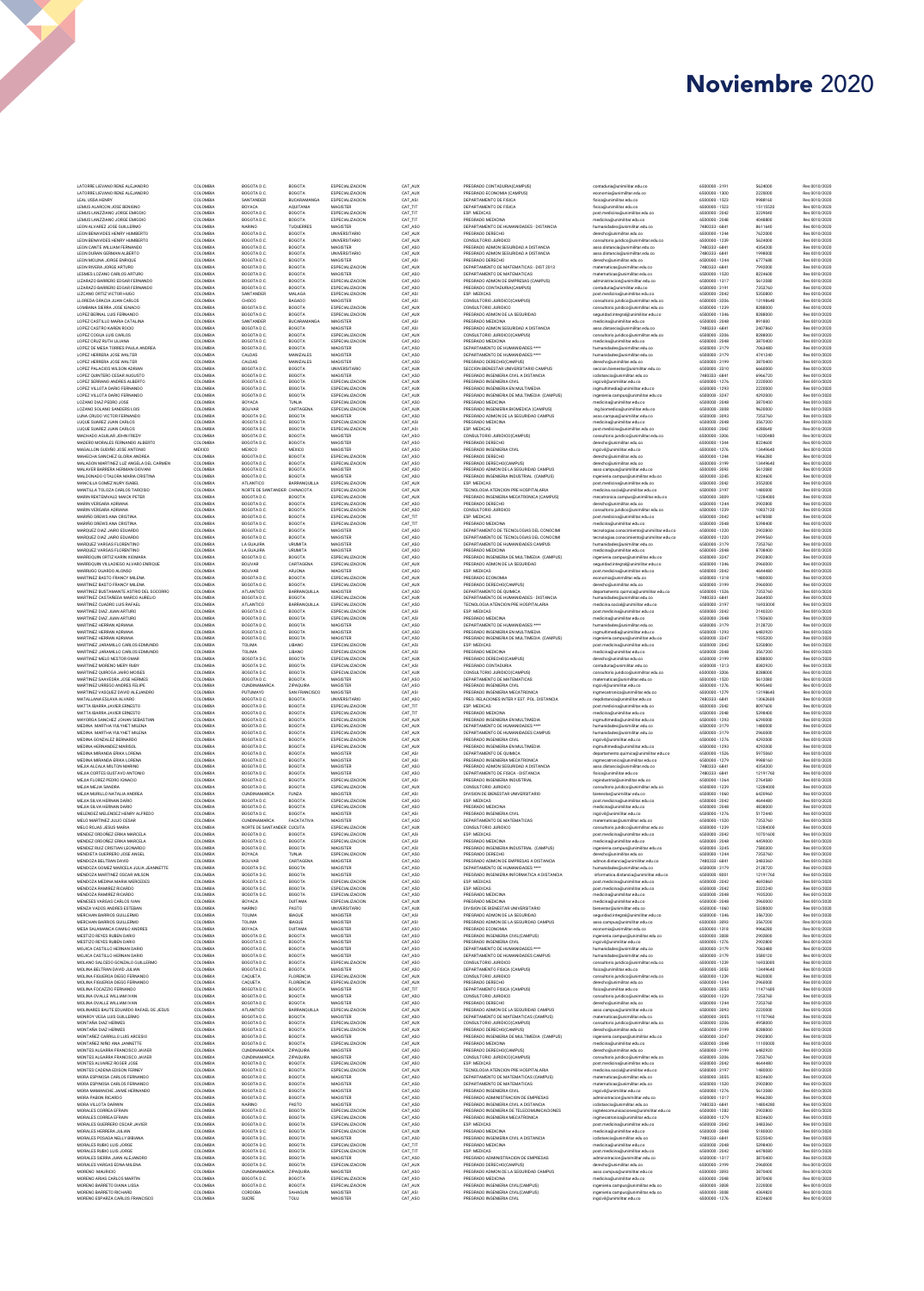| LATORRE LIEVANO RENE ALEJANDRO<br>LATORRE LIEVANO RENE ALEJANDRO      | COLOMBIA<br>COLOMBIA      | BOGOTA D.C.<br>BOGOTA D.C.                   | BOGOTA<br>BOGOTA                     | ESPECIALIZACION<br><b>ESPECIALIZACION</b> | CAT_AUX<br>CAT_AUX | PREGRADO CONTADURIA(CAMPUS)<br>PREGRADO ECONOMIA (CAMPUS)                            | contaduria@unimilitar.edu.co<br>economia@unimilitar.edu.co                     | 6500000 - 3191<br>6500000 - 1300 | 5624000<br>2220000   | Res 0010/2020<br>Res 0010/2020 |
|-----------------------------------------------------------------------|---------------------------|----------------------------------------------|--------------------------------------|-------------------------------------------|--------------------|--------------------------------------------------------------------------------------|--------------------------------------------------------------------------------|----------------------------------|----------------------|--------------------------------|
| LEAL USSA HENRY                                                       | COLOMBIA                  | SANTANDER                                    | BUCARAMANGA                          | ESPECIALIZACION                           | CAT_ASI            | DEPARTAMENTO DE FISICA                                                               | fisica@unimilitar.edu.co                                                       | 6500000 - 1523                   | 9988160              | Res 0010/2020                  |
| LEMUS ALARCON JOSE BENIGNO<br>LEMUS LANZZIANO JORGE EMIGDIO           | COLOMBIA<br>COLOMBIA      | BOYACA<br>BOGOTA D.C                         | AQUITANIA<br>BOGOTA                  | MAGISTER<br>ESPECIALIZACION               | CAT_TIT<br>CAT_TIT | DEPARTAMENTO DE FISICA<br>ESP. MEDICAS                                               | fisica@unimilitar.edu.co<br>post.medicina@unimilitar.edu.co                    | 6500000 - 1523<br>6500000 - 2042 | 15115520<br>3239040  | Res 0010/2020<br>Res 0010/2020 |
| LEMUS LANZZIANO JORGE EMIGDIO                                         | COLOMBIA                  | BOGOTA D.C.                                  | BOGOTA                               | ESPECIALIZACION                           | CAT_TIT            | PREGRADO MEDICINA                                                                    | medicina@unimilitar.edu.co                                                     | 6500000 - 2048                   | 4048800              | Res 0010/2020                  |
| LEON ALVAREZ JOSE GUILLERMO<br>LEON BENAVIDES HENRY HUMBERTO          | COLOMBIA<br>COLOMBIA      | NARINO<br>BOGOTA D.C.                        | TUQUERRES<br>BOGOTA                  | MAGISTER<br>UNIVERSITARIO                 | CAT_ASO<br>CAT_AUX | DEPARTAMENTO DE HUMANIDADES - DISTANCIA<br>PREGRADO DERECHO                          | humanidades@unimilitar.edu.co<br>derecho@unimilitar.edu.co                     | 7480333 - 6841<br>6500000 - 1244 | 8611640<br>7622000   | Res 0010/2020<br>Res 0010/2020 |
| LEON BENAVIDES HENRY HUMBERTO                                         | COLOMBIA                  | BOGOTA D.C                                   | BOGOTA                               | UNIVERSITARIO                             | CAT_AUX            | CONSULTORIO JURIDICO                                                                 | consultorio.juridico@unimilitar.edu.co                                         | 6500000 - 1239                   | 5624000              | Res 0010/2020                  |
| LEON CANTE WILLIAM FERNANDO<br>LEON DURAN GERMAN ALBERTO              | COLOMBIA<br>COLOMBIA      | BOGOTA D.C<br>BOGOTA D.C                     | BOGOTA                               | MAGISTER<br>UNIVERSITARIO                 | CAT_ASO<br>CAT_AUX | PREGRADO ADMON SEGURIDAD A DISTANCIA<br>PREGRADO ADMON SEGURIDAD A DISTANCIA         | asso.distancia@unimilitar.edu.co<br>asso.distancia@unimilitar.edu.co           | 7480333 - 6841<br>7480333 - 6841 | 4354200<br>1998000   | Res 0010/2020<br>Res 0010/2020 |
| LEON MOLINA JORGE ENRIQUE                                             | COLOMBIA                  | BOGOTA D.C.                                  | <b>BOGOTA</b><br>BOGOTA              | MAGISTER                                  | CAT_ASI            | PREGRADO DERECHO                                                                     | derecho@unimilitar.edu.co                                                      | 6500000 - 1244                   | 6777680              | Res 0010/2020                  |
| LEON RIVERA JORGE ARTURO<br>LESMES LOZANO CARLOS ARTURO               | COLOMBIA<br>COLOMBIA      | BOGOTA D.C.<br>BOGOTA D.C.                   | BOGOTA<br>BOGOTA                     | <b>ESPECIALIZACION</b><br>MAGISTER        | CAT_AU<br>CAT_ASO  | DEPARTAMENTO DE MATEMATICAS - DIST 2013<br>DEPARTAMENTO DE MATEMATICAS               | matematicas@unimilitar.edu.co<br>matematicas@unimilitar.edu.co                 | 7480333 - 6841<br>6500000 - 1520 | 7992000<br>8224600   | Res 0010/2020<br>Res 0010/2020 |
| LIZARAZO BARRERO EDGAR FERNANDO                                       | COLOMBIA                  | BOGOTA D.C.                                  | BOGOTA                               | ESPECIALIZACION                           | CAT_ASO            | PREGRADO ADMON DE EMPRESAS (CAMPUS)                                                  | administracion@unimilitar.edu.co                                               | 6500000 - 1317                   | 5612080              | Res 0010/2020                  |
| LIZARAZO BARRERO EDGAR FERNANDO<br>LIZCANO ORTIZ VICTOR HUGO          | COLOMBIA<br>COLOMBIA      | BOGOTA D.C.<br>SANTANDER                     | BOGOTA<br>MALAGA                     | ESPECIALIZACION<br>ESPECIALIZACION        | CAT_ASO<br>CAT_ASI | PREGRADO CONTADURIA(CAMPUS)<br>ESP. MEDICAS                                          | contaduria@unimilitar.edu.co<br>post.medicina@unimilitar.edu.co                | 6500000 - 3191<br>6500000 - 2042 | 7353760<br>5350800   | Res 0010/2020<br>Res 0010/2020 |
| LLOREDA GRACIA JUAN CARLOS                                            | COLOMBIA                  | CHOCO                                        | BAGADO                               | MAGISTER                                  | CAT_ASI            | CONSULTORIO JURIDICO(CAMPUS)                                                         | consultorio.juridico@unimilitar.edu.co                                         | 6500000 - 3206                   | 13198640             | Res 0010/2020                  |
| LOMBANA SIERRA JOSE IGNACIO<br>LOPEZ BERNAL LUIS FERNANDO             | COLOMBIA<br>COLOMBIA      | BOGOTA D.C.<br>BOGOTA D.C.                   | BOGOTA<br>BOGOTA                     | ESPECIALIZACION<br>ESPECIALIZACION        | CAT_AU<br>CAT_AUX  | CONSULTORIO JURIDICO<br>PREGRADO ADMON DE LA SEGURIDAD                               | consultorio.juridico@unimilitar.edu.co<br>seguridad.integral@unimilitar.edu.co | 6500000 - 1239<br>6500000 - 1346 | 8288000<br>8288000   | Res 0010/2020<br>Res 0010/2020 |
| LOPEZ CASTILLO MARIA CATALINA                                         | COLOMBIA                  | SANTANDER                                    | <b>BUCARAMANGA</b>                   | MAGISTER                                  | CAT_ASI            | PREGRADO MEDICINA                                                                    | medicina@unimilitar.edu.co                                                     | 6500000 - 2048                   | 891800               | Res 0010/2020                  |
| LOPEZ CASTRO KAREN ROCIO<br>LOPEZ COGUA LUIS CARLOS                   | COLOMBIA<br>COLOMBIA      | BOGOTA D.C<br>BOGOTA D.C.                    | BOGOTA<br>BOGOTA                     | MAGISTER<br>ESPECIALIZACION               | CAT_ASI<br>CAT_AU  | PREGRADO ADMON SEGURIDAD A DISTANCIA<br>CONSULTORIO JURIDICO(CAMPUS)                 | asso.distancia@unimilitar.edu.co<br>consultorio.juridico@unimilitar.edu.co     | 7480333 - 6841<br>6500000 - 3206 | 2407860<br>8288000   | Res 0010/2020<br>Res 0010/2020 |
| LOPEZ CRUZ RUTH LILIANA                                               | COLOMBIA                  | BOGOTA D.C.                                  | BOGOTA                               | ESPECIALIZACION                           | CAT_ASO            | PREGRADO MEDICINA                                                                    | medicina@unimilitar.edu.co                                                     | 6500000 - 2048                   | 3870400              | Res 0010/2020                  |
| LOPEZ DE MESA TORRES PAULA ANDREA<br>LOPEZ HERRERA JOSE WALTER        | COLOMBIA<br>COLOMBIA      | BOGOTA D.C.<br>CALDAS                        | <b>BOGOTA</b><br>MANIZALES           | MAGISTER<br>MAGISTER                      | CAT_ASO<br>CAT_ASO | DEPARTAMENTO DE HUMANIDADES ****<br>DEPARTAMENTO DE HUMANIDADES ****                 | humanidades@unimilitar.edu.co<br>humanidades@unimilitar.edu.co                 | 6500000-3179<br>6500000-3179     | 7063480<br>4741240   | Res 0010/2020<br>Res 0010/2020 |
| LOPEZ HERRERA JOSE WALTER                                             | COLOMBIA                  | CALDAS                                       | MANIZALES                            | MAGISTER                                  | CAT_ASO            | PREGRADO DERECHO(CAMPUS)                                                             | derecho@unimilitar.edu.co                                                      | 6500000-3199                     | 3870400              | Res 0010/2020                  |
| LOPEZ PALACIOS WILSON ADRIAN<br>LOPEZ QUINTERO CESAR AUGUSTO          | COLOMBIA<br>COLOMBIA      | BOGOTA D.C.<br>BOGOTA D.C.                   | <b>BOGOTA</b><br><b>BOGOTA</b>       | UNIVERSITARIO<br>MAGISTER                 | CAT_AUX<br>CAT_ASO | SECCION BIENESTAR UNIVERSITARIO CAMPUS<br>PREGRADO INGENIERIA CIVIL A DISTANCIA      | seccion.bienestar@unimilitar.edu.co<br>icdistancia@unimilitar.edu.co           | 6500000 - 3310<br>7480333 - 6841 | 6660000<br>6966720   | Res 0010/2020<br>Res 0010/2020 |
| LOPEZ SERRANO ANDRES ALBERTO                                          | COLOMBIA                  | BOGOTA D.C                                   | <b>BOGOTA</b>                        | ESPECIALIZACION                           | CAT_AUX            | PREGRADO INGENIERIA CIVIL                                                            | ingcivil@unimilitar.edu.co                                                     | 6500000 - 1276                   | 2220000              | Res 0010/2020                  |
| LOPEZ VILLOTA DARIO FERNANDO                                          | COLOMBIA<br>COLOMBIA      | BOGOTA D.C.<br>BOGOTA D.C.                   | <b>BOGOTA</b><br>BOGOTA              | ESPECIALIZACION<br>ESPECIALIZACION        | CAT_AUX<br>CAT_AUX | PREGRADO INGENIERIA EN MULTIMEDIA                                                    | ingmultimedia@unimilitar.edu.co                                                | 6500000 - 1293<br>6500000 - 3247 | 2220000<br>4292000   | Res 0010/2020                  |
| LOPEZ VILLOTA DARIO FERNANDO<br>LOZANO DIAZ PEDRO JOSE                | COLOMBIA                  | BOYACA                                       | TUNJA                                | ESPECIALIZACION                           | CAT_ASO            | PREGRADO INGENIERIA DE MULTIMEDIA (CAMPUS)<br>PREGRADO MEDICINA                      | ingenieria.campus@unimilitar.edu.co<br>medicina@unimilitar.edu.co              | 6500000 - 2048                   | 3870400              | Res 0010/2020<br>Res 0010/2020 |
| LOZANO SOLANO SANDERS LOIS                                            | COLOMBIA<br>COLOMBIA      | BOLIVAR<br>BOGOTA D.C.                       | CARTAGENA<br><b>BOGOTA</b>           | ESPECIALIZACION<br>MAGISTER               | CAT_AUX            | PREGRADO INGENIERIA BIOMEDICA (CAMPUS)                                               | ing.biomedica@unimilitar.edu.co                                                | 6500000 - 3008<br>6500000 - 3093 | 9620000<br>7353760   | Res 0010/2020<br>Res 0010/2020 |
| LUNA CRUDO VICTOR FERNANDO<br>LUQUE SUAREZ JUAN CARLOS                | COLOMBIA                  | BOGOTA D.C.                                  | BOGOTA                               | ESPECIALIZACION                           | CAT_ASO<br>CAT_ASI | PREGRADO ADMON DE LA SEGURIDAD CAMPUS<br>PREGRADO MEDICINA                           | asso.campus@unimilitar.edu.co<br>medicina@unimilitar.edu.co                    | 6500000 - 2048                   | 3567200              | Res 0010/2020                  |
| LUQUE SUAREZ JUAN CARLOS<br>MACHADO AGUILAR JOHN FREDY                | COLOMBIA<br>COLOMBIA      | BOGOTA D.C.<br>BOGOTA D.C                    | <b>BOGOTA</b><br>BOGOTA              | ESPECIALIZACION<br>MAGISTER               | CAT_ASI<br>CAT_ASO | ESP. MEDICAS                                                                         | post.medicina@unimilitar.edu.co                                                | 6500000 - 2042                   | 4280640<br>14320480  | Res 0010/2020                  |
| MADERO MORALES FERNANDO ALBERTO                                       | COLOMBIA                  | BOGOTA D.C.                                  | BOGOTA                               | MAGISTER                                  | CAT ASO            | CONSULTORIO JURIDICO(CAMPUS)<br>PREGRADO DERECHO                                     | consultorio.juridico@unimilitar.edu.co<br>derecho@unimilitar.edu.co            | 6500000 - 3206<br>6500000 - 1244 | 8224600              | Res 0010/2020<br>Res 0010/2020 |
| MAGALLON GUDIÑO JOSE ANTONIO<br>MAHECHA SANCHEZ GLORIA ANDREA         | <b>MEXICO</b><br>COLOMBIA | MEXICO<br>BOGOTA D.C.                        | <b>MEXICO</b><br>BOGOTA              | MAGISTER<br>ESPECIALIZACION               | CAT ASO<br>CAT ASO | PREGRADO INGENIERIA CIVIL<br>PREGRADO DERECHO                                        | ingcivil@unimilitar.edu.co<br>derecho@unimilitar.edu.co                        | 6500000 - 1276<br>6500000 - 1244 | 13449640<br>9966280  | Res 0010/2020<br>Res 0010/2020 |
| MALAGON MARTINEZ LUZ ANGELA DEL CARMEN                                | COLOMBIA                  | BOGOTA D.C.                                  | BOGOTA                               | ESPECIALIZACION                           | CAT ASO            | PREGRADO DERECHO(CAMPUS)                                                             | derecho@unimilitar.edu.co                                                      | 6500000 - 3199                   | 13449640             | Res 0010/2020                  |
| MALAVER BARRERA HERMAN GIOVANI<br>MAI DONADO OTALORA MARIA CRISTINA   | COLOMBIA<br>COLOMBIA      | BOGOTA D.C.<br>BOGOTA D.C.                   | BOGOTA<br>BOGOTA                     | MAGISTER<br>MAGISTER                      | CAT ASO<br>CAT ASO | PREGRADO ADMON DE LA SEGURIDAD CAMPUS<br>PREGRADO INGENIERIA INDUSTRIAL (CAMPUS)     | asso.campus@unimilitar.edu.co<br>ingenieria.campus@unimilitar.edu.co           | 6500000 - 3093<br>6500000 - 3245 | 5612080<br>8224600   | Res 0010/2020<br>Res 0010/2020 |
| MANCILLA GOMEZ NURY ISABEL                                            | COLOMBIA                  | <b>ATLANTICO</b>                             | BARRANOUILLA                         | ESPECIALIZACION                           | CAT AUX            | ESP. MEDICAS                                                                         | post.medicina@unimilitar.edu.co                                                | 6500000 - 2042                   | 3552000              | Res 0010/2020                  |
| MANTILLA TOLOZA CARLOS TARCISIO<br>MARIN REKTEMVALD MAICK PETER       | COLOMBIA<br>COLOMBIA      | NORTE DE SANTANDER, CHINACOTA<br>BOGOTA D.C. | <b>BOGOTA</b>                        | ESPECIALIZACIÓN<br>ESPECIALIZACION        | CAT AUX<br>CAT AUX | TECNOLOGIA ATENCION PRE HOSPITALARIA<br>PREGRADO INGENIERIA MECATRONICA (CAMPUS)     | medicina.social@unimilitar.edu.co<br>mecatronica.campus@unimilitar.edu.co      | 6500000 - 3197<br>6500000 - 3009 | 1480000<br>12284000  | Res 0010/2020<br>Res 0010/2020 |
| MARIN VERGARA ADRIANA                                                 | COLOMBIA                  | BOGOTA D.C.                                  | <b>BOGOTA</b>                        | ESPECIALIZACION                           | CAT ASO            | PREGRADO DERECHO                                                                     | derecho@unimilitar.edu.co                                                      | 6500000 - 1244                   | 2902800              | Res 0010/2020                  |
| MARIN VERGARA ADRIANA                                                 | COLOMBIA                  | BOGOTA D.C.                                  | <b>BOGOTA</b>                        | ESPECIALIZACION                           | CAT_ASO            | CONSULTORIO JURIDICO                                                                 | consultorio.juridico@unimilitar.edu.co                                         | 6500000-1239                     | 10837120             | Res 0010/2020                  |
| MARIÑO DREWS ANA CRISTINA<br>MARIÑO DREWS ANA CRISTINA                | COLOMBIA<br>COLOMBIA      | BOGOTA D.C.<br>BOGOTA D.C.                   | <b>BOGOTA</b><br><b>BOGOTA</b>       | ESPECIALIZACION<br>ESPECIALIZACION        | CAT TIT<br>CAT TIT | ESP. MEDICAS<br>PREGRADO MEDICINA                                                    | post.medicina@unimilitar.edu.co<br>medicina@unimilitar.edu.co                  | 6500000 - 2042<br>6500000 - 2048 | 6478080<br>5398400   | Res 0010/2020<br>Res 0010/2020 |
| MARQUEZ DIAZ JAIRO EDUARDO<br>MARQUEZ DIAZ JAIRO EDUARDO              | COLOMBIA<br>COLOMBIA      | BOGOTA D.C.<br>BOGOTA D.C.                   | BOGOTA<br><b>BOGOTA</b>              | MAGISTER<br>MAGISTER                      | CAT_ASO<br>CAT_ASO | DEPARTAMENTO DE TECNOLOGIAS DEL CONOCIMI<br>DEPARTAMENTO DE TECNOLOGIAS DEL CONOCIMI | tecnologias.conocimiento@unimilitar.edu.co                                     | 6500000 - 1220<br>6500000 - 1220 | 2902800<br>2999560   | Res 0010/2020                  |
| MARQUEZ VARGAS FLORENTINO                                             | COLOMBIA                  | LA GUAJIRA                                   | URUMITA                              | MAGISTER                                  | CAT_ASO            | DEPARTAMENTO DE HUMANIDADES CAMPUS                                                   | tecnologias.conocimiento@unimilitar.edu.co<br>humanidades@unimilitar.edu.co    | 6500000-3179                     | 7353760              | Res 0010/2020<br>Res 0010/2020 |
| MARQUEZ VARGAS FLORENTINO                                             | COLOMBIA                  | LA GUAJIRA                                   | URUMITA                              | MAGISTER                                  | CAT_ASO            | PREGRADO MEDICINA                                                                    | medicina@unimilitar.edu.co                                                     | 6500000 - 2048                   | 8708400              | Res 0010/2020                  |
| MARROQUIN ORTIZ KARIN XIOMARA<br>MARROQUIN VILLADIEGO ALVARO ENRIQUE  | COLOMBIA<br>COLOMBIA      | BOGOTA D.C.<br><b>BOLIVAR</b>                | BOGOTA<br>CARTAGENA                  | ESPECIALIZACION<br>ESPECIALIZACION        | CAT_ASO<br>CAT_AUX | PREGRADO INGENIERIA DE MULTIMEDIA (CAMPUS)<br>PREGRADO ADMON DE LA SEGURIDAD         | ingenieria.campus@unimilitar.edu.co<br>seguridad.integral@unimilitar.edu.co    | 6500000 - 3247<br>6500000 - 1346 | 2902800<br>2960000   | Res 0010/2020<br>Res 0010/2020 |
| MARRUGO GUARDO ALONSO<br>MARTINEZ BASTO FRANCY MILENA                 | COLOMBIA                  | <b>BOLIVAR</b>                               | ARJONA                               | MAGISTER                                  | CAT_ASO            | <b>ESP. MEDICAS</b>                                                                  | post.medicina@unimilitar.edu.co                                                | 6500000 - 2042                   | 4644480              | Res 0010/2020                  |
| MARTINEZ BASTO FRANCY MILENA                                          | COLOMBIA<br>COLOMBIA      | BOGOTA D.C.<br>BOGOTA D.C.                   | BOGOTA<br><b>BOGOTA</b>              | ESPECIALIZACION<br>ESPECIALIZACION        | CAT_AUX<br>CAT_AUX | PREGRADO ECONOMIA<br>PREGRADO DERECHO(CAMPUS)                                        | economia@unimilitar.edu.co<br>derecho@unimilitar.edu.co                        | 6500000-1318<br>6500000-3199     | 1480000<br>2960000   | Res 0010/2020<br>Res 0010/2020 |
| MARTINEZ BUSTAMANTE ASTRID DEL SOCORRO                                | COLOMBIA                  | ATLANTICO                                    | BARRANQUILLA                         | MAGISTER                                  | CAT_ASO            | DEPARTAMENTO DE QUIMICA                                                              | departamento.guimica@unimilitar.edu.co                                         | 6500000 - 1526                   | 7353760              | Res 0010/2020                  |
| MARTINEZ CASTAÑEDA MARCO AURELIO<br>MARTINEZ CUADRO LUIS RAFAEL       | COLOMBIA<br>COLOMBIA      | BOGOTA D.C.<br>ATLANTICO                     | <b>BOGOTA</b><br>BARRANQUILLA        | ESPECIALIZACION<br>ESPECIALIZACION        | CAT_AUX<br>CAT_ASO | DEPARTAMENTO DE HUMANIDADES - DISTANCIA<br>TECNOLOGIA ATENCION PRE HOSPITALARIA      | humanidades@unimilitar.edu.co<br>medicina.social@unimilitar.edu.co             | 7480333 - 6841<br>6500000-3197   | 2664000<br>16933000  | Res 0010/2020<br>Res 0010/2020 |
| MARTINEZ DIAZ JUAN ARTURO                                             | COLOMBIA                  | BOGOTA D.C                                   | <b>BOGOTA</b>                        | ESPECIALIZACION                           | CAT_ASI            | <b>ESP. MEDICAS</b>                                                                  | post.medicina@unimilitar.edu.co                                                | 6500000 - 2042                   | 2140320              | Res 0010/2020                  |
| MARTINEZ DIAZ JUAN ARTURO<br>MARTINEZ HERRAN ADRIANA                  | COLOMBIA<br>COLOMBIA      | BOGOTA D.C<br>BOGOTA D.C.                    | BOGOTA<br>BOGOTA                     | ESPECIALIZACION<br>MAGISTER               | CAT_ASI<br>CAT_ASC | PREGRADO MEDICINA<br>DEPARTAMENTO DE HUMANIDADES ****                                | medicina@unimilitar.edu.co<br>humanidades@unimilitar.edu.co                    | 6500000 - 2048<br>6500000 - 3179 | 1783600<br>2128720   | Res 0010/2020<br>Res 0010/2020 |
| MARTINEZ HERRAN ADRIANA                                               | COLOMBIA                  | BOGOTA D.C.                                  | BOGOTA                               | MAGISTER                                  | CAT_ASO            | PREGRADO INGENIERIA EN MULTIMEDIA                                                    | ingmultimedia@unimilitar.edu.co                                                | 6500000 - 1293                   | 6482920              | Res 0010/2020                  |
| MARTINEZ HERRAN ADRIANA<br>MARTINEZ JARAMILLO CARLOS EDMUNDO          | COLOMBIA<br>COLOMBIA      | BOGOTA D.C.<br>TOLIMA                        | BOGOTA<br>LIBANO                     | MAGISTER<br>ESPECIALIZACION               | CAT_ASO<br>CAT_ASI | PREGRADO INGENIERIA DE MULTIMEDIA (CAMPUS)<br>ESP. MEDICAS                           | ingenieria.campus@unimilitar.edu.co<br>post.medicina@unimilitar.edu.co         | 6500000 - 3247<br>6500000 - 2042 | 1935200<br>5350800   | Res 0010/2020<br>Res 0010/2020 |
| MARTINEZ JARAMILLO CARLOS EDMUNDO                                     | COLOMBIA                  | TOLIMA                                       | LIBANO                               | ESPECIALIZACION                           | CAT_ASI            | PREGRADO MEDICINA                                                                    | medicina@unimilitar.edu.co                                                     | 6500000 - 2048                   | 3567200              | Res 0010/2020                  |
| MARTINEZ MELO NESTOR OMAR<br>MARTINEZ MORENO MERY RUBY                | COLOMBIA<br>COLOMBIA      | BOGOTA D.C.<br>BOGOTA D.C.                   | BOGOTA<br>BOGOTA                     | ESPECIALIZACION<br>ESPECIALIZACION        | CAT_AU<br>CAT_ASI  | PREGRADO DERECHO(CAMPUS)<br>PREGRADO CONTADURIA                                      | derecho@unimilitar.edu.co<br>contaduria@unimilitar.edu.co                      | 6500000 - 3199<br>6500000 - 1313 | 8288000<br>8382920   | Res 0010/2020<br>Res 0010/2020 |
| MARTINEZ QUIROGA JAIRO MOISES                                         | COLOMBIA                  | BOGOTA D.C.                                  | BOGOTA                               | ESPECIALIZACION                           | CAT_AU             | CONSULTORIO JURIDICO(CAMPUS)                                                         | consultorio.juridico@unimilitar.edu.co                                         | 6500000 - 3206                   | 8288000              | Res 0010/2020                  |
| MARTINEZ SAAVEDRA JOSE HERMES<br>MARTINEZ URREGO ANDRES FELIPE        | COLOMBIA<br>COLOMBIA      | BOGOTA D.C<br>CUNDINAMARCA                   | BOGOTA<br>ZIPAQUIRA                  | MAGISTER<br>MAGISTER                      | CAT_ASC<br>CAT_ASO | DEPARTAMENTO DE MATEMATICAS<br>PREGRADO INGENIERIA CIVIL                             | matematicas@unimilitar.edu.co<br>ingcivil@unimilitar.edu.co                    | 6500000 - 1520<br>6500000 - 1276 | 5612080<br>9095440   | Res 0010/2020<br>Res 0010/2020 |
| MARTINEZ VASQUEZ DAVID ALEJANDRO                                      | COLOMBIA                  | PUTUMAYO                                     | SAN FRANCISCO                        | MAGISTER                                  | CAT_ASI            | PREGRADO INGENIERIA MECATRONICA                                                      | ingmecatronica@unimilitar.edu.co                                               | 6500000 - 1279                   | 13198640             | Res 0010/2020                  |
| MATALLANA ESLAVA ALVARO<br>MATTA IBARRA JAVIER ERNESTO                | COLOMBIA<br>COLOMBIA      | BOGOTA D.C<br>BOGOTA D.C                     | BOGOTA<br>BOGOTA                     | UNIVERSITARIO<br>ESPECIALIZACION          | CAT_ASC<br>CAT_TIT | PREG. RELACIONES INTER Y EST. POL. DISTANCIA<br>ESP. MEDICAS                         | riepdistancia@unimilitar.edu.co<br>post.medicina@unimilitar.edu.co             | 7480333 - 6841<br>6500000 - 2042 | 13062600<br>8097600  | Res 0010/2020<br>Res 0010/2020 |
| MATTA IBARRA JAVIER ERNESTO                                           | COLOMBIA                  | BOGOTA D.C                                   | BOGOTA                               | ESPECIALIZACION                           | CAT_TIT            | PREGRADO MEDICINA                                                                    | medicina@unimilitar.edu.co                                                     | 6500000 - 2048                   | 5398400              | Res 0010/2020                  |
| MAYORGA SANCHEZ JOHAN SEBASTIAN<br>MEDINA MARTHA YULYHET MILENA       | COLOMBIA<br>COLOMBIA      | BOGOTA D.C.<br>BOGOTA D.C.                   | BOGOTA<br>BOGOTA                     | <b>ESPECIALIZACION</b><br>ESPECIALIZACION | CAT_AUX<br>CAT_AUX | PREGRADO INGENIERIA EN MULTIMEDIA<br>DEPARTAMENTO DE HUMANIDADES ****                | ingmultimedia@unimilitar.edu.co<br>humanidades@unimilitar.edu.co               | 6500000 - 1293<br>6500000 - 3179 | 6290000<br>1480000   | Res 0010/2020<br>Res 0010/2020 |
| MEDINA MARTHA YULYHET MILENA                                          | COLOMBIA                  | BOGOTA D.C.                                  | BOGOTA                               | ESPECIALIZACION                           | CAT_AUX            | DEPARTAMENTO DE HUMANIDADES CAMPUS                                                   | humanidades@unimilitar.edu.co                                                  | 6500000 - 3179                   | 2960000              | Res 0010/2020                  |
| MEDINA GONZALEZ BERNARDO<br>MEDINA HERNANDEZ MARISOL                  | COLOMBIA<br>COLOMBIA      | BOGOTA D.C.<br>BOGOTA D.C.                   | BOGOTA<br>BOGOTA                     | ESPECIALIZACION<br>ESPECIALIZACION        | CAT_AUX<br>CAT_AUX | PREGRADO INGENIERIA CIVIL<br>PREGRADO INGENIERIA EN MULTIMEDIA                       | ingcivil@unimilitar.edu.co<br>ingmultimedia@unimilitar.edu.co                  | 6500000 - 1276<br>6500000 - 1293 | 4292000<br>4292000   | Res 0010/2020<br>Res 0010/2020 |
| MEDINA MIRANDA ERIKA LORENA                                           | COLOMBIA                  | BOGOTA D.C.                                  | BOGOTA                               | MAGISTER                                  | CAT_ASI            | DEPARTAMENTO DE QUIMICA                                                              | departamento.quimica@unimilitar.edu.co                                         | 6500000 - 1526                   | 5975060              | Res 0010/2020                  |
| MEDINA MIRANDA ERIKA LORENA<br>MEJIA ALCALA MILTON MARINO             | COLOMBIA<br>COLOMBIA      | BOGOTA D.C.<br>BOGOTA D.C.                   | BOGOTA<br>BOGOTA                     | MAGISTER<br>MAGISTER                      | CAT_ASI<br>CAT_ASO | PREGRADO INGENIERIA MECATRONICA<br>PREGRADO ADMON SEGURIDAD A DISTANCIA              | ingmecatronica@unimilitar.edu.co<br>asso.distancia@unimilitar.edu.co           | 6500000 - 1279<br>7480333 - 6841 | 9988160<br>4354200   | Res 0010/2020<br>Res 0010/2020 |
| MEJIA CORTES GUSTAVO ANTONIO                                          | COLOMBIA                  | BOGOTA D.C.                                  | BOGOTA                               | MAGISTER                                  | CAT_ASO            | DEPARTAMENTO DE FISICA - DISTANCIA                                                   | fisica@unimilitar.edu.co                                                       | 7480333 - 6841                   | 12191760             | Res 0010/2020                  |
| MEJIA FLOREZ PEDRO IGNACIO<br>MEJIA MEJIA SANDRA                      | COLOMBIA<br>COLOMBIA      | BOGOTA D.C.<br>BOGOTA D.C.                   | BOGOTA<br>BOGOTA                     | ESPECIALIZACION<br>ESPECIALIZACION        | CAT_ASI            | PREGRADO INGENIERIA INDUSTRIAL<br>CONSULTORIO JURIDICO                               | ingindustrial@unimilitar.edu.co                                                | 6500000 - 1264<br>6500000 - 1239 | 2764580<br>12284000  | Res 0010/2020<br>Res 0010/2020 |
| MEJIA MURILLO NATALIA ANDREA                                          | COLOMBIA                  | CUNDINAMARCA                                 | FUNZA                                | MAGISTER                                  | CAT_AUX<br>CAT_ASI | DIVISION DE BIENESTAR UNIVERSITARIO                                                  | consultorio.juridico@unimilitar.edu.co<br>bienestar@unimilitar.edu.co          | 6500000 - 1060                   | 6420960              | Res 0010/2020                  |
| MEJIA SILVA HERNAN DARIO<br>MEJIA SILVA HERNAN DARIO                  | COLOMBIA<br>COLOMBIA      | BOGOTA D.C.<br>BOGOTA D.C.                   | <b>BOGOTA</b><br><b>BOGOTA</b>       | ESPECIALIZACION<br>ESPECIALIZACION        | CAT ASO<br>CAT ASO | <b>ESP. MEDICAS</b><br>PREGRADO MEDICINA                                             | post.medicina@unimilitar.edu.co<br>medicina@unimilitar.edu.co                  | 6500000 - 2042<br>6500000 - 2048 | 4644480<br>4838000   | Res 0010/2020<br>Res 0010/2020 |
| MELENDEZ MELENDEZ HENRY ALEREDO                                       | COLOMBIA                  | BOGOTA D.C.                                  | <b>BOGOTA</b>                        | MAGISTER                                  | CAT ASI            | PREGRADO INGENIERIA CIVIL                                                            | ingcivil@unimilitar.edu.co                                                     | 6500000-1276                     | 5172440              | Res 0010/2020                  |
| MELO MARTINEZ JI II IO CESAR<br>MELO ROJAS JESUS MARIA                | COLOMBIA<br>COLOMBIA      | CLINDINAMARCA<br>NORTE DE SANTANDER CUCUTA   | FACATATIVA                           | MAGISTER<br>ESPECIALIZACION               | CAT ASO<br>CAT AUX | DEPARTAMENTO DE MATEMATICAS<br>CONSULTORIO JURIDICO                                  | matematicas@unimilitar.edu.co<br>consultorio.juridico@unimilitar.edu.co        | 6500000 - 1520<br>6500000 - 1239 | 7353760<br>12284000  | Res 0010/2020<br>Res 0010/2020 |
| MENDEZ ORDOÑEZ ERIKA MARCELA                                          | COLOMBIA                  | BOGOTA D.C.                                  | <b>BOGOTA</b>                        | ESPECIALIZACION                           | CAT ASI            | ESP. MEDICAS                                                                         | post.medicina@unimilitar.edu.co                                                | 6500000 - 2042                   | 10701600             | Res 0010/2020                  |
| MENDEZ ORDOÑEZ ERIKA MARCELA<br>MENDEZ RUIZ CRISTIAN LEONARDO         | COLOMBIA<br>COLOMBIA      | BOGOTA D.C.<br>BOGOTA D.C.                   | <b>BOGOTA</b><br><b>BOGOTA</b>       | ESPECIALIZACION<br>MAGISTER               | CAT ASI<br>CAT_ASI | PREGRADO MEDICINA<br>PREGRADO INGENIERIA INDUSTRIAL (CAMPUS)                         | medicina@unimilitar.edu.co                                                     | 6500000 - 2048<br>6500000 - 3245 | 4459000<br>7580300   | Res 0010/2020<br>Res 0010/2020 |
| MENDIETA GUERRERO JOSE ANGEL                                          | COLOMBIA                  | BOYACA                                       | TUNJA                                | ESPECIALIZACION                           | CAT ASO            | PREGRADO DERECHO                                                                     | ingenieria.campus@unimilitar.edu.co<br>derecho@unimilitar.edu.co               | 6500000 - 1244                   | 7353760              | Res 0010/2020                  |
| MENDOZA BELTRAN DAVID<br>MENDOZA GOMEZ MARCELA JULIA JEANNETTE        | COLOMBIA<br>COLOMBIA      | <b>BOLIVAR</b><br>BOGOTA D.C.                | CARTAGENA<br><b>BOGOTA</b>           | MAGISTER<br>MAGISTER                      | CAT ASO<br>CAT ASO | PREGRADO ADMON DE EMPRESAS A DISTANCIA<br>DEPARTAMENTO DE HUMANIDADES ****           | admon.distancia@unimilitar.edu.co<br>humanidades@unimilitar.edu.co             | 7480333 - 6841<br>6500000-3179   | 3483360<br>2128720   | Res 0010/2020<br>Res 0010/2020 |
| MENDOZA MARTINEZ OSCAR WILSON                                         | COLOMBIA                  | BOGOTA D.C.                                  | <b>BOGOTA</b>                        | MAGISTER                                  | CAT ASO            | PREGRADO INGENIERIA INFORMATICA A DISTANCIA                                          | informatica.distancia@unimilitar.edu.co                                        | 6500000 - 8001                   | 12191760             | Res 0010/2020                  |
| MENDOZA MEDINA MARIA MERCEDES<br>MENDOZA RAMIREZ RICARDO              | COLOMBIA<br>COLOMBIA      | BOGOTA D.C.<br>BOGOTA D.C.                   | <b>BOGOTA</b><br><b>BOGOTA</b>       | ESPECIALIZACION<br>ESPECIALIZACION        | CAT ASO<br>CAT_ASO | ESP. MEDICAS<br><b>ESP. MEDICAS</b>                                                  | post.medicina@unimilitar.edu.co<br>post.medicina@unimilitar.edu.co             | 6500000 - 2042<br>6500000 - 2042 | 4692860<br>2322240   | Res 0010/2020<br>Res 0010/2020 |
| MENDOZA RAMIREZ RICARDO                                               | COLOMBIA                  | BOGOTA D.C.                                  | <b>BOGOTA</b>                        | ESPECIALIZACION                           | CAT_ASO            | PREGRADO MEDICINA                                                                    | medicina@unimilitar.edu.co                                                     | 6500000 - 2048                   | 1935200              | Res 0010/2020                  |
| MENESES VARGAS CARLOS IVAN<br>MENZA VADOS ANDRES ESTEBAN              | COLOMBIA<br>COLOMBIA      | BOYACA<br>NARINO                             | <b>DUITAMA</b><br>PASTO              | ESPECIALIZACION<br><b>UNIVERSITARIO</b>   | CAT_AUX<br>CAT_AUX | PREGRADO MEDICINA<br>DIVISION DE BIENESTAR UNIVERSITARIO                             | medicina@unimilitar.edu.co<br>bienestar@unimilitar.edu.co                      | 6500000 - 2048<br>6500000 - 1060 | 2960000<br>5328000   | Res 0010/2020<br>Res 0010/2020 |
| MERCHAN BARRIOS GUILLERMO                                             | COLOMBIA                  | TOLIMA                                       | <b>IBAGUE</b>                        | MAGISTER                                  | CAT_ASI            | PREGRADO ADMON DE LA SEGURIDAD                                                       | seguridad.integral@unimilitar.edu.co                                           | 6500000 - 1346                   | 3567200              | Res 0010/2020                  |
| MERCHAN BARRIOS GUILLERMO<br>MESA SALAMANCA CAMILO ANDRES             | COLOMBIA<br>COLOMBIA      | TOLIMA<br>BOYACA                             | <b>IBAGUE</b><br>DUITAMA             | MAGISTER<br>MAGISTER                      | CAT_ASI<br>CAT_ASO | PREGRADO ADMON DE LA SEGURIDAD CAMPUS<br>PREGRADO ECONOMIA                           | asso.campus@unimilitar.edu.co<br>economia@unimilitar.edu.co                    | 6500000 - 3093<br>6500000 - 1318 | 3567200<br>9966280   | Res 0010/2020<br>Res 0010/2020 |
| MESTIZO REYES RUBEN DARIO                                             | COLOMBIA                  | BOGOTA D.C.                                  | BOGOTA                               | MAGISTER                                  | CAT_ASO            | PREGRADO INGENIERIA CIVIL(CAMPUS)                                                    | ingenieria.campus@unimilitar.edu.co                                            | 6500000 - 3008                   | 2902800              | Res 0010/2020                  |
| MESTIZO REYES RUBEN DARIO                                             | COLOMBIA                  | BOGOTA D.C.                                  | BOGOTA                               | MAGISTER                                  | CAT_ASO            | PREGRADO INGENIERIA CIVIL                                                            | ingcivil@unimilitar.edu.co                                                     | 6500000 - 1276                   | 2902800              | Res 0010/2020                  |
| MOJICA CASTILLO HERNAN DARIO<br>MOJICA CASTILLO HERNAN DARIO          | COLOMBIA<br>COLOMBIA      | BOGOTA D.C.<br>BOGOTA D.C.                   | BOGOTA<br>BOGOTA                     | MAGISTER<br>MAGISTER                      | CAT_ASO<br>CAT_ASO | DEPARTAMENTO DE HUMANIDADES ****<br>DEPARTAMENTO DE HUMANIDADES CAMPUS               | humanidades@unimilitar.edu.co<br>humanidades@unimilitar.edu.co                 | 6500000 - 3179<br>6500000 - 3179 | 7063480<br>3580120   | Res 0010/2020<br>Res 0010/2020 |
| MOLANO SALCEDO GONZALO GUILLERMO<br>MOLINA BELTRAN DAVID JULIAN       | COLOMBIA<br>COLOMBIA      | BOGOTA D.C.<br>BOGOTA D.C.                   | BOGOTA                               | ESPECIALIZACION<br>MAGISTER               | CAT_ASO<br>CAT_ASO | CONSULTORIO JURIDICO                                                                 | consultorio.juridico@unimilitar.edu.co                                         | 6500000 - 1239                   | 16933000<br>13449640 | Res 0010/2020                  |
| MOLINA FIGUEROA DIEGO FERNANDO                                        | COLOMBIA                  | CAQUETA                                      | BOGOTA<br><b>FLORENCIA</b>           | <b>ESPECIALIZACION</b>                    | CAT_AUX            | DEPARTAMENTO FISICA (CAMPUS)<br>CONSULTORIO JURIDICO                                 | fisica@unimilitar.edu.co<br>consultorio.juridico@unimilitar.edu.co             | 6500000 - 3053<br>6500000 - 1239 | 9620000              | Res 0010/2020<br>Res 0010/2020 |
| MOLINA FIGUEROA DIEGO FERNANDO                                        | COLOMBIA                  | CAQUETA                                      | FLORENCIA                            | <b>ESPECIALIZACION</b>                    | CAT_AUX            | PREGRADO DERECHO                                                                     | derecho@unimilitar.edu.co                                                      | 6500000 - 1244                   | 2960000              | Res 0010/2020                  |
| MOLINA FOCAZZIO FERNANDO<br>MOLINA OVALLE WILLIAM IVAN                | COLOMBIA<br>COLOMBIA      | BOGOTA D.C.<br>BOGOTA D.C.                   | BOGOTA<br>BOGOTA                     | MAGISTER<br>MAGISTER                      | CAT_TIT<br>CAT_ASC | DEPARTAMENTO FISICA (CAMPUS)<br>CONSULTORIO JURIDICO                                 | fisica@unimilitar.edu.co<br>consultorio.juridico@unimilitar.edu.co             | 6500000 - 3053<br>6500000 - 1239 | 11471600<br>7353760  | Res 0010/2020<br>Res 0010/2020 |
| MOLINA OVALLE WILLIAM IVAN<br>MOLINARES BAUTE EDUARDO RAFAEL DE JESUS | COLOMBIA<br>COLOMBIA      | BOGOTA D.C.<br>ATLANTICO                     | BOGOTA<br>BARRANQUILLA               | MAGISTER<br>ESPECIALIZACION               | CAT_ASO<br>CAT_AUX | PREGRADO DERECHO<br>PREGRADO ADMON DE LA SEGURIDAD CAMPUS                            | derecho@unimilitar.edu.co                                                      | 6500000 - 1244<br>6500000 - 3093 | 7353760<br>2220000   | Res 0010/2020<br>Res 0010/2020 |
| MONROY VEGA LUIS GUILLERMO                                            | COLOMBIA                  | BOGOTA D.C.                                  | BOGOTA                               | MAGISTER                                  | CAT_ASO            | DEPARTAMENTO DE MATEMATICAS (CAMPUS)                                                 | asso.campus@unimilitar.edu.co<br>matematicas@unimilitar.edu.co                 | 6500000 - 3055                   | 11707960             | Res 0010/2020                  |
| MONTAÑA DIAZ HERMES                                                   | COLOMBIA                  | BOGOTA D.C.                                  | BOGOTA                               | ESPECIALIZACION                           | CAT_AU             | CONSULTORIO JURIDICO(CAMPUS)                                                         | consultorio.juridico@unimilitar.edu.co                                         | 6500000 - 3206                   | 4958000              | Res 0010/2020                  |
| MONTAÑA DIAZ HERMES<br>MONTAÑEZ CARRILLO LUIS ARCESIO                 | COLOMBIA<br>COLOMBIA      | BOGOTA D.C.<br>BOGOTA D.C.                   | BOGOTA<br>BOGOTA                     | ESPECIALIZACION<br>MAGISTER               | CAT_AUX<br>CAT_ASO | PREGRADO DERECHO(CAMPUS)<br>PREGRADO INGENIERIA DE MULTIMEDIA (CAMPUS)               | derecho@unimilitar.edu.co<br>ingenieria.campus@unimilitar.edu.co               | 6500000 - 3199<br>6500000 - 3247 | 8288000<br>2902800   | Res 0010/2020<br>Res 0010/2020 |
| MONTAÑEZ NIÑO ANA JANNETTE                                            | COLOMBIA                  | BOGOTA D.C.                                  | BOGOTA                               | ESPECIALIZACION                           | CAT_AUX            | PREGRADO MEDICINA                                                                    | medicina@unimilitar.edu.co                                                     | 6500000 - 2048                   | 11100000             | Res 0010/2020                  |
| MONTES ALGARRA FRANCISCO JAVIER<br>MONTES ALGARRA FRANCISCO JAVIER    | COLOMBIA<br>COLOMBIA      | CUNDINAMARCA<br><b>CUNDINAMARCA</b>          | <b>ZIPAQUIRA</b><br><b>ZIPAQUIRA</b> | MAGISTER<br>MAGISTER                      | CAT_ASO<br>CAT_ASO | PREGRADO DERECHO(CAMPUS)<br>CONSULTORIO JURIDICO(CAMPUS)                             | derecho@unimilitar.edu.co<br>consultorio.juridico@unimilitar.edu.co            | 6500000 - 3199<br>6500000 - 3206 | 6482920<br>7353760   | Res 0010/2020<br>Res 0010/2020 |
| MONTES ALVAREZ ROGER JOSE                                             | COLOMBIA                  | BOGOTA D.C.                                  | BOGOTA                               | ESPECIALIZACION                           | CAT_ASO            | ESP. MEDICAS                                                                         | post.medicina@unimilitar.edu.co                                                | 6500000 - 2042                   | 4644480              | Res 0010/2020                  |
| MONTES CADENA EDISON FERNEY<br>MORA ESPINOSA CARLOS FERNANDO          | COLOMBIA<br>COLOMBIA      | BOGOTA D.C.<br>BOGOTA D.C.                   | BOGOTA<br><b>BOGOTA</b>              | ESPECIALIZACION<br>MAGISTER               | CAT_AUX<br>CAT_ASO | TECNOLOGIA ATENCION PRE HOSPITALARIA<br>DEPARTAMENTO DE MATEMATICAS (CAMPUS)         | medicina.social@unimilitar.edu.co<br>matematicas@unimilitar.edu.co             | 6500000 - 3197<br>6500000 - 3055 | 1480000<br>8224600   | Res 0010/2020<br>Res 0010/2020 |
| MORA ESPINOSA CARLOS FERNANDO                                         | COLOMBIA                  | BOGOTA D.C.                                  | BOGOTA                               | MAGISTER                                  | CAT_ASO            | DEPARTAMENTO DE MATEMATICAS                                                          | matematicas@unimilitar.edu.co                                                  | 6500000 - 1520                   | 2902800              | Res 0010/2020                  |
| MORA MAMANCHE JAIME HERNANDO<br>MORA PABON RICARDO                    | COLOMBIA<br>COLOMBIA      | BOGOTA D.C.<br>BOGOTA D.C.                   | <b>BOGOTA</b><br><b>BOGOTA</b>       | MAGISTER<br>MAGISTER                      | CAT_ASO<br>CAT_ASO | PREGRADO INGENIERIA CIVIL<br>PREGRADO ADMINISTRACION DE EMPRESAS                     | ingcivil@unimilitar.edu.co<br>administracion@unimilitar.edu.co                 | 6500000 - 1276<br>6500000 - 1317 | 5612080<br>9966280   | Res 0010/2020<br>Res 0010/2020 |
| MORA VILLOTA DARWIN                                                   | COLOMBIA                  | <b>NARINO</b>                                | PASTO                                | MAGISTER                                  | CAT_ASO            | PREGRADO INGENIERIA CIVIL A DISTANCIA                                                | icdistancia@unimilitar.edu.co                                                  | 7480333 - 6841                   | 14804280             | Res 0010/2020                  |
| MORALES CORREA EFRAIN<br>MORALES CORREA EFRAIN                        | COLOMBIA<br>COLOMBIA      | BOGOTA D.C.<br>BOGOTA D.C.                   | BOGOTA<br><b>BOGOTA</b>              | ESPECIALIZACION<br>ESPECIALIZACION        | CAT_ASO<br>CAT_ASO | PREGRADO INGENIERIA DE TELECOMUNICACIONES<br>PREGRADO INGENIERIA MECATRONICA         | ingtelecomunicaciones@unimilitar.edu.co<br>ingmecatronica@unimilitar.edu.co    | 6500000 - 1282<br>6500000 - 1279 | 2902800<br>8224600   | Res 0010/2020<br>Res 0010/2020 |
| MORALES GUERRERO OSCAR JAVIER                                         | COLOMBIA                  | BOGOTA D.C.                                  | <b>BOGOTA</b>                        | ESPECIALIZACION                           | CAT_ASO            | ESP. MEDICAS                                                                         | post.medicina@unimilitar.edu.co                                                | 6500000 - 2042                   | 3483360              | Res 0010/2020                  |
| MORALES HERRERA JULIAN<br>MORALES POSADA NELLY BIBIANA                | COLOMBIA<br>COLOMBIA      | BOGOTA D.C.<br>BOGOTA D.C.                   | <b>BOGOTA</b><br>BOGOTA              | ESPECIALIZACION<br>MAGISTER               | CAT_AUX<br>CAT_ASO | PREGRADO MEDICINA<br>PREGRADO INGENIERIA CIVIL A DISTANCIA                           | medicina@unimilitar.edu.co<br>icdistancia@unimilitar.edu.co                    | 6500000 - 2048<br>7480333 - 6841 | 5180000<br>5225040   | Res 0010/2020<br>Res 0010/2020 |
| MORALES RUBIO LUIS JORGE                                              | COLOMBIA                  | BOGOTA D.C.                                  | <b>BOGOTA</b>                        | ESPECIALIZACION                           | $CAT_1TIT$         | PREGRADO MEDICINA                                                                    | medicina@unimilitar.edu.co                                                     | 6500000 - 2048                   | 5398400              | Res 0010/2020                  |
| MORALES RUBIO LUIS JORGE<br>MORALES SIERRA JUAN ALEJANDRO             | COLOMBIA<br>COLOMBIA      | BOGOTA D.C.<br>BOGOTA D.C.                   | BOGOTA<br><b>BOGOTA</b>              | ESPECIALIZACION<br>MAGISTER               | CAT_TIT<br>CAT ASO | ESP. MEDICAS<br>PREGRADO ADMINISTRACION DE EMPRESAS                                  | post.medicina@unimilitar.edu.co<br>administracion@unimilitar.edu.co            | 6500000 - 2042<br>6500000 - 1317 | 6478080<br>3870400   | Res 0010/2020<br>Res 0010/2020 |
| MORALES VARGAS EDNA MILENA                                            | COLOMBIA                  | BOGOTA D.C.                                  | <b>BOGOTA</b>                        | ESPECIALIZACION                           | CAT_AUX            | PREGRADO DERECHO(CAMPUS)                                                             | derecho@unimilitar.edu.co                                                      | 6500000 - 3199                   | 2960000              | Res 0010/2020                  |
| MORENO MAURICIO<br>MORENO ARIAS CARLOS MARTIN                         | COLOMBIA<br>COLOMBIA      | CUNDINAMARCA<br>BOGOTA D.C.                  | ZIPAQUIRA<br>BOGOTA                  | MAGISTER<br>ESPECIALIZACION               | CAT ASO<br>CAT ASO | PREGRADO ADMON DE LA SEGURIDAD CAMPUS<br>PREGRADO MEDICINA                           | asso.campus@unimilitar.edu.co<br>medicina@unimilitar.edu.co                    | 6500000 - 3093<br>6500000 - 2048 | 3870400<br>3870400   | Res 0010/2020<br>Res 0010/2020 |
| MORENO BARRETO DIANA LISSA                                            | COLOMBIA                  | BOGOTA D.C.                                  | BOGOTA                               | ESPECIALIZACION                           | CAT_AUX            | PREGRADO INGENIERIA CIVIL/CAMPUS)                                                    | ingenieria.campus@unimilitar.edu.co                                            | 6500000 - 3008                   | 2220000              | Res 0010/2020                  |
| MORENO BARRETO RICHARD<br>MORENO ESPARZA CARLOS FRANCISCO             | COLOMBIA<br>COLOMBIA      | CORDOBA<br>SUCRE                             | SAHAGUN<br>TOLU                      | MAGISTER<br>MAGISTER                      | CAT ASI<br>CAT_ASO | PREGRADO INGENIERIA CIVIL/CAMPUS)<br>PREGRADO INGENIERIA CIVIL                       | ingenieria.campus@unimilitar.edu.co<br>ingcivil@unimilitar.edu.co              | 6500000 - 3008<br>6500000 - 1276 | 4369820<br>8224600   | Res 0010/2020<br>Res 0010/2020 |
|                                                                       |                           |                                              |                                      |                                           |                    |                                                                                      |                                                                                |                                  |                      |                                |

| 5624000                              | $\mathbf{R}$<br>ł                               |
|--------------------------------------|-------------------------------------------------|
| 2220000                              | Ro<br>ł                                         |
| 988160<br>ġ                          | R<br>ł                                          |
| 15115520                             | Ro<br>ł                                         |
| 3239040                              | R<br>ú                                          |
| 48800<br>40<br>86116<br>ó            | Ro<br>d<br>R                                    |
| 7622000                              | ú<br>Ro<br>d                                    |
| 5624000                              | R<br>ú                                          |
| 435<br>4200                          | Re:                                             |
| 1998000                              | Re:<br>Ŕ                                        |
| 6777680<br>7992000                   | i<br>Re:                                        |
| 8224600                              | Ŕ<br>ś                                          |
| 5612080                              | R<br>e:                                         |
| 353760                               | Ŕ<br>ś                                          |
| ś<br>350800                          | R<br>e:                                         |
| 131986<br>40<br>8288000              | Ŕ<br>ś<br>R                                     |
| 8288000                              | e:<br>Ŕ<br>ś                                    |
| 891800                               | R<br>u                                          |
| 407860                               | Ŕ<br>ś                                          |
| 8288000                              | Re:                                             |
| 3870400                              | Ŕ<br>ś<br>$R_0$                                 |
| 7063480<br>4741240                   | ł<br>b<br>֠                                     |
| 3870400                              | Ro<br>ł                                         |
| 6660000                              | b.<br>֠                                         |
| 6966720                              | Rx<br>ׇ֘֒                                       |
| 2220000                              | Ŕ.<br>֠                                         |
| 2220000<br>4292000                   | Ro<br>ׇ֘֒<br>Ŕ.<br>֦                            |
| 3870400                              | R.<br>ׇ֘֒                                       |
| 9620000                              | Ŕ.                                              |
| ï<br>353760                          | R.<br>ׇ֘֒                                       |
| 3567200                              | Ŕ.<br>֦                                         |
| 4280640<br>14320480                  | Re<br>ł<br>Re<br>֠                              |
| 8224600                              | Re:                                             |
| 13449640                             | R)<br>ŀ.                                        |
| 9966280                              | Re:                                             |
| 134<br>49640                         | R)<br>ŀ.                                        |
| 5612080<br>8224500                   | Re:<br>Re:                                      |
| 3552000                              | Re-                                             |
| 1480000                              | Ř,<br>ŀ.                                        |
| 12284000                             | Re:                                             |
| 2902800                              | Re:                                             |
| 10837120<br>478080<br>ń              | Re:<br>R)<br>ŀ.                                 |
| 5398400                              | Re:                                             |
| 2902800                              | Ŕ<br>Ŀ                                          |
| 25<br>9560<br>ń                      | Re:                                             |
| 7<br>353760                          | $\overline{R}$<br>Ŀ                             |
| 8708400<br>2902800                   | Re:<br>$\overline{R}$                           |
| 25<br>60000                          | Ŀ<br>Re:                                        |
| 46<br>44480                          | $\overline{R}$<br>Ŀ                             |
| 1480000                              | Re:                                             |
| 2960000                              | $\overline{R}$<br>Ŀ                             |
| 7<br>353760<br>214                   | Re:<br>$\overline{R}$                           |
| 1000<br>16933000                     | Ŀ<br>Re:                                        |
| $\overline{2}$<br>140320             | Re:                                             |
| 1783600                              | $\overline{R}$<br>H                             |
| 2128720                              | R<br>e:                                         |
| 482920                               | $\overline{R}$<br>d                             |
| 1935200<br>ś<br>350800               | R<br>ś<br>$\overline{R}$                        |
| 3567200                              | R<br>ś                                          |
| 8288000                              | $\overline{R}$                                  |
| 8382920                              | R<br>ś                                          |
| 8288000                              | Ŗ,<br>ś                                         |
| 5612080<br>095440                    | Re:<br>Ro<br>ś                                  |
| 13198640                             | Re:                                             |
|                                      |                                                 |
| 130<br>62600                         | Ŕ<br>ś                                          |
| 8097600                              | Re<br>d                                         |
| 5398400                              | Ŕ                                               |
| 6290000                              | Ro<br>ł                                         |
| 1480000                              | Ř,                                              |
| 2960000<br>4292000                   | Ro<br>ׇ֘֒<br>Re<br>ı                            |
| 4292000                              | Re<br>ł                                         |
| 5975060                              | Ŕ                                               |
| 9988160                              | Re<br>ׇ֘֒                                       |
| 4354200                              | Ŕ,                                              |
| 12191760<br>276<br>4580              | Re<br>ł<br>b<br>֠                               |
| 12284000                             | Re<br>ł                                         |
| ń<br>420960                          | Re<br>֠                                         |
| 4644480                              | Re:                                             |
| dR38000                              | Ŕ<br>ú                                          |
| 5172440                              | Re:                                             |
| 7353760<br>12284000                  | Re:<br>Re-                                      |
| 10701600                             | Ŕ,<br>ŀ.                                        |
| 4459000                              | Re:                                             |
| 7580300                              | Re:                                             |
| 7353760                              | Re:                                             |
| 36<br>ż<br>Ŕ<br>ä<br>ñ<br>1287<br>20 | R<br>R                                          |
| 1219176                              | Ŕ                                               |
| CARCON<br>J                          | R                                               |
| 2322240                              | $\overline{R}$<br>֦֖֚֘֝֬                        |
| 1935200                              | $\overline{R}$<br>֦֖֚֘֝֬<br>$\overline{R}$<br>֠ |
| 2960000<br>5328000                   | $\overline{R}$<br>ś                             |
| 3567200                              | $\overline{R}$<br>ś                             |
| 3567<br>200                          | R)<br>ł                                         |
| 9966280                              | R<br>ł                                          |
| 2902800                              | Ŕ<br>d<br>R                                     |
| 2902800                              | ł<br>R)<br>ł                                    |
| 7063480<br>3580120                   | R<br>ł                                          |
| 16933000                             | R)<br>d                                         |
| 496<br>134<br>۵'n                    | R<br>ł                                          |
| 9620000                              | R)<br>ł                                         |
| 2960000                              | $\mathbf{R}$<br>ŀ.                              |
| 11471600                             | Ŕ<br>ś<br>R<br>ś                                |
| 7353760<br>7353760                   | Ŕ                                               |
| 2220000                              | R<br>d                                          |
| 1170796                              | Ŕ                                               |
| 4958000                              | R<br>ś                                          |
| 8288000                              | $\overline{R}$<br>ś                             |
| 2902800<br>1110000                   | R<br>$\overline{R}$                             |
| 482920<br>6                          | R<br>ś                                          |
| 7353760                              | Ŕ                                               |
| 4644480                              | R<br>ś                                          |
| 1480000                              | Ŕ                                               |
| 8224600<br>2902800                   | Ro<br>ׇ֘֒<br>Ŕ                                  |
| 5612080                              | Ro<br>ׇ֘֒                                       |
| 0066280                              | Ŕ                                               |
| 14804280                             | Re<br>ׇ֘֒                                       |
| 2902800                              | Ŕ                                               |
| 8224600<br>3483360                   | Re<br>Ŕ                                         |
| 5180000                              | Re<br>ׇ֘֒                                       |
| 5225040                              | R                                               |
| 5398400                              | Ŕ,<br>ׇ֘֒                                       |
| 478080<br>é                          | R)                                              |
| 3870400                              | Ro                                              |
| 2960000<br>3870400                   | Ŕ<br>Re:                                        |
| 3870400                              | R)                                              |
| 2220000                              | Re:                                             |
| 4369820<br>8224600                   | Re:<br>Re:                                      |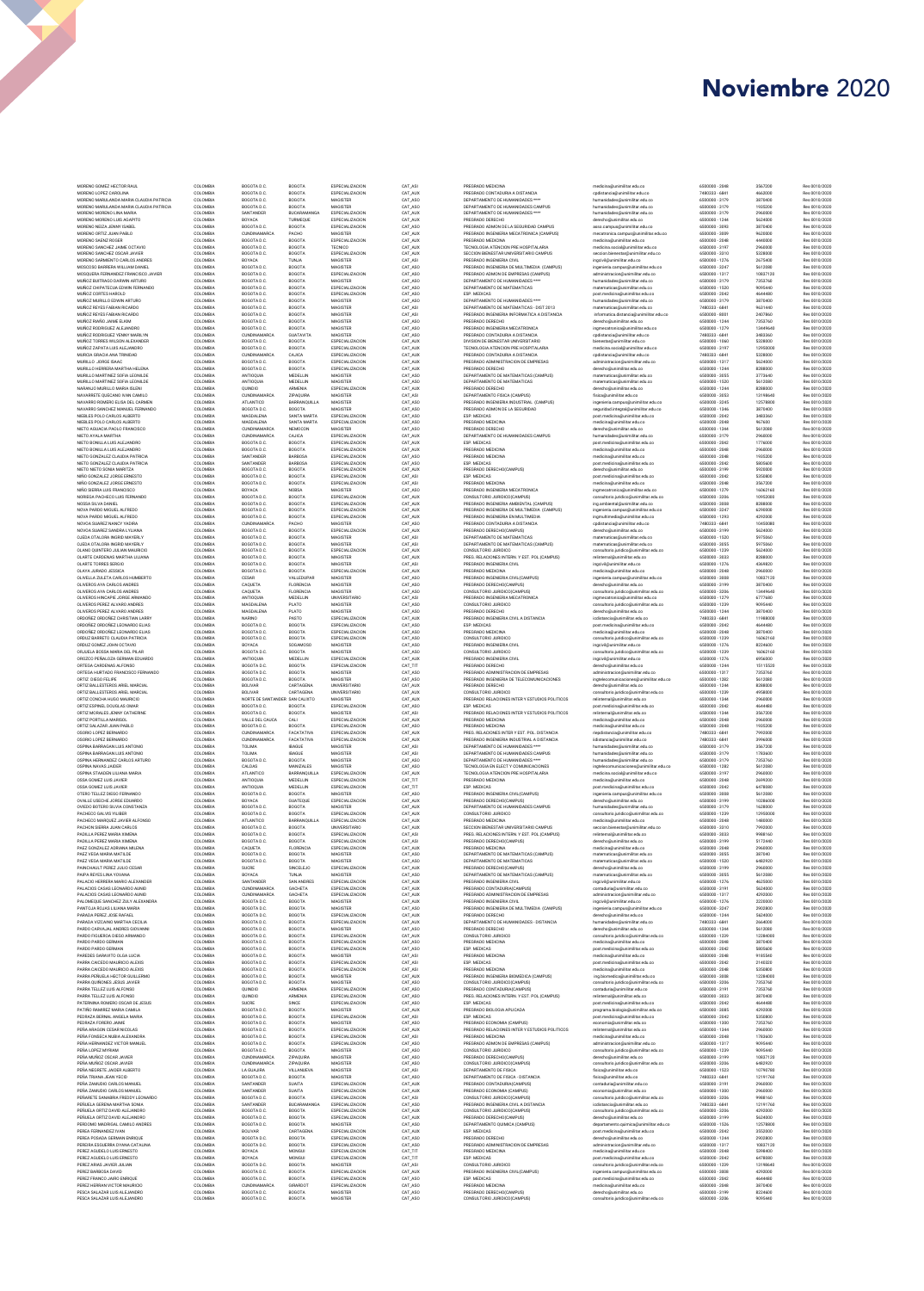| MORENO GOMEZ HECTOR RAUL<br>MORENO LOPEZ CAROLINA                     | COLOMBIA<br>COLOMBIA | BOGOTA D.C.<br>BOGOTA D.C.                | BOGOTA<br>BOGOTA                     | <b>ESPECIALIZACION</b><br>ESPECIALIZACION | CAT_ASI<br>CAT_AUX    | PREGRADO MEDICINA<br>PREGRADO CONTADURIA A DISTANCIA                                       | medicina@unimilitar.edu.co<br>cpdistancia@unimilitar.edu.co                   | 6500000 - 2048<br>7480333 - 6841 | 3567200<br>4662000   | Res 0010/2020<br>Res 0010/2020 |
|-----------------------------------------------------------------------|----------------------|-------------------------------------------|--------------------------------------|-------------------------------------------|-----------------------|--------------------------------------------------------------------------------------------|-------------------------------------------------------------------------------|----------------------------------|----------------------|--------------------------------|
| MORENO MARULANDA MARIA CLAUDIA PATRICIA                               | COLOMBIA             | BOGOTA D.C.                               | BOGOTA                               | MAGISTER                                  | CAT_ASO               | DEPARTAMENTO DE HUMANIDADES ****                                                           | humanidades@unimilitar.edu.co                                                 | 6500000 - 3179                   | 3870400              | Res 0010/2020                  |
| MORENO MARULANDA MARIA CLAUDIA PATRICIA<br>MORENO MORENO LINA MARIA   | COLOMBIA<br>COLOMBIA | BOGOTA D.C.<br>SANTANDER                  | BOGOTA<br>BUCARAMANGA                | MAGISTER<br>ESPECIALIZACION               | CAT_ASO<br>CAT_AUX    | DEPARTAMENTO DE HUMANIDADES CAMPUS<br>DEPARTAMENTO DE HUMANIDADES ****                     | humanidades@unimilitar.edu.co<br>humanidades@unimilitar.edu.co                | 6500000 - 3179<br>6500000 - 3179 | 1935200<br>2960000   | Res 0010/2020<br>Res 0010/2020 |
| MORENO MORENO LUIS AGAPITO                                            | COLOMBIA             | BOYACA                                    | TURMEQUE                             | ESPECIALIZACION                           | CAT_AUX               | PREGRADO DERECHO                                                                           | derecho@unimilitar.edu.co                                                     | 6500000 - 1244                   | 5624000              | Res 0010/2020                  |
| MORENO NEIZA JENNY ISABEL<br>MORENO ORTIZ JUAN PABLO                  | COLOMBIA<br>COLOMBIA | BOGOTA D.C.<br><b>CUNDINAMARCA</b>        | BOGOTA<br>PACHO                      | ESPECIALIZACION<br>MAGISTER               | CAT_ASO<br>CAT_AUX    | PREGRADO ADMON DE LA SEGURIDAD CAMPUS<br>PREGRADO INGENIERIA MECATRONICA (CAMPUS)          | asso.campus@unimilitar.edu.co<br>mecatronica.campus@unimilitar.edu.co         | 6500000 - 3093<br>6500000 - 3009 | 3870400<br>9620000   | Res 0010/2020<br>Res 0010/2020 |
| MORENO SAENZ ROGER                                                    | COLOMBIA             | BOGOTA D.C.                               | BOGOTA                               | ESPECIALIZACION                           | CAT_AUX               | PREGRADO MEDICINA                                                                          | medicina@unimilitar.edu.co                                                    | 6500000 - 2048                   | 4440000              | Res 0010/2020                  |
| MORENO SANCHEZ JAIME OCTAVIO<br>MORENO SANCHEZ OSCAR JAVIER           | COLOMBIA<br>COLOMBIA | BOGOTA D.C<br>BOGOTA D.C.                 | BOGOTA<br>BOGOTA                     | TECNICO<br>ESPECIALIZACION                | CAT_AUX<br>CAT_AUX    | TECNOLOGIA ATENCION PRE HOSPITALARIA<br>SECCION BIENESTAR UNIVERSITARIO CAMPUS             | medicina.social@unimilitar.edu.co<br>seccion.bienestar@unimilitar.edu.co      | 6500000 - 3197<br>6500000 - 3310 | 2960000<br>5328000   | Res 0010/2020<br>Res 0010/2020 |
| MORENO SARMIENTO CARLOS ANDRES                                        | COLOMBIA             | BOYACA                                    | TUNJA                                | MAGISTER                                  | CAT_ASI               | PREGRADO INGENIERIA CIVIL                                                                  | ingcivil@unimilitar.edu.co                                                    | 6500000 - 1276                   | 2675400              | Res 0010/2020                  |
| MOSCOSO BARRERA WILLIAM DANIEL<br>MOSQUERA FERNANDEZ FRANCISCO JAVIER | COLOMBIA<br>COLOMBIA | BOGOTA D.C.<br>BOGOTA D.C.                | BOGOTA<br>BOGOTA                     | MAGISTER<br><b>ESPECIALIZACION</b>        | CAT_ASO<br>CAT_ASO    | PREGRADO INGENIERIA DE MULTIMEDIA (CAMPUS)<br>PREGRADO ADMON DE EMPRESAS (CAMPUS)          | ingenieria.campus@unimilitar.edu.co<br>administracion@unimilitar.edu.co       | 6500000 - 3247<br>6500000 - 1317 | 5612080<br>10837120  | Res 0010/2020<br>Res 0010/2020 |
| MUÑOZ BUITRAGO DARWIN ARTURO                                          | COLOMBIA             | BOGOTA D.C.                               | BOGOTA                               | MAGISTER                                  | CAT_ASO               | DEPARTAMENTO DE HUMANIDADES ****                                                           | humanidades@unimilitar.edu.co                                                 | 6500000 - 3179                   | 7353760              | Res 0010/2020                  |
| MUÑOZ CHIPATECUA EDWIN FERNANDO<br>MUÑOZ CORTES HAROLD                | COLOMBIA<br>COLOMBIA | BOGOTA D.C.<br>BOGOTA D.C.                | BOGOTA<br>BOGOTA                     | ESPECIALIZACION<br>ESPECIALIZACION        | CAT_ASO<br>CAT_ASO    | DEPARTAMENTO DE MATEMATICAS<br>ESP. MEDICAS                                                | matematicas@unimilitar.edu.co<br>post.medicina@unimilitar.edu.co              | 6500000 - 1520<br>6500000 - 2042 | 9095440<br>4644480   | Res 0010/2020<br>Res 0010/2020 |
| MUÑOZ MURILLO EDWIN ARTURO                                            | COLOMBIA             | BOGOTA D.C.                               | BOGOTA                               | MAGISTER                                  | CAT_ASO               | DEPARTAMENTO DE HUMANIDADES ****                                                           | humanidades@unimilitar.edu.co                                                 | 6500000 - 3179                   | 3870400              | Res 0010/2020                  |
| MUÑOZ REYES FABIAN RICARDO<br>MUÑOZ REYES FABIAN RICARDO              | COLOMBIA<br>COLOMBIA | BOGOTA D.C.<br>BOGOTA D.C.                | BOGOTA<br>BOGOTA                     | MAGISTER<br>MAGISTER                      | CAT_ASI<br>CAT_ASI    | DEPARTAMENTO DE MATEMATICAS - DIST 2013<br>PREGRADO INGENIERIA INFORMATICA A DISTANCIA     | matematicas@unimilitar.edu.co<br>informatica.distancia@unimilitar.edu.co      | 7480333 - 6841<br>6500000 - 8001 | 9631440<br>2407860   | Res 0010/2020<br>Res 0010/2020 |
| MUÑOZ RIAÑO JAIME ELKIM                                               | COLOMBIA             | BOGOTA D.C.                               | BOGOTA                               | MAGISTER                                  | CAT_ASC               | PREGRADO DERECHO                                                                           | derecho@unimilitar.edu.co                                                     | 6500000 - 1244                   | 7353760              | Res 0010/2020                  |
| MUÑOZ RODRIGUEZ ALEJANDRO<br>MUÑOZ RODRIGUEZ YENNY MARILYN            | COLOMBIA<br>COLOMBIA | BOGOTA D.C.<br>CUNDINAMARCA               | BOGOTA<br>GUATAVITA                  | MAGISTER<br>MAGISTER                      | CAT_ASO<br>CAT_ASO    | PREGRADO INGENIERIA MECATRONICA<br>PREGRADO CONTADURIA A DISTANCIA                         | ingmecatronica@unimilitar.edu.co<br>cpdistancia@unimilitar.edu.co             | 6500000 - 1279<br>7480333 - 6841 | 13449640<br>3483360  | Res 0010/2020<br>Res 0010/2020 |
| MUÑOZ TORRES WILSON ALEXANDER                                         | COLOMBIA             | BOGOTA D.C.                               | BOGOTA                               | ESPECIALIZACION                           | CAT_AUX               | DIVISION DE BIENESTAR UNIVERSITARIO                                                        | bienestar@unimilitar.edu.co                                                   | 6500000 - 1060                   | 5328000              | Res 0010/2020                  |
| MUÑOZ ZAPATA LUIS ALEJANDRO<br>MURCIA GRACIA ANA TRINIDAD             | COLOMBIA<br>COLOMBIA | BOGOTA D.C.<br><b>CUNDINAMARCA</b>        | <b>BOGOTA</b><br>CAJICA              | ESPECIALIZACION<br>ESPECIALIZACION        | CAT_AUX<br>CAT_AUX    | TECNOLOGIA ATENCION PRE HOSPITALARIA<br>PREGRADO CONTADURIA A DISTANCIA                    | medicina.social@unimilitar.edu.co<br>cpdistancia@unimilitar.edu.co            | 6500000 - 3197<br>7480333 - 6841 | 12950000<br>5328000  | Res 0010/2020<br>Res 0010/2020 |
| MURILLO JORGE ISAAC                                                   | COLOMBIA             | BOGOTA D.C.                               | <b>BOGOTA</b>                        | ESPECIALIZACION                           | CAT_AUX               | PREGRADO ADMINISTRACION DE EMPRESAS                                                        | administracion@unimilitar.edu.co                                              | 6500000-1317                     | 5624000              | Res 0010/2020                  |
| MURILLO HERRERA MARTHA HELENA<br>MURILLO MARTINEZ SOFIA LEONILDE      | COLOMBIA<br>COLOMBIA | BOGOTA D.C.<br>ANTIOQUIA                  | BOGOTA<br>MEDELLIN                   | ESPECIALIZACION<br>MAGISTER               | CAT_AUX               | PREGRADO DERECHO                                                                           | derecho@unimilitar.edu.co                                                     | 6500000 - 1244<br>6500000 - 3055 | 8288000              | Res 0010/2020<br>Res 0010/2020 |
| MURILLO MARTINEZ SOFIA LEONILDE                                       | COLOMBIA             | ANTIOQUIA                                 | MEDELLIN                             | MAGISTER                                  | CAT_ASO<br>CAT_ASO    | DEPARTAMENTO DE MATEMATICAS (CAMPUS)<br>DEPARTAMENTO DE MATEMATICAS                        | matematicas@unimilitar.edu.co<br>matematicas@unimilitar.edu.co                | 6500000 - 1520                   | 3773640<br>5612080   | Res 0010/2020                  |
| NARANJO MURILLO MARIA ISLENI                                          | COLOMBIA             | QUINDIO                                   | ARMENIA                              | ESPECIALIZACION                           | CAT_AUX               | PREGRADO DERECHO                                                                           | derecho@unimilitar.edu.co                                                     | 6500000 - 1244<br>6500000 - 3053 | 8288000              | Res 0010/2020                  |
| NAVARRETE QUECANO IVAN CAMILO<br>NAVARRO ROMERO ELISA DEL CARMEN      | COLOMBIA<br>COLOMBIA | CUNDINAMARCA<br>ATLANTICO                 | ZIPAQUIRA<br>BARRANQUILLA            | MAGISTER<br>MAGISTER                      | CAT_ASI<br>CAT_ASO    | DEPARTAMENTO FISICA (CAMPUS)<br>PREGRADO INGENIERIA INDUSTRIAL (CAMPUS)                    | fisica@unimilitar.edu.co<br>ingenieria.campus@unimilitar.edu.co               | 6500000 - 3245                   | 13198640<br>12578800 | Res 0010/2020<br>Res 0010/2020 |
| NAVARRO SANCHEZ MANUEL FERNANDO                                       | COLOMBIA             | BOGOTA D.C.                               | <b>BOGOTA</b>                        | MAGISTER                                  | CAT_ASO               | PREGRADO ADMON DE LA SEGURIDAD                                                             | seguridad.integral@unimilitar.edu.co                                          | 6500000 - 1346                   | 3870400              | Res 0010/2020                  |
| NIEBLES POLO CARLOS ALBERTO<br>NIEBLES POLO CARLOS ALBERTO            | COLOMBIA<br>COLOMBIA | MAGDALENA<br>MAGDALENA                    | SANTA MARTA<br>SANTA MARTA           | ESPECIALIZACION<br>ESPECIALIZACION        | CAT_ASO<br>CAT_ASO    | ESP. MEDICAS<br>PREGRADO MEDICINA                                                          | post.medicina@unimilitar.edu.co<br>medicina@unimilitar.edu.co                 | 6500000 - 2042<br>6500000 - 2048 | 3483360<br>967600    | Res 0010/2020<br>Res 0010/2020 |
| NIETO AGUACIA PAOLO FRANCISCO                                         | COLOMBIA             | CUNDINAMARCA                              | NEMOCON                              | MAGISTER                                  | CAT_ASO               | PREGRADO DERECHO                                                                           | derecho@unimilitar.edu.co                                                     | 6500000 - 1244                   | 5612080              | Res 0010/2020                  |
| NIETO AYALA MARTHA<br>NIETO BONILLA LUIS ALEJANDRO                    | COLOMBIA<br>COLOMBIA | CUNDINAMARCA<br>BOGOTA D.C.               | CAJICA<br>BOGOTA                     | <b>ESPECIALIZACION</b><br>ESPECIALIZACION | CAT_AUX<br>CAT_AUX    | DEPARTAMENTO DE HUMANIDADES CAMPUS<br>ESP. MEDICAS                                         | humanidades@unimilitar.edu.co<br>post.medicina@unimilitar.edu.co              | 6500000 - 3179<br>6500000 - 2042 | 2960000<br>1776000   | Res 0010/2020<br>Res 0010/2020 |
| NIETO BONILLA LUIS ALEJANDRO                                          | COLOMBIA             | BOGOTA D.C.                               | BOGOTA                               | ESPECIALIZACION                           | CAT_AUX               | PREGRADO MEDICINA                                                                          | medicina@unimilitar.edu.co                                                    | 6500000 - 2048                   | 2960000              | Res 0010/2020                  |
| NIETO GONZALEZ CLAUDIA PATRICIA<br>NIETO GONZALEZ CLAUDIA PATRICIA    | COLOMBIA<br>COLOMBIA | SANTANDER<br>SANTANDER                    | BARBOSA<br>BARBOSA                   | ESPECIALIZACION<br>ESPECIALIZACION        | CAT ASO<br>CAT ASO    | PREGRADO MEDICINA<br>ESP. MEDICAS                                                          | medicina@unimilitar.edu.co<br>post.medicina@unimilitar.edu.co                 | 6500000 - 2048<br>6500000 - 2042 | 1935200<br>5805600   | Res 0010/2020<br>Res 0010/2020 |
| NIETO NIETO SONIA MARITZA                                             | COLOMBIA             | BOGOTA D.C.                               | BOGOTA                               | ESPECIALIZACION                           | CAT_AUX               | PREGRADO DERECHO(CAMPUS)                                                                   | derecho@unimilitar.edu.co                                                     | 6500000 - 3199                   | 5920000              | Res 0010/2020                  |
| NIÑO GONZALEZ JORGE ERNESTO<br>NIÑO GONZALEZ JORGE ERNESTO            | COLOMBIA<br>COLOMBIA | BOGOTA D.C.<br>BOGOTA D.C.                | BOGOTA<br><b>BOGOTA</b>              | ESPECIALIZACION<br>ESPECIALIZACION        | CAT_ASI<br>CAT ASI    | ESP. MEDICAS<br>PREGRADO MEDICINA                                                          | post.medicina@unimilitar.edu.co<br>medicina@unimilitar.edu.co                 | 6500000 - 2042<br>6500000 - 2048 | 5350800<br>3567200   | Res 0010/2020<br>Res 0010/2020 |
| NIÑO SIERRA LUIS FRANCISCO                                            | COLOMBIA             | <b>BOYACA</b>                             | NOBSA                                | MAGISTER                                  | CAT ASO               | PREGRADO INGENIERIA MECATRONICA                                                            | ingmecatronica@unimilitar.edu.co                                              | 6500000 - 1279                   | 16062160             | Res 0010/2020                  |
| NORIEGA PACHECO I LIIS FERNANDO<br>NOSSA SILVA DANIEL                 | COLOMBIA<br>COLOMBIA | BOGOTA D.C.<br>BOGOTA D.C.                | <b>BOGOTA</b><br><b>BOGOTA</b>       | ESPECIALIZACION<br>ESPECIALIZACION        | CAT AUX<br>CAT AUX    | CONSULTORIO JURIDICO(CAMPUS)<br>PREGRADO INGENIERIA AMBIENTAL (CAMPUS)                     | consultorio.juridico@unimilitar.edu.co<br>ing.ambiental@unimilitar.edu.co     | 6500000 - 3206<br>6500000 - 3008 | 10952000<br>8288000  | Res 0010/2020<br>Res 0010/2020 |
| NOVA PARDO MIGUEL ALEREDO                                             | COLOMBIA             | BOGOTA D.C.                               | <b>BOGOTA</b>                        | ESPECIALIZACION                           | CAT_AUX               | PREGRADO INGENIERIA DE MULTIMEDIA (CAMPUS)                                                 | ingenieria.campus@unimilitar.edu.co                                           | 6500000-3247                     | 6290000              | Res 0010/2020                  |
| NOVA PARDO MIGUEL ALFREDO<br>NOVOA SUAREZ NANCY YADIRA                | COLOMBIA<br>COLOMBIA | BOGOTA D.C.<br><b>CUNDINAMARCA</b>        | <b>BOGOTA</b><br>PACHO               | ESPECIALIZACION<br>MAGISTER               | CAT AUX<br>CAT ASO    | PREGRADO INGENIERIA EN MI II TIMEDIA<br>PREGRADO CONTADURIA A DISTANCIA                    | ingmultimedia@unimilitar.edu.co<br>codistancia@unimilitar.edu.co              | 6500000 - 1293<br>7480333 - 6841 | 4292000<br>10450080  | Res 0010/2020<br>Res 0010/2020 |
| NOVOA SUAREZ SANDRA LYLIANA                                           | COLOMBIA             | BOGOTA D.C.                               | BOGOTA                               | ESPECIALIZACION                           | CAT_AUX               | PREGRADO DERECHO(CAMPUS)                                                                   | derecho@unimilitar.edu.co                                                     | 6500000-3199                     | 5624000              | Res 0010/2020                  |
| OJEDA OTALORA INGRID MAYERLY<br>OJEDA OTALORA INGRID MAYERLY          | COLOMBIA<br>COLOMBIA | BOGOTA D.C.<br>BOGOTA D.C.                | <b>BOGOTA</b><br>BOGOTA              | MAGISTER<br>MAGISTER                      | CAT_ASI<br>CAT_ASI    | DEPARTAMENTO DE MATEMATICAS<br>DEPARTAMENTO DE MATEMATICAS (CAMPUS)                        | matematicas@unimilitar.edu.co<br>matematicas@unimilitar.edu.co                | 6500000 - 1520<br>6500000 - 3055 | 5975060<br>5975060   | Res 0010/2020<br>Res 0010/2020 |
| OLANO QUINTERO JULIAN MAURICIO                                        | COLOMBIA             | BOGOTA D.C.                               | BOGOTA                               | ESPECIALIZACION                           | CAT_AUX               | CONSULTORIO JURIDICO                                                                       | consultorio.juridico@unimilitar.edu.co                                        | 6500000 - 1239                   | 5624000              | Res 0010/2020                  |
| OLARTE CARDENAS MARTHA LILIANA<br>OLARTE TORRES SERGIO                | COLOMBIA<br>COLOMBIA | BOGOTA D.C.<br>BOGOTA D.C.                | BOGOTA<br><b>BOGOTA</b>              | MAGISTER<br>MAGISTER                      | CAT_AUX<br>CAT_ASI    | PREG. RELACIONES INTERN. Y EST. POL.(CAMPUS)<br>PREGRADO INGENIERIA CIVIL                  | relinternal@unimilitar.edu.co                                                 | 6500000 - 3033<br>6500000 - 1276 | 8288000<br>4369820   | Res 0010/2020<br>Res 0010/2020 |
| OLAYA JURADO JESSICA                                                  | COLOMBIA             | BOGOTA D.C.                               | <b>BOGOTA</b>                        | ESPECIALIZACION                           | CAT_AUX               | PREGRADO MEDICINA                                                                          | ingcivil@unimilitar.edu.co<br>medicina@unimilitar.edu.co                      | 6500000 - 2048                   | 2960000              | Res 0010/2020                  |
| OLIVELLA ZULETA CARLOS HUMBERTO                                       | COLOMBIA             | CESAR                                     | VALLEDUPAR                           | MAGISTER                                  | CAT_ASO               | PREGRADO INGENIERIA CIVIL(CAMPUS)                                                          | ingenieria.campus@unimilitar.edu.co                                           | 6500000 - 3008                   | 10837120             | Res 0010/2020                  |
| OLIVEROS AYA CARLOS ANDRES<br>OLIVEROS AYA CARLOS ANDRES              | COLOMBIA<br>COLOMBIA | CAQUETA<br>CAQUETA                        | <b>FLORENCIA</b><br><b>FLORENCIA</b> | MAGISTER<br>MAGISTER                      | CAT_ASO<br>CAT_ASO    | PREGRADO DERECHO(CAMPUS)<br>CONSULTORIO JURIDICO(CAMPUS)                                   | derecho@unimilitar.edu.co<br>consultorio.juridico@unimilitar.edu.co           | 6500000-3199<br>6500000 - 3206   | 3870400<br>13449640  | Res 0010/2020<br>Res 0010/2020 |
| OLIVEROS HINCAPIE JORGE ARMANDO                                       | COLOMBIA             | ANTIOQUIA                                 | MEDELLIN                             | <b>UNIVERSITARIO</b>                      | CAT_ASI               | PREGRADO INGENIERIA MECATRONICA                                                            | ingmecatronica@unimilitar.edu.co                                              | 6500000-1279                     | 6777680              | Res 0010/2020                  |
| OLIVEROS PEREZ ALVARO ANDRES<br>OLIVEROS PEREZ ALVARO ANDRES          | COLOMBIA<br>COLOMBIA | MAGDALENA<br>MAGDALENA                    | PLATO<br>PLATO                       | MAGISTER<br>MAGISTER                      | CAT_ASO<br>CAT_ASO    | CONSULTORIO JURIDICO<br>PREGRADO DERECHO                                                   | consultorio.juridico@unimilitar.edu.co<br>derecho@unimilitar.edu.co           | 6500000 - 1239<br>6500000 - 1244 | 9095440<br>3870400   | Res 0010/2020<br>Res 0010/2020 |
| ORDOÑEZ ORDOÑEZ CHRISTIAN LARRY<br>ORDOÑEZ ORDOÑEZ LEONARDO ELIAS     | COLOMBIA<br>COLOMBIA | NARINO<br>BOGOTA D.C.                     | PASTO<br>BOGOTA                      | ESPECIALIZACION<br>ESPECIALIZACION        | CAT_AU<br>CAT_ASC     | PREGRADO INGENIERIA CIVIL A DISTANCIA<br>ESP. MEDICAS                                      | icdistancia@unimilitar.edu.co<br>post.medicina@unimilitar.edu.co              | 7480333 - 6841<br>6500000 - 2042 | 11988000<br>4644480  | Res 0010/2020<br>Res 0010/2020 |
| ORDOÑEZ ORDOÑEZ LEONARDO ELIAS                                        | COLOMBIA             | BOGOTA D.C.                               | BOGOTA                               | ESPECIALIZACION                           | CAT_ASO               | PREGRADO MEDICINA                                                                          | medicina@unimilitar.edu.co                                                    | 6500000 - 2048                   | 3870400              | Res 0010/2020                  |
| ORDUZ BARRETO CLAUDIA PATRICIA<br>ORDUZ GOMEZ JOHN OCTAVIO            | COLOMBIA<br>COLOMBIA | BOGOTA D.C.<br>BOYACA                     | BOGOTA<br>SOGAMOSO                   | ESPECIALIZACION<br>MAGISTER               | CAT_ASO<br>CAT_ASO    | CONSULTORIO JURIDICO<br>PREGRADO INGENIERIA CIVIL                                          | consultorio.juridico@unimilitar.edu.co                                        | 6500000 - 1239<br>6500000 - 1276 | 16062160<br>8224600  | Res 0010/2020<br>Res 0010/2020 |
| ORJUELA BOSSA MARIA DEL PILAR                                         | COLOMBIA             | BOGOTA D.C.                               | BOGOTA                               | MAGISTER                                  | CAT_ASO               | CONSULTORIO JURIDICO                                                                       | ingcivil@unimilitar.edu.co<br>consultorio.juridico@unimilitar.edu.co          | 6500000 - 1239                   | 16062160             | Res 0010/2020                  |
| OROZCO PEÑALOZA GERMAN EDUARDO                                        | COLOMBIA             | ANTIOQUIA                                 | MEDELLIN                             | ESPECIALIZACION                           | CAT_AUX               | PREGRADO INGENIERIA CIVIL                                                                  | ingcivil@unimilitar.edu.co                                                    | 6500000 - 1276                   | 6956000              | Res 0010/2020                  |
| ORTEGA CARDENAS ALFONSO<br>ORTEGA HURTADO FRANCISCO FERNANDO          | COLOMBIA<br>COLOMBIA | BOGOTA D.C.<br>BOGOTA D.C.                | BOGOTA<br>BOGOTA                     | ESPECIALIZACION<br>MAGISTER               | CAT_TIT<br>CAT_ASO    | PREGRADO DERECHO<br>PREGRADO ADMINISTRACION DE EMPRESAS                                    | derecho@unimilitar.edu.co<br>administracion@unimilitar.edu.co                 | 6500000 - 1244<br>6500000 - 1317 | 15115520<br>7353760  | Res 0010/2020<br>Res 0010/2020 |
| ORTIZ DIEGO FELIPE                                                    | COLOMBIA             | BOGOTA D.C.                               | BOGOTA                               | MAGISTER                                  | CAT_ASC               | PREGRADO INGENIERIA DE TELECOMUNICACIONES<br>PREGRADO DERECHO                              | ingtelecomunicaciones@unimilitar.edu.co                                       | 6500000 - 1282<br>6500000 - 1244 | 5612080              | Res 0010/2020                  |
| ORTIZ BALLESTEROS ARIEL MARCIAL                                       | COLOMBIA             | BOLIVAR                                   |                                      |                                           |                       |                                                                                            |                                                                               |                                  |                      | Res 0010/2020                  |
|                                                                       |                      |                                           | CARTAGENA                            | UNIVERSITARIO                             | CAT_AUX               |                                                                                            | derecho@unimilitar.edu.co                                                     |                                  | 8288000              |                                |
| ORTIZ BALLESTEROS ARIEL MARCIAL<br>ORTIZ CONCHA HUGO MAURICIO         | COLOMBIA<br>COLOMBIA | BOLIVAR<br>NORTE DE SANTANDER SAN CALIXTO | CARTAGENA                            | UNIVERSITARIO<br>MAGISTER                 | CAT_AUX<br>CAT_AUX    | CONSULTORIO JURIDICO<br>PREGRADO RELACIONES INTER Y ESTUDIOS POLITICOS                     | consultorio.juridico@unimilitar.edu.co<br>relinternal@unimilitar.edu.co       | 6500000 - 1239<br>6500000 - 1344 | 4958000<br>2960000   | Res 0010/2020<br>Res 0010/2020 |
| ORTIZ ESPINEL DOUGLAS OMAR                                            | COLOMBIA             | BOGOTA D.C                                | BOGOTA                               | ESPECIALIZACION                           | CAT_ASO               | ESP. MEDICAS                                                                               | post.medicina@unimilitar.edu.co                                               | 6500000 - 2042                   | 4644480              | Res 0010/2020                  |
| ORTIZ MORALES JENNY CATHERINE<br>ORTIZ PORTILLA MARISOI               | COLOMBIA<br>COLOMBIA | BOGOTA D.C.<br>VALLE DEL CAUCA            | BOGOTA<br>CALI                       | MAGISTER<br><b>ESPECIALIZACION</b>        | CAT_ASI<br>CAT_AUX    | PREGRADO RELACIONES INTER Y ESTUDIOS POLITICOS<br>PREGRADO MEDICINA                        | relinternal@unimilitar.edu.co<br>medicina@unimilitar.edu.co                   | 6500000 - 1344<br>6500000 - 2048 | 3567200<br>2960000   | Res 0010/2020<br>Res 0010/2020 |
| ORTIZ SALAZAR JUAN PABLO                                              | COLOMBIA             | BOGOTA D.C.                               | BOGOTA                               | <b>ESPECIALIZACION</b>                    | CAT_ASO               | PREGRADO MEDICINA                                                                          | medicina@unimilitar.edu.co                                                    | 6500000 - 2048                   | 1935200              | Res 0010/2020                  |
| OSORIO LOPEZ BERNARDO<br>OSORIO LOPEZ BERNARDO                        | COLOMBIA<br>COLOMBIA | CUNDINAMARCA<br><b>CUNDINAMARCA</b>       | FACATATIVA<br>FACATATIVA             | <b>ESPECIALIZACION</b><br>ESPECIALIZACION | CAT_AUX<br>CAT_AUX    | PREG. RELACIONES INTER Y EST. POL. DISTANCIA<br>PREGRADO INGENIERIA INDUSTRIAL A DISTANCIA | riepdistancia@unimilitar.edu.co<br>iidistancia@unimilitar.edu.co              | 7480333 - 6841<br>7480333 - 6841 | 7992000<br>3996000   | Res 0010/2020<br>Res 0010/2020 |
| OSPINA BARRAGAN LUIS ANTONIO                                          | COLOMBIA             | TOLIMA                                    | <b>IBAGUE</b>                        | MAGISTER                                  | CAT_ASI               | DEPARTAMENTO DE HUMANIDADES ****                                                           | humanidades@unimilitar.edu.co                                                 | 6500000 - 3179                   | 3567200              | Res 0010/2020                  |
| OSPINA BARRAGAN LUIS ANTONIO<br>OSPINA HERNANDEZ CARLOS ARTURO        | COLOMBIA<br>COLOMBIA | TOLIMA<br>BOGOTA D.C.                     | <b>IBAGUE</b><br><b>BOGOTA</b>       | MAGISTER<br>MAGISTER                      | CAT_ASI<br>CAT_ASO    | DEPARTAMENTO DE HUMANIDADES CAMPUS<br>DEPARTAMENTO DE HUMANIDADES ****                     | humanidades@unimilitar.edu.co<br>humanidades@unimilitar.edu.co                | 6500000 - 3179<br>6500000-3179   | 1783600<br>7353760   | Res 0010/2020<br>Res 0010/2020 |
| OSPINA NAVAS JAIDER                                                   | COLOMBIA             | CALDAS                                    | MANIZALES                            | MAGISTER                                  | CAT_ASO               | TECNOLOGIA EN ELECT Y COMUNICACIONES                                                       | ingtelecomunicaciones@unimilitar.edu.co                                       | 6500000 - 1282                   | 5612080              | Res 0010/2020                  |
| OSPINA STAADEN LILIANA MARIA                                          | COLOMBIA<br>COLOMBIA | ATLANTICO                                 | BARRANQUILLA<br>MEDELLIN             | ESPECIALIZACION<br>ESPECIALIZACION        | CAT_AUX               | TECNOLOGIA ATENCION PRE HOSPITALARIA<br>PREGRADO MEDICINA                                  | medicina.social@unimilitar.edu.co<br>medicina@unimilitar.edu.co               | 6500000 - 3197                   | 2960000<br>2699200   | Res 0010/2020<br>Res 0010/2020 |
| OSSA GOMEZ LUIS JAVIER<br>OSSA GOMEZ LUIS JAVIER                      | COLOMBIA             | ANTIOQUIA<br>ANTIOQUIA                    | MEDELLIN                             | ESPECIALIZACION                           | CAT_TIT<br>CAT_TIT    | ESP. MEDICAS                                                                               | post.medicina@unimilitar.edu.co                                               | 6500000 - 2048<br>6500000 - 2042 | 6478080              | Res 0010/2020                  |
| OTERO TELLEZ DIEGO FERNANDO<br>OVALLE USECHE JORGE EDUARDO            | COLOMBIA<br>COLOMBIA | BOGOTA D.C.<br>BOYACA                     | <b>BOGOTA</b><br><b>GUATEOUE</b>     | MAGISTER<br>ESPECIALIZACION               | CAT_ASO<br>CAT AUX    | PREGRADO INGENIERIA CIVIL(CAMPUS)<br>PREGRADO DERECHO(CAMPUS)                              | ingenieria.campus@unimilitar.edu.co<br>derecho@unimilitar.edu.co              | 6500000 - 3008<br>6500000-3199   | 5612080<br>10286000  | Res 0010/2020<br>Res 0010/2020 |
| OVIEDO ROTERO SILVIA CONSTANZA                                        | COLOMBIA             | BOGOTA D.C.                               | <b>BOGOTA</b>                        | MAGISTER                                  | CAT AUX               | DEPARTAMENTO DE HUMANIDADES CAMPUS                                                         | humanidades@unimilitar.edu.co                                                 | 6500000-3179                     | 1628000              | Res 0010/2020                  |
| PACHECO GALVIS YILIBER<br>PACHECO MAROLIEZ JAVIER ALEONSO             | COLOMBIA<br>COLOMBIA | BOGOTA D.C.<br>ATLANTICO                  | <b>BOGOTA</b><br>BARRANQUILLA        | ESPECIALIZACION<br>ESPECIALIZACION        | CAT_AUX<br>CAT AUX    | CONSULTORIO JURIDICO<br>PREGRADO MEDICINA                                                  | consultorio.juridico@unimilitar.edu.co<br>medicina@unimilitar.edu.co          | 6500000 - 1239<br>6500000 - 2048 | 12950000<br>1480000  | Res 0010/2020<br>Res 0010/2020 |
| PACHON SIERRA JUAN CARLOS                                             | COLOMBIA             | BOGOTA D.C.                               | <b>BOGOTA</b>                        | <b>INIVERSITARIO</b>                      | CAT AUX               | SECCION BIENESTAR UNIVERSITARIO CAMPUS                                                     | seccion.bienestar@unimilitar.edu.co                                           | 6500000 - 3310                   | 7992000              | Res 0010/2020                  |
| PADILLA PEREZ MARIA XIMENA<br>PADILLA PEREZ MARIA XIMENA              | COLOMBIA<br>COLOMBIA | BOGOTA D.C.<br>BOGOTA D.C.                | <b>BOGOTA</b><br><b>BOGOTA</b>       | ESPECIALIZACION<br>ESPECIALIZACION        | CAT ASI<br>CAT ASI    | PREG. RELACIONES INTERN. Y EST. POL.(CAMPUS)<br>PREGRADO DERECHO(CAMPUS)                   | relinternal@unimilitar.edu.co<br>derecho@unimilitar.edu.co                    | 6500000 - 3033<br>6500000-3199   | 9988160<br>5172440   | Res 0010/2020<br>Res 0010/2020 |
| PAEZ GONZALEZ ADRIANA MILENA                                          | COLOMBIA             | CAQUETA                                   | FLORENCIA                            | ESPECIALIZACION                           | CAT_AUX               | PREGRADO MEDICINA                                                                          | medicina@unimilitar.edu.co                                                    | 6500000 - 2048                   | 2960000              | Res 0010/2020                  |
| PAEZ VEGA MARIA MATILDE<br>PAEZ VEGA MARIA MATILDE                    | COLOMBIA<br>COLOMBIA | BOGOTA D.C.<br>BOGOTA D.C.                | <b>BOGOTA</b><br><b>BOGOTA</b>       | MAGISTER<br>MAGISTER                      | CAT_ASO<br>CAT ASO    | DEPARTAMENTO DE MATEMATICAS (CAMPUS)<br>DEPARTAMENTO DE MATEMATICAS                        | matematicas@unimilitar.edu.co<br>matematicas@unimilitar.edu.co                | 6500000 - 3055<br>6500000 - 1520 | 387040<br>6482920    | Res 0010/2020<br>Res 0010/2020 |
| PAINCHAULT PEREZ JULIO CESAR                                          | COLOMBIA             | SUCRE                                     | SINCELEJO                            | ESPECIALIZACION                           | CAT AUX               | PREGRADO DERECHO(CAMPUS)                                                                   | derecho@unimilitar.edu.co                                                     | 6500000-3199                     | 2960000              | Res 0010/2020                  |
| PAIPA REVES LINA VOVANA<br>PALACIO HERRERA MARIO ALEXANDER            | COLOMBIA<br>COLOMBIA | BOYACA<br>SANTANDER                       | <b>TUNJA</b><br>SAN ANDRES           | MAGISTER<br>ESPECIALIZACION               | CAT ASO<br>CAT AUX    | DEPARTAMENTO DE MATEMATICAS (CAMPUS)<br>PREGRADO INGENIERIA CIVIL                          | matematicas@unimilitar.edu.co<br>ingcivil@unimilitar.edu.co                   | 6500000 - 3055<br>6500000-1276   | 5612080<br>4625000   | Res 0010/2020<br>Res 0010/2020 |
| PALACIOS CASAS LEONARDO AUNID                                         | COLOMBIA             | CUNDINAMARCA                              | GACHETA                              | ESPECIALIZACION                           | CAT_AUX               | PREGRADO CONTADURIA(CAMPUS)                                                                | contaduria@unimilitar.edu.co                                                  | 6500000 - 3191                   | 5624000              | Res 0010/2020                  |
| PALACIOS CASAS LEONARDO AUNID<br>PALOMEQUE SANCHEZ ZULY ALEXANDRA     | COLOMBIA<br>COLOMBIA | CUNDINAMARCA<br>BOGOTA D.C.               | <b>GACHETA</b><br><b>BOGOTA</b>      | ESPECIALIZACION<br>MAGISTER               | CAT_AUX<br>CAT_AUX    | PREGRADO ADMINISTRACION DE EMPRESAS<br>PREGRADO INGENIERIA CIVIL                           | administracion@unimilitar.edu.co<br>ingcivil@unimilitar.edu.co                | 6500000 - 1317<br>6500000 - 1276 | 4292000<br>2220000   | Res 0010/2020<br>Res 0010/2020 |
| PANTOJA ROJAS LILIANA MARIA                                           | COLOMBIA             | BOGOTA D.C.                               | <b>BOGOTA</b>                        | MAGISTER                                  | CAT_ASO               | PREGRADO INGENIERIA DE MULTIMEDIA (CAMPUS)                                                 | ingenieria.campus@unimilitar.edu.co                                           | 6500000 - 3247                   | 2902800              | Res 0010/2020                  |
| PARADA PEREZ JOSE RAFAEL                                              | COLOMBIA<br>COLOMBIA | BOGOTA D.C.                               | <b>BOGOTA</b>                        | ESPECIALIZACION                           | CAT_AUX               | PREGRADO DERECHO                                                                           | derecho@unimilitar.edu.co                                                     | 6500000 - 1244                   | 5624000              | Res 0010/2020<br>Res 0010/2020 |
| PARADA VIZCAINO MARTHA CECILIA<br>PARDO CARVAJAL ANDRES GIOVANNI      | COLOMBIA             | BOGOTA D.C.<br>BOGOTA D.C.                | BOGOTA<br>BOGOTA                     | ESPECIALIZACION<br>MAGISTER               | CAT_AUX<br>CAT_ASO    | DEPARTAMENTO DE HUMANIDADES - DISTANCIA<br>PREGRADO DERECHO                                | humanidades@unimilitar.edu.co<br>derecho@unimilitar.edu.co                    | 7480333 - 6841<br>6500000 - 1244 | 2664000<br>5612080   | Res 0010/2020                  |
| PARDO FIGUEROA DIEGO ARMANDO                                          | COLOMBIA             | BOGOTA D.C.                               | BOGOTA                               | <b>ESPECIALIZACION</b>                    | CAT_AUX               | CONSULTORIO JURIDICO                                                                       | consultorio.juridico@unimilitar.edu.co                                        | 6500000 - 1239                   | 12284000             | Res 0010/2020                  |
| PARDO PARDO GERMAN<br>PARDO PARDO GERMAN                              | COLOMBIA<br>COLOMBIA | BOGOTA D.C.<br>BOGOTA D.C.                | BOGOTA<br>BOGOTA                     | ESPECIALIZACION<br>ESPECIALIZACION        | CAT_ASO<br>CAT_ASO    | PREGRADO MEDICINA<br>ESP. MEDICAS                                                          | medicina@unimilitar.edu.co<br>post.medicina@unimilitar.edu.co                 | 6500000 - 2048<br>6500000 - 2042 | 3870400<br>5805600   | Res 0010/2020<br>Res 0010/2020 |
| PAREDES GARAVITO OLGA LUCIA                                           | COLOMBIA             | BOGOTA D.C.                               | BOGOTA                               | MAGISTER                                  | CAT_ASI               | PREGRADO MEDICINA                                                                          | medicina@unimilitar.edu.co                                                    | 6500000 - 2048<br>6500000 - 2042 | 9185540              | Res 0010/2020                  |
| PARRA CAICEDO MAURICIO ALEXIS<br>PARRA CAICEDO MAURICIO ALEXIS        | COLOMBIA<br>COLOMBIA | BOGOTA D.C.<br>BOGOTA D.C.                | BOGOTA<br>BOGOTA                     | ESPECIALIZACION<br>ESPECIALIZACION        | CAT_ASI<br>CAT_ASI    | ESP. MEDICAS<br>PREGRADO MEDICINA                                                          | post.medicina@unimilitar.edu.co<br>medicina@unimilitar.edu.co                 | 6500000 - 2048                   | 2140320<br>5350800   | Res 0010/2020<br>Res 0010/2020 |
| PARRA PEÑUELA HECTOR GUILLERMO                                        | COLOMBIA             | BOGOTA D.C.                               | BOGOTA                               | MAGISTER                                  | CAT_AUX               | PREGRADO INGENIERIA BIOMEDICA (CAMPUS)                                                     | ing.biomedica@unimilitar.edu.co                                               | 6500000 - 3008                   | 12284000             | Res 0010/2020                  |
| PARRA QUIÑONES JESUS JAVIER<br>PARRA TELLEZ LUIS ALFONSO              | COLOMBIA<br>COLOMBIA | BOGOTA D.C.<br>QUINDIO                    | BOGOTA<br>ARMENIA                    | MAGISTER<br>ESPECIALIZACION               | CAT_ASO<br>CAT_ASC    | CONSULTORIO JURIDICO(CAMPUS)<br>PREGRADO CONTADURIA(CAMPUS)                                | consultorio.juridico@unimilitar.edu.co<br>contaduria@unimilitar.edu.co        | 6500000 - 3206<br>6500000 - 3191 | 7353760<br>7353760   | Res 0010/2020<br>Res 0010/2020 |
| PARRA TELLEZ LUIS ALFONSO<br>PATERNINA ROMERO OSCAR DE JESUS          | COLOMBIA             | QUINDIO                                   | ARMENIA                              | ESPECIALIZACION                           | CAT_ASO               | PREG. RELACIONES INTERN. Y EST. POL.(CAMPUS)                                               | relinternal@unimilitar.edu.co                                                 | 6500000 - 3033                   | 3870400              | Res 0010/2020                  |
| PATIÑO RAMIREZ MARIA CAMILA                                           | COLOMBIA<br>COLOMBIA | SUCRE<br>BOGOTA D.C.                      | SINCE<br>BOGOTA                      | ESPECIALIZACION<br>MAGISTER               | CAT_ASO<br>CAT_AU     | ESP. MEDICAS<br>PREGRADO BIOLOGIA APLICADA                                                 | post.medicina@unimilitar.edu.co<br>programa.biologia@unimilitar.edu.co        | 6500000 - 2042<br>6500000 - 3085 | 4644480<br>4292000   | Res 0010/2020<br>Res 0010/2020 |
| PEDRAZA BERNAL ANGELA MARIA                                           | COLOMBIA             | BOGOTA D.C.                               | BOGOTA                               | ESPECIALIZACION                           | CAT_ASI               | ESP. MEDICAS                                                                               | post.medicina@unimilitar.edu.co                                               | 6500000 - 2042                   | 5350800              | Res 0010/2020                  |
| PEDRAZA FORERO JAIME<br>PEÑA ARAGON CESAR NICOLAS                     | COLOMBIA<br>COLOMBIA | BOGOTA D.C.<br>BOGOTA D.C.                | BOGOTA<br>BOGOTA                     | MAGISTER<br>ESPECIALIZACION               | CAT_ASO<br>CAT_AUX    | PREGRADO ECONOMIA (CAMPUS)<br>PREGRADO RELACIONES INTER Y ESTUDIOS POLITICOS               | economia@unimilitar.edu.co<br>relinternal@unimilitar.edu.co                   | 6500000 - 1300<br>6500000 - 1344 | 7353760<br>2960000   | Res 0010/2020<br>Res 0010/2020 |
| PEÑA FONSECA NUBIA ALEXANDRA                                          | COLOMBIA             | BOGOTA D.C.                               | BOGOTA                               | ESPECIALIZACION                           | CAT_ASI               | PREGRADO MEDICINA                                                                          | medicina@unimilitar.edu.co                                                    | 6500000 - 2048                   | 1783600              | Res 0010/2020                  |
| PEÑA HERNANDEZ VICTOR MANUEL<br>PEÑA LOPEZ MYRIAM                     | COLOMBIA<br>COLOMBIA | BOGOTA D.C.<br>BOGOTA D.C.                | BOGOTA<br>BOGOTA                     | ESPECIALIZACION<br>MAGISTER               | CAT_ASO<br>CAT_ASO    | PREGRADO ADMON DE EMPRESAS (CAMPUS)<br>CONSULTORIO JURIDICO                                | administracion@unimilitar.edu.co<br>consultorio.juridico@unimilitar.edu.co    | 6500000 - 1317<br>6500000 - 1239 | 9095440<br>9095440   | Res 0010/2020<br>Res 0010/2020 |
| PEÑA MUÑOZ OSCAR JAVIER                                               | COLOMBIA             | CUNDINAMARCA                              | <b>ZIPAQUIRA</b>                     | MAGISTER                                  | CAT_ASO               | PREGRADO DERECHO(CAMPUS)                                                                   | derecho@unimilitar.edu.co                                                     | 6500000 - 3199                   | 10837120             | Res 0010/2020                  |
| PEÑA MUÑOZ OSCAR JAVIER<br>PEÑA NEGRETE JAIDER ALBERTO                | COLOMBIA<br>COLOMBIA | <b>CUNDINAMARCA</b><br>LA GUAJIRA         | <b>ZIPAQUIRA</b><br>VILLANUEVA       | MAGISTER<br>MAGISTER                      | CAT_ASO<br>CAT_ASI    | CONSULTORIO JURIDICO(CAMPUS)<br>DEPARTAMENTO DE FISICA                                     | consultorio.juridico@unimilitar.edu.co<br>fisica@unimilitar.edu.co            | 6500000 - 3206<br>6500000 - 1523 | 6482920<br>10790780  | Res 0010/2020<br>Res 0010/2020 |
| PEÑA TRIANA JEAN YECID                                                | COLOMBIA             | BOGOTA D.C.                               | <b>BOGOTA</b>                        | MAGISTER                                  | CAT_ASO               | DEPARTAMENTO DE FISICA - DISTANCIA                                                         | fisica@unimilitar.edu.co                                                      | 7480333 - 6841                   | 12191760             | Res 0010/2020                  |
| PEÑA ZAMUDIO CARLOS MANUEL<br>PEÑA ZAMUDIO CARLOS MANUEL              | COLOMBIA<br>COLOMBIA | SANTANDER<br>SANTANDER                    | SUAITA<br><b>SUAITA</b>              | ESPECIALIZACION<br>ESPECIALIZACION        | CAT_AUX<br>CAT_AUX    | PREGRADO CONTADURIA(CAMPUS)<br>PREGRADO ECONOMIA (CAMPUS)                                  | contaduria@unimilitar.edu.co<br>economia@unimilitar.edu.co                    | 6500000 - 3191<br>6500000 - 1300 | 2960000<br>2960000   | Res 0010/2020<br>Res 0010/2020 |
| PEÑARETE SANABRIA FREDDY LEONARDO                                     | COLOMBIA             | BOGOTA D.C.                               | <b>BOGOTA</b>                        | ESPECIALIZACION                           | CAT_ASI               | CONSULTORIO JURIDICO(CAMPUS)                                                               | consultorio.juridico@unimilitar.edu.co                                        | 6500000 - 3206                   | 9988160              | Res 0010/2020                  |
| PEÑUELA GERENA MARTHA SONIA<br>PEÑUELA ORTIZ DAVID ALEJANDRO          | COLOMBIA<br>COLOMBIA | SANTANDER<br>BOGOTA D.C.                  | BUCARAMANGA<br>BOGOTA                | ESPECIALIZACION<br>ESPECIALIZACION        | CAT_ASO<br>CAT_AUX    | PREGRADO INGENIERIA CIVIL A DISTANCIA<br>CONSULTORIO JURIDICO(CAMPUS)                      | icdistancia@unimilitar.edu.co<br>consultorio.juridico@unimilitar.edu.co       | 7480333 - 6841<br>6500000 - 3206 | 12191760<br>4292000  | Res 0010/2020<br>Res 0010/2020 |
| PEÑUELA ORTIZ DAVID ALEJANDRO                                         | COLOMBIA             | BOGOTA D.C.                               | <b>BOGOTA</b>                        | ESPECIALIZACION                           | CAT_AUX               | PREGRADO DERECHO(CAMPUS)                                                                   | derecho@unimilitar.edu.co                                                     | 6500000 - 3199                   | 5624000              | Res 0010/2020                  |
| PERDOMO MADRIGAL CAMILO ANDRES<br>PEREA FERNANDEZ IVAN                | COLOMBIA<br>COLOMBIA | BOGOTA D.C.<br><b>BOLIVAR</b>             | <b>BOGOTA</b><br>CARTAGENA           | MAGISTER<br>ESPECIALIZACION               | CAT_ASO<br>CAT_AUX    | DEPARTAMENTO QUIMICA (CAMPUS)<br>ESP. MEDICAS                                              | departamento.quimica@unimilitar.edu.co<br>post.medicina@unimilitar.edu.co     | 6500000 - 1526<br>6500000 - 2042 | 12578800<br>3552000  | Res 0010/2020<br>Res 0010/2020 |
| PEREA POSADA GERMAN ENRIQUE                                           | COLOMBIA             | BOGOTA D.C.                               | <b>BOGOTA</b>                        | ESPECIALIZACION                           | CAT_ASO               | PREGRADO DERECHO                                                                           | derecho@unimilitar.edu.co                                                     | 6500000 - 1244                   | 2902800              | Res 0010/2020                  |
| PEREIRA ESGUERRA DYANA CATALINA<br>PEREZ AGUDELO LUIS ERNESTO         | COLOMBIA<br>COLOMBIA | BOGOTA D.C.<br>BOYACA                     | <b>BOGOTA</b><br>MONGUI              | ESPECIALIZACION<br>ESPECIALIZACION        | CAT_ASO               | PREGRADO ADMINISTRACION DE EMPRESAS                                                        | administracion@unimilitar.edu.co                                              | 6500000 - 1317<br>6500000 - 2048 | 10837120<br>5398400  | Res 0010/2020<br>Res 0010/2020 |
| PEREZ AGUDELO LUIS ERNESTO                                            | COLOMBIA             | BOYACA                                    | MONGUI                               | ESPECIALIZACION                           | $CAT_1TIT$<br>CAT TIT | PREGRADO MEDICINA<br>ESP. MEDICAS                                                          | medicina@unimilitar.edu.co<br>post.medicina@unimilitar.edu.co                 | 6500000 - 2042                   | 6478080              | Res 0010/2020                  |
| PEREZ ARIAS JAVIER JULIAN<br>PEREZ BARBOSA DAVID                      | COLOMBIA<br>COLOMBIA | BOGOTA D.C.<br>BOGOTA D.C.                | <b>BOGOTA</b><br>BOGOTA              | MAGISTER<br>ESPECIALIZACION               | CAT_ASI<br>CAT AUX    | CONSULTORIO JURIDICO<br>PREGRADO INGENIERIA CIVIL(CAMPUS)                                  | consultorio.juridico@unimilitar.edu.co<br>ingenieria.campus@unimilitar.edu.co | 6500000 - 1239<br>6500000 - 3008 | 13198640<br>4292000  | Res 0010/2020<br>Res 0010/2020 |
| PEREZ FRANCO JAIRO ENRIQUE                                            | COLOMBIA             | BOGOTA D.C.                               | BOGOTA                               | ESPECIALIZACION                           | CAT ASO               | ESP. MEDICAS                                                                               | post.medicina@unimilitar.edu.co                                               | 6500000 - 2042                   | 4644480              | Res 0010/2020                  |
| PEREZ HERRAN VICTOR MAURICIO<br>PESCA SALAZAR LUIS ALEJANDRO          | COLOMBIA<br>COLOMBIA | CUNDINAMARCA<br>BOGOTA D.C.               | GIRARDOT<br>BOGOTA                   | ESPECIALIZACION<br>MAGISTER               | CAT ASO<br>CAT ASO    | PREGRADO MEDICINA<br>PREGRADO DERECHO(CAMPUS)                                              | medicina@unimilitar.edu.co<br>derecho@unimilitar.edu.co                       | 6500000 - 2048<br>6500000 - 3199 | 3870400<br>8224600   | Res 0010/2020<br>Res 0010/2020 |

| 3567200<br>1662000                          |
|---------------------------------------------|
| 3870400                                     |
| 1935200<br>2960000                          |
| 5624000                                     |
| 38704<br>oo<br>ġ<br>620000                  |
| 440000<br>2960000                           |
| 5328000                                     |
| 267540<br>5612080                           |
| 10837120                                    |
| 353760<br>7<br>aan<br>095                   |
| 44480<br>46                                 |
| 3870400<br>9631440                          |
| 407860                                      |
| 7<br>353760<br>13<br>496                    |
| 3<br>483360<br>328000                       |
| t<br>12950000                               |
| 5328000<br>5624000                          |
| 288000<br>Ŕ                                 |
| 3773640<br>5612080                          |
| 8288000                                     |
| 131986<br>40<br>12578800                    |
| 3870400                                     |
| 3483360<br>67600                            |
| 5612080<br>2960000                          |
| 1776000                                     |
| 2960000<br>1935200                          |
| 5805600                                     |
| 5Q<br>20000<br>5350800                      |
| 3567200                                     |
| 16062160<br>10952000                        |
| ö<br>288000                                 |
| 63<br>290000<br>292000<br>4                 |
| 104<br>50080<br>5624000                     |
| 5975060                                     |
| 5975060<br>5624000                          |
| 8288000                                     |
| 1369820<br>60000<br>25                      |
| 10837120                                    |
| 3870<br>400<br>4496<br>13<br>40             |
| 6777680                                     |
| 9095440<br>3870400                          |
| 1988000                                     |
| 46<br>44480<br>3870400                      |
| 16062160<br>224600                          |
| 16062160                                    |
| 956000<br>1511552                           |
| 7<br>353760                                 |
| 5612080<br>288000                           |
| 4958000                                     |
| 60000<br>4644480                            |
| 3567200<br>2960000                          |
| 1935200                                     |
| 7992000<br>39<br>6000                       |
| 3567200                                     |
| 1783600<br>ź<br>353760                      |
| 5612080                                     |
| 2960000<br>2699200                          |
| 478080<br>ń<br>5612080                      |
| 10286000                                    |
| 1628000<br>1295000                          |
| ţ.<br>80000                                 |
| 7992000<br>9988160                          |
| 5172440<br>296000                           |
|                                             |
| ż<br>2920<br>2960000                        |
| 5612080                                     |
| ś<br>625000<br>5624000                      |
| 4292000                                     |
| 2220000<br>2902800                          |
| ś<br>624000<br>266                          |
| 4000<br>5612080                             |
| 12284000<br>3870400                         |
| 5805600                                     |
| 918554<br>ó<br>40320<br>$\overline{2}$<br>i |
| 5350800                                     |
| 12284<br>nnn<br>7353760                     |
| 353760<br>7<br>3870400                      |
|                                             |
| 44480                                       |
| 4292000                                     |
| 5350800<br>7353760                          |
| g<br>60000<br>1783600                       |
| 095440                                      |
| 9095440<br>10837120                         |
| 482920<br>6                                 |
| 10790780<br>12191760                        |
| 2960000<br>2960000                          |
| 9988160                                     |
| 12191760<br>4292000                         |
| 5624000<br>12578800                         |
| 3552000                                     |
| 2902800<br>10837120                         |
| 5398400                                     |
| 6478080<br>13198640                         |
| 4292000<br>ż<br>ń<br>4480<br>J              |
| 3870400<br>8224600                          |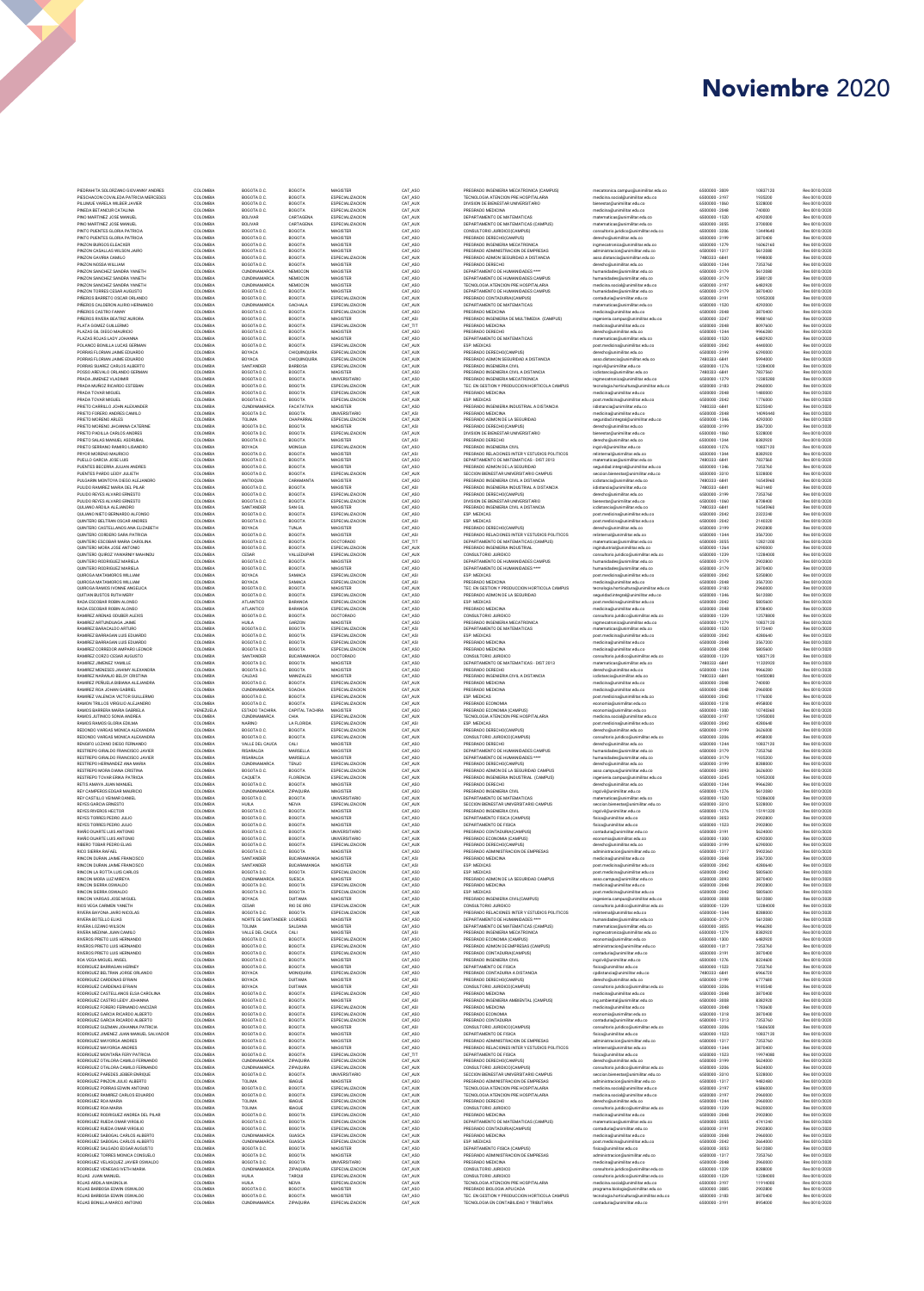PERIDENT ARGUMENTARY (AND ARGUMENTARY ARGUMENTARY ARGUMENTARY ARGUMENTARY (AND ARGUMENTARY ARGUMENTARY ARGUMENTARY ARGUMENTARY ARGUMENTARY (AND ARGUMENTARY ARGUMENTARY ARGUMENTARY ARGUMENTARY (AND ARGUMENTARY ARGUMENTARY A IRINGE TOMBER PIDENT DE MARCADO DE SIN ANNE DE MARCADO DE MARCADO DE MARCADO DE MARCADO DE MARCADO DE MARCADO DE MARCADO DE MARCADO DE MARCADO DE MARCADO DE MARCADO DE MARCADO DE MARCADO DE MARCADO DE MARCADO DE MARCADO DE

| COLOMBIA             | BOGOTA D.C.                                | BOGOTA                         | MAGISTER                                  |
|----------------------|--------------------------------------------|--------------------------------|-------------------------------------------|
| COLOMBIA<br>COLOMBIA | BOGOTA D.C.<br>BOGOTA D.C.                 | BOGOTA<br><b>BOGOTA</b>        | ESPECIALIZACION<br>ESPECIALIZACION        |
| COLOMBIA             | BOGOTA D.C.                                | <b>BOGOTA</b>                  | ESPECIALIZACION                           |
| COLOMBIA<br>COLOMBIA | <b>BOLIVAR</b><br><b>ROLIVAR</b>           | CARTAGENA<br>CARTAGENA         | ESPECIALIZACION<br>ESPECIALIZACION        |
| COLOMBIA             | BOGOTA D.C.                                | <b>BOGOTA</b>                  | <b>MAGISTER</b>                           |
| COLOMBIA<br>COLOMBIA | BOGOTA D.C.<br>BOGOTA D.C.                 | <b>BOGOTA</b><br><b>BOGOTA</b> | <b>MAGISTER</b><br><b>MAGISTER</b>        |
| COLOMBIA             | BOGOTA D.C.                                | <b>BOGOTA</b>                  | <b>MAGISTER</b>                           |
| COLOMBIA<br>COLOMBIA | BOGOTA D.C.<br>BOGOTA D.C.                 | <b>ROGOTA</b><br><b>BOGOTA</b> | ESPECIALIZACIÓN<br><b>MAGISTER</b>        |
| COLOMBIA             | <b>CUNDINAMARCA</b>                        | NEMOCON                        | MAGISTER                                  |
| COLOMBIA<br>COLOMBIA | <b>CUNDINAMARCA</b><br><b>CUNDINAMARCA</b> | NEMOCON<br>NEMOCON             | MAGISTER<br>MAGISTER                      |
| COLOMBIA             | BOGOTA D.C.                                | <b>ROGOTA</b>                  | MAGISTER                                  |
| COLOMBIA<br>COLOMBIA | BOGOTA D.C.<br><b>CUNDINAMARCA</b>         | BOGOTA<br>GACHALA              | ESPECIALIZACION<br>ESPECIALIZACION        |
| COLOMBIA             | BOGOTA D.C.                                | BOGOTA                         | ESPECIALIZACION                           |
| COLOMBIA             | BOGOTA D.C.                                | <b>BOGOTA</b>                  | MAGISTER                                  |
| COLOMBIA<br>COLOMBIA | BOGOTA D.C.<br>BOSOTA D.C.                 | BOGOTA<br><b>ROGOTA</b>        | ESPECIALIZACION<br>MAGISTER               |
| COLOMBIA             | BOGOTA D.C.                                | <b>ROGOTA</b>                  | MAGISTER                                  |
| COLOMBIA<br>COLOMBIA | BOGOTA D.C.<br>BOYACA                      | <b>BOGOTA</b><br>CHIQUINQUIRA  | ESPECIALIZACION<br>ESPECIALIZACION        |
| COLOMBIA             | BOYACA                                     | CHIQUINQUIRA                   | ESPECIALIZACION                           |
| COLOMBIA<br>COLOMBIA | SANTANDER<br>BOGOTA D.C.                   | BARBOSA<br>BOGOTA              | ESPECIALIZACION<br>MAGISTER               |
| COLOMBIA             | BOGOTA D.C.                                | BOGOTA                         | UNIVERSITARIO                             |
| COLOMBIA             | BOGOTA D.C.                                | BOGOTA                         | ESPECIALIZACION                           |
| COLOMBIA<br>COLOMBIA | BOGOTA D.C.<br>BOGOTA D.C.                 | BOGOTA<br>BOGOTA               | ESPECIALIZACION<br>ESPECIALIZACION        |
| COLOMBIA             | <b>CUNDINAMARCA</b>                        | FACATATIVA                     | MAGISTER                                  |
| COLOMBIA<br>COLOMBIA | BOGOTA D.C.<br>TOLIMA                      | BOGOTA<br>CHAPARRAL            | UNIVERSITARIO<br>ESPECIALIZACION          |
| COLOMBIA             | BOGOTA D.C.                                | BOGOTA                         | MAGISTER                                  |
| COLOMBIA             | BOGOTA D.C.                                | BOGOTA                         | <b>ESPECIALIZACION</b>                    |
| COLOMBIA<br>COLOMBIA | BOGOTA D.C.<br>BOYACA                      | BOGOTA<br>MONGUA               | MAGISTER<br><b>ESPECIALIZACION</b>        |
| COLOMBIA             | BOGOTA D.C.                                | BOGOTA                         | MAGISTER                                  |
| COLOMBIA<br>COLOMBIA | BOGOTA D.C.<br>BOGOTA D.C.                 | BOGOTA<br>BOGOTA               | MAGISTER<br>MAGISTER                      |
| COLOMBIA             | BOGOTA D.C.                                | BOGOTA                         | ESPECIALIZACION                           |
| COLOMBIA<br>COLOMBIA | ANTIOQUIA<br>BOGOTA D.C.                   | CARAMANTA<br><b>ROGOTA</b>     | MAGISTER<br>MAGISTER                      |
| COLOMBIA             | BOGOTA D.C.                                | <b>ROGOTA</b>                  | ESPECIALIZACION                           |
| COLOMBIA             | BOGOTA D.C.                                | BOGOTA                         | <b>ESPECIALIZACION</b>                    |
| COLOMBIA<br>COLOMBIA | SANTANDER<br>BOGOTA D.C.                   | SAN GIL<br><b>BOGOTA</b>       | MAGISTER<br>ESPECIALIZACION               |
| COLOMBIA             | BOGOTA D.C.                                | <b>BOGOTA</b>                  | ESPECIALIZACIÓN                           |
| COLOMBIA<br>COLOMBIA | BOYACA<br>BOGOTA D.C.                      | <b>TUNJA</b><br><b>ROGOTA</b>  | MAGISTER<br>MAGISTER                      |
| COLOMBIA             | BOGOTA D.C.                                | <b>ROGOTA</b>                  | DOCTORADO                                 |
| COLOMBIA<br>COLOMBIA | BOGOTA D.C.<br>CESAR                       | BOGOTA<br>VALLEDUPAR           | ESPECIALIZACION<br>ESPECIALIZACION        |
| COLOMBIA             | BOGOTA D.C.                                | <b>ROGOTA</b>                  | MAGISTER                                  |
| COLOMBIA             | BOGOTA D.C.                                | <b>BOGOTA</b>                  | MAGISTER                                  |
| COLOMBIA<br>COLOMBIA | BOYACA<br>BOYACA                           | SAMACA<br>SAMACA               | ESPECIAL IZACION<br>ESPECIAL IZACION      |
| COLOMBIA             | BOGOTA D.C.                                | <b>BOGOTA</b>                  | MAGISTER                                  |
| COLOMBIA<br>COLOMBIA | BOGOTA D.C.<br><b>ATLANTICO</b>            | ROGOTA<br>BARANOA              | ESPECIALIZACION<br>ESPECIALIZACION        |
| COLOMBIA             | ATLANTICO                                  | RARANOA                        | ESPECIALIZACION                           |
| COLOMBIA             | BOGOTA D.C.                                | <b>BOGOTA</b>                  | DOCTORADO                                 |
| COLOMBIA<br>COLOMBIA | HUILA<br>BOGOTA D.C.                       | GARZON<br><b>BOGOTA</b>        | MAGISTER<br>ESPECIALIZACION               |
| COLOMBIA             | BOGOTA D.C.                                | <b>BOGOTA</b>                  | ESPECIALIZACION                           |
| COLOMBIA<br>COLOMBIA | BOGOTA D.C.<br>BOGOTA D.C.                 | BOGOTA<br>BOGOTA               | ESPECIALIZACION<br>ESPECIALIZACION        |
| COLOMBIA             | SANTANDER                                  | BUCARAMANGA                    | DOCTORADO                                 |
| COLOMBIA<br>COLOMBIA | BOGOTA D.C.<br>BOGOTA D.C.                 | <b>BOGOTA</b><br>BOGOTA        | MAGISTER<br>MAGISTER                      |
| COLOMBIA             | CALDAS                                     | MANIZALES                      | MAGISTER                                  |
| COLOMBIA             | BOGOTA D.C.                                | BOGOTA                         | <b>ESPECIALIZACION</b><br>ESPECIALIZACION |
| COLOMBIA<br>COLOMBIA | CUNDINAMARCA<br>BOGOTA D.C.                | SOACHA<br>BOGOTA               | ESPECIALIZACION                           |
|                      |                                            |                                |                                           |
| COLOMBIA             | BOGOTA D.C.                                | BOGOTA                         | ESPECIALIZACION                           |
| VENEZUELA            | ESTADO TACHIRA.                            | CAPITAL TACHIRA                | MAGISTER                                  |
| COLOMBIA<br>COLOMBIA | <b>CUNDINAMARCA</b><br><b>NARINO</b>       | CHIA<br>LA FLORIDA             | ESPECIALIZACION<br>ESPECIALIZACION        |
| COLOMBIA             | BOGOTA D.C.                                | BOGOTA                         | ESPECIALIZACION                           |
| COLOMBIA<br>COLOMBIA | BOGOTA D.C.<br>VALLE DEL CAUCA             | BOGOTA<br>CALI                 | <b>ESPECIALIZACION</b><br>MAGISTER        |
| COLOMBIA             | RISARALDA                                  | MARSELLA                       | MAGISTER                                  |
| COLOMBIA<br>COLOMBIA | RISARALDA<br><b>CUNDINAMARCA</b>           | MARSELLA<br>TENJO              | MAGISTER<br>ESPECIALIZACION               |
| COLOMBIA             | BOGOTA D.C.                                | BOGOTA                         | ESPECIALIZACION                           |
| COLOMBIA             | CAQUETA<br>BOGOTA D.C.                     | <b>FLORENCIA</b><br>BOGOTA     | ESPECIALIZACION                           |
| COLOMBIA<br>COLOMBIA | <b>CUNDINAMARCA</b>                        | ZIPAQUIRA                      | MAGISTER<br>MAGISTER                      |
| COLOMBIA             | BOGOTA D.C.                                | BOGOTA                         | UNIVERSITARIO                             |
| COLOMBIA<br>COLOMBIA | HUILA<br>BOGOTA D.C.                       | NEIVA<br>BOGOTA                | ESPECIALIZACION<br>MAGISTER               |
| COLOMBIA             | BOGOTA D.C.                                | BOGOTA                         | MAGISTER                                  |
| COLOMBIA<br>COLOMBIA | BOGOTA D.C.<br>ROGOTA D.C.                 | <b>ROGOTA</b><br><b>ROGOTA</b> | MAGISTER<br>UNIVERSITARIO                 |
| COLOMBIA             | BOGOTA D.C.                                | <b>BOGOTA</b>                  | <b>INIVERSITARIO</b>                      |
| COLOMBIA<br>COLOMBIA | BOGOTA D.C.<br>BOGOTA D.C.                 | <b>ROGOTA</b><br><b>BOGOTA</b> | ESPECIALIZACION<br>MAGISTER               |
| COLOMBIA             | SANTANDER                                  | BUCARAMANGA                    | MAGISTER                                  |
| COLOMBIA<br>COLOMBIA | SANTANDER<br>BOGOTA D.C.                   | BUCARAMANGA<br><b>BOGOTA</b>   | MAGISTER<br>ESPECIALIZACION               |
| COLOMBIA             | CUNDINAMARCA                               | SUESCA                         | MAGISTER                                  |
| COLOMBIA<br>COLOMBIA | BOGOTA D.C.<br>ROGOTA D.C.                 | <b>BOGOTA</b><br><b>BOGOTA</b> | ESPECIALIZACION<br>ESPECIALIZACIÓN        |
| COLOMBIA             | <b>ROYACA</b>                              | <b>DUITAMA</b>                 | MAGISTER                                  |
| COLOMBIA<br>COLOMBIA | CESAR<br>BOGOTA D.C.                       | RIO DE ORO<br><b>BOGOTA</b>    | ESPECIALIZACIÓN<br>ESPECIALIZACION        |
| COLOMBIA             | NORTE DE SANTANDER LOURDES                 |                                | MAGISTER                                  |
| COLOMBIA<br>COLOMBIA | TOLIMA<br>VALLE DEL CALICA                 | SAI DANA<br>CALL               | MAGISTER<br>MAGISTER                      |
| COLOMBIA             | BOGOTA D.C.                                | BOGOTA                         | ESPECIALIZACION                           |
| COLOMBIA<br>COLOMBIA | BOGOTA D.C.<br>BOGOTA D.C.                 | BOGOTA<br>BOGOTA               | ESPECIALIZACION<br>ESPECIALIZACION        |
| COLOMBIA             | BOGOTA D.C.                                | BOGOTA                         | <b>MAGISTER</b>                           |
| COLOMBIA             | BOGOTA D.C.                                | BOGOTA                         | <b>MAGISTER</b>                           |
| COLOMBIA<br>COLOMBIA | BOYACA<br>BOYACA                           | MONIOUIRA<br>DUITAMA           | ESPECIALIZACION<br><b>MAGISTER</b>        |
| COLOMBIA             | BOYACA                                     | DUITAMA                        | <b>MAGISTER</b>                           |
| COLOMBIA<br>COLOMBIA | BOGOTA D.C.<br>BOGOTA D.C.                 | <b>BOGOTA</b><br><b>BOGOTA</b> | <b>ESPECIALIZACION</b><br>MAGISTER        |
| COLOMBIA             | BOGOTA D.C.                                | <b>ROGOTA</b>                  | <b>ESPECIALIZACION</b>                    |
| COLOMBIA<br>COLOMBIA | BOGOTA D.C.<br>BOGOTA D.C.                 | BOGOTA<br><b>BOGOTA</b>        | ESPECIALIZACION<br>ESPECIALIZACION        |
| COLOMBIA             | BOGOTA D.C.                                | BOGOTA                         | MAGISTER                                  |
| COLOMBIA<br>COLOMBIA | BOGOTA D.C.<br>BOGOTA D.C.                 | <b>ROGOTA</b><br>BOGOTA        | MAGISTER<br>MAGISTER                      |
| COLOMBIA             | BOGOTA D.C.                                | <b>ROGOTA</b>                  | MAGISTER                                  |
| COLOMBIA<br>COLOMBIA | BOGOTA D.C.                                | BOGOTA                         | ESPECIALIZACION                           |
| COLOMBIA             | CUNDINAMARCA<br>CUNDINAMARCA               | ZIPAQUIRA<br>ZIPAQUIRA         | ESPECIALIZACION<br>ESPECIALIZACION        |
| COLOMBIA             | BOGOTA D.C.                                | <b>BOGOTA</b>                  | <b>UNIVERSITARIO</b>                      |
| COLOMBIA<br>COLOMBIA | TOLIMA<br>BOGOTA D.C.                      | <b>IBAGUE</b><br>BOGOTA        | MAGISTER<br>ESPECIALIZACION               |
| COLOMBIA             | BOGOTA D.C.                                | BOGOTA                         | ESPECIALIZACION                           |
| COLOMBIA<br>COLOMBIA | TOLIMA<br>TOLIMA                           | <b>IBAGUE</b><br><b>IBAGUE</b> | ESPECIALIZACION<br>ESPECIALIZACION        |
| COLOMBIA             | BOGOTA D.C.                                | BOGOTA                         | ESPECIALIZACION                           |
| COLOMBIA<br>COLOMBIA | BOGOTA D.C.<br>BOGOTA D.C.                 | BOGOTA<br>BOGOTA               | ESPECIALIZACION<br>ESPECIALIZACION        |
| COLOMBIA             | CUNDINAMARCA                               | GUASCA                         | ESPECIALIZACION                           |
| COLOMBIA             | <b>CUNDINAMARCA</b>                        | GUASCA                         | ESPECIALIZACION                           |
| COLOMBIA<br>COLOMBIA | BOGOTA D.C.<br>BOGOTA D.C.                 | BOGOTA<br>BOGOTA               | MAGISTER<br>MAGISTER                      |
| COLOMBIA             | BOGOTA D.C.                                | BOGOTA                         | <b>UNIVERSITARIO</b>                      |
| COLOMBIA<br>COLOMBIA | <b>CUNDINAMARCA</b><br>HUILA               | ZIPAQUIRA<br>TARQUI            | ESPECIALIZACION<br><b>ESPECIALIZACION</b> |
| COLOMBIA             | HUILA                                      | NEIVA                          | <b>ESPECIALIZACION</b>                    |
| COLOMBIA<br>COLOMBIA | BOGOTA D.C.<br>BOGOTA D.C.                 | BOGOTA<br>BOGOTA               | MAGISTER<br>MAGISTER                      |
| COLOMBIA             | CUNDINAMARCA                               | ZIPAQUIRA                      | ESPECIALIZACION                           |

PERIDENT AND MERIDIAN CONSULTIVE AND MANUFACTURE CONTRADICTOR (SPIRING) (1970) (1970) (1970) (1970) (1970) (1970) (1970) (1970) (1970) (1970) (1970) (1970) (1970) (1970) (1970) (1970) (1970) (1970) (1970) (1970) (1970) (1

mentroints in the interaction of the interaction of the interaction of the interaction of the interaction of the interaction of the interaction of the interaction of the interaction of the interaction of the interaction o

| 6500000 - 3009                   | 10837120             | Res 0010/2020                  |
|----------------------------------|----------------------|--------------------------------|
| 6500000 - 3197<br>6500000 - 1060 | 1935200              | Res 0010/2020<br>Res 0010/2020 |
| 6500000 - 2048                   | 5328000<br>740000    | Res 0010/2020                  |
| 6500000 - 1520                   | 4292000              | Res 0010/2020                  |
| 6500000 - 3055<br>6500000 - 3206 | 3700000<br>13449640  | Res 0010/2020<br>Res 0010/2020 |
| 6500000 - 3199                   | 3870400              | Res 0010/2020                  |
| 6500000 - 1279                   | 16062160             | Res 0010/2020                  |
| 6500000 - 1317<br>7480333 - 6841 | 5612080<br>1998000   | Res 0010/2020<br>Res 0010/2020 |
| 6500000 - 1244                   | 7353760              | Res 0010/2020                  |
| 6500000 - 3179                   | 5612080              | Res 0010/2020                  |
| 6500000-3179<br>6500000 - 3197   | 3580120<br>6482920   | Res 0010/2020<br>Res 0010/2020 |
| 6500000 - 3179                   | 3870400              | Res 0010/2020                  |
| 6500000 - 3191                   | 10952000             | Res 0010/2020                  |
| 6500000 - 1520<br>6500000 - 2048 | 4292000<br>3870400   | Res 0010/2020<br>Res 0010/2020 |
| 6500000 - 3247                   | 9988160              | Res 0010/2020                  |
| 6500000 - 2048                   | 8097600              | Res 0010/2020                  |
| 6500000 - 1244<br>6500000 - 1520 | 1856280<br>6482920   | Res 0010/2020<br>Res 0010/2020 |
| 6500000 - 2042                   | 4440000              | Res 0010/2020                  |
| 6500000 - 3199                   | 6290000              | Res 0010/2020                  |
| 7480333 - 6841<br>6500000 - 1276 | 5994000<br>12284000  | Res 0010/2020<br>Res 0010/2020 |
| 7480333 - 6841                   | 7837560              | Res 0010/2020                  |
| 6500000 - 1279                   | 12385280             | Res 0010/2020                  |
| 6500000 - 3183<br>6500000 - 2048 | 2960000<br>1480000   | Res 0010/2020<br>Res 0010/2020 |
| 6500000 - 2042                   | 1776000              | Res 0010/2020                  |
| 7480333 - 6841                   | 5225040              | Res 0010/2020                  |
| 6500000 - 2048<br>6500000 - 1346 | 14090440<br>4292000  | Res 0010/2020<br>Res 0010/2020 |
| 6500000 - 3199                   | 3567200              | Res 0010/2020                  |
| 6500000 - 1060                   | 5328000              | Res 0010/2020                  |
| 6500000 - 1244<br>6500000 - 1276 | 8382920<br>10837120  | Res 0010/2020<br>Res 0010/2020 |
| 6500000 - 1344                   | 8382920              | Res 0010/2020                  |
| 7480333 - 6841                   | 7837560              | Res 0010/2020                  |
| 6500000 - 1346<br>6500000 - 3310 | 7353760<br>5328000   | Res 0010/2020<br>Res 0010/2020 |
| 7480333 - 6841                   | 16545960             | Res 0010/2020                  |
| 7480333 - 6R41                   | 9631440<br>7353760   | Res 0010/2020                  |
| 6500000 - 3199<br>6500000 - 1060 | 8708400              | Res 0010/2020<br>Res 0010/2020 |
| 7480333 - 6841                   | 16545960             | Res 0010/2020                  |
| 6500000 - 2042                   | 2322240              | Res 0010/2020                  |
| 6500000 - 2042                   | 2140320              | Res 0010/2020                  |
| 6500000 - 3199<br>6500000 - 1344 | 2902800<br>3567200   | Res 0010/2020<br>Res 0010/2020 |
| 6500000 - 3055                   | 12821200             | Res 0010/2020                  |
| 6500000 - 1264                   | 6290000              | Res 0010/2020                  |
| 6500000 - 1239<br>6500000 - 3179 | 12284000<br>2902800  | Res 0010/2020<br>Res 0010/2020 |
| 6500000 - 3179                   | 3870400              | Res 0010/2020                  |
| 6500000 - 2042                   | 5350800              | Res 0010/2020                  |
| 6500000 - 2048                   | 3567200              | Res 0010/2020<br>Res 0010/2020 |
| 6500000 - 3183<br>6500000 - 1346 | 2960000<br>5612080   | Res 0010/2020                  |
| 6500000 - 2042                   | 5805600              | Res 0010/2020                  |
| 6500000 - 2048                   | 8708400              | Res 0010/2020                  |
| 6500000 - 1239<br>6500000 - 1279 | 12578800<br>10837120 | Res 0010/2020<br>Res 0010/2020 |
| 6500000 - 1520                   | 5172440              | Res 0010/2020                  |
| 6500000 - 2042                   | 4280640              | Res 0010/2020                  |
| 6500000 - 2048<br>6500000 - 2048 | 3567200<br>5805600   | Res 0010/2020<br>Res 0010/2020 |
| 6500000 - 1239                   | 10837120             | Res 0010/2020                  |
| 7480333 - 6841                   | 11320920             | Res 0010/2020                  |
| 6500000 - 1244<br>7480333 - 6841 | 9966280<br>10450080  | Res 0010/2020<br>Res 0010/2020 |
| 6500000 - 2048                   | 740000               | Res 0010/2020                  |
| 6500000 - 2048                   | 2960000              | Res 0010/2020                  |
| 6500000 - 2042<br>6500000 - 1318 | 1776000<br>4958000   | Res 0010/2020<br>Res 0010/2020 |
| 6500000 - 1300                   | 10740360             | Res 0010/2020                  |
|                                  |                      |                                |
| 6500000 - 3197                   | 12950000             | Res 0010/2020                  |
| 6500000 - 2042                   | 4280640              | Res 0010/2020                  |
| 6500000 - 3199<br>6500000 - 3206 | 3626000              | Res 0010/2020<br>Res 0010/2020 |
| 6500000 - 1244                   | 10837120             | Res 0010/2020                  |
| 6500000 - 3179                   | 7353760              | Res 0010/2020                  |
| 6500000 - 3179<br>6500000 - 3199 | 1935200<br>8288000   | Res 0010/2020<br>Res 0010/2020 |
| 6500000 - 3093                   | 3626000              | Res 0010/2020                  |
| 6500000 - 3245                   | 10952000             | Res 0010/2020                  |
| 6500000 - 1244                   | 9966280<br>5612080   | Res 0010/2020<br>Res 0010/2020 |
| 6500000 - 1276<br>6500000 - 1520 | 10286000             | Res 0010/2020                  |
| 6500000 - 3310                   | 5328000              | Res 0010/2020                  |
| 6500000 - 1276<br>6500000 - 3053 | 15191320             | Res 0010/2020                  |
| 6500000 - 1523                   | 2902800<br>2902800   | s 0010/2020<br>Res 0010/2020   |
| 6500000-3191                     | 5624000              | Res 0010/2020                  |
| 6500000 - 1300<br>6500000 - 3199 | 4292000<br>6290000   | Res 0010/2020<br>Res 0010/2020 |
| 6500000 - 1317                   | 5902360              | Res 0010/2020                  |
| 6500000 - 2048                   | 3567200              | Re<br>0010/2020                |
| 6500000 - 2042<br>6500000 - 2042 | 4280640<br>5805600   | Res 0010/2020<br>Res 0010/2020 |
| 6500000 - 3093                   | 3870400              | Res 0010/2020                  |
| 6500000 - 2048                   | 2902800              | Res 0010/2020                  |
| 6500000 - 2042<br>6500000 - 3008 | 5805600<br>5612080   | Res 0010/2020<br>Res 0010/2020 |
| 6500000 - 1239                   | 12284000             | Res 0010/2020                  |
| 6500000 - 1344                   | 8288000<br>5612080   | Res 0010/2020<br>Res 0010/2020 |
| 6500000 - 3179<br>6500000 - 3055 | 9966280              | Res 0010/2020                  |
| 6500000 - 1279                   | 8382920              | Res 0010/2020                  |
| 6500000 - 1300                   | 6482920              | Res 0010/2020                  |
| 6500000 - 1317                   | 7353760              | Res 0010/2020                  |
| 6500000 - 3191<br>6500000 - 1276 | 3870400<br>8224600   | Res 0010/2020<br>Res 0010/2020 |
| 6500000 - 1523                   | 7353760              | Res 0010/2020                  |
| 7480333 - 6841                   | 6966720              | Res 0010/2020                  |
| 6500000 - 3199<br>6500000 - 3206 | 6777680<br>9185540   | Res 0010/2020<br>Res 0010/2020 |
| 6500000 - 2048                   | 3870400              | Res 0010/2020                  |
| 6500000 - 3008<br>6500000 - 2048 | 8382920              | Res 0010/2020                  |
| 6500000 - 1318                   | 1783600<br>3870400   | Res 0010/2020<br>Res 0010/2020 |
| 6500000 - 1313                   | 7353760              | Res 0010/2020                  |
| 6500000 - 3206                   | 15606500<br>10837120 | Res 0010/2020                  |
| 6500000 - 1523<br>6500000 - 1317 | 7353760              | Res 0010/2020<br>Res 0010/2020 |
| 6500000 - 1344                   | 3870400              | Res 0010/2020                  |
| 6500000 - 1523                   | 19974080             | Res 0010/2020                  |
| 6500000 - 3199<br>6500000 - 3206 | 5624000<br>5624000   | Res 0010/2020<br>Res 0010/2020 |
| 6500000 - 3310                   | 5328000              | Res 0010/2020                  |
| 6500000 - 1317                   | 9482480              | Res 0010/2020                  |
| 6500000 - 3197                   | 6586000              | Res 0010/2020                  |
| 6500000-3197<br>6500000 - 1244   | 2960000<br>2960000   | Res 0010/2020<br>Res 0010/2020 |
| 6500000 - 1239                   | 9620000              | Res 0010/2020                  |
| 6500000 - 2048                   | 2902800              | Res 0010/2020                  |
| 6500000 - 3055<br>6500000 - 3191 | 4741240<br>2902800   | Res 0010/2020<br>Res 0010/2020 |
| 6500000 - 2048                   | 2960000              | Res 0010/2020                  |
| 6500000 - 2042                   | 2664000              | Res 0010/2020                  |
| 6500000 - 3053                   | 5612080              | Res 0010/2020                  |
| 6500000 - 1317<br>6500000 - 2048 | 7353760<br>2960000   | Res 0010/2020<br>Res 0010/2020 |
| 6500000 - 1239                   | 8288000              | Res 0010/2020                  |
| 6500000 - 1239                   | 12284000             | Res 0010/2020                  |
| 6500000 - 3197<br>6500000 - 3085 | 11914000<br>2902800  | Res 0010/2020<br>s 0010/2020   |
| 6500000 - 3183<br>6500000 - 3191 | 3870400<br>8954000   | Res 0010/2020<br>Res 0010/2020 |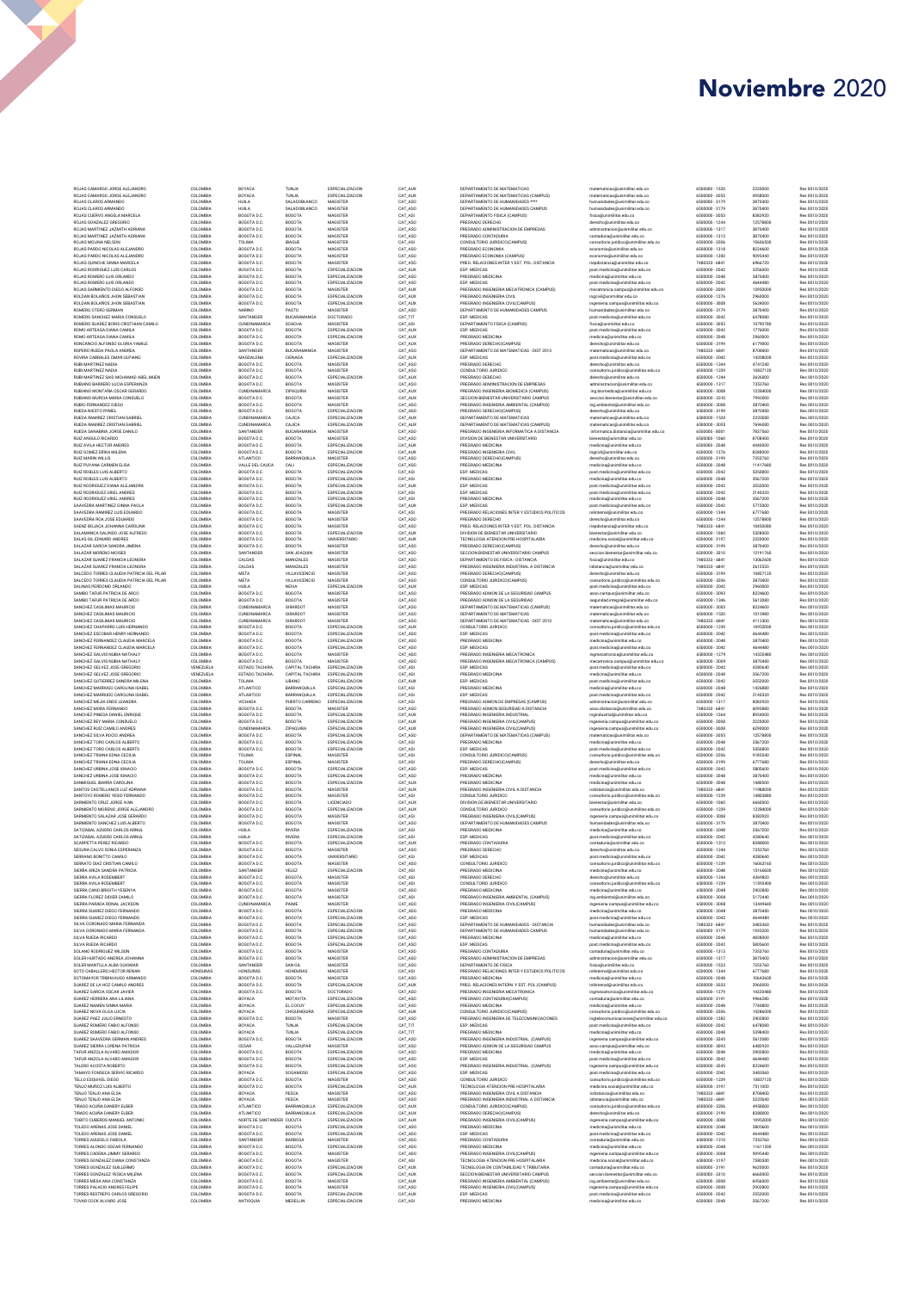| ROJAS CAMARGO JORGE ALE<br>TOJAS CAMARGO JORGE ALEJANDRO                                        |
|-------------------------------------------------------------------------------------------------|
| <b>TOJAS CLAROS ARMANDO</b><br><b>ROJAS CLAROS ARMANDO</b>                                      |
| ROJAS CUERVO ANGELA MARCEL<br>ROJAS GONZALEZ GREGORIO                                           |
| OJAS MARTINEZ JAZMITH ADRIANA<br>ROJAS MARTINEZ JAZMITH ADRIANA                                 |
| ROJAS MOLINA NELSON<br>.<br>ROJAS PARDO NICOLAS ALEJANDRO<br>ROJAS PARDO NICOLAS ALEJANDRO      |
| .<br>ROJAS QUINCHE GINNA MARCEL<br>ROJAS RODRIGUEZ LUIS CARLOS                                  |
| ROJAS ROMERO LUIS ORLANDO                                                                       |
| <b>ROJAS ROMERO LUIS ORLANDO</b>                                                                |
| ROJAS SARMIENTO DIEGO ALFONSO<br>ROLDAN BOLAÑOS JHON SEBASTIAN<br>ROLDAN BOLAÑOS JHON SEBASTIAN |
| ROMERO OTERO GERMAN<br>ROMERO SANCHEZ MARIA CONSUELO                                            |
| ROMERO SUAREZ BORIS CRISTHIAN CAMILO                                                            |
| ROMO ARTEAGA DIANA CAMILA<br>ROMO ARTEAGA DIANA CAMILA<br>RONCANCIO ALFONSO GLORIA YAMILE       |
| ROPERO RUEDA PAOLA ANDREA<br>ROVIRA CABRALES OMAR ULPIANO                                       |
| ----------<br>RUBI MARTINEZ NADIA<br>RUBI MARTINEZ NADIA                                        |
| <b>RUBI MARTINEZ SAID MOHAMAD ABEL MUEN</b><br><b>NJBIANO BARRERO LUCIA ESPERANZA</b>           |
| <b>IUBIANO MONTAÑA OSCAR GERARDO</b><br><b>IUBIANO MURCIA MARIA CONSUELO</b>                    |
| <b>NUBIO FERNANDEZ DIEGO</b><br><b>NJEDA NIESTO RYMEL</b>                                       |
| ----------<br>RUEDA RAMIREZ CRISTIAN GABRIEL<br>RUEDA RAMIREZ CRISTIAN GABRIEL                  |
| RUEDA SANABRIA JORGE DANILO<br><b>RUIZ ANGULO RICARDO</b>                                       |
| RUIZ AVILA HECTOR ANDRES<br>RUIZ GOMEZ ERIKA MILENA                                             |
| <b>IUIZ MARIN WILLIS</b><br><b>NUIZ PUYANA CARMEN ELISA</b>                                     |
| NUIZ ROBLES LUIS ALBERTO<br>NUIZ ROBLES LUIS ALBERTO                                            |
| NIZ RODRIGUEZ DIANA ALEJANDRA<br>NUIZ RODRIGUEZ URIEL ANDRES                                    |
| NUIZ RODRIGUEZ URIEL ANDRES<br>AVEDRA MARTINEZ GINNA P.<br>š,<br>١O                             |
| AAVEDRA RAMIREZ LUIS EDUARDO<br>SAAVEDRA ROA JOSE EDUARDO                                       |
| SAENZ BOJACA JOHANNA CAROLINA<br>SALAMANCA GALINDO JOSE ALFREDO                                 |
| SALAS GIL EDWARD ANDRES<br>SALAZAR GARCIA SANDRA<br><b>AENA</b>                                 |
| SALAZAR MORENO MOISES<br>SALAZAR SUAREZ FRANCIA LEONORA                                         |
| SALAZAR SUAREZ FRANCIA LEONORA                                                                  |
| SALCEDO TORRES CLAUDIA PATRICIA DEL PIL                                                         |
| SALINAS PERDOMO ORLANDO<br>SAMBO TAFUR PATRICIA DE ARCO<br>SAMBO TAFUR PATRICIA DE ARCO         |
| SANCHEZ CASILIMAS MAURIC                                                                        |
| SANCHEZ CASILIMAS MAURICIO<br>SANCHEZ CASILIMAS MAURICIO                                        |
| SANCHEZ CHAPARRO LUIS HERNANDO<br>SANCHEZ ESCOBAR HENRY HERNANDO                                |
| SANCHEZ FERNANDEZ CLAUDIA MARCEL<br>SANCHEZ FERNANDEZ CLAUDIA MARCELA                           |
| SANCHEZ GALVIS NUBIA NATHALY<br>SANCHEZ GALVIS NUBIA NATHAL                                     |
| SANCHEZ GELVEZ JOSE GREGORIO<br>SANCHEZ GELVEZ JOSE GREGORIO                                    |
| SANCHEZ GUTIERREZ SANDRA MILENA<br>SANCHEZ MARRUGO CAROLINA ISABEL                              |
| SANCHEZ MARRUGO CAROLINA ISABEL<br>SANCHEZ MEJIA ENOE LEANDRA                                   |
| SANCHEZ MORA FERNANDO<br>SANCHEZ PINEDA DANIEL ENRIQUE                                          |
| SANCHEZ REY MARIA CONSUEL<br>SANCHEZ RUIZ CAMILO ANDRES                                         |
| SANCHEZ SILVA ROCIO ANDREA<br>NCHEZ TORO CARLOS ALBERTO<br>š,                                   |
| ANCHEZ TORO CARLOS ALBERTO<br>SANCHEZ TRIANA EDNA CECILIA                                       |
| SANCHEZ TRIANA EDNA CECILIA                                                                     |
| SANCHEZ URBINA JOSE IGNACIO<br>SANCHEZ URBINA JOSE IGNACIO<br>SANMIGUEL IBARRA CAROLINA         |
| SANTOS CASTELLANOS LUZ ADRIANA<br>NTOYO ROMERO YESID FERNANDO<br>ž,                             |
| .<br>SARMIENTO CRUZ JORGE IVAN<br>SARMIENTO MORENO JORGE ALEJANDRO                              |
| SARMIENTO SALAZAR JOSE GERARDO<br>SARMIENTO SANCHEZ LUIS ALBERTO                                |
| .<br>SATIZABAL AZUERO CARLOS ARNUL<br>SATIZABAL AZUERO CARLOS ARNUL                             |
| SCARPETTA PEREZ RICARDO<br>SEGURA CALVO SONIA ESPERANZA                                         |
| <b>SERRAN</b><br><b>BON</b><br>н<br>11L<br>SERRATO DIAZ CRISTIAN CAMILO                         |
| SIERRA ARIZA SANDRA PATRICIA<br>SIERRA AVILA ROSEMBERT                                          |
| SIERRA AVILA ROSEMBERT<br>SIERRA CANO BRIGITH YESENYA                                           |
| SIERRA FLOREZ DIDIER CAN<br><b>SIERRA PARADA RONAL</b><br><b>JACKSON</b>                        |
| SIERRA SUAREZ DIEGO FERNANDO<br>SIERRA SUAREZ DIEGO FERNANDO                                    |
| SILVA CORONADO MARIA FERNAND<br>SILVA CORONADO MARIA FERNANDA                                   |
| SILVA RUEDA RICARDO<br>SILVA RUEDA RICARDO                                                      |
| SOLANO RODRIGUEZ WILSON<br><b>SOLER HURTADO ANDREA</b><br>JOHA                                  |
| SOLER MANTILLA ALBA GUIOMAR<br>SOTO CABALLERO HECTOR RENAN                                      |
| SOTOMAYOR TRIBIN HUGO ARMANDO<br><b>SUAREZ DE LA HOZ CAMILO ANDRES</b>                          |
| <b>SUAREZ GARCIA OSCAR</b><br><b>IAVIER</b><br>SUAREZ HERRERA ANA LILIANA                       |
| <b>SUAREZ NAMEN GINNA MARIA</b><br>SUAREZ NOVA OLGA LUCIA                                       |
| <b>SUAREZ PAEZ JULIO ERNESTO</b><br>SUAREZ ROMERO FABIO ALFONSO                                 |
| <b>SUAREZ ROMERO FABIO ALFONSO</b><br>SUAREZ SAAVEDRA GERMAN ANDRES                             |
| <b>SUAREZ SIERRA LORENA PATRICIA</b><br>FAFUR ANZOLA ALVARO AMADOR                              |
| FAFUR ANZOLA ALVARO AMADOR<br><b>TALERO ACOSTA ROBERTO</b>                                      |
| <b>FAMAYO FONSECA SERVIO RICARDO</b><br><b>FELLO ESQUIVEL DIEGO</b>                             |
| FENJO MUÑOZ LUIS ALBERTO<br>FENJO TENJO ANA ELSA                                                |
| .<br>TENJO TENJO ANA ELSA<br>TIRADO ACUÑA DANERY ELBER                                          |
| <b>TRADO ACUÑA DANERY ELBER</b><br><b>TOBITO CUBEROS MANUEL ANTONIO</b>                         |
| -----<br>FOLEDO ARENAS JOSE DANIEL<br>FOLEDO ARENAS JOSE DANIEL                                 |
| TORRES AGUDELO FABIOLA<br>FORRES ALONSO OSCAR FERNANDO                                          |
| <b>TORRES CADENA JIMMY GERARDO</b><br>FORRES GONZALEZ DIANA CONSTANZA                           |
| TORRES GONZALEZ GUILLERMO<br><b>TORRES GONZALEZ YESICA MILENA</b>                               |
| <b>TORRES MESA ANA CONSTANZA</b><br><b>TORRES PALACIO ANDRES FELIPE</b>                         |
| FORRES RESTREPO CARLOS GREGORIO                                                                 |

| ROJAS CAMARGO JORGE ALEJANDRO<br>ROJAS CAMARGO JORGE ALEJANDRO         | COLOMBIA<br>COLOMBIA  | <b>BOYACA</b><br>BOYACA             | TUNJA<br>TUNJA                    | ESPECIALIZACION<br>ESPECIALIZACIÓN | CAT_AUX<br>CAT_AUX | DEPARTAMENTO DE MATEMATICAS<br>DEPARTAMENTO DE MATEMATICAS (CAMPUS)                | matematicas@unimilitar.edu.co<br>matematicas@unimilitar.edu.co                | 6500000 - 1520<br>6500000 - 3055 | 2220000<br>4958000   | Res 0010/2020<br>Res 0010/2020 |
|------------------------------------------------------------------------|-----------------------|-------------------------------------|-----------------------------------|------------------------------------|--------------------|------------------------------------------------------------------------------------|-------------------------------------------------------------------------------|----------------------------------|----------------------|--------------------------------|
| ROJAS CLAROS ARMANDO                                                   | COLOMBIA              | HUILA                               | SALADOBLANCO                      | MAGISTER                           | CAT_ASO            | DEPARTAMENTO DE HUMANIDADES ****                                                   | humanidades@unimilitar.edu.co                                                 | 6500000-3179                     | 3870400              | Res 0010/2020                  |
| ROJAS CLAROS ARMANDO<br>ROJAS CUERVO ANGELA MARCELA                    | COLOMBIA<br>COLOMBIA  | HUILA<br>BOGOTA D.C.                | SALADOBLANCO<br><b>BOGOTA</b>     | MAGISTER<br>MAGISTER               | CAT_ASO<br>CAT_ASI | DEPARTAMENTO DE HUMANIDADES CAMPUS<br>DEPARTAMENTO FISICA (CAMPUS)                 | humanidades@unimilitar.edu.co<br>fisica@unimilitar.edu.co                     | 6500000-3179<br>6500000 - 3053   | 3870400<br>8382920   | Res 0010/2020<br>Res 0010/2020 |
| ROJAS GONZALEZ GREGORIO                                                | COLOMBIA              | BOGOTA D.C.                         | <b>BOGOTA</b>                     | MAGISTER                           | CAT_ASO            | PREGRADO DERECHO                                                                   | derecho@unimilitar.edu.co                                                     | 6500000 - 1244                   | 12578800             | Res 0010/2020                  |
| ROJAS MARTINEZ JAZMITH ADRIANA<br>ROJAS MARTINEZ JAZMITH ADRIANA       | COLOMBIA<br>COLOMBIA  | BOGOTA D.C<br>BOGOTA D.C.           | <b>BOGOTA</b><br><b>BOGOTA</b>    | MAGISTER<br>MAGISTER               | CAT_ASO<br>CAT_ASO | PREGRADO ADMINISTRACION DE EMPRESAS<br>PREGRADO CONTADURIA                         | administracion@unimilitar.edu.co<br>contaduria@unimilitar.edu.co              | 6500000-1317<br>6500000-1313     | 3870400<br>3870400   | Res 0010/2020<br>Res 0010/2020 |
| ROJAS MOLINA NELSON                                                    | COLOMBIA              | TOLIMA                              | <b>IBAGUE</b>                     | MAGISTER                           | CAT_ASI            | CONSULTORIO JURIDICO(CAMPUS)                                                       | consultorio.juridico@unimilitar.edu.co                                        | 6500000 - 3206                   | 15606500             | Res 0010/2020                  |
| ROJAS PARDO NICOLAS ALEJANDRO<br>ROJAS PARDO NICOLAS ALEJANDRO         | COLOMBIA<br>COLOMBIA  | BOGOTA D.C.<br>BOGOTA D.C           | <b>BOGOTA</b><br><b>BOGOTA</b>    | MAGISTER<br>MAGISTER               | CAT_ASO<br>CAT_ASO | PREGRADO ECONOMIA<br>PREGRADO ECONOMIA (CAMPUS)                                    | economia@unimilitar.edu.co<br>economia@unimilitar.edu.co                      | 6500000 - 1318<br>6500000 - 1300 | 8224600<br>9095440   | Res 0010/2020<br>Res 0010/2020 |
| ROJAS QUINCHE GINNA MARCELA                                            | COLOMBIA              | BOGOTA D.C                          | <b>BOGOTA</b>                     | MAGISTER                           | CAT_ASO            | PREG. RELACIONES INTER Y EST. POL. DISTANCIA                                       | riepdistancia@unimilitar.edu.co                                               | 7480333 - 6841                   | 6966720              | Res 0010/2020                  |
| ROJAS RODRIGUEZ LUIS CARLOS<br>ROJAS ROMERO LUIS ORLANDO               | COLOMBIA<br>COLOMBIA  | BOGOTA D.C<br>BOGOTA D.C            | BOGOTA<br>BOGOTA                  | ESPECIALIZACION<br>ESPECIALIZACION | CAT_AU<br>CAT_ASO  | ESP. MEDICAS<br>PREGRADO MEDICINA                                                  | post.medicina@unimilitar.edu.co<br>medicina@unimilitar.edu.co                 | 6500000 - 2042<br>6500000 - 2048 | 3256000<br>3870400   | Res 0010/2020<br>Res 0010/2020 |
| ROJAS ROMERO LUIS ORLANDO                                              | COLOMBIA              | BOGOTA D.C.                         | BOGOTA                            | ESPECIALIZACION                    | CAT_ASO            | <b>ESP. MEDICAS</b>                                                                | post.medicina@unimilitar.edu.co                                               | 6500000 - 2042                   | 4644480              | Res 0010/2020                  |
| ROJAS SARMIENTO DIEGO ALFONSO<br>ROLDAN BOLAÑOS JHON SEBASTIAN         | COLOMBIA<br>COLOMBIA  | BOGOTA D.C.<br>BOGOTA D.C.          | BOGOTA<br>BOGOTA                  | MAGISTER<br>ESPECIALIZACION        | CAT_AUX<br>CAT_AU  | PREGRADO INGENIERIA MECATRONICA (CAMPUS)<br>PREGRADO INGENIERIA CIVIL              | mecatronica.campus@unimilitar.edu.co<br>ingcivil@unimilitar.edu.co            | 6500000 - 3009<br>6500000 - 1276 | 12950000<br>2960000  | Res 0010/2020<br>Res 0010/2020 |
| ROLDAN BOLAÑOS JHON SEBASTIAN                                          | COLOMBIA              | BOGOTA D.C.                         | BOGOTA                            | ESPECIALIZACION                    | CAT_AU             | PREGRADO INGENIERIA CIVIL(CAMPUS)                                                  | ingenieria.campus@unimilitar.edu.co                                           | 6500000 - 3008                   | 5624000              | Res 0010/2020                  |
| ROMERO OTERO GERMAN<br>ROMERO SANCHEZ MARIA CONSUELO                   | COLOMBIA<br>COLOMBIA  | NARINO<br>SANTANDER                 | PASTO<br>BUCARAMANGA              | MAGISTER<br>DOCTORADO              | CAT_ASC<br>CAT_TIT | DEPARTAMENTO DE HUMANIDADES CAMPUS<br>ESP. MEDICAS                                 | humanidades@unimilitar.edu.co<br>post.medicina@unimilitar.edu.co              | 6500000 - 3179<br>6500000 - 2042 | 3870400<br>6478080   | Res 0010/2020<br>Res 0010/2020 |
| ROMERO SUAREZ BORIS CRISTHIAN CAMILO                                   | COLOMBIA              | CUNDINAMARCA                        | SOACHA                            | MAGISTER                           | CAT_ASI            | DEPARTAMENTO FISICA (CAMPUS)                                                       | fisica@unimilitar.edu.co                                                      | 6500000 - 3053                   | 10790780             | Res 0010/2020                  |
| ROMO ARTEAGA DIANA CAMILA<br>ROMO ARTEAGA DIANA CAMILA                 | COLOMBIA<br>COLOMBIA  | BOGOTA D.C<br>BOGOTA D.C.           | BOGOTA<br>BOGOTA                  | ESPECIALIZACION<br>ESPECIALIZACION | CAT_AU<br>CAT_AU   | ESP. MEDICAS<br>PREGRADO MEDICINA                                                  | post.medicina@unimilitar.edu.co<br>medicina@unimilitar.edu.co                 | 6500000 - 2042<br>6500000 - 2048 | 1776000<br>2960000   | Res 0010/2020<br>Res 0010/2020 |
| RONCANCIO ALFONSO GLORIA YAMILE                                        | COLOMBIA              | BOGOTA D.C                          | BOGOTA                            | MAGISTER                           | CAT_AUX            | PREGRADO DERECHO(CAMPUS)                                                           | derecho@unimilitar.edu.co                                                     | 6500000 - 3199                   | 6179000              | Res 0010/2020                  |
| ROPERO RUEDA PAOLA ANDREA<br>ROVIRA CABRALES OMAR ULPIANO              | COLOMBIA<br>COLOMBIA  | SANTANDER<br>MAGDALENA              | <b>BUCARAMANGA</b><br>CIENAGA     | MAGISTER<br>ESPECIALIZACION        | CAT_ASC<br>CAT_AUX | DEPARTAMENTO DE MATEMATICAS - DIST 2013<br>ESP. MEDICAS                            | matematicas@unimilitar.edu.co<br>post.medicina@unimilitar.edu.co              | 7480333 - 6841<br>6500000 - 2042 | 8708400<br>14208000  | Res 0010/2020<br>Res 0010/2020 |
| RUBI MARTINEZ NADIA                                                    | COLOMBIA              | BOGOTA D.C.                         | <b>BOGOTA</b>                     | <b>MAGISTER</b>                    | CAT_ASO            | PREGRADO DERECHO                                                                   | derecho@unimilitar.edu.co                                                     | 6500000 - 1244                   | 4741240              | Res 0010/2020                  |
| RUBI MARTINEZ NADIA<br>RUBI MARTINEZ SAID MOHAMAD ABEL MUEN            | COLOMBIA<br>COLOMBIA  | BOGOTA D.C.<br>BOGOTA D.C.          | BOGOTA<br><b>BOGOTA</b>           | MAGISTER<br>ESPECIALIZACION        | CAT_ASO<br>CAT_AUX | CONSULTORIO JURIDICO<br>PREGRADO DERECHO                                           | consultorio.juridico@unimilitar.edu.co<br>derecho@unimilitar.edu.co           | 6500000 - 1239<br>6500000 - 1244 | 10837120<br>3626000  | Res 0010/2020<br>Res 0010/2020 |
| RUBIANO BARRERO LUCIA ESPERANZA                                        | COLOMBIA              | BOGOTA D.C.                         | <b>BOGOTA</b>                     | MAGISTER                           | CAT_ASO            | PREGRADO ADMINISTRACION DE EMPRESAS                                                | administracion@unimilitar.edu.co                                              | 6500000 - 1317                   | 7353760              | Res 0010/2020                  |
| RUBIANO MONTAÑA OSCAR GERARDO<br>RUBIANO MURCIA MARIA CONSUELO         | COLOMBIA<br>COLOMBIA  | CUNDINAMARCA<br>BOGOTA D.C.         | ZIPAQUIRA                         | MAGISTER<br>MAGISTER               | CAT_AUX<br>CAT_AUX | PREGRADO INGENIERIA BIOMEDICA (CAMPUS)<br>SECCION BIENESTAR UNIVERSITARIO CAMPUS   | ing.biomedica@unimilitar.edu.co                                               | 6500000 - 3008<br>6500000 - 3310 | 12284000<br>7992000  | Res 0010/2020                  |
| RUBIO FERNANDEZ DIEGO                                                  | COLOMBIA              | BOGOTA D.C.                         | <b>BOGOTA</b><br><b>BOGOTA</b>    | MAGISTER                           | CAT_ASO            | PREGRADO INGENIERIA AMBIENTAL (CAMPUS)                                             | seccion.bienestar@unimilitar.edu.co<br>ing ambiental@unimilitar.edu.co        | 6500000 - 3008                   | 3870400              | Res 0010/2020<br>Res 0010/2020 |
| RUEDA NIESTO RYMEL<br>RUEDA RAMIREZ CRISTIAN GABRIEL                   | COLOMBIA<br>COLOMBIA  | BOGOTA D.C.<br>CUNDINAMARCA         | <b>BOGOTA</b><br>CAJICA           | ESPECIALIZACION<br>ESPECIALIZACION | CAT_ASO            | PREGRADO DERECHO(CAMPUS)<br>DEPARTAMENTO DE MATEMATICAS                            | derecho@unimilitar.edu.co                                                     | 6500000 - 3199<br>6500000 - 1520 | 3870400<br>2220000   | Res 0010/2020<br>Res 0010/2020 |
| RUEDA RAMIREZ CRISTIAN GABRIEL                                         | COLOMBIA              | CUNDINAMARCA                        | CAJICA                            | ESPECIALIZACION                    | CAT_AUX<br>CAT_AUX | DEPARTAMENTO DE MATEMATICAS (CAMPUS)                                               | matematicas@unimilitar.edu.co<br>matematicas@unimilitar.edu.co                | 6500000 - 3055                   | 7696000              | Res 0010/2020                  |
| RUEDA SANABRIA JORGE DANILO<br>RUIZ ANGULO RICARDO                     | COLOMBIA<br>COLOMBIA  | SANTANDER<br>BOGOTA D.C.            | BUCARAMANGA                       | MAGISTER<br>MAGISTER               | CAT_ASO            | PREGRADO INGENIERIA INFORMATICA A DISTANCIA<br>DIVISION DE BIENESTAR UNIVERSITARIO | informatica.distancia@unimilitar.edu.co                                       | 6500000 - 8001<br>6500000 - 1060 | 7837560<br>8708400   | Res 0010/2020                  |
| RUIZ AVILA HECTOR ANDRES                                               | COLOMBIA              | BOGOTA D.C.                         | BOGOTA<br><b>BOGOTA</b>           | ESPECIALIZACION                    | CAT_ASO<br>CAT_AUX | PREGRADO MEDICINA                                                                  | bienestar@unimilitar.edu.co<br>medicina@unimilitar.edu.co                     | 6500000 - 2048                   | 4440000              | Res 0010/2020<br>Res 0010/2020 |
| RUIZ GOMEZ ERIKA MILENA                                                | COLOMBIA              | BOGOTA D.C.                         | <b>BOGOTA</b>                     | ESPECIALIZACION                    | CAT AUX            | PREGRADO INGENIERIA CIVIL                                                          | ingcivil@unimilitar.edu.co                                                    | 6500000 - 1276                   | 8288000              | Res 0010/2020                  |
| RUIZ MARIN WILLIS<br>RUIZ PUYANA CARMEN ELISA                          | COLOMBIA<br>COLOMBIA  | <b>ATLANTICO</b><br>VALLE DEL CAUCA | BARRANOUILLA<br>CALI              | MAGISTER<br>ESPECIALIZACION        | CAT ASO<br>CAT ASO | PREGRADO DERECHO(CAMPUS)<br>PREGRADO MEDICINA                                      | derecho@unimilitar.edu.co<br>medicina@unimilitar.edu.co                       | 6500000-3199<br>6500000 - 2048   | 7353760<br>11417680  | Res 0010/2020<br>Res 0010/2020 |
| RUIZ ROBLES LUIS ALBERTO<br>RUIZ ROBLES LUIS ALBERTO                   | COLOMBIA              | BOGOTA D.C.                         | <b>BOGOTA</b>                     | ESPECIALIZACION                    | CAT ASI            | ESP. MEDICAS                                                                       | post.medicina@unimilitar.edu.co                                               | 6500000 - 2042<br>6500000 - 2048 | 5350800              | Res 0010/2020                  |
| RUIZ RODRIGUEZ DIANA ALE IANDRA                                        | COLOMBIA<br>COLOMBIA  | BOGOTA D.C.<br>BOGOTA D.C.          | <b>BOGOTA</b><br><b>BOGOTA</b>    | ESPECIALIZACION<br>ESPECIALIZACION | CAT ASI<br>CAT AUX | PREGRADO MEDICINA<br>ESP. MEDICAS                                                  | medicina@unimilitar.edu.co<br>post.medicina@unimilitar.edu.co                 | 6500000 - 2042                   | 3567200<br>3552000   | Res 0010/2020<br>Res 0010/2020 |
| RUIZ RODRIGUEZ URIEL ANDRES                                            | COLOMBIA              | BOGOTA D.C.                         | <b>BOGOTA</b>                     | ESPECIALIZACION                    | CAT ASI            | ESP. MEDICAS                                                                       | post.medicina@unimilitar.edu.co                                               | 6500000 - 2042                   | 2140320              | Res 0010/2020                  |
| RUIZ RODRIGUEZ URIEL ANDRES<br>SAAVEDRA MARTINEZ GINNA PAOLA           | COLOMBIA<br>COLOMBIA  | BOGOTA D.C.<br>BOGOTA D.C.          | <b>BOGOTA</b><br><b>BOGOTA</b>    | ESPECIALIZACION<br>ESPECIALIZACION | CAT ASI<br>CAT AUX | PREGRADO MEDICINA<br>ESP. MEDICAS                                                  | medicina@unimilitar.edu.co<br>post.medicina@unimilitar.edu.co                 | 6500000 - 2048<br>6500000 - 2042 | 3567200<br>5772000   | Res 0010/2020<br>Res 0010/2020 |
| SAAVEDRA RAMIREZ LUIS EDUARDO                                          | COLOMBIA              | BOGOTA D.C.                         | <b>BOGOTA</b>                     | MAGISTER                           | CAT ASI            | PREGRADO RELACIONES INTER Y ESTUDIOS POLITICOS                                     | relinternal@unimilitar.edu.co                                                 | 6500000 - 1344                   | 6777680              | Res 0010/2020                  |
| SAAVEDRA ROA JOSE EDUARDO<br>SAENZ BOJACA JOHANNA CAROLINA             | COLOMBIA<br>COLOMBIA  | BOGOTA D.C.<br>BOGOTA D.C.          | <b>BOGOTA</b><br><b>BOGOTA</b>    | MAGISTER<br>MAGISTER               | CAT ASO<br>CAT ASO | PREGRADO DERECHO<br>PREG. RELACIONES INTER Y EST. POL. DISTANCIA                   | derecho@unimilitar.edu.co<br>rieodistancia@unimilitar.edu.co                  | 6500000 - 1244<br>7480333 - 6841 | 12578800<br>10450080 | Res 0010/2020<br>Res 0010/2020 |
| SALAMANCA GALINDO JOSE ALFREDO                                         | COLOMBIA              | BOGOTA D.C.                         | <b>BOGOTA</b>                     | ESPECIALIZACION                    | CAT AUX            | DIVISION DE BIENESTAR UNIVERSITARIO                                                | bienestar@unimilitar.edu.co                                                   | 6500000 - 1060                   | 5328000              | Res 0010/2020                  |
| SALAS GIL EDWARD ANDRES<br>SALAZAR GARCIA SANDRA JIMENA                | COLOMBIA<br>COLOMBIA  | BOGOTA D.C<br>BOGOTA D.C            | <b>BOGOTA</b><br><b>BOGOTA</b>    | <b>UNIVERSITARIO</b><br>MAGISTER   | CAT_AUX<br>CAT_ASO | TECNOLOGIA ATENCION PRE HOSPITALARIA<br>PREGRADO DERECHO(CAMPUS)                   | medicina.social@unimilitar.edu.co<br>derecho@unimilitar.edu.co                | 6500000-3197<br>6500000-3199     | 2220000<br>3870400   | Res 0010/2020<br>Res 0010/2020 |
| SALAZAR MORENO MOISES                                                  | COLOMBIA              | SANTANDER                           | SAN JOAQUIN                       | MAGISTER                           | CAT_ASO            | SECCION BIENESTAR UNIVERSITARIO CAMPUS                                             | seccion.bienestar@unimilitar.edu.co                                           | 6500000 - 3310                   | 12191760             | Res 0010/2020                  |
| SALAZAR SUAREZ FRANCIA LEONORA<br>SALAZAR SUAREZ FRANCIA LEONORA       | COLOMBIA<br>COLOMBIA  | CALDAS<br>CALDAS                    | MANIZALES<br>MANIZALES            | MAGISTER<br>MAGISTER               | CAT_ASO<br>CAT_ASO | DEPARTAMENTO DE FISICA - DISTANCIA<br>PREGRADO INGENIERIA INDUSTRIAL A DISTANCIA   | fisica@unimilitar.edu.co<br>ildistancia@unimilitar.edu.co                     | 7480333 - 6841<br>7480333 - 6841 | 13062600<br>2612520  | Res 0010/2020<br>Res 0010/2020 |
| SALCEDO TORRES CLAUDIA PATRICIA DEL PILAR                              | COLOMBIA              | META                                | VILLAVICENCIO                     | MAGISTER                           | CAT_ASO            | PREGRADO DERECHO(CAMPUS)                                                           | derecho@unimilitar.edu.co                                                     | 6500000 - 3199                   | 10837120             | Res 0010/2020                  |
| SALCEDO TORRES CLAUDIA PATRICIA DEL PILAR<br>SALINAS PERDOMO ORLANDO   | COLOMBIA<br>COLOMBIA  | META<br>HUILA                       | VILLAVICENCIO<br>NEIVA            | MAGISTER<br>ESPECIALIZACION        | CAT_ASO<br>CAT_AUX | CONSULTORIO JURIDICO(CAMPUS)<br>ESP. MEDICAS                                       | consultorio.juridico@unimilitar.edu.co<br>post.medicina@unimilitar.edu.co     | 6500000 - 3206<br>6500000 - 2042 | 3870400<br>2960000   | Res 0010/2020<br>Res 0010/2020 |
| SAMBO TAFUR PATRICIA DE ARCO                                           | COLOMBIA              | BOGOTA D.C.                         | <b>BOGOTA</b>                     | MAGISTER                           | CAT_ASO            | PREGRADO ADMON DE LA SEGURIDAD CAMPUS                                              | asso.campus@unimilitar.edu.co                                                 | 6500000 - 3093                   | 8224600              | Res 0010/2020                  |
| SAMBO TAFUR PATRICIA DE ARCO<br>SANCHEZ CASILIMAS MAURICIO             | COLOMBIA<br>COLOMBIA  | BOGOTA D.C.<br>CUNDINAMARCA         | <b>BOGOTA</b>                     | MAGISTER<br>MAGISTER               | CAT_ASO<br>CAT_ASO | PREGRADO ADMON DE LA SEGURIDAD                                                     | seguridad.integral@unimilitar.edu.co                                          | 6500000 - 1346                   | 5612080              | Res 0010/2020                  |
| SANCHEZ CASILIMAS MAURICIO                                             | COLOMBIA              | CUNDINAMARCA                        | GIRARDOT<br>GIRARDOT              | MAGISTER                           | CAT_ASO            | DEPARTAMENTO DE MATEMATICAS (CAMPUS)<br>DEPARTAMENTO DE MATEMATICAS                | matematicas@unimilitar.edu.co<br>matematicas@unimilitar.edu.co                | 6500000 - 3055<br>6500000 - 1520 | 8224600<br>1015980   | Res 0010/2020<br>Res 0010/2020 |
| SANCHEZ CASILIMAS MAURICIO<br>SANCHEZ CHAPARRO LUIS HERNANDO           | COLOMBIA<br>COLOMBIA  | CUNDINAMARCA<br>BOGOTA D.C.         | GIRARDOT<br>BOGOTA                | MAGISTER<br>ESPECIALIZACION        | CAT_ASO<br>CAT_AU) | DEPARTAMENTO DE MATEMATICAS - DIST 2013<br>CONSULTORIO JURIDICO                    | matematicas@unimilitar.edu.co<br>consultorio.juridico@unimilitar.edu.co       | 7480333 - 6841<br>6500000 - 1239 | 4112300<br>10952000  | Res 0010/2020<br>Res 0010/2020 |
| SANCHEZ ESCOBAR HENRY HERNANDO                                         | COLOMBIA              | BOGOTA D.C.                         | BOGOTA                            | ESPECIALIZACION                    | CAT_ASO            | ESP. MEDICAS                                                                       | post.medicina@unimilitar.edu.co                                               | 6500000 - 2042                   | 4644480              | Res 0010/2020                  |
| SANCHEZ FERNANDEZ CLAUDIA MARCELA<br>SANCHEZ FERNANDEZ CLAUDIA MARCELA | COLOMBIA<br>COLOMBIA  | BOGOTA D.C.<br>BOGOTA D.C.          | BOGOTA<br>BOGOTA                  | ESPECIALIZACION<br>ESPECIALIZACION | CAT_ASO<br>CAT_ASO | PREGRADO MEDICINA<br>ESP. MEDICAS                                                  | medicina@unimilitar.edu.co<br>post.medicina@unimilitar.edu.co                 | 6500000 - 2048<br>6500000 - 2042 | 3870400<br>4644480   | Res 0010/2020<br>Res 0010/2020 |
| SANCHEZ GALVIS NUBIA NATHALY                                           | COLOMBIA              | BOGOTA D.C.                         | BOGOTA                            | MAGISTER                           | CAT_ASO            | PREGRADO INGENIERIA MECATRONICA                                                    | ingmecatronica@unimilitar.edu.co                                              | 6500000 - 1279                   | 14320480             | Res 0010/2020                  |
| SANCHEZ GALVIS NUBIA NATHALY<br>SANCHEZ GELVEZ JOSE GREGORIO           | COLOMBIA<br>VENEZUELA | BOGOTA D.C.<br>ESTADO TACHIRA       | BOGOTA<br>CAPITAL TACHIRA         | MAGISTER<br>ESPECIALIZACION        | CAT_ASO<br>CAT_ASI | PREGRADO INGENIERIA MECATRONICA (CAMPUS)<br>ESP. MEDICAS                           | mecatronica.campus@unimilitar.edu.co<br>post.medicina@unimilitar.edu.co       | 6500000 - 3009<br>6500000 - 2042 | 3870400<br>4280640   | Res 0010/2020<br>Res 0010/2020 |
| SANCHEZ GELVEZ JOSE GREGORIO                                           | VENEZUELA             | ESTADO TACHIRA.                     | CAPITAL TACHIRA                   | ESPECIALIZACION                    | CAT_ASI            | PREGRADO MEDICINA                                                                  | medicina@unimilitar.edu.co                                                    | 6500000 - 2048                   | 3567200              | Res 0010/2020                  |
| SANCHEZ GUTIERREZ SANDRA MILENA                                        | COLOMBIA              | TOLIMA                              | LIBANO                            | ESPECIALIZACION                    | CAT_AU             | ESP. MEDICAS                                                                       | post.medicina@unimilitar.edu.co                                               | 6500000 - 2042                   | 3552000              | Res 0010/2020                  |
| SANCHEZ MARRUGO CAROLINA ISABEL<br>SANCHEZ MARRUGO CAROLINA ISABEL     | COLOMBIA<br>COLOMBIA  | ATLANTICO<br>ATLANTICO              | BARRANQUILLA<br>BARRANQUILLA      | ESPECIALIZACION<br>ESPECIALIZACION | CAT_ASI<br>CAT_ASI | PREGRADO MEDICINA<br>ESP. MEDICAS                                                  | medicina@unimilitar.edu.co<br>post.medicina@unimilitar.edu.co                 | 6500000 - 2048<br>6500000 - 2042 | 1426880<br>2140320   | Res 0010/2020<br>Res 0010/2020 |
| SANCHEZ MEJIA ENOE LEANDRA                                             | COLOMBIA              | VICHADA                             | PUERTO CARRENO                    | ESPECIALIZACION                    | CAT_ASI            | PREGRADO ADMON DE EMPRESAS (CAMPUS)                                                | administracion@unimilitar.edu.co                                              | 6500000 - 1317                   | 8382920              | Res 0010/2020                  |
| SANCHEZ MORA FERNANDO<br>SANCHEZ PINEDA DANIEL ENRIQUE                 | COLOMBIA<br>COLOMBIA  | BOGOTA D.C.<br>BOGOTA D.C.          | BOGOTA<br>BOGOTA                  | MAGISTER<br>ESPECIALIZACION        | CAT_ASC<br>CAT_AUX | PREGRADO ADMON SEGURIDAD A DISTANCIA<br>PREGRADO INGENIERIA INDUSTRIAL             | asso.distancia@unimilitar.edu.co<br>ingindustrial@unimilitar.edu.co           | 7480333 - 6841<br>6500000 - 1264 | 6095880<br>8954000   | Res 0010/2020<br>Res 0010/2020 |
| SANCHEZ REY MARIA CONSUELO                                             | COLOMBIA              | BOGOTA D.C.                         | <b>BOGOTA</b>                     | ESPECIALIZACION                    | CAT_AUX            | PREGRADO INGENIERIA CIVIL(CAMPUS)                                                  | ingenieria.campus@unimilitar.edu.co                                           | 6500000 - 3008                   | 2220000              | Res 0010/2020                  |
| SANCHEZ RUIZ CAMILO ANDRES<br>SANCHEZ SILVA ROCIO ANDREA               | COLOMBIA<br>COLOMBIA  | <b>CUNDINAMARCA</b><br>BOGOTA D.C.  | <b>ZIPAQUIRA</b><br><b>BOGOTA</b> | ESPECIALIZACION<br>ESPECIALIZACION | CAT_AUX<br>CAT_ASO | PREGRADO INGENIERIA CIVIL(CAMPUS)<br>DEPARTAMENTO DE MATEMATICAS (CAMPUS)          | ingenieria.campus@unimilitar.edu.co<br>matematicas@unimilitar.edu.co          | 6500000 - 3008<br>6500000 - 3055 | 6290000<br>12578800  | Res 0010/2020<br>Res 0010/2020 |
| SANCHEZ TORO CARLOS ALBERTO                                            | COLOMBIA              | BOGOTA D.C.                         | <b>BOGOTA</b>                     | ESPECIALIZACION                    | CAT_ASI            | PREGRADO MEDICINA                                                                  | medicina@unimilitar.edu.co                                                    | 6500000 - 2048                   | 3567200              | Res 0010/2020                  |
| SANCHEZ TORO CARLOS ALBERTO<br>SANCHEZ TRIANA EDNA CECILIA             | COLOMBIA<br>COLOMBIA  | BOGOTA D.C.<br>TOLIMA               | <b>BOGOTA</b><br>ESPINAL          | ESPECIALIZACION<br>MAGISTER        | CAT_ASI<br>CAT_ASI | ESP. MEDICAS<br>CONSULTORIO JURIDICO(CAMPUS)                                       | post.medicina@unimilitar.edu.co<br>consultorio.juridico@unimilitar.edu.co     | 6500000 - 2042<br>6500000 - 3206 | 5350800<br>9185540   | Res 0010/2020<br>Res 0010/2020 |
| SANCHEZ TRIANA EDNA CECILIA                                            | COLOMBIA              | TOLIMA                              | ESPINAL                           | MAGISTER                           | CAT_ASI            | PREGRADO DERECHO(CAMPUS)                                                           | derecho@unimilitar.edu.co                                                     | 6500000 - 3199                   | 6777680              | Res 0010/2020                  |
| SANCHEZ URBINA JOSE IGNACIO<br>SANCHEZ URBINA JOSE IGNACIO             | COLOMBIA<br>COLOMBIA  | BOGOTA D.C.<br>BOGOTA D.C.          | BOGOTA<br><b>BOGOTA</b>           | ESPECIALIZACION<br>ESPECIALIZACION | CAT_ASO<br>CAT_ASO | ESP. MEDICAS<br>PREGRADO MEDICINA                                                  | post.medicina@unimilitar.edu.co<br>medicina@unimilitar.edu.co                 | 6500000 - 2042<br>6500000 - 2048 | 5805600<br>3870400   | Res 0010/2020<br>Res 0010/2020 |
| SANMIGUEL IBARRA CAROLINA                                              | COLOMBIA              | BOGOTA D.C                          | <b>BOGOTA</b>                     | ESPECIALIZACION                    | CAT_AUX            | PREGRADO MEDICINA                                                                  | medicina@unimilitar.edu.co                                                    | 6500000 - 2048                   | 1480000              | Res 0010/2020                  |
| SANTOS CASTELLANOS LUZ ADRIANA<br>SANTOYO ROMERO YESID FERNANDO        | COLOMBIA<br>COLOMBIA  | BOGOTA D.C.<br>BOGOTA D.C.          | <b>BOGOTA</b><br>BOGOTA           | MAGISTER<br>MAGISTER               | CAT_AUX<br>CAT_ASI | PREGRADO INGENIERIA CIVIL A DISTANCIA<br>CONSULTORIO JURIDICO                      | icdistancia@unimilitar.edu.co<br>consultorio.juridico@unimilitar.edu.co       | 7480333 - 6841<br>6500000 - 1239 | 11988000<br>14803880 | Res 0010/2020<br>Res 0010/2020 |
| SARMIENTO CRUZ JORGE IVAN                                              | COLOMBIA              | BOGOTA D.C.                         | <b>BOGOTA</b>                     | LICENCIADO                         | CAT_AUX            | DIVISION DE BIENESTAR UNIVERSITARIO                                                | bienestar@unimilitar.edu.co                                                   | 6500000 - 1060                   | 6660000              | Res 0010/2020                  |
| SARMIENTO MORENO JORGE ALEJANDRO<br>SARMIENTO SALAZAR JOSE GERARDO     | COLOMBIA<br>COLOMBIA  | BOGOTA D.C.<br>BOGOTA D.C.          | <b>BOGOTA</b><br><b>BOGOTA</b>    | ESPECIALIZACION<br>MAGISTER        | CAT AUX<br>CAT ASI | CONSULTORIO JURIDICO<br>PREGRADO INGENIERIA CIVILICAMPUS)                          | consultorio.juridico@unimilitar.edu.co<br>ingenieria.campus@unimilitar.edu.co | 6500000 - 1239<br>6500000 - 3008 | 12284000<br>8382920  | Res 0010/2020<br>Res 0010/2020 |
| SARMIENTO SANCHEZ LUIS ALBERTO                                         | COLOMBIA              | BOGOTA D.C.                         | <b>BOGOTA</b>                     | MAGISTER                           | CAT ASO            | DEPARTAMENTO DE HUMANIDADES CAMPUS                                                 | humanidades@unimilitar.edu.co                                                 | 6500000 - 3179                   | 3870400              | Res 0010/2020                  |
| SATIZABAL AZUERO CARLOS ARNUL<br>SATIZABAL AZUERO CARLOS ARNUL         | COLOMBIA<br>COLOMBIA  | <b>HUILA</b><br><b>HUILA</b>        | <b>RIVERA</b><br><b>RIVERA</b>    | ESPECIALIZACION<br>ESPECIALIZACION | CAT ASI<br>CAT ASI | PREGRADO MEDICINA<br><b>ESP. MEDICAS</b>                                           | medicina@unimilitar.edu.co                                                    | 6500000 - 2048<br>6500000 - 2042 | 3567200<br>4280640   | Res 0010/2020<br>Res 0010/2020 |
| SCARPETTA PEREZ RICARDO                                                | COLOMBIA              | BOGOTA D.C.                         | <b>BOGOTA</b>                     | ESPECIALIZACION                    | CAT AUX            | PREGRADO CONTADURIA                                                                | post.medicina@unimilitar.edu.co<br>contaduria@unimilitar.edu.co               | 6500000 - 1313                   | 8288000              | Res 0010/2020                  |
| SEGURA CALVO SONIA ESPERANZA<br>SERRANO BONITTO CAMILO                 | COLOMBIA<br>COLOMBIA  | BOGOTA D.C.<br>BOGOTA D.C.          | <b>BOGOTA</b><br><b>BOGOTA</b>    | MAGISTER<br><b>INIVERSITARIO</b>   | CAT_ASO<br>CAT ASI | PREGRADO DERECHO<br><b>ESP. MEDICAS</b>                                            | derecho@unimilitar.edu.co                                                     | 6500000 - 1244<br>6500000 - 2042 | 7353760<br>4280640   | Res 0010/2020<br>Res 0010/2020 |
| SERRATO DIAZ CRISTIAN CAMILO                                           | COLOMBIA              | BOGOTA D.C.                         | <b>BOGOTA</b>                     | MAGISTER                           | CAT ASO            | CONSULTORIO JURIDICO                                                               | post.medicina@unimilitar.edu.co<br>consultorio.juridico@unimilitar.edu.co     | 6500000 - 1239                   | 16062160             | Res 0010/2020                  |
| SIERRA ARIZA SANDRA PATRICIA                                           | COLOMBIA              | SANTANDER                           | VELEZ                             | ESPECIALIZACION                    | CAT ASI            | PREGRADO MEDICINA                                                                  | medicina@unimilitar.edu.co                                                    | 6500000 - 2048                   | 15160600             | Res 0010/2020<br>Res 0010/2020 |
| SIERRA AVILA ROSEMBERT<br>SIERRA AVII A ROSEMBERT                      | COLOMBIA<br>COLOMBIA  | BOGOTA D.C.<br>BOGOTA D.C.          | <b>BOGOTA</b><br><b>BOGOTA</b>    | MAGISTER<br>MAGISTER               | CAT ASI<br>CAT ASI | PREGRADO DERECHO<br>CONSULTORIO JURIDICO                                           | derecho@unimilitar.edu.co<br>consultorio.juridico@unimilitar.edu.co           | 6500000 - 1244<br>6500000 - 1239 | 4369820<br>11593400  | Res 0010/2020                  |
| SIERRA CANO BRIGITH YESENYA<br>SIERRA ELOREZ DIDIER CAMILO             | COLOMBIA<br>COLOMBIA  | BOGOTA D.C.<br>BOGOTA D.C.          | <b>BOGOTA</b><br><b>BOGOTA</b>    | MAGISTER                           | CAT ASO<br>CAT_ASI | PREGRADO MEDICINA<br>PREGRADO INGENIERIA AMBIENTAL (CAMPUS)                        | medicina@unimilitar.edu.co<br>ing ambiental@unimilitar.edu.co                 | 6500000 - 2048                   | 2902800<br>5172440   | Res 0010/2020<br>Res 0010/2020 |
| SIERRA PARADA RONAL JACKSON                                            | COLOMBIA              | <b>CUNDINAMARCA</b>                 | PAIME                             | MAGISTER<br>MAGISTER               | CAT_ASO            | PREGRADO INGENIERIA CIVIL(CAMPUS)                                                  | ingenieria.campus@unimilitar.edu.co                                           | 6500000 - 3008<br>6500000 - 3008 | 13449640             | Res 0010/2020                  |
| SIERRA SUAREZ DIEGO FERNANDO<br>SIERRA SUAREZ DIEGO FERNANDO           | COLOMBIA<br>COLOMBIA  | BOGOTA D.C.<br>BOGOTA D.C.          | <b>BOGOTA</b><br><b>BOGOTA</b>    | ESPECIALIZACION<br>ESPECIALIZACION | CAT_ASO<br>CAT_ASO | PREGRADO MEDICINA<br>ESP. MEDICAS                                                  | medicina@unimilitar.edu.co<br>post.medicina@unimilitar.edu.co                 | 6500000 - 2048<br>6500000 - 2042 | 3870400<br>4644480   | Res 0010/2020<br>Res 0010/2020 |
| SILVA CORONADO MARIA FERNANDA                                          | COLOMBIA              | BOGOTA D.C.                         | BOGOTA                            | ESPECIALIZACION                    | CAT_ASO            | DEPARTAMENTO DE HUMANIDADES - DISTANCIA                                            | humanidades@unimilitar.edu.co                                                 | 7480333 - 6841                   | 3483360              | Res 0010/2020                  |
| SILVA CORONADO MARIA FERNANDA                                          | COLOMBIA              | BOGOTA D.C.                         | <b>BOGOTA</b>                     | ESPECIALIZACION                    | CAT_ASO            | DEPARTAMENTO DE HUMANIDADES CAMPUS                                                 | humanidades@unimilitar.edu.co                                                 | 6500000-3179<br>6500000 - 2048   | 1935200              | Res 0010/2020                  |
| SILVA RUEDA RICARDO<br>SILVA RUEDA RICARDO                             | COLOMBIA<br>COLOMBIA  | BOGOTA D.C.<br>BOGOTA D.C.          | BOGOTA<br><b>BOGOTA</b>           | ESPECIALIZACION<br>ESPECIALIZACION | CAT_ASO<br>CAT_ASO | PREGRADO MEDICINA<br>ESP. MEDICAS                                                  | medicina@unimilitar.edu.co<br>post.medicina@unimilitar.edu.co                 | 6500000 - 2042                   | 4838000<br>5805600   | Res 0010/2020<br>Res 0010/2020 |
| SOLANO RODRIGUEZ WILSON                                                | COLOMBIA              | BOGOTA D.C.                         | BOGOTA                            | MAGISTER                           | CAT_ASO            | PREGRADO CONTADURIA                                                                | contaduria@unimilitar.edu.co                                                  | 6500000 - 1313                   | 7353760              | Res 0010/2020                  |
| SOLER HURTADO ANDREA JOHANNA<br>SOLER MANTILLA ALBA GUIOMAR            | COLOMBIA<br>COLOMBIA  | BOGOTA D.C.<br>SANTANDER            | <b>BOGOTA</b><br>SAN GIL          | MAGISTER<br>MAGISTER               | CAT_ASO<br>CAT_ASO | PREGRADO ADMINISTRACION DE EMPRESAS<br>DEPARTAMENTO DE FISICA                      | administracion@unimilitar.edu.co<br>fisica@unimilitar.edu.co                  | 6500000 - 1317<br>6500000 - 1523 | 3870400<br>7353760   | Res 0010/2020<br>Res 0010/2020 |
| SOTO CABALLERO HECTOR RENAN                                            | HONDURAS              | HONDURAS                            | HONDURAS                          | MAGISTER                           | CAT_ASI            | PREGRADO RELACIONES INTER Y ESTUDIOS POLITICOS                                     | relinternal@unimilitar.edu.co                                                 | 6500000 - 1344                   | 6777680              | Res 0010/2020                  |
| SOTOMAYOR TRIRIN HI IGO ARMANDO<br>SUAREZ DE LA HOZ CAMILO ANDRES      | COLOMBIA<br>COLOMBIA  | BOGOTA D.C.<br>BOGOTA D.C.          | BOGOTA<br><b>BOGOTA</b>           | MAGISTER<br>ESPECIALIZACION        | CAT_ASO<br>CAT_AUX | PREGRADO MEDICINA<br>PREG. RELACIONES INTERN. Y EST. POL.(CAMPUS)                  | medicina@unimilitar.edu.co<br>relinternal@unimilitar.edu.co                   | 6500000 - 2048<br>6500000 - 3033 | 10643600<br>2960000  | Res 0010/2020<br>Res 0010/2020 |
| SUAREZ GARCIA OSCAR JAVIER                                             | COLOMBIA              | BOGOTA D.C.                         | BOGOTA                            | DOCTORADO                          | CAT_ASO            | PREGRADO INGENIERIA MECATRONICA                                                    | ingmecatronica@unimilitar.edu.co                                              | 6500000 - 1279                   | 14320480             | Res 0010/2020                  |
| SUAREZ HERRERA ANA LILIANA<br>SUAREZ NAMEN GINNA MARIA                 | COLOMBIA<br>COLOMBIA  | BOYACA<br>BOYACA                    | MOTAVITA<br>EL COCUY              | ESPECIALIZACION<br>ESPECIALIZACION | CAT_ASO<br>CAT_ASO | PREGRADO CONTADURIA(CAMPUS)<br>PREGRADO MEDICINA                                   | contaduria@unimilitar.edu.co<br>medicina@unimilitar.edu.co                    | 6500000 - 3191<br>6500000 - 2048 | 9966280<br>7740800   | Res 0010/2020<br>Res 0010/2020 |
| SUAREZ NOVA OLGA LUCIA                                                 | COLOMBIA              | BOYACA                              | CHIQUINQUIRA                      | ESPECIALIZACION                    | CAT_AU             | CONSULTORIO JURIDICO(CAMPUS)                                                       | consultorio.juridico@unimilitar.edu.co                                        | 6500000 - 3206                   | 10286000             | Res 0010/2020                  |
| SUAREZ PAEZ JULIO ERNESTO<br>SUAREZ ROMERO FABIO ALFONSO               | COLOMBIA<br>COLOMBIA  | BOGOTA D.C.<br>BOYACA               | BOGOTA<br>TUNJA                   | MAGISTER<br>ESPECIALIZACION        | CAT_ASO<br>CAT_TIT | PREGRADO INGENIERIA DE TELECOMUNICACIONES<br>ESP. MEDICAS                          | ingtelecomunicaciones@unimilitar.edu.co<br>post.medicina@unimilitar.edu.co    | 6500000 - 1282<br>6500000 - 2042 | 2902800<br>6478080   | Res 0010/2020<br>Res 0010/2020 |
| SUAREZ ROMERO FABIO ALFONSO                                            | COLOMBIA              | BOYACA                              | TUNJA                             | ESPECIALIZACION                    | CAT_TIT            | PREGRADO MEDICINA                                                                  | medicina@unimilitar.edu.co                                                    | 6500000 - 2048                   | 5398400              | Res 0010/2020                  |
| SUAREZ SAAVEDRA GERMAN ANDRES<br>SUAREZ SIERRA LORENA PATRICIA         | COLOMBIA<br>COLOMBIA  | BOGOTA D.C.<br>CESAR                | BOGOTA<br>VALLEDUPAR              | ESPECIALIZACION<br>MAGISTER        | CAT_ASO<br>CAT_ASO | PREGRADO INGENIERIA INDUSTRIAL (CAMPUS)<br>PREGRADO ADMON DE LA SEGURIDAD CAMPUS   | ingenieria.campus@unimilitar.edu.co<br>asso.campus@unimilitar.edu.co          | 6500000 - 3245<br>6500000 - 3093 | 5612080<br>6482920   | Res 0010/2020<br>Res 0010/2020 |
| TAFUR ANZOLA ALVARO AMADOR                                             | COLOMBIA              | BOGOTA D.C.                         | <b>BOGOTA</b>                     | ESPECIALIZACION                    | CAT_ASO            | PREGRADO MEDICINA                                                                  | medicina@unimilitar.edu.co                                                    | 6500000 - 2048                   | 2902800              | Res 0010/2020                  |
| TAFUR ANZOLA ALVARO AMADOR<br>TALERO ACOSTA ROBERTO                    | COLOMBIA<br>COLOMBIA  | BOGOTA D.C.<br>BOGOTA D.C.          | BOGOTA<br>BOGOTA                  | ESPECIALIZACION<br>ESPECIALIZACION | CAT_ASO<br>CAT_ASO | ESP. MEDICAS<br>PREGRADO INGENIERIA INDUSTRIAL (CAMPUS)                            | post.medicina@unimilitar.edu.co<br>ingenieria.campus@unimilitar.edu.co        | 6500000 - 2042<br>6500000 - 3245 | 4644480<br>8224600   | Res 0010/2020<br>Res 0010/2020 |
| TAMAYO FONSECA SERVIO RICARDO                                          | COLOMBIA              | BOYACA                              | SOGAMOSO                          | ESPECIALIZACION                    | CAT_ASO            | ESP. MEDICAS                                                                       | post.medicina@unimilitar.edu.co                                               | 6500000 - 2042                   | 3483360              | Res 0010/2020                  |
| TELLO ESQUIVEL DIEGO                                                   | COLOMBIA              | BOGOTA D.C.                         | <b>BOGOTA</b>                     | MAGISTER                           | CAT_ASO            | CONSULTORIO JURIDICO                                                               | consultorio.juridico@unimilitar.edu.co                                        | 6500000 - 1239                   | 10837120             | Res 0010/2020                  |
| TENJO MUÑOZ LUIS ALBERTO<br>TENJO TENJO ANA ELSA                       | COLOMBIA<br>COLOMBIA  | BOGOTA D.C.<br>BOYACA               | <b>BOGOTA</b><br>PESCA            | ESPECIALIZACION<br>MAGISTER        | CAT_AUX<br>CAT_ASO | TECNOLOGIA ATENCION PRE HOSPITALARIA<br>PREGRADO INGENIERIA CIVIL A DISTANCIA      | medicina.social@unimilitar.edu.co<br>icdistancia@unimilitar.edu.co            | 6500000 - 3197<br>7480333 - 6841 | 7511000<br>8708400   | Res 0010/2020<br>Res 0010/2020 |
| TENJO TENJO ANA ELSA                                                   | COLOMBIA              | BOYACA                              | PESCA                             | MAGISTER                           | CAT_ASO            | PREGRADO INGENIERIA INDUSTRIAL A DISTANCIA                                         | iidistancia@unimilitar.edu.co                                                 | 7480333 - 6841                   | 5225040              | Res 0010/2020                  |
| TIRADO ACUÑA DANERY ELBER<br>TIRADO ACUÑA DANERY ELBER                 | COLOMBIA<br>COLOMBIA  | ATLANTICO<br>ATLANTICO              | BARRANQUILLA<br>BARRANQUILLA      | ESPECIALIZACION<br>ESPECIALIZACION | CAT_AUX<br>CAT_AUX | CONSULTORIO JURIDICO(CAMPUS)<br>PREGRADO DERECHO(CAMPUS)                           | consultorio.juridico@unimilitar.edu.co<br>derecho@unimilitar.edu.co           | 6500000 - 3206<br>6500000 - 3199 | 4958000<br>8288000   | Res 0010/2020<br>Res 0010/2020 |
| TOBITO CUBEROS MANUEL ANTONIC                                          | COLOMBIA              | NORTE DE SANTANDER CUCUTA           |                                   | ESPECIALIZACION                    | CAT_AUX            | PREGRADO INGENIERIA CIVIL(CAMPUS)                                                  | ingenieria.campus@unimilitar.edu.co                                           | 6500000 - 3008                   | 10952000             | Res 0010/2020                  |
| TOLEDO ARENAS JOSE DANIEL<br>TOLEDO ARENAS JOSE DANIEL                 | COLOMBIA<br>COLOMBIA  | BOGOTA D.C.<br>BOGOTA D.C.          | <b>BOGOTA</b><br><b>BOGOTA</b>    | ESPECIALIZACION<br>ESPECIALIZACION | CAT_ASO<br>CAT_ASO | PREGRADO MEDICINA<br>ESP. MEDICAS                                                  | medicina@unimilitar.edu.co<br>post.medicina@unimilitar.edu.co                 | 6500000 - 2048<br>6500000 - 2042 | 5805600<br>4644480   | Res 0010/2020<br>Res 0010/2020 |
| TORRES AGUDELO FABIOLA                                                 | COLOMBIA              | SANTANDER                           | BARBOSA                           | MAGISTER                           | CAT_ASO            | PREGRADO CONTADURIA                                                                | contaduria@unimilitar.edu.co                                                  | 6500000 - 1313                   | 7353760              | Res 0010/2020                  |
| TORRES ALONSO OSCAR FERNANDO<br>TORRES CADENA JIMMY GERARDO            | COLOMBIA<br>COLOMBIA  | BOGOTA D.C.<br>BOGOTA D.C.          | <b>BOGOTA</b><br><b>BOGOTA</b>    | ESPECIALIZACION<br>MAGISTER        | CAT_ASO<br>CAT_ASO | PREGRADO MEDICINA<br>PREGRADO INGENIERIA CIVIL(CAMPUS)                             | medicina@unimilitar.edu.co<br>ingenieria.campus@unimilitar.edu.co             | 6500000 - 2048<br>6500000 - 3008 | 11611200<br>9095440  | Res 0010/2020<br>Res 0010/2020 |
| TORRES GONZALEZ DIANA CONSTANZA                                        | COLOMBIA              | BOGOTA D.C.                         | <b>BOGOTA</b>                     | MAGISTER                           | CAT_ASI            | TECNOLOGIA ATENCION PRE HOSPITALARIA                                               | medicina.social@unimilitar.edu.co                                             | 6500000 - 3197                   | 7580300              | Res 0010/2020                  |
| TORRES GONZALEZ GUILLERMO<br>TORRES GONZALEZ YESICA MILENA             | COLOMBIA<br>COLOMBIA  | BOGOTA D.C.<br>BOGOTA D.C.          | <b>BOGOTA</b><br><b>BOGOTA</b>    | ESPECIALIZACION<br>ESPECIALIZACION | CAT_AUX<br>CAT AUX | TECNOLOGIA EN CONTABILIDAD Y TRIBUTARIA<br>SECCION BIENESTAR UNIVERSITARIO CAMPUS  | contaduria@unimilitar.edu.co<br>seccion.bienestar@unimilitar.edu.co           | 6500000 - 3191<br>6500000-3310   | 9620000<br>6660000   | Res 0010/2020<br>Res 0010/2020 |
| TORRES MESA ANA CONSTANZA                                              | COLOMBIA              | BOGOTA D.C.                         | <b>BOGOTA</b>                     | MAGISTER                           | CAT AUX            | PREGRADO INGENIERIA AMBIENTAL (CAMPUS)                                             | ing.ambiental@unimilitar.edu.co                                               | 6500000 - 3008                   | 6956000              | Res 0010/2020                  |
| TORRES PALACIO ANDRES FELIPE<br>TORRES RESTREPO CARLOS GREGORIO        | COLOMBIA<br>COLOMBIA  | BOGOTA D.C.<br>BOGOTA D.C.          | <b>BOGOTA</b><br><b>BOGOTA</b>    | MAGISTER<br>ESPECIALIZACION        | CAT ASO<br>CAT AUX | PREGRADO INGENIERIA CIVIL(CAMPUS)<br>ESP. MEDICAS                                  | ingenieria.campus@unimilitar.edu.co<br>post.medicina@unimilitar.edu.co        | 6500000 - 3008<br>6500000 - 2042 | 2902800<br>3552000   | Res 0010/2020<br>Res 0010/2020 |
| TOVAR COCK ALVARO JOSE                                                 | COLOMBIA              | ANTIOQUIA                           | MEDELLIN                          | ESPECIALIZACION                    | CAT_ASI            | PREGRADO MEDICINA                                                                  | medicina@unimilitar.edu.co                                                    | 6500000 - 2048                   | 3567200              | Res 0010/2020                  |
|                                                                        |                       |                                     |                                   |                                    |                    |                                                                                    |                                                                               |                                  |                      |                                |

| 00 - 1520<br>00 - 3055<br>00 - 3179<br>00 - 3179 |                                                                                                      | 2220000              | Res OD               |       |
|--------------------------------------------------|------------------------------------------------------------------------------------------------------|----------------------|----------------------|-------|
|                                                  |                                                                                                      | 4958000              | Res OD               |       |
|                                                  |                                                                                                      | 3870400<br>3870400   | Res OD<br>Res OD     |       |
|                                                  | 00 - 3179<br>00 - 3053<br>00 - 1244<br>00 - 1317<br>00 - 1318<br>00 - 3206<br>00 - 1318<br>00 - 1300 | 8382920              | Res OD               |       |
|                                                  |                                                                                                      | 12578800             | Res OD               |       |
|                                                  |                                                                                                      | 3870400              | Res OD               |       |
|                                                  |                                                                                                      | 3870400<br>15606500  | Res OD               |       |
|                                                  |                                                                                                      | 8224500              | Res OD<br>Res OD     |       |
|                                                  |                                                                                                      | 9095440              | Res OD               |       |
|                                                  | $33 - 6841$                                                                                          | 6966720              | Res OD               |       |
|                                                  | 00 - 004<br>100 - 2042<br>100 - 2048                                                                 | 3256000<br>3870400   | Res OD<br>Res OD     |       |
|                                                  |                                                                                                      | 4644480              | Res OD               |       |
|                                                  | -------<br> 00 - 2042<br> 00 - 3009                                                                  | 12950000             | Res O                |       |
|                                                  | 00 - 1276<br>100 - 1276<br>100 - 3008                                                                | 2960000              | Res 00               |       |
|                                                  |                                                                                                      | 5624000<br>3870400   | Res O<br>Res O       |       |
|                                                  | ------<br>100 - 3179<br>100 - 2042                                                                   | 6478080              | Res O                |       |
|                                                  | 00 - 3053<br>100 - 3053<br>100 - 2042                                                                | 10790780             | Res 00               |       |
|                                                  |                                                                                                      | 1776000              | Res O                |       |
|                                                  | ,<br>100 - 2048<br>100 - 3199                                                                        | 2960000<br>6179000   | Res O<br>Res O       |       |
|                                                  |                                                                                                      | 8708400              | Res 00               |       |
|                                                  | ------<br>133 - 6841<br>100 - 2042                                                                   | 14208000             | Res O                |       |
|                                                  | $100 - 1244$<br>$100 - 1239$                                                                         | 4741240              | Res O                |       |
|                                                  |                                                                                                      | 10837120<br>3626000  | Res O<br>Res O       |       |
|                                                  | <br> 00 - 1244<br> 00 - 1317                                                                         | 7353760              | Res O                |       |
|                                                  | ---<br>100 - 3008<br>100 - 3310                                                                      | 12284000             | Res O                |       |
|                                                  |                                                                                                      | 7992000              | Res O<br>Res O       |       |
|                                                  | 100 - 3008<br>100 - 3199                                                                             | 3870400<br>3870400   | Res O                |       |
|                                                  | <br> 00 - 1520<br> 00 - 3055                                                                         | 2220000              | Res O                |       |
|                                                  |                                                                                                      | 7696000              | Res O                |       |
|                                                  |                                                                                                      | 7837560              | Res OD               |       |
|                                                  |                                                                                                      | 8708400<br>4440000   | Res OD<br>Res OD     |       |
|                                                  | $00 - 8001$<br>$00 - 8001$<br>$00 - 2048$<br>$00 - 1276$                                             | 8288000              | Res OD               |       |
|                                                  | 00-3199                                                                                              | 7353760              | Res OD               |       |
|                                                  | i00 - 2048<br>i00 - 2042                                                                             | 11417680<br>350800   | Res OD<br>Res OD     |       |
|                                                  | 00 - 2048                                                                                            | 3567200              | Res OC               |       |
|                                                  | $00 - 2042$                                                                                          | 3552000              | Res OD               |       |
|                                                  | $00 - 2042$                                                                                          | 2140320              | Res OC               |       |
|                                                  | 00 - 2048<br>$00 - 2042$                                                                             | 3567200<br>5772000   | Res OD<br>Res OC     |       |
|                                                  | 00 - 1344                                                                                            | 6777680              | Res OD               |       |
|                                                  | $00 - 1244$                                                                                          | 12578800             | Res OD               |       |
|                                                  | $133 - 6841$                                                                                         | 10450080             | Res OD               |       |
|                                                  | 00 - 1060<br>100 - 3197                                                                              | 5328000<br>2220000   | Res O<br>Res O       |       |
|                                                  | .<br>100 - 3199<br>100 - 3310                                                                        | 3870400              | Res O                |       |
|                                                  |                                                                                                      | 12191760             | Res O                |       |
|                                                  | 133 - 6841                                                                                           | 13062600             | Res O                |       |
|                                                  | $33 - 6841$                                                                                          | 2612520<br>10837120  | Res O<br>Res O       |       |
|                                                  | --------<br> 00 - 3199<br> 00 - 3206                                                                 | 3870400              | Res O                |       |
|                                                  | 00 - 2042<br> 00 - 3093                                                                              | 2960000              | Res O                |       |
|                                                  |                                                                                                      | 8224600              | Res O                |       |
|                                                  | $100 - 1346$<br>$100 - 3055$                                                                         | 5612080<br>82246nn   | Res O<br>Res O       |       |
|                                                  | $00 - 1520$                                                                                          | 1015980              | Res O                |       |
|                                                  | $33 - 6841$                                                                                          | 4112300              | Res OC<br>Res OC     |       |
|                                                  | $100 - 1239$<br>$100 - 2042$                                                                         | 10952000<br>4644480  | Res O                |       |
|                                                  |                                                                                                      | 3870400              | Res 00               |       |
|                                                  | i00 - 2048<br>i00 - 2042                                                                             | 644480<br>ś          | Res O                |       |
|                                                  | --- -- --<br>100 - 1279<br>100 - 3009                                                                | 14320480             | Res 00               |       |
|                                                  |                                                                                                      | 3870400<br>4280640   | Res 00<br>Res 00     |       |
|                                                  |                                                                                                      | 3567200              | Res OD               |       |
|                                                  | i00 - 2042<br>i00 - 2048                                                                             | 3552000              | Res OD               |       |
|                                                  |                                                                                                      | 1426880              | Res OD               |       |
|                                                  | -- -- --<br> 00 - 2042<br> 00 - 1317                                                                 | 2140320<br>8382920   | Res OD<br>Res OD     |       |
|                                                  |                                                                                                      | 6095880              | Res OD               |       |
|                                                  |                                                                                                      | 8954000              | Res OD               |       |
|                                                  | 00 - 1264<br>00 - 3008<br>00 - 3008<br>00 - 3055<br>00 - 2048                                        | 2220000              | Res OD               |       |
|                                                  |                                                                                                      | 6290000<br>12578800  | Res OD<br>Res OD     |       |
|                                                  |                                                                                                      | 3567200              | Res OD               |       |
|                                                  | l00 - 2042<br>l00 - 3206                                                                             | 5350800              | Res OD               |       |
|                                                  |                                                                                                      | 9185540<br>6777680   | Res O                |       |
|                                                  | --- ----<br> 00 - 3199<br> 00 - 2042                                                                 | 5805600              | Res O<br>Res O       |       |
|                                                  | i00 - 2048<br>i00 - 2048                                                                             | 3870400              | Res O                |       |
|                                                  |                                                                                                      | 1480000              | Res O                |       |
|                                                  | $133 - 6841$<br>$00 - 1239$                                                                          | 11988000<br>14803880 | Res OC<br>Res O      |       |
|                                                  |                                                                                                      | 6660000              | Res OC               |       |
|                                                  | -----<br>100 - 1060<br>100 - 1239                                                                    | 12284000             | Res O                |       |
|                                                  | 00 - 3008                                                                                            | 8382920              | es OC<br>R<br>Res OC |       |
|                                                  | $00 - 3179$<br>$00 - 2048$                                                                           | 3870400<br>3567200   | Ŕ<br>es OC           |       |
|                                                  | $00 - 2042$                                                                                          | 4280640              | Res OC               |       |
|                                                  | 00 - 1313                                                                                            | 8288000              | Res O                |       |
|                                                  | $100 - 1244$                                                                                         | 7353760<br>4280640   | Res O                |       |
| ı                                                | $00 - 2042$                                                                                          | 216                  | Res O<br>à.          | d     |
|                                                  | $00 - 2048$                                                                                          | 15160600             | R                    | es OC |
|                                                  |                                                                                                      | 4369820              |                      |       |
|                                                  | $100 - 1244$                                                                                         |                      | Res O                |       |
|                                                  | $100 - 1239$                                                                                         | 11593400<br>2902800  | Ŕ<br>Res O           | es00  |
|                                                  | $100 - 2048$<br>100 - 3008                                                                           | 5172440              | Res O                |       |
|                                                  | 00 - 3008                                                                                            | 13449640             | Res 00               |       |
|                                                  | $100 - 2048$<br>$100 - 2042$                                                                         | 3870400<br>4644480   | Res 00<br>Res OC     |       |
|                                                  | 33-6841                                                                                              | 3483360              | Res OD               |       |
|                                                  |                                                                                                      | 1935200              | Res OD               |       |
|                                                  | l00 - 3179<br>l00 - 2048                                                                             | 4838000<br>5805600   | Res OD               |       |
|                                                  |                                                                                                      | 7353760              | Res OD<br>Res OD     |       |
|                                                  | 00 - 2042<br> 00 - 1313                                                                              | 3870400              | Res OD               |       |
|                                                  |                                                                                                      | 7353760              | Res OD               |       |
|                                                  |                                                                                                      | 6777680<br>10543500  | Res OD               |       |
|                                                  | 00 1313<br> 00 - 1317<br> 00 - 1523<br> 00 - 2048                                                    | 2960000              | Res OD<br>Res OD     |       |
|                                                  | i00 - 3033<br>i00 - 1279                                                                             | 14320480             | Res OD               |       |
|                                                  |                                                                                                      | 9966280              | Res OD               |       |
|                                                  | ,<br>100 - 3191<br>100 - 2048                                                                        | 7740800<br>10286000  | Res OD<br>Res OD     |       |
|                                                  | 100 - 3206<br>$00 - 1282$                                                                            | 2902800              | Res 00               |       |
|                                                  |                                                                                                      | 6478080              | Res 00               |       |
|                                                  | --- 1---<br>100 - 2042<br>100 - 2048                                                                 | 5398400<br>5612080   | Res 00<br>Res 00     |       |
|                                                  | -------<br> 00 - 3245<br> 00 - 3093                                                                  | 6482920              | Res 00               |       |
|                                                  |                                                                                                      | 2902800              | Res 00               |       |
|                                                  | i00 - 2048<br>i00 - 2042                                                                             | 4644480              | Res 00               |       |
|                                                  | $00 - 3245$                                                                                          | 8224600<br>3483360   | Res 00<br>Res 00     |       |
|                                                  | $00 - 2042$                                                                                          | 10837120             | Res O                |       |
|                                                  | --- --- --<br> 00 - 1239<br> 00 - 3197                                                               | 7511000              | Res 00               |       |
|                                                  | $133 - 6841$                                                                                         | 8708400              | Res O                |       |
|                                                  | $133 - 6841$                                                                                         | 5225040<br>4958000   | Res OC<br>Res O      |       |
|                                                  | l00 - 3206<br>l00 - 3199                                                                             | 8288000              | Res 00               |       |
|                                                  | 00 - 3008                                                                                            | 10952000             | Res O                |       |
|                                                  | $00 - 2048$                                                                                          | 5805600              | Res 00               |       |
|                                                  |                                                                                                      | 4644480              | Res O                |       |
|                                                  | i00 - 2042<br>i00 - 1313<br>$100 - 2048$                                                             | 7353760<br>11611200  | Res 00<br>Res OC     |       |
|                                                  | 100 - 3008                                                                                           | 9095440              | Res O                |       |
|                                                  | 100 - 3197                                                                                           | 7580300              | Res OC               |       |
|                                                  | 00-3191                                                                                              | 9620000              | Res OD               |       |
|                                                  | 00-3310<br>00 - 3008                                                                                 | 660000<br>6956000    | es OC<br>Res OD      |       |
|                                                  | 00 - 3008                                                                                            | 2902800              | es OC                |       |
|                                                  | $00 - 2042$<br>$00 - 2048$                                                                           | 3552000<br>3567200   | Res OD<br>Res OD     |       |